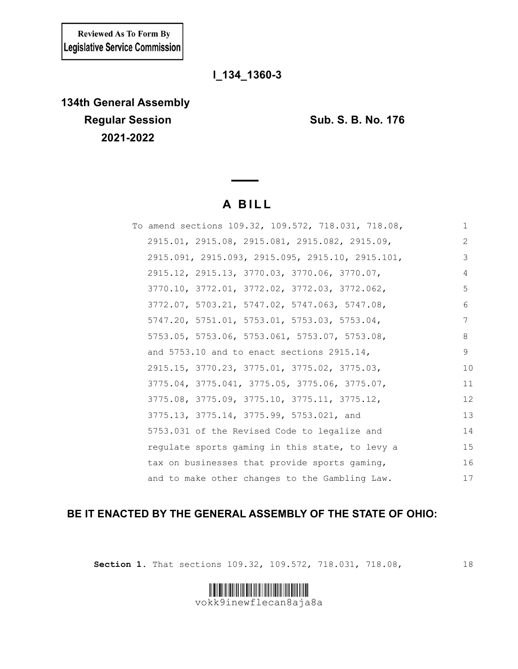**Reviewed As To Form By** Legislative Service Commission

# **l\_134\_1360-3**

**134th General Assembly Regular Session Sub. S. B. No. 176 2021-2022**

18

# **A BILL**

| To amend sections 109.32, 109.572, 718.031, 718.08, | 1              |
|-----------------------------------------------------|----------------|
| 2915.01, 2915.08, 2915.081, 2915.082, 2915.09,      | $\overline{2}$ |
| 2915.091, 2915.093, 2915.095, 2915.10, 2915.101,    | 3              |
| 2915.12, 2915.13, 3770.03, 3770.06, 3770.07,        | 4              |
| 3770.10, 3772.01, 3772.02, 3772.03, 3772.062,       | 5              |
| 3772.07, 5703.21, 5747.02, 5747.063, 5747.08,       | 6              |
| 5747.20, 5751.01, 5753.01, 5753.03, 5753.04,        | 7              |
| 5753.05, 5753.06, 5753.061, 5753.07, 5753.08,       | 8              |
| and 5753.10 and to enact sections 2915.14,          | 9              |
| 2915.15, 3770.23, 3775.01, 3775.02, 3775.03,        | 10             |
| 3775.04, 3775.041, 3775.05, 3775.06, 3775.07,       | 11             |
| 3775.08, 3775.09, 3775.10, 3775.11, 3775.12,        | 12             |
| 3775.13, 3775.14, 3775.99, 5753.021, and            | 13             |
| 5753.031 of the Revised Code to legalize and        | 14             |
| regulate sports gaming in this state, to levy a     | 15             |
| tax on businesses that provide sports gaming,       | 16             |
| and to make other changes to the Gambling Law.      | 17             |

# **BE IT ENACTED BY THE GENERAL ASSEMBLY OF THE STATE OF OHIO:**

**Section 1.** That sections 109.32, 109.572, 718.031, 718.08,

Ñvokk9inewflecan8aja8a\*Ó

vokk9inewflecan8aja8a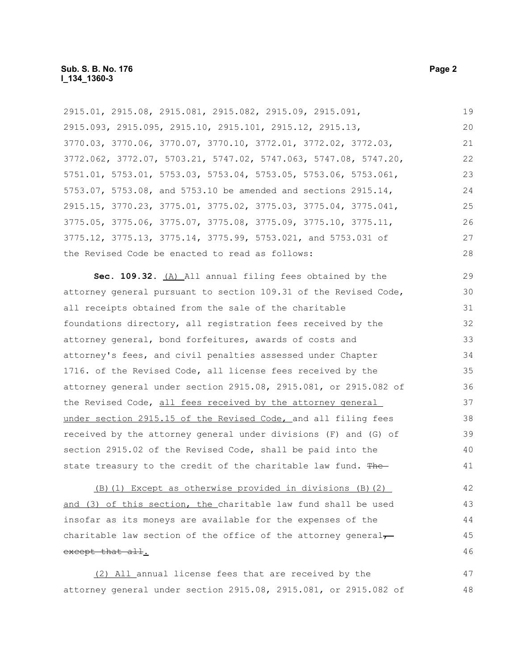| 2915.01, 2915.08, 2915.081, 2915.082, 2915.09, 2915.091,                              | 19 |
|---------------------------------------------------------------------------------------|----|
| 2915.093, 2915.095, 2915.10, 2915.101, 2915.12, 2915.13,                              | 20 |
| 3770.03, 3770.06, 3770.07, 3770.10, 3772.01, 3772.02, 3772.03,                        | 21 |
| $3772.062$ , $3772.07$ , $5703.21$ , $5747.02$ , $5747.063$ , $5747.08$ , $5747.20$ , | 22 |
| $5751.01, 5753.01, 5753.03, 5753.04, 5753.05, 5753.06, 5753.061,$                     | 23 |
| 5753.07, 5753.08, and 5753.10 be amended and sections 2915.14,                        | 24 |
| 2915.15, 3770.23, 3775.01, 3775.02, 3775.03, 3775.04, 3775.041,                       | 25 |
| $3775.05$ , $3775.06$ , $3775.07$ , $3775.08$ , $3775.09$ , $3775.10$ , $3775.11$ ,   | 26 |
| 3775.12, 3775.13, 3775.14, 3775.99, 5753.021, and 5753.031 of                         | 27 |
| the Revised Code be enacted to read as follows:                                       | 28 |

**Sec. 109.32.** (A) All annual filing fees obtained by the attorney general pursuant to section 109.31 of the Revised Code, all receipts obtained from the sale of the charitable foundations directory, all registration fees received by the attorney general, bond forfeitures, awards of costs and attorney's fees, and civil penalties assessed under Chapter 1716. of the Revised Code, all license fees received by the attorney general under section 2915.08, 2915.081, or 2915.082 of the Revised Code, all fees received by the attorney general under section 2915.15 of the Revised Code, and all filing fees received by the attorney general under divisions (F) and (G) of section 2915.02 of the Revised Code, shall be paid into the state treasury to the credit of the charitable law fund. The-29 30 31 32 33 34 35 36 37 38 39 40 41

(B)(1) Except as otherwise provided in divisions (B)(2) and (3) of this section, the charitable law fund shall be used insofar as its moneys are available for the expenses of the charitable law section of the office of the attorney general $\tau$ except that all. 42 43 44 45 46

(2) All annual license fees that are received by the attorney general under section 2915.08, 2915.081, or 2915.082 of 47 48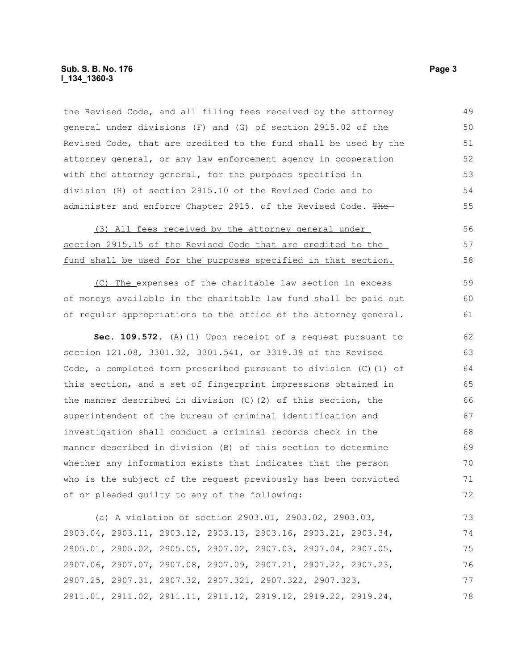### **Sub. S. B. No. 176 Page 3 l\_134\_1360-3**

the Revised Code, and all filing fees received by the attorney general under divisions (F) and (G) of section 2915.02 of the Revised Code, that are credited to the fund shall be used by the attorney general, or any law enforcement agency in cooperation with the attorney general, for the purposes specified in division (H) of section 2915.10 of the Revised Code and to administer and enforce Chapter 2915. of the Revised Code. The 49 50 51 52 53 54 55

(3) All fees received by the attorney general under section 2915.15 of the Revised Code that are credited to the fund shall be used for the purposes specified in that section. 56 57 58

(C) The expenses of the charitable law section in excess of moneys available in the charitable law fund shall be paid out of regular appropriations to the office of the attorney general.

**Sec. 109.572.** (A)(1) Upon receipt of a request pursuant to section 121.08, 3301.32, 3301.541, or 3319.39 of the Revised Code, a completed form prescribed pursuant to division (C)(1) of this section, and a set of fingerprint impressions obtained in the manner described in division (C)(2) of this section, the superintendent of the bureau of criminal identification and investigation shall conduct a criminal records check in the manner described in division (B) of this section to determine whether any information exists that indicates that the person who is the subject of the request previously has been convicted of or pleaded guilty to any of the following: 62 63 64 65 66 67 68 69 70 71 72

(a) A violation of section 2903.01, 2903.02, 2903.03, 2903.04, 2903.11, 2903.12, 2903.13, 2903.16, 2903.21, 2903.34, 2905.01, 2905.02, 2905.05, 2907.02, 2907.03, 2907.04, 2907.05, 2907.06, 2907.07, 2907.08, 2907.09, 2907.21, 2907.22, 2907.23, 2907.25, 2907.31, 2907.32, 2907.321, 2907.322, 2907.323, 2911.01, 2911.02, 2911.11, 2911.12, 2919.12, 2919.22, 2919.24, 73 74 75 76 77 78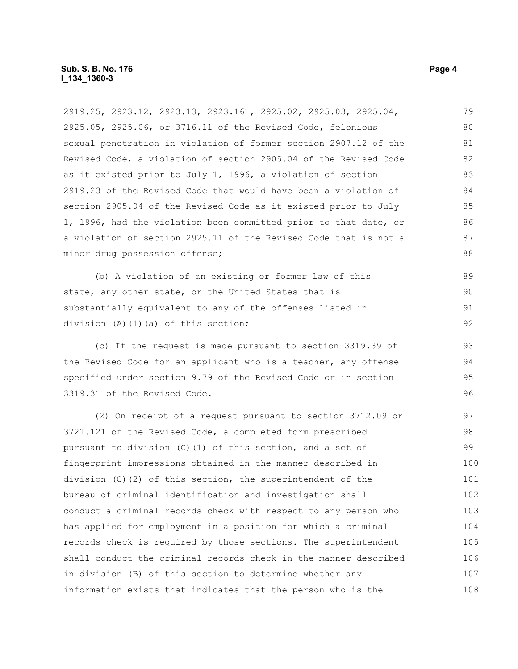### **Sub. S. B. No. 176 Page 4 l\_134\_1360-3**

2919.25, 2923.12, 2923.13, 2923.161, 2925.02, 2925.03, 2925.04, 2925.05, 2925.06, or 3716.11 of the Revised Code, felonious sexual penetration in violation of former section 2907.12 of the Revised Code, a violation of section 2905.04 of the Revised Code as it existed prior to July 1, 1996, a violation of section 2919.23 of the Revised Code that would have been a violation of section 2905.04 of the Revised Code as it existed prior to July 1, 1996, had the violation been committed prior to that date, or a violation of section 2925.11 of the Revised Code that is not a minor drug possession offense; 79 80 81 82 83 84 85 86 87 88

(b) A violation of an existing or former law of this state, any other state, or the United States that is substantially equivalent to any of the offenses listed in division (A)(1)(a) of this section; 89 90 91 92

(c) If the request is made pursuant to section 3319.39 of the Revised Code for an applicant who is a teacher, any offense specified under section 9.79 of the Revised Code or in section 3319.31 of the Revised Code.

(2) On receipt of a request pursuant to section 3712.09 or 3721.121 of the Revised Code, a completed form prescribed pursuant to division (C)(1) of this section, and a set of fingerprint impressions obtained in the manner described in division  $(C)(2)$  of this section, the superintendent of the bureau of criminal identification and investigation shall conduct a criminal records check with respect to any person who has applied for employment in a position for which a criminal records check is required by those sections. The superintendent shall conduct the criminal records check in the manner described in division (B) of this section to determine whether any information exists that indicates that the person who is the 97 98 99 100 101 102 103 104 105 106 107 108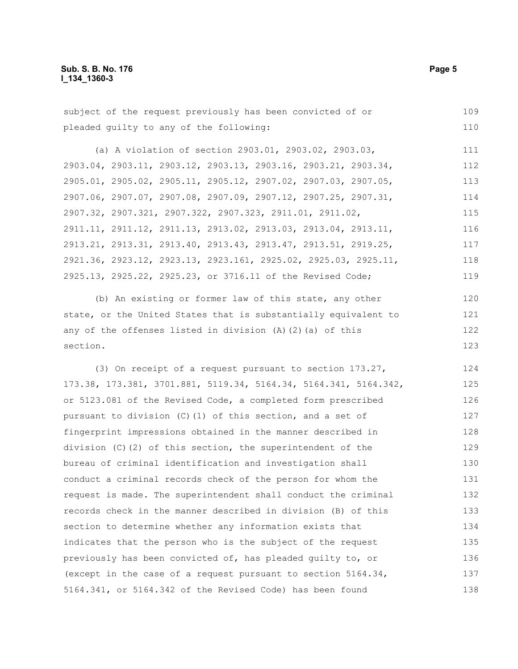subject of the request previously has been convicted of or pleaded guilty to any of the following: (a) A violation of section 2903.01, 2903.02, 2903.03, 2903.04, 2903.11, 2903.12, 2903.13, 2903.16, 2903.21, 2903.34, 2905.01, 2905.02, 2905.11, 2905.12, 2907.02, 2907.03, 2907.05, 2907.06, 2907.07, 2907.08, 2907.09, 2907.12, 2907.25, 2907.31, 2907.32, 2907.321, 2907.322, 2907.323, 2911.01, 2911.02, 2911.11, 2911.12, 2911.13, 2913.02, 2913.03, 2913.04, 2913.11, 2913.21, 2913.31, 2913.40, 2913.43, 2913.47, 2913.51, 2919.25, 2921.36, 2923.12, 2923.13, 2923.161, 2925.02, 2925.03, 2925.11, 2925.13, 2925.22, 2925.23, or 3716.11 of the Revised Code; (b) An existing or former law of this state, any other state, or the United States that is substantially equivalent to any of the offenses listed in division (A)(2)(a) of this section. (3) On receipt of a request pursuant to section 173.27, 173.38, 173.381, 3701.881, 5119.34, 5164.34, 5164.341, 5164.342, or 5123.081 of the Revised Code, a completed form prescribed pursuant to division (C)(1) of this section, and a set of fingerprint impressions obtained in the manner described in division (C)(2) of this section, the superintendent of the bureau of criminal identification and investigation shall conduct a criminal records check of the person for whom the request is made. The superintendent shall conduct the criminal records check in the manner described in division (B) of this section to determine whether any information exists that indicates that the person who is the subject of the request previously has been convicted of, has pleaded guilty to, or 109 110 111 112 113 114 115 116 117 118 119 120 121 122 123 124 125 126 127 128 129 130 131 132 133 134 135 136

(except in the case of a request pursuant to section 5164.34,

5164.341, or 5164.342 of the Revised Code) has been found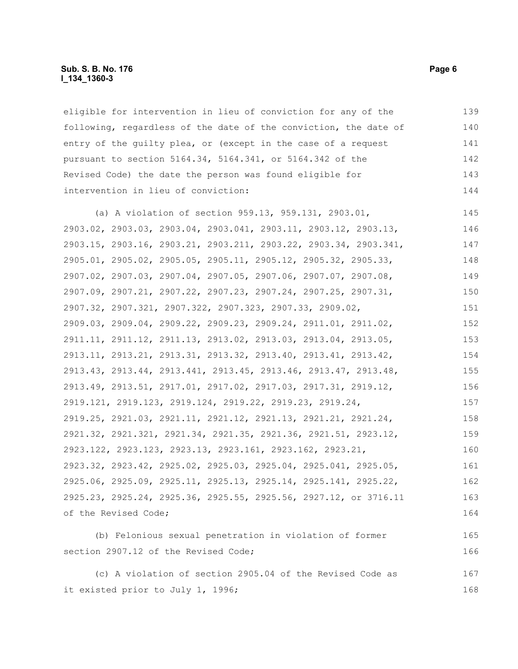#### **Sub. S. B. No. 176 Page 6 l\_134\_1360-3**

eligible for intervention in lieu of conviction for any of the following, regardless of the date of the conviction, the date of entry of the guilty plea, or (except in the case of a request pursuant to section 5164.34, 5164.341, or 5164.342 of the Revised Code) the date the person was found eligible for intervention in lieu of conviction: 139 140 141 142 143 144

(a) A violation of section 959.13, 959.131, 2903.01, 2903.02, 2903.03, 2903.04, 2903.041, 2903.11, 2903.12, 2903.13, 2903.15, 2903.16, 2903.21, 2903.211, 2903.22, 2903.34, 2903.341, 2905.01, 2905.02, 2905.05, 2905.11, 2905.12, 2905.32, 2905.33, 2907.02, 2907.03, 2907.04, 2907.05, 2907.06, 2907.07, 2907.08, 2907.09, 2907.21, 2907.22, 2907.23, 2907.24, 2907.25, 2907.31, 2907.32, 2907.321, 2907.322, 2907.323, 2907.33, 2909.02, 2909.03, 2909.04, 2909.22, 2909.23, 2909.24, 2911.01, 2911.02, 2911.11, 2911.12, 2911.13, 2913.02, 2913.03, 2913.04, 2913.05, 2913.11, 2913.21, 2913.31, 2913.32, 2913.40, 2913.41, 2913.42, 2913.43, 2913.44, 2913.441, 2913.45, 2913.46, 2913.47, 2913.48, 2913.49, 2913.51, 2917.01, 2917.02, 2917.03, 2917.31, 2919.12, 2919.121, 2919.123, 2919.124, 2919.22, 2919.23, 2919.24, 2919.25, 2921.03, 2921.11, 2921.12, 2921.13, 2921.21, 2921.24, 2921.32, 2921.321, 2921.34, 2921.35, 2921.36, 2921.51, 2923.12, 2923.122, 2923.123, 2923.13, 2923.161, 2923.162, 2923.21, 2923.32, 2923.42, 2925.02, 2925.03, 2925.04, 2925.041, 2925.05, 2925.06, 2925.09, 2925.11, 2925.13, 2925.14, 2925.141, 2925.22, 2925.23, 2925.24, 2925.36, 2925.55, 2925.56, 2927.12, or 3716.11 of the Revised Code; 145 146 147 148 149 150 151 152 153 154 155 156 157 158 159 160 161 162 163 164

(b) Felonious sexual penetration in violation of former section 2907.12 of the Revised Code; 165 166

(c) A violation of section 2905.04 of the Revised Code as it existed prior to July 1, 1996; 167 168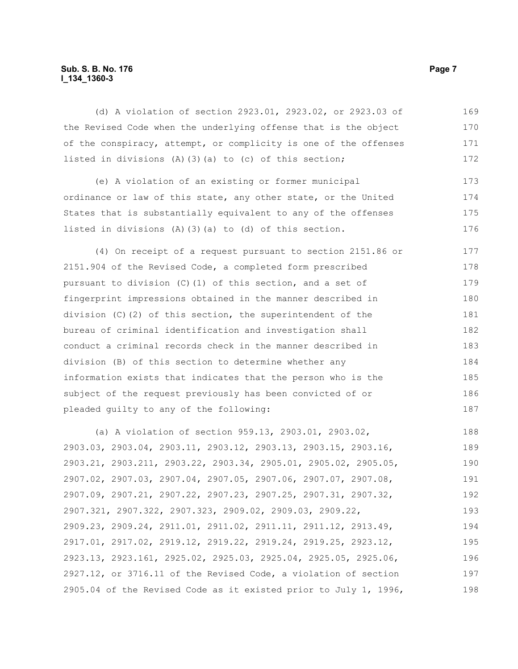# **Sub. S. B. No. 176 Page 7 Page 7 Page 7 Page 7 Page 7 Page 7 Page 7 Page 7 Page 7 l\_134\_1360-3**

(d) A violation of section 2923.01, 2923.02, or 2923.03 of the Revised Code when the underlying offense that is the object of the conspiracy, attempt, or complicity is one of the offenses listed in divisions (A)(3)(a) to (c) of this section; 169 170 171 172

(e) A violation of an existing or former municipal ordinance or law of this state, any other state, or the United States that is substantially equivalent to any of the offenses listed in divisions (A)(3)(a) to (d) of this section. 173 174 175 176

(4) On receipt of a request pursuant to section 2151.86 or 2151.904 of the Revised Code, a completed form prescribed pursuant to division (C)(1) of this section, and a set of fingerprint impressions obtained in the manner described in division (C)(2) of this section, the superintendent of the bureau of criminal identification and investigation shall conduct a criminal records check in the manner described in division (B) of this section to determine whether any information exists that indicates that the person who is the subject of the request previously has been convicted of or pleaded guilty to any of the following: 177 178 179 180 181 182 183 184 185 186 187

(a) A violation of section 959.13, 2903.01, 2903.02, 2903.03, 2903.04, 2903.11, 2903.12, 2903.13, 2903.15, 2903.16, 2903.21, 2903.211, 2903.22, 2903.34, 2905.01, 2905.02, 2905.05, 2907.02, 2907.03, 2907.04, 2907.05, 2907.06, 2907.07, 2907.08, 2907.09, 2907.21, 2907.22, 2907.23, 2907.25, 2907.31, 2907.32, 2907.321, 2907.322, 2907.323, 2909.02, 2909.03, 2909.22, 2909.23, 2909.24, 2911.01, 2911.02, 2911.11, 2911.12, 2913.49, 2917.01, 2917.02, 2919.12, 2919.22, 2919.24, 2919.25, 2923.12, 2923.13, 2923.161, 2925.02, 2925.03, 2925.04, 2925.05, 2925.06, 2927.12, or 3716.11 of the Revised Code, a violation of section 2905.04 of the Revised Code as it existed prior to July 1, 1996, 188 189 190 191 192 193 194 195 196 197 198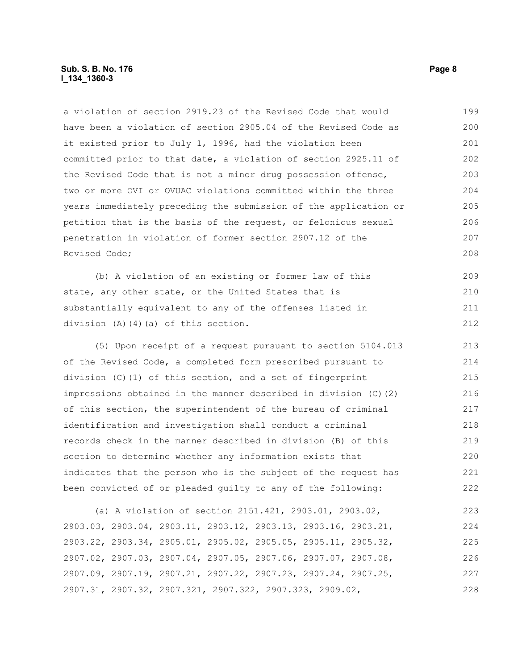#### **Sub. S. B. No. 176 Page 8 l\_134\_1360-3**

a violation of section 2919.23 of the Revised Code that would have been a violation of section 2905.04 of the Revised Code as it existed prior to July 1, 1996, had the violation been committed prior to that date, a violation of section 2925.11 of the Revised Code that is not a minor drug possession offense, two or more OVI or OVUAC violations committed within the three years immediately preceding the submission of the application or petition that is the basis of the request, or felonious sexual penetration in violation of former section 2907.12 of the Revised Code; 199 200 201 202 203 204 205 206 207 208

(b) A violation of an existing or former law of this state, any other state, or the United States that is substantially equivalent to any of the offenses listed in division (A)(4)(a) of this section. 209 210 211 212

(5) Upon receipt of a request pursuant to section 5104.013 of the Revised Code, a completed form prescribed pursuant to division (C)(1) of this section, and a set of fingerprint impressions obtained in the manner described in division (C)(2) of this section, the superintendent of the bureau of criminal identification and investigation shall conduct a criminal records check in the manner described in division (B) of this section to determine whether any information exists that indicates that the person who is the subject of the request has been convicted of or pleaded guilty to any of the following: 213 214 215 216 217 218 219 220 221 222

(a) A violation of section 2151.421, 2903.01, 2903.02, 2903.03, 2903.04, 2903.11, 2903.12, 2903.13, 2903.16, 2903.21, 2903.22, 2903.34, 2905.01, 2905.02, 2905.05, 2905.11, 2905.32, 2907.02, 2907.03, 2907.04, 2907.05, 2907.06, 2907.07, 2907.08, 2907.09, 2907.19, 2907.21, 2907.22, 2907.23, 2907.24, 2907.25, 2907.31, 2907.32, 2907.321, 2907.322, 2907.323, 2909.02, 223 224 225 226 227 228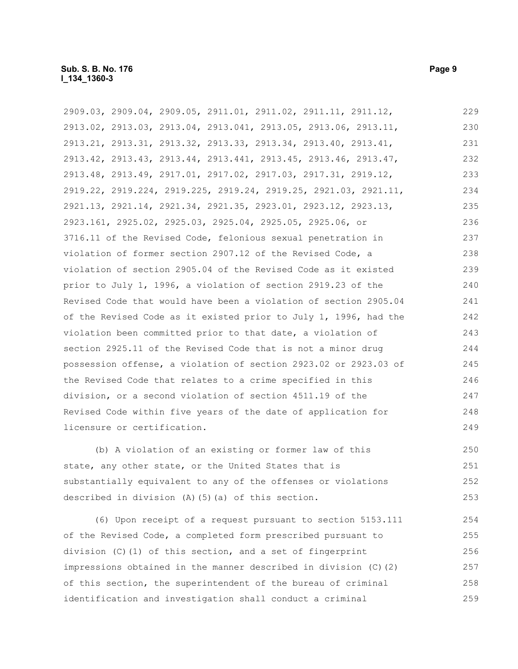2909.03, 2909.04, 2909.05, 2911.01, 2911.02, 2911.11, 2911.12, 2913.02, 2913.03, 2913.04, 2913.041, 2913.05, 2913.06, 2913.11, 2913.21, 2913.31, 2913.32, 2913.33, 2913.34, 2913.40, 2913.41, 2913.42, 2913.43, 2913.44, 2913.441, 2913.45, 2913.46, 2913.47, 2913.48, 2913.49, 2917.01, 2917.02, 2917.03, 2917.31, 2919.12, 2919.22, 2919.224, 2919.225, 2919.24, 2919.25, 2921.03, 2921.11, 2921.13, 2921.14, 2921.34, 2921.35, 2923.01, 2923.12, 2923.13, 2923.161, 2925.02, 2925.03, 2925.04, 2925.05, 2925.06, or 3716.11 of the Revised Code, felonious sexual penetration in violation of former section 2907.12 of the Revised Code, a violation of section 2905.04 of the Revised Code as it existed prior to July 1, 1996, a violation of section 2919.23 of the Revised Code that would have been a violation of section 2905.04 of the Revised Code as it existed prior to July 1, 1996, had the violation been committed prior to that date, a violation of section 2925.11 of the Revised Code that is not a minor drug possession offense, a violation of section 2923.02 or 2923.03 of the Revised Code that relates to a crime specified in this division, or a second violation of section 4511.19 of the Revised Code within five years of the date of application for licensure or certification. (b) A violation of an existing or former law of this 229 230 231 232 233 234 235 236 237 238 239 240 241 242 243 244 245 246 247 248 249 250

state, any other state, or the United States that is substantially equivalent to any of the offenses or violations described in division (A)(5)(a) of this section. 251 252 253

(6) Upon receipt of a request pursuant to section 5153.111 of the Revised Code, a completed form prescribed pursuant to division (C)(1) of this section, and a set of fingerprint impressions obtained in the manner described in division (C)(2) of this section, the superintendent of the bureau of criminal identification and investigation shall conduct a criminal 254 255 256 257 258 259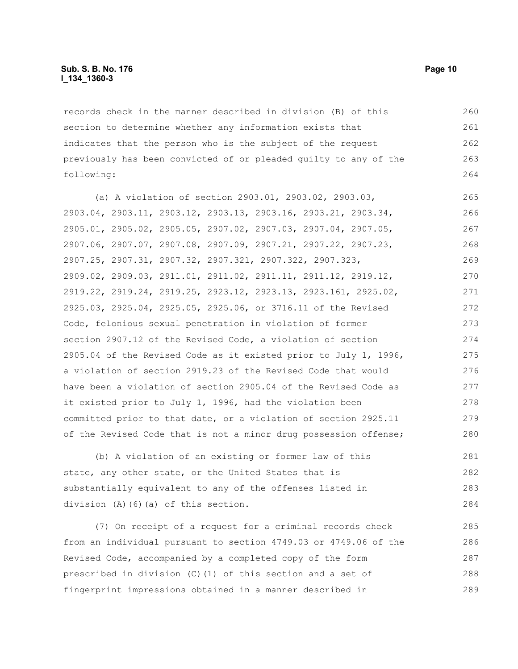records check in the manner described in division (B) of this section to determine whether any information exists that indicates that the person who is the subject of the request previously has been convicted of or pleaded guilty to any of the following: 260 261 262 263 264

(a) A violation of section 2903.01, 2903.02, 2903.03, 2903.04, 2903.11, 2903.12, 2903.13, 2903.16, 2903.21, 2903.34, 2905.01, 2905.02, 2905.05, 2907.02, 2907.03, 2907.04, 2907.05, 2907.06, 2907.07, 2907.08, 2907.09, 2907.21, 2907.22, 2907.23, 2907.25, 2907.31, 2907.32, 2907.321, 2907.322, 2907.323, 2909.02, 2909.03, 2911.01, 2911.02, 2911.11, 2911.12, 2919.12, 2919.22, 2919.24, 2919.25, 2923.12, 2923.13, 2923.161, 2925.02, 2925.03, 2925.04, 2925.05, 2925.06, or 3716.11 of the Revised Code, felonious sexual penetration in violation of former section 2907.12 of the Revised Code, a violation of section 2905.04 of the Revised Code as it existed prior to July 1, 1996, a violation of section 2919.23 of the Revised Code that would have been a violation of section 2905.04 of the Revised Code as it existed prior to July 1, 1996, had the violation been committed prior to that date, or a violation of section 2925.11 of the Revised Code that is not a minor drug possession offense; 265 266 267 268 269 270 271 272 273 274 275 276 277 278 279 280

(b) A violation of an existing or former law of this state, any other state, or the United States that is substantially equivalent to any of the offenses listed in division (A)(6)(a) of this section. 281 282 283 284

(7) On receipt of a request for a criminal records check from an individual pursuant to section 4749.03 or 4749.06 of the Revised Code, accompanied by a completed copy of the form prescribed in division (C)(1) of this section and a set of fingerprint impressions obtained in a manner described in 285 286 287 288 289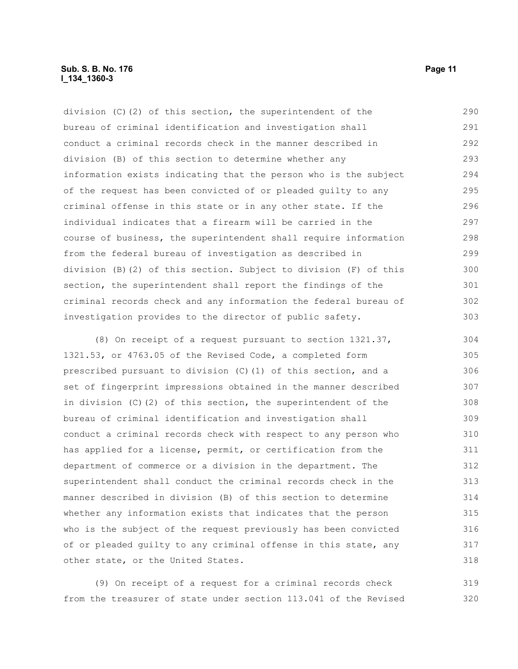division (C)(2) of this section, the superintendent of the bureau of criminal identification and investigation shall conduct a criminal records check in the manner described in division (B) of this section to determine whether any information exists indicating that the person who is the subject of the request has been convicted of or pleaded guilty to any criminal offense in this state or in any other state. If the individual indicates that a firearm will be carried in the course of business, the superintendent shall require information from the federal bureau of investigation as described in division (B)(2) of this section. Subject to division (F) of this section, the superintendent shall report the findings of the criminal records check and any information the federal bureau of investigation provides to the director of public safety. 290 291 292 293 294 295 296 297 298 299 300 301 302 303

(8) On receipt of a request pursuant to section 1321.37, 1321.53, or 4763.05 of the Revised Code, a completed form prescribed pursuant to division (C)(1) of this section, and a set of fingerprint impressions obtained in the manner described in division (C)(2) of this section, the superintendent of the bureau of criminal identification and investigation shall conduct a criminal records check with respect to any person who has applied for a license, permit, or certification from the department of commerce or a division in the department. The superintendent shall conduct the criminal records check in the manner described in division (B) of this section to determine whether any information exists that indicates that the person who is the subject of the request previously has been convicted of or pleaded guilty to any criminal offense in this state, any other state, or the United States. 304 305 306 307 308 309 310 311 312 313 314 315 316 317 318

(9) On receipt of a request for a criminal records check from the treasurer of state under section 113.041 of the Revised 319 320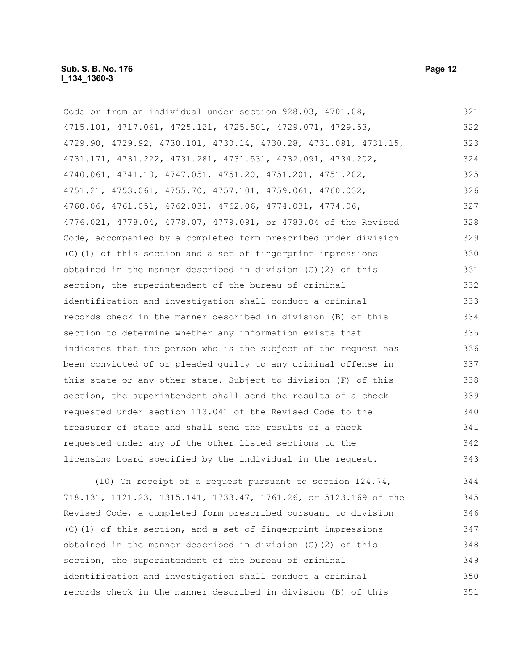Code or from an individual under section 928.03, 4701.08, 4715.101, 4717.061, 4725.121, 4725.501, 4729.071, 4729.53, 4729.90, 4729.92, 4730.101, 4730.14, 4730.28, 4731.081, 4731.15, 4731.171, 4731.222, 4731.281, 4731.531, 4732.091, 4734.202, 4740.061, 4741.10, 4747.051, 4751.20, 4751.201, 4751.202, 4751.21, 4753.061, 4755.70, 4757.101, 4759.061, 4760.032, 4760.06, 4761.051, 4762.031, 4762.06, 4774.031, 4774.06, 4776.021, 4778.04, 4778.07, 4779.091, or 4783.04 of the Revised Code, accompanied by a completed form prescribed under division (C)(1) of this section and a set of fingerprint impressions obtained in the manner described in division (C)(2) of this section, the superintendent of the bureau of criminal identification and investigation shall conduct a criminal records check in the manner described in division (B) of this section to determine whether any information exists that indicates that the person who is the subject of the request has been convicted of or pleaded guilty to any criminal offense in this state or any other state. Subject to division (F) of this section, the superintendent shall send the results of a check requested under section 113.041 of the Revised Code to the treasurer of state and shall send the results of a check requested under any of the other listed sections to the licensing board specified by the individual in the request. 321 322 323 324 325 326 327 328 329 330 331 332 333 334 335 336 337 338 339 340 341 342 343

(10) On receipt of a request pursuant to section 124.74, 718.131, 1121.23, 1315.141, 1733.47, 1761.26, or 5123.169 of the Revised Code, a completed form prescribed pursuant to division (C)(1) of this section, and a set of fingerprint impressions obtained in the manner described in division (C)(2) of this section, the superintendent of the bureau of criminal identification and investigation shall conduct a criminal records check in the manner described in division (B) of this 344 345 346 347 348 349 350 351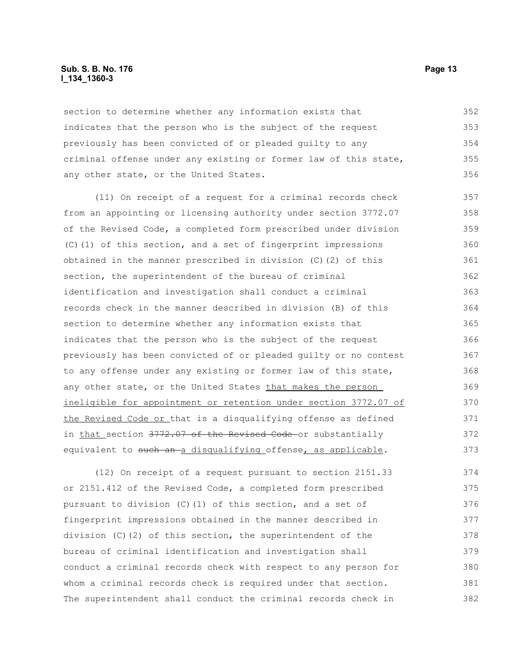#### **Sub. S. B. No. 176 Page 13 l\_134\_1360-3**

section to determine whether any information exists that indicates that the person who is the subject of the request previously has been convicted of or pleaded guilty to any criminal offense under any existing or former law of this state, any other state, or the United States. 352 353 354 355 356

(11) On receipt of a request for a criminal records check from an appointing or licensing authority under section 3772.07 of the Revised Code, a completed form prescribed under division (C)(1) of this section, and a set of fingerprint impressions obtained in the manner prescribed in division (C)(2) of this section, the superintendent of the bureau of criminal identification and investigation shall conduct a criminal records check in the manner described in division (B) of this section to determine whether any information exists that indicates that the person who is the subject of the request previously has been convicted of or pleaded guilty or no contest to any offense under any existing or former law of this state, any other state, or the United States that makes the person ineligible for appointment or retention under section 3772.07 of the Revised Code or that is a disqualifying offense as defined in that section 3772.07 of the Revised Code or substantially equivalent to such an a disqualifying offense, as applicable. 357 358 359 360 361 362 363 364 365 366 367 368 369 370 371 372 373

(12) On receipt of a request pursuant to section 2151.33 or 2151.412 of the Revised Code, a completed form prescribed pursuant to division (C)(1) of this section, and a set of fingerprint impressions obtained in the manner described in division (C)(2) of this section, the superintendent of the bureau of criminal identification and investigation shall conduct a criminal records check with respect to any person for whom a criminal records check is required under that section. The superintendent shall conduct the criminal records check in 374 375 376 377 378 379 380 381 382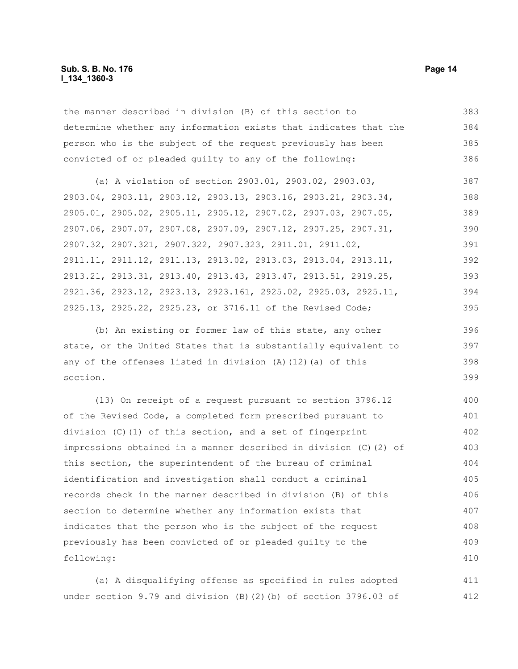the manner described in division (B) of this section to determine whether any information exists that indicates that the person who is the subject of the request previously has been convicted of or pleaded guilty to any of the following: 383 384 385 386

(a) A violation of section 2903.01, 2903.02, 2903.03, 2903.04, 2903.11, 2903.12, 2903.13, 2903.16, 2903.21, 2903.34, 2905.01, 2905.02, 2905.11, 2905.12, 2907.02, 2907.03, 2907.05, 2907.06, 2907.07, 2907.08, 2907.09, 2907.12, 2907.25, 2907.31, 2907.32, 2907.321, 2907.322, 2907.323, 2911.01, 2911.02, 2911.11, 2911.12, 2911.13, 2913.02, 2913.03, 2913.04, 2913.11, 2913.21, 2913.31, 2913.40, 2913.43, 2913.47, 2913.51, 2919.25, 2921.36, 2923.12, 2923.13, 2923.161, 2925.02, 2925.03, 2925.11, 2925.13, 2925.22, 2925.23, or 3716.11 of the Revised Code; 387 388 389 390 391 392 393 394 395

(b) An existing or former law of this state, any other state, or the United States that is substantially equivalent to any of the offenses listed in division (A)(12)(a) of this section. 397

(13) On receipt of a request pursuant to section 3796.12 of the Revised Code, a completed form prescribed pursuant to division (C)(1) of this section, and a set of fingerprint impressions obtained in a manner described in division (C)(2) of this section, the superintendent of the bureau of criminal identification and investigation shall conduct a criminal records check in the manner described in division (B) of this section to determine whether any information exists that indicates that the person who is the subject of the request previously has been convicted of or pleaded guilty to the following: 400 401 402 403 404 405 406 407 408 409 410

(a) A disqualifying offense as specified in rules adopted under section 9.79 and division (B)(2)(b) of section 3796.03 of 411 412

396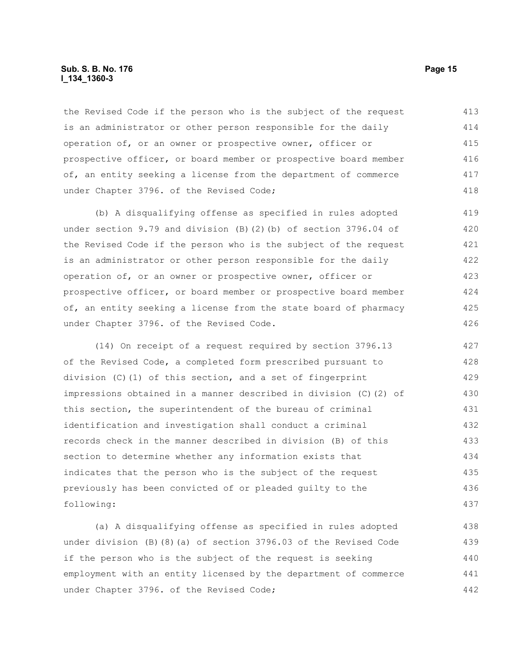#### **Sub. S. B. No. 176 Page 15 l\_134\_1360-3**

the Revised Code if the person who is the subject of the request is an administrator or other person responsible for the daily operation of, or an owner or prospective owner, officer or prospective officer, or board member or prospective board member of, an entity seeking a license from the department of commerce under Chapter 3796. of the Revised Code; 413 414 415 416 417 418

(b) A disqualifying offense as specified in rules adopted under section 9.79 and division (B)(2)(b) of section 3796.04 of the Revised Code if the person who is the subject of the request is an administrator or other person responsible for the daily operation of, or an owner or prospective owner, officer or prospective officer, or board member or prospective board member of, an entity seeking a license from the state board of pharmacy under Chapter 3796. of the Revised Code. 419 420 421 422 423 424 425 426

(14) On receipt of a request required by section 3796.13 of the Revised Code, a completed form prescribed pursuant to division (C)(1) of this section, and a set of fingerprint impressions obtained in a manner described in division (C)(2) of this section, the superintendent of the bureau of criminal identification and investigation shall conduct a criminal records check in the manner described in division (B) of this section to determine whether any information exists that indicates that the person who is the subject of the request previously has been convicted of or pleaded guilty to the following: 427 428 429 430 431 432 433 434 435 436 437

(a) A disqualifying offense as specified in rules adopted under division (B)(8)(a) of section 3796.03 of the Revised Code if the person who is the subject of the request is seeking employment with an entity licensed by the department of commerce under Chapter 3796. of the Revised Code; 438 439 440 441 442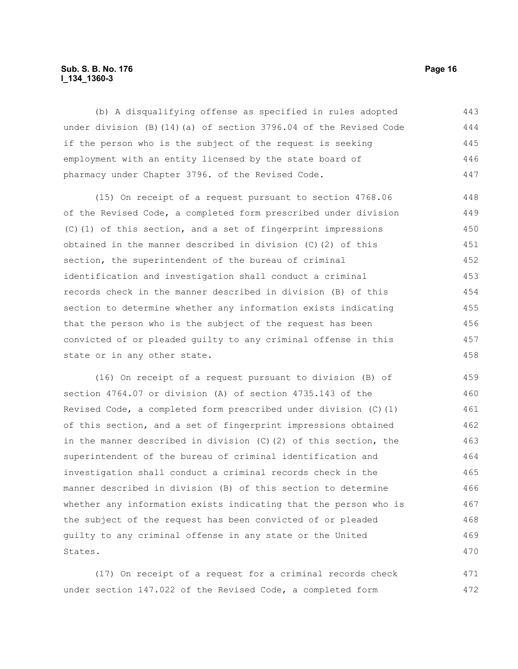### **Sub. S. B. No. 176 Page 16 l\_134\_1360-3**

(b) A disqualifying offense as specified in rules adopted under division (B)(14)(a) of section 3796.04 of the Revised Code if the person who is the subject of the request is seeking employment with an entity licensed by the state board of pharmacy under Chapter 3796. of the Revised Code. 443 444 445 446 447

(15) On receipt of a request pursuant to section 4768.06 of the Revised Code, a completed form prescribed under division (C)(1) of this section, and a set of fingerprint impressions obtained in the manner described in division (C)(2) of this section, the superintendent of the bureau of criminal identification and investigation shall conduct a criminal records check in the manner described in division (B) of this section to determine whether any information exists indicating that the person who is the subject of the request has been convicted of or pleaded guilty to any criminal offense in this state or in any other state. 448 449 450 451 452 453 454 455 456 457 458

(16) On receipt of a request pursuant to division (B) of section 4764.07 or division (A) of section 4735.143 of the Revised Code, a completed form prescribed under division (C)(1) of this section, and a set of fingerprint impressions obtained in the manner described in division  $(C)$  (2) of this section, the superintendent of the bureau of criminal identification and investigation shall conduct a criminal records check in the manner described in division (B) of this section to determine whether any information exists indicating that the person who is the subject of the request has been convicted of or pleaded guilty to any criminal offense in any state or the United States. 459 460 461 462 463 464 465 466 467 468 469 470

(17) On receipt of a request for a criminal records check under section 147.022 of the Revised Code, a completed form 471 472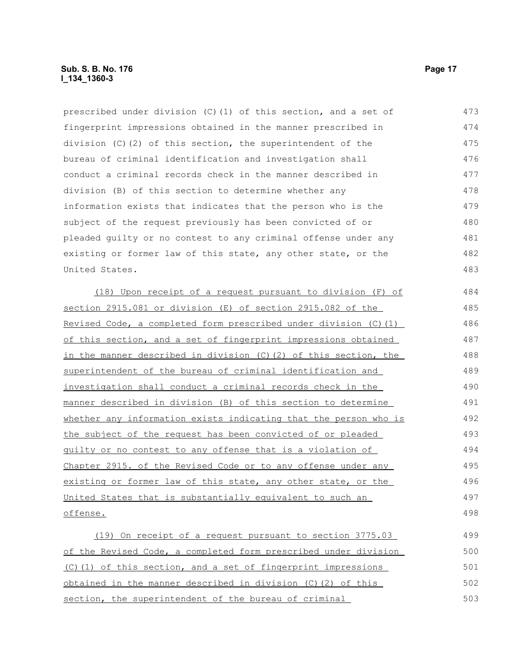prescribed under division (C)(1) of this section, and a set of fingerprint impressions obtained in the manner prescribed in division (C)(2) of this section, the superintendent of the bureau of criminal identification and investigation shall conduct a criminal records check in the manner described in division (B) of this section to determine whether any information exists that indicates that the person who is the subject of the request previously has been convicted of or pleaded guilty or no contest to any criminal offense under any existing or former law of this state, any other state, or the United States. 473 474 475 476 477 478 479 480 481 482 483

(18) Upon receipt of a request pursuant to division (F) of section 2915.081 or division (E) of section 2915.082 of the Revised Code, a completed form prescribed under division (C)(1) of this section, and a set of fingerprint impressions obtained in the manner described in division (C)(2) of this section, the superintendent of the bureau of criminal identification and investigation shall conduct a criminal records check in the manner described in division (B) of this section to determine whether any information exists indicating that the person who is the subject of the request has been convicted of or pleaded guilty or no contest to any offense that is a violation of Chapter 2915. of the Revised Code or to any offense under any existing or former law of this state, any other state, or the United States that is substantially equivalent to such an offense. 484 485 486 487 488 489 490 491 492 493 494 495 496 497 498

(19) On receipt of a request pursuant to section 3775.03 of the Revised Code, a completed form prescribed under division (C)(1) of this section, and a set of fingerprint impressions obtained in the manner described in division (C)(2) of this section, the superintendent of the bureau of criminal 499 500 501 502 503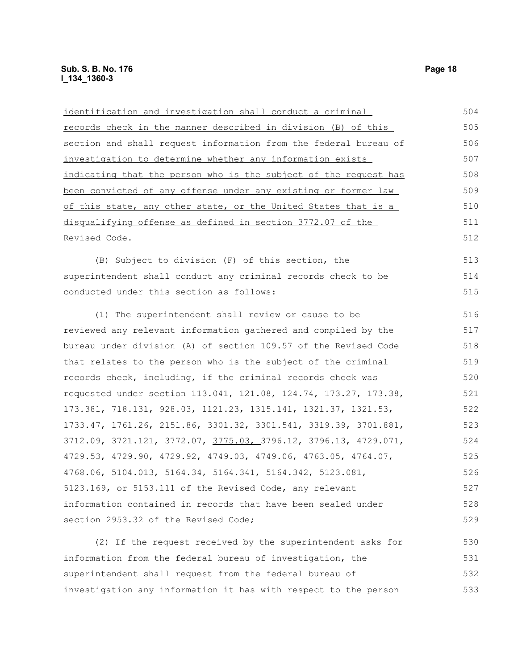| identification and investigation shall conduct a criminal        | 504 |
|------------------------------------------------------------------|-----|
| records check in the manner described in division (B) of this    | 505 |
| section and shall request information from the federal bureau of | 506 |
| investigation to determine whether any information exists        | 507 |
| indicating that the person who is the subject of the request has | 508 |
| been convicted of any offense under any existing or former law   | 509 |
| of this state, any other state, or the United States that is a   | 510 |
| disqualifying offense as defined in section 3772.07 of the       | 511 |
| Revised Code.                                                    | 512 |
| (B) Subject to division (F) of this section, the                 | 513 |
| superintendent shall conduct any criminal records check to be    | 514 |
| conducted under this section as follows:                         | 515 |
| (1) The superintendent shall review or cause to be               | 516 |
| reviewed any relevant information gathered and compiled by the   | 517 |
| bureau under division (A) of section 109.57 of the Revised Code  | 518 |
| that relates to the person who is the subject of the criminal    | 519 |
| records check, including, if the criminal records check was      | 520 |
| requested under section 113.041, 121.08, 124.74, 173.27, 173.38, | 521 |
| 173.381, 718.131, 928.03, 1121.23, 1315.141, 1321.37, 1321.53,   | 522 |
| 1733.47, 1761.26, 2151.86, 3301.32, 3301.541, 3319.39, 3701.881, | 523 |
| 3712.09, 3721.121, 3772.07, 3775.03, 3796.12, 3796.13, 4729.071, | 524 |
| 4729.53, 4729.90, 4729.92, 4749.03, 4749.06, 4763.05, 4764.07,   | 525 |
| 4768.06, 5104.013, 5164.34, 5164.341, 5164.342, 5123.081,        | 526 |
| 5123.169, or 5153.111 of the Revised Code, any relevant          | 527 |
| information contained in records that have been sealed under     | 528 |
| section 2953.32 of the Revised Code;                             | 529 |
| (2) If the request received by the superintendent asks for       | 530 |
| information from the federal bureau of investigation, the        | 531 |
| superintendent shall request from the federal bureau of          | 532 |

investigation any information it has with respect to the person 533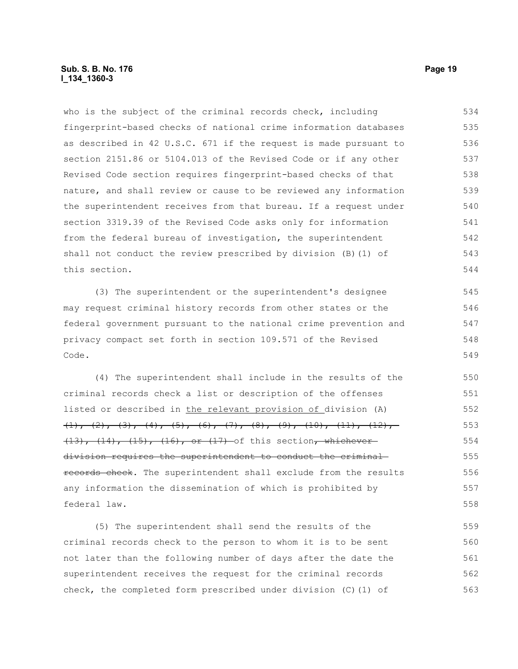# **Sub. S. B. No. 176** Page 19 **l\_134\_1360-3**

who is the subject of the criminal records check, including fingerprint-based checks of national crime information databases as described in 42 U.S.C. 671 if the request is made pursuant to section 2151.86 or 5104.013 of the Revised Code or if any other Revised Code section requires fingerprint-based checks of that nature, and shall review or cause to be reviewed any information the superintendent receives from that bureau. If a request under section 3319.39 of the Revised Code asks only for information from the federal bureau of investigation, the superintendent shall not conduct the review prescribed by division (B)(1) of this section. 534 535 536 537 538 539 540 541 542 543 544

(3) The superintendent or the superintendent's designee may request criminal history records from other states or the federal government pursuant to the national crime prevention and privacy compact set forth in section 109.571 of the Revised Code. 545 546 547

(4) The superintendent shall include in the results of the criminal records check a list or description of the offenses listed or described in the relevant provision of division (A)  $(1), (2), (3), (4), (5), (6), (7), (8), (9), (10), (11), (12),$  $(13)$ ,  $(14)$ ,  $(15)$ ,  $(16)$ , or  $(17)$  of this section, whichever division requires the superintendent to conduct the criminal records check. The superintendent shall exclude from the results any information the dissemination of which is prohibited by federal law. 550 551 552 553 554 555 556 557 558

(5) The superintendent shall send the results of the criminal records check to the person to whom it is to be sent not later than the following number of days after the date the superintendent receives the request for the criminal records check, the completed form prescribed under division (C)(1) of 559 560 561 562 563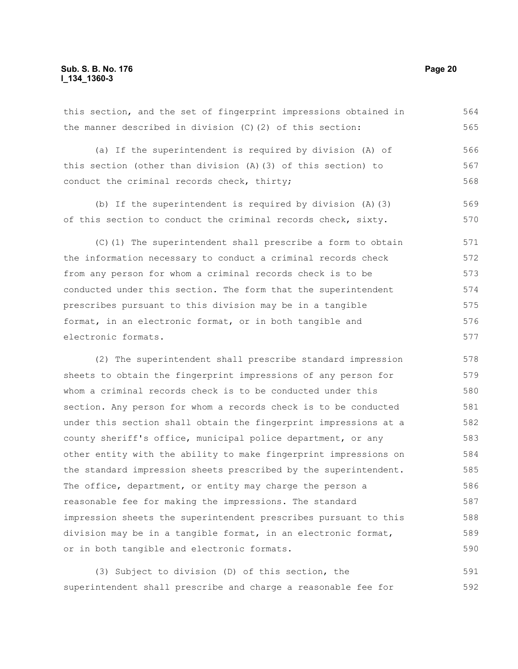this section, and the set of fingerprint impressions obtained in the manner described in division (C)(2) of this section: (a) If the superintendent is required by division (A) of this section (other than division (A)(3) of this section) to conduct the criminal records check, thirty; (b) If the superintendent is required by division (A)(3) of this section to conduct the criminal records check, sixty. (C)(1) The superintendent shall prescribe a form to obtain the information necessary to conduct a criminal records check from any person for whom a criminal records check is to be conducted under this section. The form that the superintendent prescribes pursuant to this division may be in a tangible format, in an electronic format, or in both tangible and electronic formats. (2) The superintendent shall prescribe standard impression sheets to obtain the fingerprint impressions of any person for whom a criminal records check is to be conducted under this section. Any person for whom a records check is to be conducted under this section shall obtain the fingerprint impressions at a county sheriff's office, municipal police department, or any other entity with the ability to make fingerprint impressions on the standard impression sheets prescribed by the superintendent. The office, department, or entity may charge the person a reasonable fee for making the impressions. The standard impression sheets the superintendent prescribes pursuant to this division may be in a tangible format, in an electronic format, or in both tangible and electronic formats. 564 565 566 567 568 569 570 571 572 573 574 575 576 577 578 579 580 581 582 583 584 585 586 587 588 589 590

(3) Subject to division (D) of this section, the superintendent shall prescribe and charge a reasonable fee for 591 592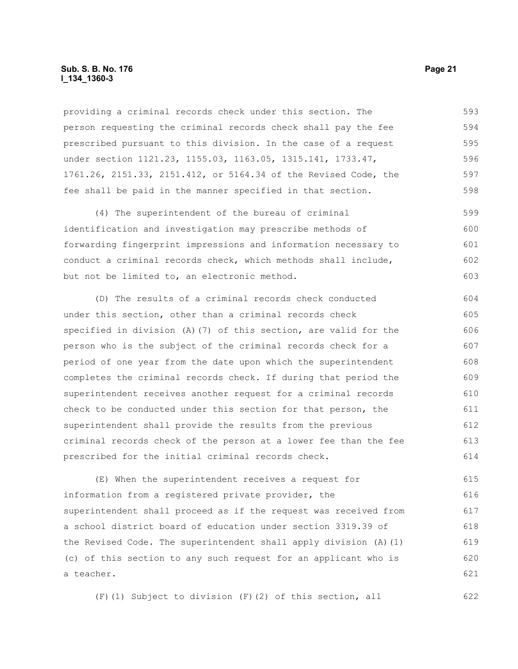#### **Sub. S. B. No. 176 Page 21 l\_134\_1360-3**

providing a criminal records check under this section. The person requesting the criminal records check shall pay the fee prescribed pursuant to this division. In the case of a request under section 1121.23, 1155.03, 1163.05, 1315.141, 1733.47, 1761.26, 2151.33, 2151.412, or 5164.34 of the Revised Code, the fee shall be paid in the manner specified in that section. 593 594 595 596 597 598

(4) The superintendent of the bureau of criminal identification and investigation may prescribe methods of forwarding fingerprint impressions and information necessary to conduct a criminal records check, which methods shall include, but not be limited to, an electronic method. 599 600 601 602 603

(D) The results of a criminal records check conducted under this section, other than a criminal records check specified in division (A)(7) of this section, are valid for the person who is the subject of the criminal records check for a period of one year from the date upon which the superintendent completes the criminal records check. If during that period the superintendent receives another request for a criminal records check to be conducted under this section for that person, the superintendent shall provide the results from the previous criminal records check of the person at a lower fee than the fee prescribed for the initial criminal records check. 604 605 606 607 608 609 610 611 612 613 614

(E) When the superintendent receives a request for information from a registered private provider, the superintendent shall proceed as if the request was received from a school district board of education under section 3319.39 of the Revised Code. The superintendent shall apply division (A)(1) (c) of this section to any such request for an applicant who is a teacher. 615 616 617 618 619 620 621

(F)(1) Subject to division (F)(2) of this section, all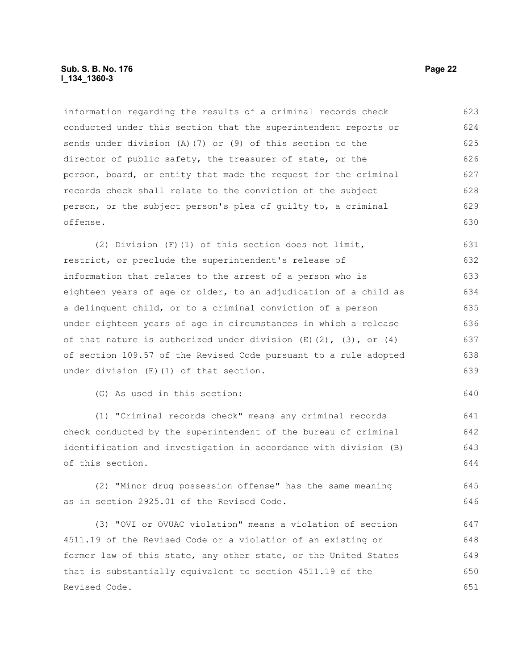#### **Sub. S. B. No. 176 Page 22 l\_134\_1360-3**

information regarding the results of a criminal records check conducted under this section that the superintendent reports or sends under division (A)(7) or (9) of this section to the director of public safety, the treasurer of state, or the person, board, or entity that made the request for the criminal records check shall relate to the conviction of the subject person, or the subject person's plea of guilty to, a criminal offense. 623 624 625 626 627 628 629 630

(2) Division (F)(1) of this section does not limit, restrict, or preclude the superintendent's release of information that relates to the arrest of a person who is eighteen years of age or older, to an adjudication of a child as a delinquent child, or to a criminal conviction of a person under eighteen years of age in circumstances in which a release of that nature is authorized under division  $(E)(2)$ ,  $(3)$ , or  $(4)$ of section 109.57 of the Revised Code pursuant to a rule adopted under division (E)(1) of that section. 631 632 633 634 635 636 637 638 639

(G) As used in this section:

(1) "Criminal records check" means any criminal records check conducted by the superintendent of the bureau of criminal identification and investigation in accordance with division (B) of this section.

(2) "Minor drug possession offense" has the same meaning as in section 2925.01 of the Revised Code. 645 646

(3) "OVI or OVUAC violation" means a violation of section 4511.19 of the Revised Code or a violation of an existing or former law of this state, any other state, or the United States that is substantially equivalent to section 4511.19 of the Revised Code. 647 648 649 650 651

640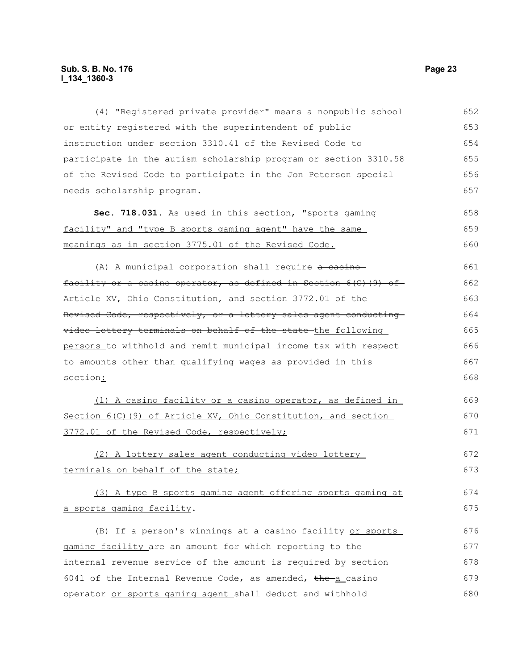# **Sub. S. B. No. 176 Page 23 l\_134\_1360-3**

(4) "Registered private provider" means a nonpublic school or entity registered with the superintendent of public instruction under section 3310.41 of the Revised Code to participate in the autism scholarship program or section 3310.58 of the Revised Code to participate in the Jon Peterson special needs scholarship program. **Sec. 718.031.** As used in this section, "sports gaming facility" and "type B sports gaming agent" have the same meanings as in section 3775.01 of the Revised Code. (A) A municipal corporation shall require  $a$  casinofacility or a casino operator, as defined in Section 6(C)(9) of Article XV, Ohio Constitution, and section 3772.01 of the Revised Code, respectively, or a lottery sales agent conducting video lottery terminals on behalf of the state the following persons to withhold and remit municipal income tax with respect to amounts other than qualifying wages as provided in this section: (1) A casino facility or a casino operator, as defined in Section 6(C)(9) of Article XV, Ohio Constitution, and section 3772.01 of the Revised Code, respectively; (2) A lottery sales agent conducting video lottery terminals on behalf of the state; (3) A type B sports gaming agent offering sports gaming at a sports gaming facility. (B) If a person's winnings at a casino facility or sports gaming facility are an amount for which reporting to the internal revenue service of the amount is required by section 6041 of the Internal Revenue Code, as amended, the a casino operator or sports gaming agent shall deduct and withhold 652 653 654 655 656 657 658 659 660 661 662 663 664 665 666 667 668 669 670 671 672 673 674 675 676 677 678 679 680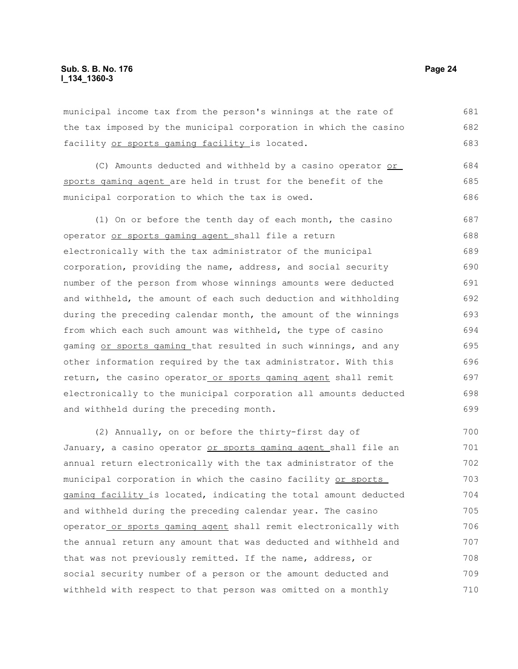# **Sub. S. B. No. 176 Page 24 l\_134\_1360-3**

municipal income tax from the person's winnings at the rate of the tax imposed by the municipal corporation in which the casino facility or sports gaming facility is located. 681 682 683

(C) Amounts deducted and withheld by a casino operator or sports gaming agent are held in trust for the benefit of the municipal corporation to which the tax is owed. 684 685 686

(1) On or before the tenth day of each month, the casino operator or sports gaming agent shall file a return electronically with the tax administrator of the municipal corporation, providing the name, address, and social security number of the person from whose winnings amounts were deducted and withheld, the amount of each such deduction and withholding during the preceding calendar month, the amount of the winnings from which each such amount was withheld, the type of casino gaming or sports gaming that resulted in such winnings, and any other information required by the tax administrator. With this return, the casino operator or sports gaming agent shall remit electronically to the municipal corporation all amounts deducted and withheld during the preceding month. 687 688 689 690 691 692 693 694 695 696 697 698 699

(2) Annually, on or before the thirty-first day of January, a casino operator or sports gaming agent shall file an annual return electronically with the tax administrator of the municipal corporation in which the casino facility or sports gaming facility is located, indicating the total amount deducted and withheld during the preceding calendar year. The casino operator or sports gaming agent shall remit electronically with the annual return any amount that was deducted and withheld and that was not previously remitted. If the name, address, or social security number of a person or the amount deducted and withheld with respect to that person was omitted on a monthly 700 701 702 703 704 705 706 707 708 709 710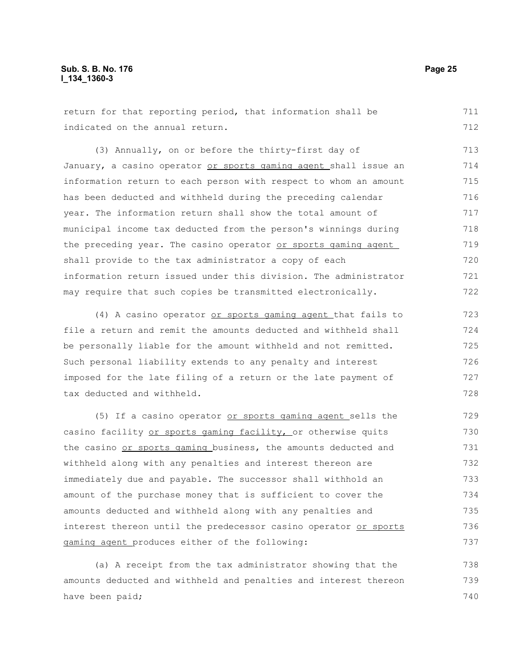return for that reporting period, that information shall be indicated on the annual return. 711 712

(3) Annually, on or before the thirty-first day of January, a casino operator or sports gaming agent shall issue an information return to each person with respect to whom an amount has been deducted and withheld during the preceding calendar year. The information return shall show the total amount of municipal income tax deducted from the person's winnings during the preceding year. The casino operator or sports gaming agent shall provide to the tax administrator a copy of each information return issued under this division. The administrator may require that such copies be transmitted electronically. 713 714 715 716 717 718 719 720 721 722

(4) A casino operator or sports gaming agent that fails to file a return and remit the amounts deducted and withheld shall be personally liable for the amount withheld and not remitted. Such personal liability extends to any penalty and interest imposed for the late filing of a return or the late payment of tax deducted and withheld. 723 724 725 726 727 728

(5) If a casino operator  $or$  sports gaming agent sells the casino facility or sports gaming facility, or otherwise quits the casino or sports gaming business, the amounts deducted and withheld along with any penalties and interest thereon are immediately due and payable. The successor shall withhold an amount of the purchase money that is sufficient to cover the amounts deducted and withheld along with any penalties and interest thereon until the predecessor casino operator or sports gaming agent produces either of the following: 729 730 731 732 733 734 735 736 737

(a) A receipt from the tax administrator showing that the amounts deducted and withheld and penalties and interest thereon have been paid; 738 739 740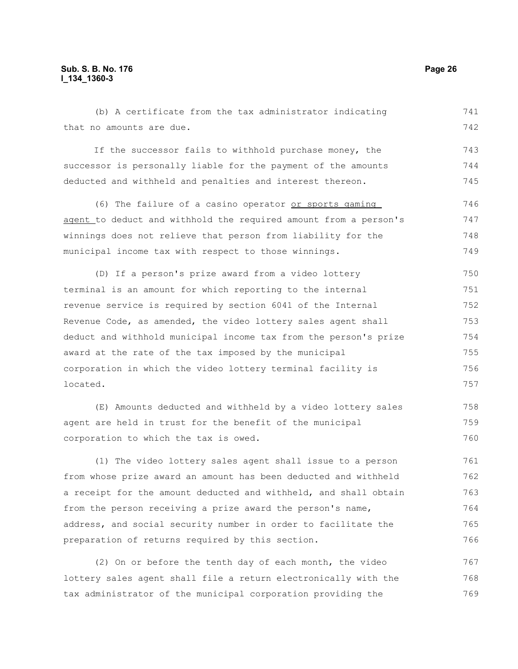(b) A certificate from the tax administrator indicating that no amounts are due. 741 742

If the successor fails to withhold purchase money, the successor is personally liable for the payment of the amounts deducted and withheld and penalties and interest thereon. 743 744 745

(6) The failure of a casino operator or sports gaming agent to deduct and withhold the required amount from a person's winnings does not relieve that person from liability for the municipal income tax with respect to those winnings. 746 747 748 749

(D) If a person's prize award from a video lottery terminal is an amount for which reporting to the internal revenue service is required by section 6041 of the Internal Revenue Code, as amended, the video lottery sales agent shall deduct and withhold municipal income tax from the person's prize award at the rate of the tax imposed by the municipal corporation in which the video lottery terminal facility is located. 750 751 752 753 754 755 756 757

(E) Amounts deducted and withheld by a video lottery sales agent are held in trust for the benefit of the municipal corporation to which the tax is owed. 758 759 760

(1) The video lottery sales agent shall issue to a person from whose prize award an amount has been deducted and withheld a receipt for the amount deducted and withheld, and shall obtain from the person receiving a prize award the person's name, address, and social security number in order to facilitate the preparation of returns required by this section. 761 762 763 764 765 766

(2) On or before the tenth day of each month, the video lottery sales agent shall file a return electronically with the tax administrator of the municipal corporation providing the 767 768 769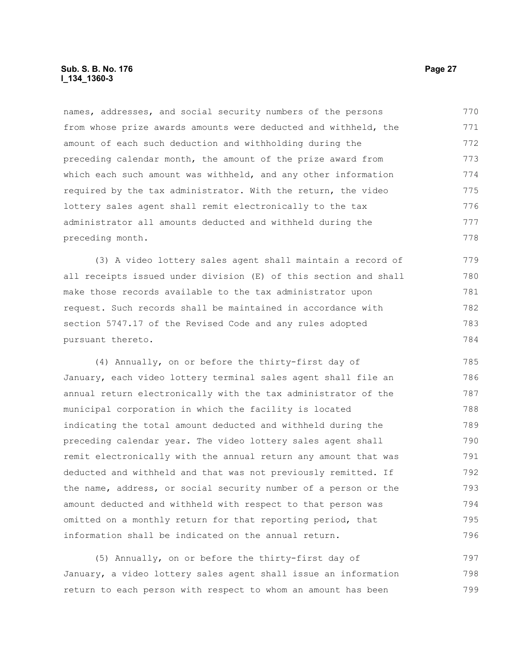#### **Sub. S. B. No. 176 Page 27 l\_134\_1360-3**

names, addresses, and social security numbers of the persons from whose prize awards amounts were deducted and withheld, the amount of each such deduction and withholding during the preceding calendar month, the amount of the prize award from which each such amount was withheld, and any other information required by the tax administrator. With the return, the video lottery sales agent shall remit electronically to the tax administrator all amounts deducted and withheld during the preceding month. 770 771 772 773 774 775 776 777 778

(3) A video lottery sales agent shall maintain a record of all receipts issued under division (E) of this section and shall make those records available to the tax administrator upon request. Such records shall be maintained in accordance with section 5747.17 of the Revised Code and any rules adopted pursuant thereto. 779 780 781 782 783 784

(4) Annually, on or before the thirty-first day of January, each video lottery terminal sales agent shall file an annual return electronically with the tax administrator of the municipal corporation in which the facility is located indicating the total amount deducted and withheld during the preceding calendar year. The video lottery sales agent shall remit electronically with the annual return any amount that was deducted and withheld and that was not previously remitted. If the name, address, or social security number of a person or the amount deducted and withheld with respect to that person was omitted on a monthly return for that reporting period, that information shall be indicated on the annual return. 785 786 787 788 789 790 791 792 793 794 795 796

(5) Annually, on or before the thirty-first day of January, a video lottery sales agent shall issue an information return to each person with respect to whom an amount has been 797 798 799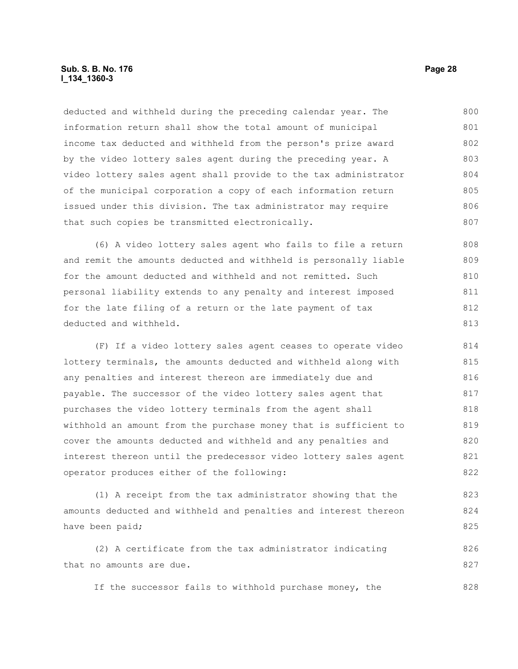#### **Sub. S. B. No. 176 Page 28 l\_134\_1360-3**

deducted and withheld during the preceding calendar year. The information return shall show the total amount of municipal income tax deducted and withheld from the person's prize award by the video lottery sales agent during the preceding year. A video lottery sales agent shall provide to the tax administrator of the municipal corporation a copy of each information return issued under this division. The tax administrator may require that such copies be transmitted electronically. 800 801 802 803 804 805 806 807

(6) A video lottery sales agent who fails to file a return and remit the amounts deducted and withheld is personally liable for the amount deducted and withheld and not remitted. Such personal liability extends to any penalty and interest imposed for the late filing of a return or the late payment of tax deducted and withheld. 808 809 810 811 812 813

(F) If a video lottery sales agent ceases to operate video lottery terminals, the amounts deducted and withheld along with any penalties and interest thereon are immediately due and payable. The successor of the video lottery sales agent that purchases the video lottery terminals from the agent shall withhold an amount from the purchase money that is sufficient to cover the amounts deducted and withheld and any penalties and interest thereon until the predecessor video lottery sales agent operator produces either of the following: 814 815 816 817 818 819 820 821 822

(1) A receipt from the tax administrator showing that the amounts deducted and withheld and penalties and interest thereon have been paid;

(2) A certificate from the tax administrator indicating that no amounts are due. 826 827

If the successor fails to withhold purchase money, the

823 824 825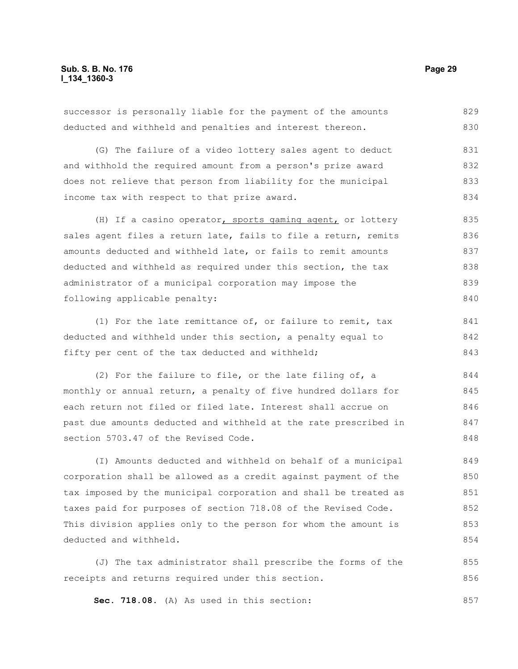# **Sub. S. B. No. 176 Page 29 l\_134\_1360-3**

successor is personally liable for the payment of the amounts deducted and withheld and penalties and interest thereon. (G) The failure of a video lottery sales agent to deduct and withhold the required amount from a person's prize award does not relieve that person from liability for the municipal income tax with respect to that prize award. (H) If a casino operator, sports gaming agent, or lottery sales agent files a return late, fails to file a return, remits amounts deducted and withheld late, or fails to remit amounts deducted and withheld as required under this section, the tax administrator of a municipal corporation may impose the following applicable penalty: (1) For the late remittance of, or failure to remit, tax deducted and withheld under this section, a penalty equal to fifty per cent of the tax deducted and withheld; (2) For the failure to file, or the late filing of, a 829 830 831 832 833 834 835 836 837 838 839 840 841 842 843 844

monthly or annual return, a penalty of five hundred dollars for each return not filed or filed late. Interest shall accrue on past due amounts deducted and withheld at the rate prescribed in section 5703.47 of the Revised Code. 845 846 847 848

(I) Amounts deducted and withheld on behalf of a municipal corporation shall be allowed as a credit against payment of the tax imposed by the municipal corporation and shall be treated as taxes paid for purposes of section 718.08 of the Revised Code. This division applies only to the person for whom the amount is deducted and withheld. 849 850 851 852 853 854

(J) The tax administrator shall prescribe the forms of the receipts and returns required under this section. 855 856

**Sec. 718.08.** (A) As used in this section: 857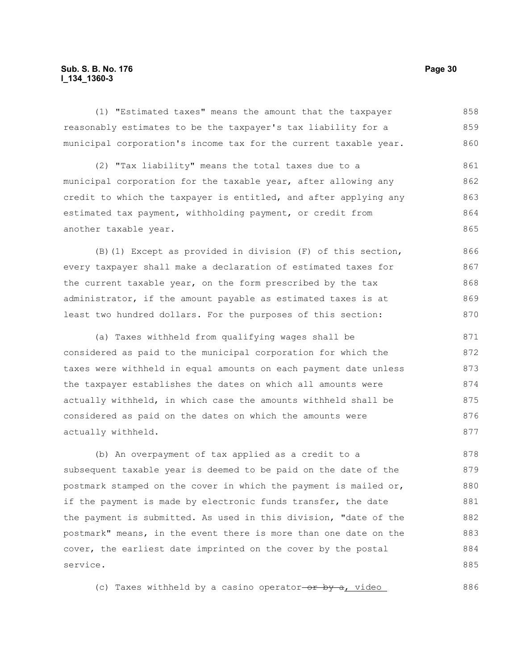# **Sub. S. B. No. 176 Page 30 l\_134\_1360-3**

(1) "Estimated taxes" means the amount that the taxpayer reasonably estimates to be the taxpayer's tax liability for a municipal corporation's income tax for the current taxable year. 858 859 860

(2) "Tax liability" means the total taxes due to a municipal corporation for the taxable year, after allowing any credit to which the taxpayer is entitled, and after applying any estimated tax payment, withholding payment, or credit from another taxable year. 861 862 863 864 865

(B)(1) Except as provided in division (F) of this section, every taxpayer shall make a declaration of estimated taxes for the current taxable year, on the form prescribed by the tax administrator, if the amount payable as estimated taxes is at least two hundred dollars. For the purposes of this section: 866 867 868 869 870

(a) Taxes withheld from qualifying wages shall be considered as paid to the municipal corporation for which the taxes were withheld in equal amounts on each payment date unless the taxpayer establishes the dates on which all amounts were actually withheld, in which case the amounts withheld shall be considered as paid on the dates on which the amounts were actually withheld. 871 872 873 874 875 876 877

(b) An overpayment of tax applied as a credit to a subsequent taxable year is deemed to be paid on the date of the postmark stamped on the cover in which the payment is mailed or, if the payment is made by electronic funds transfer, the date the payment is submitted. As used in this division, "date of the postmark" means, in the event there is more than one date on the cover, the earliest date imprinted on the cover by the postal service. 878 879 880 881 882 883 884 885

(c) Taxes withheld by a casino operator-or by  $a<sub>1</sub>$  video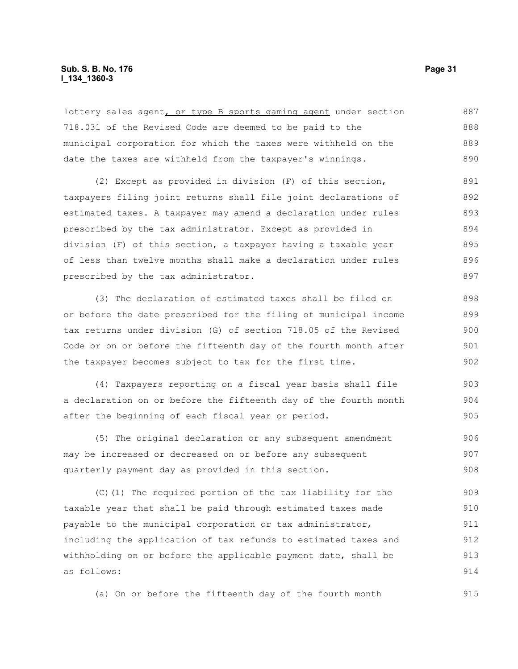lottery sales agent, or type B sports gaming agent under section 718.031 of the Revised Code are deemed to be paid to the municipal corporation for which the taxes were withheld on the date the taxes are withheld from the taxpayer's winnings. 887 888 889 890

(2) Except as provided in division (F) of this section, taxpayers filing joint returns shall file joint declarations of estimated taxes. A taxpayer may amend a declaration under rules prescribed by the tax administrator. Except as provided in division (F) of this section, a taxpayer having a taxable year of less than twelve months shall make a declaration under rules prescribed by the tax administrator. 891 892 893 894 895 896 897

(3) The declaration of estimated taxes shall be filed on or before the date prescribed for the filing of municipal income tax returns under division (G) of section 718.05 of the Revised Code or on or before the fifteenth day of the fourth month after the taxpayer becomes subject to tax for the first time.

(4) Taxpayers reporting on a fiscal year basis shall file a declaration on or before the fifteenth day of the fourth month after the beginning of each fiscal year or period.

(5) The original declaration or any subsequent amendment may be increased or decreased on or before any subsequent quarterly payment day as provided in this section. 906 907 908

(C)(1) The required portion of the tax liability for the taxable year that shall be paid through estimated taxes made payable to the municipal corporation or tax administrator, including the application of tax refunds to estimated taxes and withholding on or before the applicable payment date, shall be as follows: 909 910 911 912 913 914

(a) On or before the fifteenth day of the fourth month

915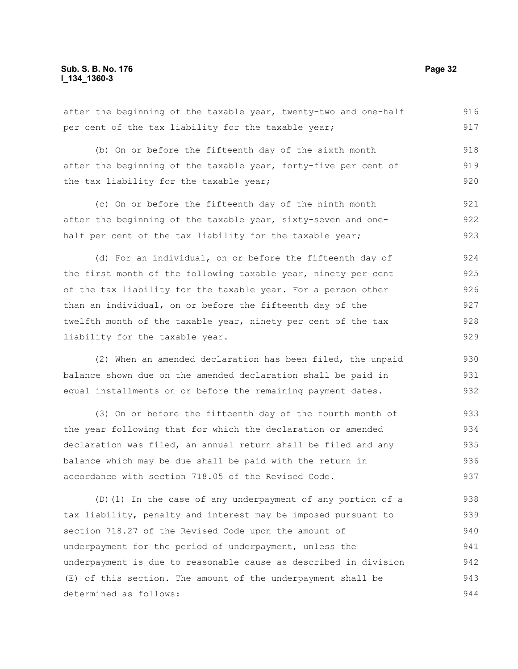after the beginning of the taxable year, twenty-two and one-half per cent of the tax liability for the taxable year; 916 917

(b) On or before the fifteenth day of the sixth month after the beginning of the taxable year, forty-five per cent of the tax liability for the taxable year; 918 919 920

(c) On or before the fifteenth day of the ninth month after the beginning of the taxable year, sixty-seven and onehalf per cent of the tax liability for the taxable year; 921 922 923

(d) For an individual, on or before the fifteenth day of the first month of the following taxable year, ninety per cent of the tax liability for the taxable year. For a person other than an individual, on or before the fifteenth day of the twelfth month of the taxable year, ninety per cent of the tax liability for the taxable year. 924 925 926 927 928 929

(2) When an amended declaration has been filed, the unpaid balance shown due on the amended declaration shall be paid in equal installments on or before the remaining payment dates. 930 931 932

(3) On or before the fifteenth day of the fourth month of the year following that for which the declaration or amended declaration was filed, an annual return shall be filed and any balance which may be due shall be paid with the return in accordance with section 718.05 of the Revised Code. 933 934 935 936 937

(D)(1) In the case of any underpayment of any portion of a tax liability, penalty and interest may be imposed pursuant to section 718.27 of the Revised Code upon the amount of underpayment for the period of underpayment, unless the underpayment is due to reasonable cause as described in division (E) of this section. The amount of the underpayment shall be determined as follows: 938 939 940 941 942 943 944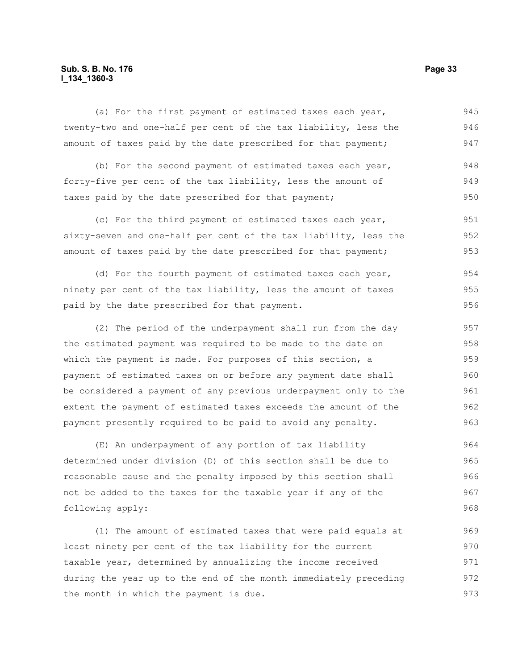# **Sub. S. B. No. 176 Page 33 l\_134\_1360-3**

(a) For the first payment of estimated taxes each year, twenty-two and one-half per cent of the tax liability, less the amount of taxes paid by the date prescribed for that payment; 945 946 947

(b) For the second payment of estimated taxes each year, forty-five per cent of the tax liability, less the amount of taxes paid by the date prescribed for that payment; 948 949 950

(c) For the third payment of estimated taxes each year, sixty-seven and one-half per cent of the tax liability, less the amount of taxes paid by the date prescribed for that payment; 951 952 953

(d) For the fourth payment of estimated taxes each year, ninety per cent of the tax liability, less the amount of taxes paid by the date prescribed for that payment. 954 955 956

(2) The period of the underpayment shall run from the day the estimated payment was required to be made to the date on which the payment is made. For purposes of this section, a payment of estimated taxes on or before any payment date shall be considered a payment of any previous underpayment only to the extent the payment of estimated taxes exceeds the amount of the payment presently required to be paid to avoid any penalty. 957 958 959 960 961 962 963

(E) An underpayment of any portion of tax liability determined under division (D) of this section shall be due to reasonable cause and the penalty imposed by this section shall not be added to the taxes for the taxable year if any of the following apply: 964 965 966 967 968

(1) The amount of estimated taxes that were paid equals at least ninety per cent of the tax liability for the current taxable year, determined by annualizing the income received during the year up to the end of the month immediately preceding the month in which the payment is due. 969 970 971 972 973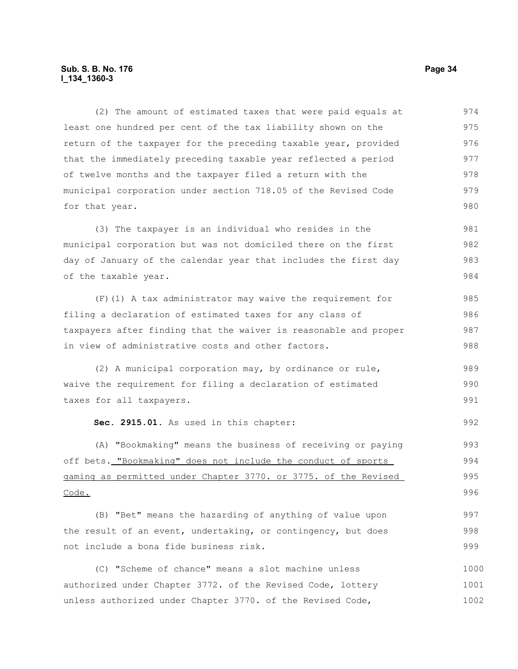# **Sub. S. B. No. 176 Page 34 l\_134\_1360-3**

(2) The amount of estimated taxes that were paid equals at least one hundred per cent of the tax liability shown on the return of the taxpayer for the preceding taxable year, provided that the immediately preceding taxable year reflected a period of twelve months and the taxpayer filed a return with the municipal corporation under section 718.05 of the Revised Code for that year. 974 975 976 977 978 979 980

(3) The taxpayer is an individual who resides in the municipal corporation but was not domiciled there on the first day of January of the calendar year that includes the first day of the taxable year. 981 982 983 984

(F)(1) A tax administrator may waive the requirement for filing a declaration of estimated taxes for any class of taxpayers after finding that the waiver is reasonable and proper in view of administrative costs and other factors. 985 986 987 988

(2) A municipal corporation may, by ordinance or rule, waive the requirement for filing a declaration of estimated taxes for all taxpayers. 989 990 991

**Sec. 2915.01.** As used in this chapter:

(A) "Bookmaking" means the business of receiving or paying off bets. "Bookmaking" does not include the conduct of sports gaming as permitted under Chapter 3770. or 3775. of the Revised Code. 993 994 995 996

(B) "Bet" means the hazarding of anything of value upon the result of an event, undertaking, or contingency, but does not include a bona fide business risk. 997 998 999

(C) "Scheme of chance" means a slot machine unless authorized under Chapter 3772. of the Revised Code, lottery unless authorized under Chapter 3770. of the Revised Code, 1000 1001 1002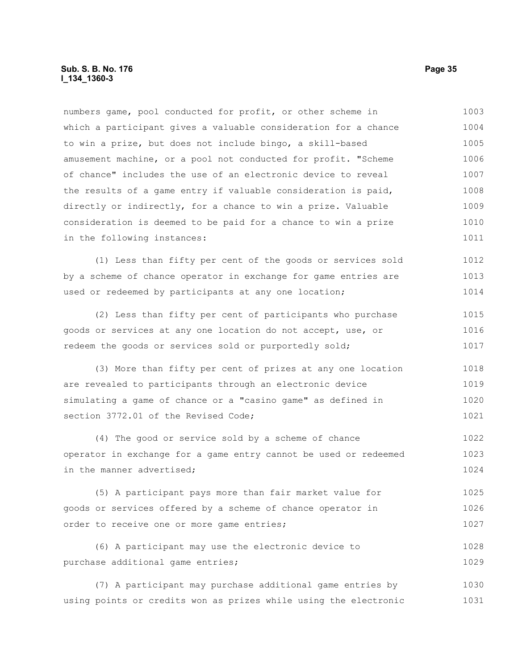#### **Sub. S. B. No. 176 Page 35 l\_134\_1360-3**

numbers game, pool conducted for profit, or other scheme in which a participant gives a valuable consideration for a chance to win a prize, but does not include bingo, a skill-based amusement machine, or a pool not conducted for profit. "Scheme of chance" includes the use of an electronic device to reveal the results of a game entry if valuable consideration is paid, directly or indirectly, for a chance to win a prize. Valuable consideration is deemed to be paid for a chance to win a prize in the following instances: 1003 1004 1005 1006 1007 1008 1009 1010 1011

(1) Less than fifty per cent of the goods or services sold by a scheme of chance operator in exchange for game entries are used or redeemed by participants at any one location; 1012 1013 1014

(2) Less than fifty per cent of participants who purchase goods or services at any one location do not accept, use, or redeem the goods or services sold or purportedly sold; 1015 1016 1017

(3) More than fifty per cent of prizes at any one location are revealed to participants through an electronic device simulating a game of chance or a "casino game" as defined in section 3772.01 of the Revised Code; 1018 1019 1020 1021

(4) The good or service sold by a scheme of chance operator in exchange for a game entry cannot be used or redeemed in the manner advertised; 1022 1023 1024

(5) A participant pays more than fair market value for goods or services offered by a scheme of chance operator in order to receive one or more game entries; 1025 1026 1027

(6) A participant may use the electronic device to purchase additional game entries; 1028 1029

(7) A participant may purchase additional game entries by using points or credits won as prizes while using the electronic 1030 1031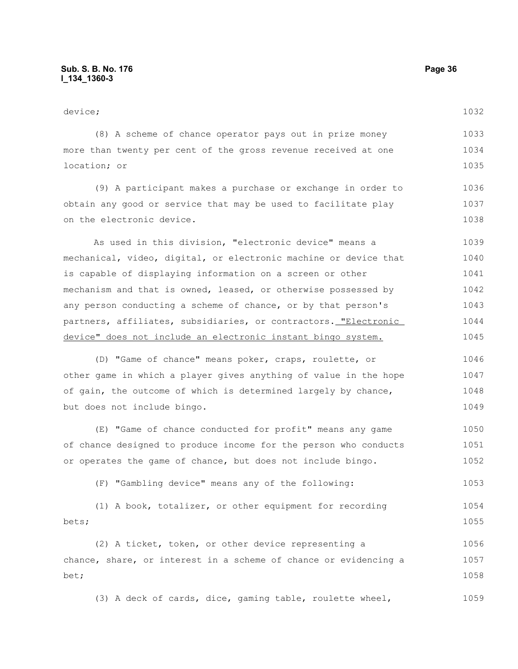| device;                                                          | 1032 |
|------------------------------------------------------------------|------|
| (8) A scheme of chance operator pays out in prize money          | 1033 |
| more than twenty per cent of the gross revenue received at one   | 1034 |
| location; or                                                     | 1035 |
| (9) A participant makes a purchase or exchange in order to       | 1036 |
| obtain any good or service that may be used to facilitate play   | 1037 |
| on the electronic device.                                        | 1038 |
| As used in this division, "electronic device" means a            | 1039 |
| mechanical, video, digital, or electronic machine or device that | 1040 |
| is capable of displaying information on a screen or other        | 1041 |
| mechanism and that is owned, leased, or otherwise possessed by   | 1042 |
| any person conducting a scheme of chance, or by that person's    | 1043 |
| partners, affiliates, subsidiaries, or contractors. "Electronic  | 1044 |
| device" does not include an electronic instant bingo system.     | 1045 |
| (D) "Game of chance" means poker, craps, roulette, or            | 1046 |
| other game in which a player gives anything of value in the hope | 1047 |
| of gain, the outcome of which is determined largely by chance,   | 1048 |
| but does not include bingo.                                      | 1049 |
| (E) "Game of chance conducted for profit" means any game         | 1050 |
| of chance designed to produce income for the person who conducts | 1051 |
| or operates the game of chance, but does not include bingo.      | 1052 |
| (F) "Gambling device" means any of the following:                | 1053 |
| (1) A book, totalizer, or other equipment for recording          | 1054 |
| bets;                                                            | 1055 |
| (2) A ticket, token, or other device representing a              | 1056 |
| chance, share, or interest in a scheme of chance or evidencing a | 1057 |
| bet;                                                             | 1058 |

(3) A deck of cards, dice, gaming table, roulette wheel, 1059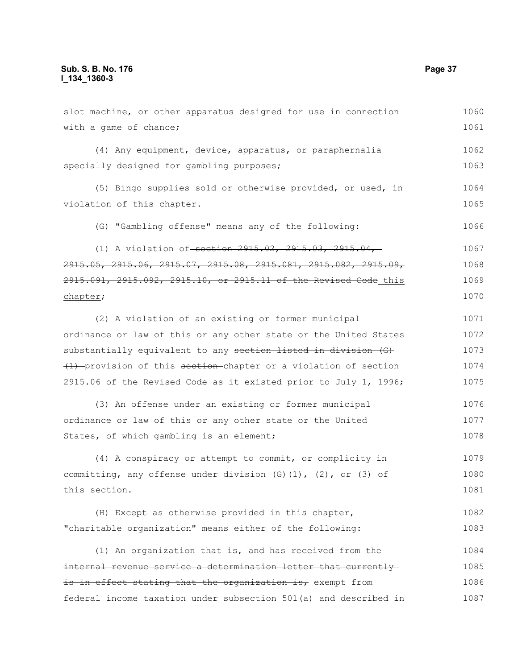slot machine, or other apparatus designed for use in connection with a game of chance; (4) Any equipment, device, apparatus, or paraphernalia specially designed for gambling purposes; (5) Bingo supplies sold or otherwise provided, or used, in violation of this chapter. (G) "Gambling offense" means any of the following: (1) A violation of section 2915.02, 2915.03, 2915.04, 2915.05, 2915.06, 2915.07, 2915.08, 2915.081, 2915.082, 2915.09, 2915.091, 2915.092, 2915.10, or 2915.11 of the Revised Code this chapter; (2) A violation of an existing or former municipal ordinance or law of this or any other state or the United States substantially equivalent to any section listed in division (G) (1) provision of this section chapter or a violation of section 2915.06 of the Revised Code as it existed prior to July 1, 1996; (3) An offense under an existing or former municipal ordinance or law of this or any other state or the United States, of which gambling is an element; (4) A conspiracy or attempt to commit, or complicity in committing, any offense under division (G)(1), (2), or (3) of this section. (H) Except as otherwise provided in this chapter, "charitable organization" means either of the following: (1) An organization that is, and has received from the internal revenue service a determination letter that currently is in effect stating that the organization is, exempt from federal income taxation under subsection 501(a) and described in 1060 1061 1062 1063 1064 1065 1066 1067 1068 1069 1070 1071 1072 1073 1074 1075 1076 1077 1078 1079 1080 1081 1082 1083 1084 1085 1086 1087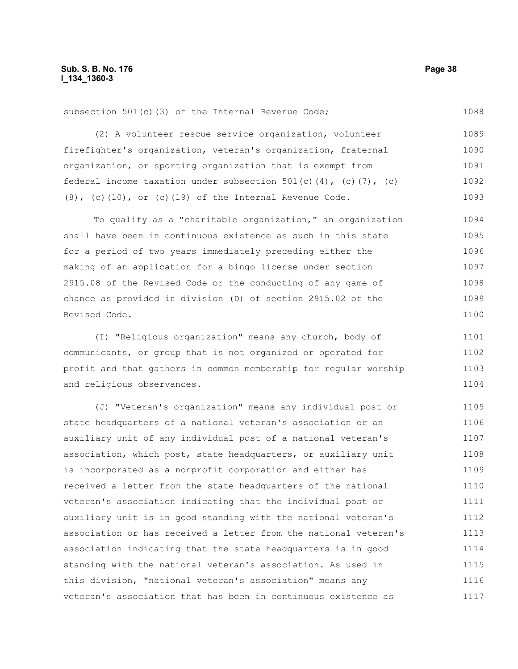subsection 501(c)(3) of the Internal Revenue Code;

(2) A volunteer rescue service organization, volunteer firefighter's organization, veteran's organization, fraternal organization, or sporting organization that is exempt from federal income taxation under subsection  $501(c)(4)$ , (c)(7), (c)  $(8)$ ,  $(c)$  $(10)$ , or  $(c)$  $(19)$  of the Internal Revenue Code. 1089 1090 1091 1092 1093

To qualify as a "charitable organization," an organization shall have been in continuous existence as such in this state for a period of two years immediately preceding either the making of an application for a bingo license under section 2915.08 of the Revised Code or the conducting of any game of chance as provided in division (D) of section 2915.02 of the Revised Code. 1094 1095 1096 1097 1098 1099 1100

(I) "Religious organization" means any church, body of communicants, or group that is not organized or operated for profit and that gathers in common membership for regular worship and religious observances. 1101 1102 1103 1104

(J) "Veteran's organization" means any individual post or state headquarters of a national veteran's association or an auxiliary unit of any individual post of a national veteran's association, which post, state headquarters, or auxiliary unit is incorporated as a nonprofit corporation and either has received a letter from the state headquarters of the national veteran's association indicating that the individual post or auxiliary unit is in good standing with the national veteran's association or has received a letter from the national veteran's association indicating that the state headquarters is in good standing with the national veteran's association. As used in this division, "national veteran's association" means any veteran's association that has been in continuous existence as 1105 1106 1107 1108 1109 1110 1111 1112 1113 1114 1115 1116 1117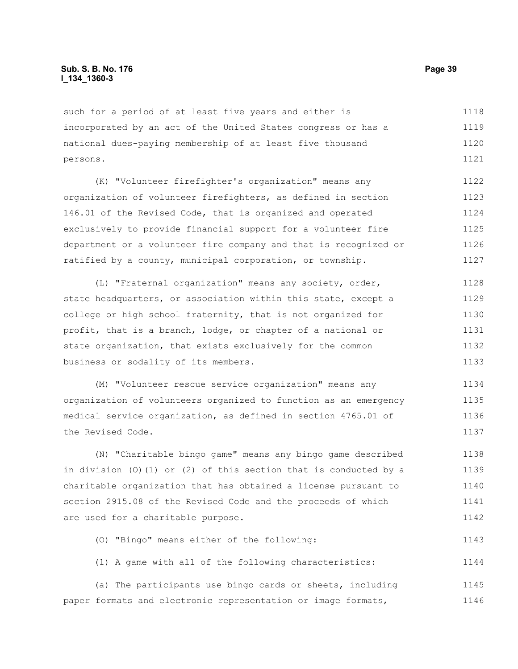such for a period of at least five years and either is incorporated by an act of the United States congress or has a national dues-paying membership of at least five thousand persons. 1118 1119 1120 1121

(K) "Volunteer firefighter's organization" means any organization of volunteer firefighters, as defined in section 146.01 of the Revised Code, that is organized and operated exclusively to provide financial support for a volunteer fire department or a volunteer fire company and that is recognized or ratified by a county, municipal corporation, or township. 1122 1123 1124 1125 1126 1127

(L) "Fraternal organization" means any society, order, state headquarters, or association within this state, except a college or high school fraternity, that is not organized for profit, that is a branch, lodge, or chapter of a national or state organization, that exists exclusively for the common business or sodality of its members. 1128 1129 1130 1131 1132 1133

(M) "Volunteer rescue service organization" means any organization of volunteers organized to function as an emergency medical service organization, as defined in section 4765.01 of the Revised Code. 1134 1135 1136 1137

(N) "Charitable bingo game" means any bingo game described in division (O)(1) or (2) of this section that is conducted by a charitable organization that has obtained a license pursuant to section 2915.08 of the Revised Code and the proceeds of which are used for a charitable purpose. 1138 1139 1140 1141 1142

(O) "Bingo" means either of the following: 1143

(1) A game with all of the following characteristics: 1144

(a) The participants use bingo cards or sheets, including paper formats and electronic representation or image formats, 1145 1146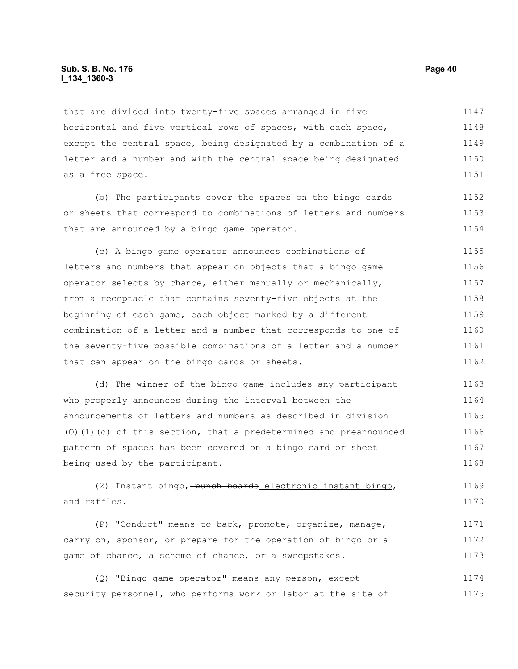## **Sub. S. B. No. 176 Page 40 l\_134\_1360-3**

that are divided into twenty-five spaces arranged in five horizontal and five vertical rows of spaces, with each space, except the central space, being designated by a combination of a letter and a number and with the central space being designated as a free space. 1147 1148 1149 1150 1151

(b) The participants cover the spaces on the bingo cards or sheets that correspond to combinations of letters and numbers that are announced by a bingo game operator. 1152 1153 1154

(c) A bingo game operator announces combinations of letters and numbers that appear on objects that a bingo game operator selects by chance, either manually or mechanically, from a receptacle that contains seventy-five objects at the beginning of each game, each object marked by a different combination of a letter and a number that corresponds to one of the seventy-five possible combinations of a letter and a number that can appear on the bingo cards or sheets. 1155 1156 1157 1158 1159 1160 1161 1162

(d) The winner of the bingo game includes any participant who properly announces during the interval between the announcements of letters and numbers as described in division (O)(1)(c) of this section, that a predetermined and preannounced pattern of spaces has been covered on a bingo card or sheet being used by the participant. 1163 1164 1165 1166 1167 1168

(2) Instant bingo, punch boards electronic instant bingo, and raffles. 1169 1170

(P) "Conduct" means to back, promote, organize, manage, carry on, sponsor, or prepare for the operation of bingo or a game of chance, a scheme of chance, or a sweepstakes. 1171 1172 1173

(Q) "Bingo game operator" means any person, except security personnel, who performs work or labor at the site of 1174 1175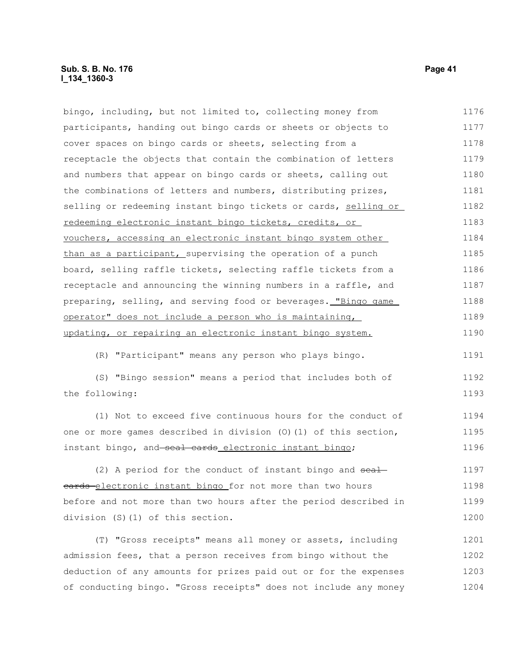| bingo, including, but not limited to, collecting money from      | 1176 |
|------------------------------------------------------------------|------|
| participants, handing out bingo cards or sheets or objects to    | 1177 |
| cover spaces on bingo cards or sheets, selecting from a          | 1178 |
| receptacle the objects that contain the combination of letters   | 1179 |
| and numbers that appear on bingo cards or sheets, calling out    | 1180 |
| the combinations of letters and numbers, distributing prizes,    | 1181 |
| selling or redeeming instant bingo tickets or cards, selling or  | 1182 |
| redeeming electronic instant bingo tickets, credits, or          | 1183 |
| vouchers, accessing an electronic instant bingo system other     | 1184 |
| than as a participant, supervising the operation of a punch      | 1185 |
| board, selling raffle tickets, selecting raffle tickets from a   | 1186 |
| receptacle and announcing the winning numbers in a raffle, and   | 1187 |
| preparing, selling, and serving food or beverages. "Bingo game   | 1188 |
| operator" does not include a person who is maintaining,          | 1189 |
| updating, or repairing an electronic instant bingo system.       | 1190 |
| (R) "Participant" means any person who plays bingo.              | 1191 |
| (S) "Bingo session" means a period that includes both of         | 1192 |
| the following:                                                   | 1193 |
| (1) Not to exceed five continuous hours for the conduct of       | 1194 |
| one or more games described in division (0) (1) of this section, | 1195 |
| instant bingo, and seal cards electronic instant bingo;          | 1196 |
|                                                                  |      |
| (2) A period for the conduct of instant bingo and seal           | 1197 |
| eards electronic instant bingo for not more than two hours       | 1198 |
| before and not more than two hours after the period described in | 1199 |
| division (S) (1) of this section.                                | 1200 |
| (T) "Gross receipts" means all money or assets, including        | 1201 |
| admission fees, that a person receives from bingo without the    | 1202 |
| deduction of any amounts for prizes paid out or for the expenses | 1203 |
| of conducting bingo. "Gross receipts" does not include any money | 1204 |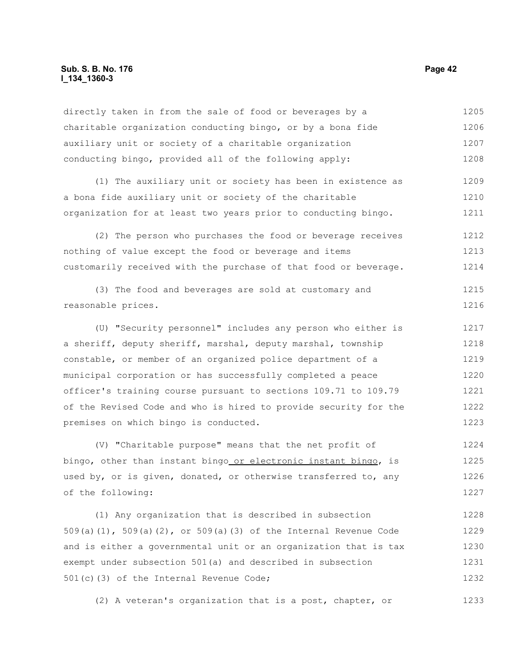## **Sub. S. B. No. 176 Page 42 l\_134\_1360-3**

directly taken in from the sale of food or beverages by a charitable organization conducting bingo, or by a bona fide auxiliary unit or society of a charitable organization conducting bingo, provided all of the following apply: 1205 1206 1207 1208

(1) The auxiliary unit or society has been in existence as a bona fide auxiliary unit or society of the charitable organization for at least two years prior to conducting bingo. 1209 1210 1211

(2) The person who purchases the food or beverage receives nothing of value except the food or beverage and items customarily received with the purchase of that food or beverage. 1212 1213 1214

(3) The food and beverages are sold at customary and reasonable prices. 1215 1216

(U) "Security personnel" includes any person who either is a sheriff, deputy sheriff, marshal, deputy marshal, township constable, or member of an organized police department of a municipal corporation or has successfully completed a peace officer's training course pursuant to sections 109.71 to 109.79 of the Revised Code and who is hired to provide security for the premises on which bingo is conducted. 1217 1218 1219 1220 1221 1222 1223

(V) "Charitable purpose" means that the net profit of bingo, other than instant bingo or electronic instant bingo, is used by, or is given, donated, or otherwise transferred to, any of the following: 1224 1225 1226 1227

(1) Any organization that is described in subsection 509(a)(1), 509(a)(2), or 509(a)(3) of the Internal Revenue Code and is either a governmental unit or an organization that is tax exempt under subsection 501(a) and described in subsection 501(c)(3) of the Internal Revenue Code; 1228 1229 1230 1231 1232

(2) A veteran's organization that is a post, chapter, or 1233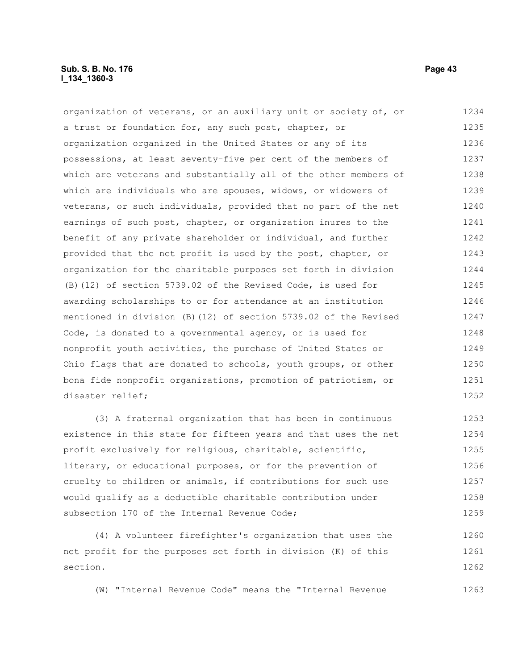## **Sub. S. B. No. 176 Page 43 l\_134\_1360-3**

organization of veterans, or an auxiliary unit or society of, or a trust or foundation for, any such post, chapter, or organization organized in the United States or any of its possessions, at least seventy-five per cent of the members of which are veterans and substantially all of the other members of which are individuals who are spouses, widows, or widowers of veterans, or such individuals, provided that no part of the net earnings of such post, chapter, or organization inures to the benefit of any private shareholder or individual, and further provided that the net profit is used by the post, chapter, or organization for the charitable purposes set forth in division (B)(12) of section 5739.02 of the Revised Code, is used for awarding scholarships to or for attendance at an institution mentioned in division (B)(12) of section 5739.02 of the Revised Code, is donated to a governmental agency, or is used for nonprofit youth activities, the purchase of United States or Ohio flags that are donated to schools, youth groups, or other bona fide nonprofit organizations, promotion of patriotism, or disaster relief; 1234 1235 1236 1237 1238 1239 1240 1241 1242 1243 1244 1245 1246 1247 1248 1249 1250 1251 1252 1253

(3) A fraternal organization that has been in continuous existence in this state for fifteen years and that uses the net profit exclusively for religious, charitable, scientific, literary, or educational purposes, or for the prevention of cruelty to children or animals, if contributions for such use would qualify as a deductible charitable contribution under subsection 170 of the Internal Revenue Code: 1254 1255 1256 1257 1258 1259

(4) A volunteer firefighter's organization that uses the net profit for the purposes set forth in division (K) of this section. 1260 1261 1262

(W) "Internal Revenue Code" means the "Internal Revenue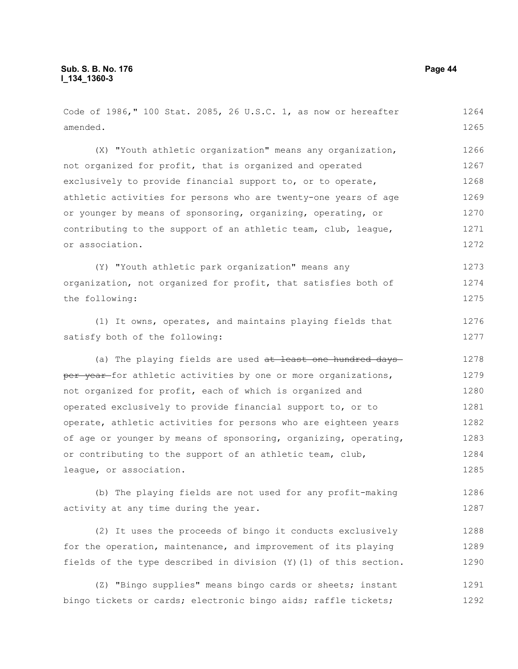Code of 1986," 100 Stat. 2085, 26 U.S.C. 1, as now or hereafter amended. (X) "Youth athletic organization" means any organization, not organized for profit, that is organized and operated exclusively to provide financial support to, or to operate, athletic activities for persons who are twenty-one years of age or younger by means of sponsoring, organizing, operating, or contributing to the support of an athletic team, club, league, or association. (Y) "Youth athletic park organization" means any organization, not organized for profit, that satisfies both of the following: (1) It owns, operates, and maintains playing fields that satisfy both of the following: (a) The playing fields are used at least one hundred days per year for athletic activities by one or more organizations, not organized for profit, each of which is organized and operated exclusively to provide financial support to, or to operate, athletic activities for persons who are eighteen years of age or younger by means of sponsoring, organizing, operating, or contributing to the support of an athletic team, club, league, or association. 1264 1265 1266 1267 1268 1269 1270 1271 1272 1273 1274 1275 1276 1277 1278 1279 1280 1281 1282 1283 1284 1285

(b) The playing fields are not used for any profit-making activity at any time during the year. 1286 1287

(2) It uses the proceeds of bingo it conducts exclusively for the operation, maintenance, and improvement of its playing fields of the type described in division (Y)(1) of this section. 1288 1289 1290

(Z) "Bingo supplies" means bingo cards or sheets; instant bingo tickets or cards; electronic bingo aids; raffle tickets; 1291 1292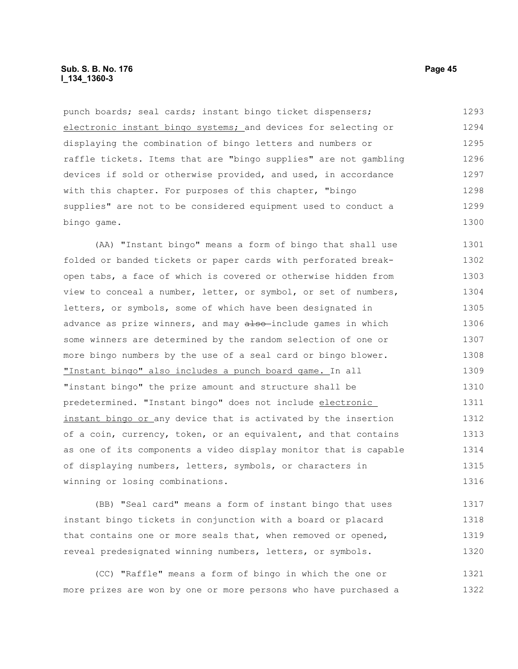punch boards; seal cards; instant bingo ticket dispensers; electronic instant bingo systems; and devices for selecting or displaying the combination of bingo letters and numbers or raffle tickets. Items that are "bingo supplies" are not gambling devices if sold or otherwise provided, and used, in accordance with this chapter. For purposes of this chapter, "bingo supplies" are not to be considered equipment used to conduct a bingo game. 1293 1294 1295 1296 1297 1298 1299 1300

(AA) "Instant bingo" means a form of bingo that shall use folded or banded tickets or paper cards with perforated breakopen tabs, a face of which is covered or otherwise hidden from view to conceal a number, letter, or symbol, or set of numbers, letters, or symbols, some of which have been designated in advance as prize winners, and may also-include games in which some winners are determined by the random selection of one or more bingo numbers by the use of a seal card or bingo blower. "Instant bingo" also includes a punch board game. In all "instant bingo" the prize amount and structure shall be predetermined. "Instant bingo" does not include electronic instant bingo or any device that is activated by the insertion of a coin, currency, token, or an equivalent, and that contains as one of its components a video display monitor that is capable of displaying numbers, letters, symbols, or characters in winning or losing combinations. 1301 1302 1303 1304 1305 1306 1307 1308 1309 1310 1311 1312 1313 1314 1315 1316

(BB) "Seal card" means a form of instant bingo that uses instant bingo tickets in conjunction with a board or placard that contains one or more seals that, when removed or opened, reveal predesignated winning numbers, letters, or symbols. 1317 1318 1319 1320

(CC) "Raffle" means a form of bingo in which the one or more prizes are won by one or more persons who have purchased a 1321 1322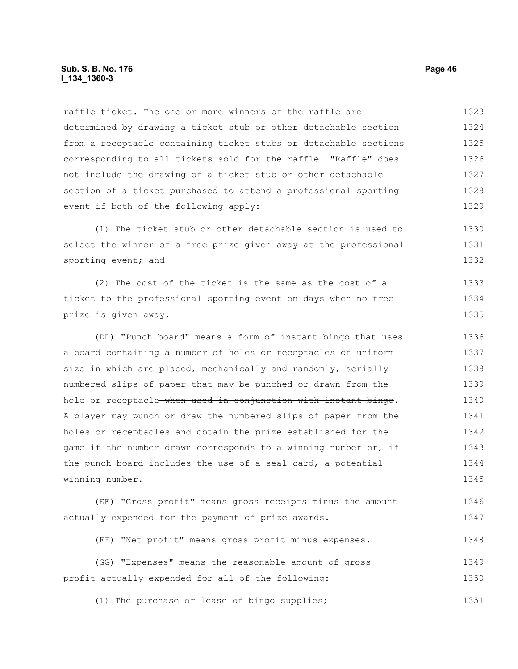raffle ticket. The one or more winners of the raffle are determined by drawing a ticket stub or other detachable section from a receptacle containing ticket stubs or detachable sections corresponding to all tickets sold for the raffle. "Raffle" does not include the drawing of a ticket stub or other detachable section of a ticket purchased to attend a professional sporting event if both of the following apply: 1323 1324 1325 1326 1327 1328 1329

(1) The ticket stub or other detachable section is used to select the winner of a free prize given away at the professional sporting event; and 1330 1331 1332

(2) The cost of the ticket is the same as the cost of a ticket to the professional sporting event on days when no free prize is given away. 1333 1334 1335

(DD) "Punch board" means a form of instant bingo that uses a board containing a number of holes or receptacles of uniform size in which are placed, mechanically and randomly, serially numbered slips of paper that may be punched or drawn from the hole or receptacle when used in conjunction with instant bingo. A player may punch or draw the numbered slips of paper from the holes or receptacles and obtain the prize established for the game if the number drawn corresponds to a winning number or, if the punch board includes the use of a seal card, a potential winning number. 1336 1337 1338 1339 1340 1341 1342 1343 1344 1345

(EE) "Gross profit" means gross receipts minus the amount actually expended for the payment of prize awards. 1346 1347

(FF) "Net profit" means gross profit minus expenses. 1348

(GG) "Expenses" means the reasonable amount of gross profit actually expended for all of the following: 1349 1350

(1) The purchase or lease of bingo supplies; 1351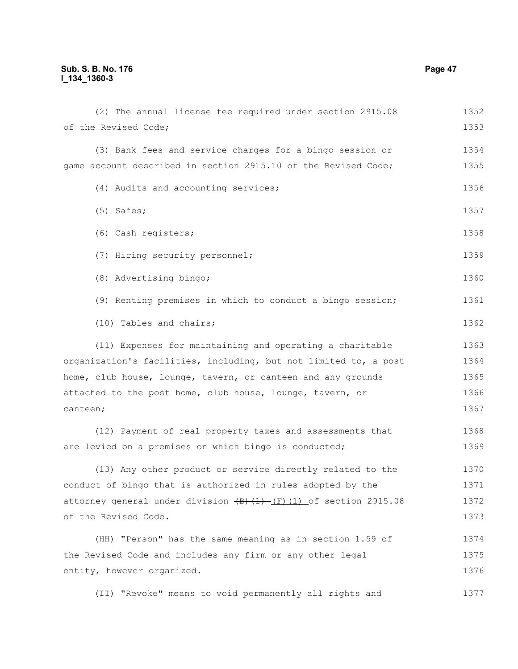| (2) The annual license fee required under section 2915.08                                                 | 1352 |
|-----------------------------------------------------------------------------------------------------------|------|
| of the Revised Code;                                                                                      | 1353 |
| (3) Bank fees and service charges for a bingo session or                                                  | 1354 |
| game account described in section 2915.10 of the Revised Code;                                            | 1355 |
| (4) Audits and accounting services;                                                                       | 1356 |
| $(5)$ Safes;                                                                                              | 1357 |
| (6) Cash registers;                                                                                       | 1358 |
| (7) Hiring security personnel;                                                                            | 1359 |
| (8) Advertising bingo;                                                                                    | 1360 |
| (9) Renting premises in which to conduct a bingo session;                                                 | 1361 |
| (10) Tables and chairs;                                                                                   | 1362 |
| (11) Expenses for maintaining and operating a charitable                                                  | 1363 |
| organization's facilities, including, but not limited to, a post                                          | 1364 |
| home, club house, lounge, tavern, or canteen and any grounds                                              | 1365 |
| attached to the post home, club house, lounge, tavern, or                                                 | 1366 |
| canteen;                                                                                                  | 1367 |
| (12) Payment of real property taxes and assessments that                                                  | 1368 |
| are levied on a premises on which bingo is conducted;                                                     | 1369 |
| (13) Any other product or service directly related to the                                                 | 1370 |
| conduct of bingo that is authorized in rules adopted by the                                               | 1371 |
| attorney general under division $\left(\frac{B}{B}\right)\left(\frac{1}{I}\right)$ (1) of section 2915.08 | 1372 |
| of the Revised Code.                                                                                      | 1373 |
| (HH) "Person" has the same meaning as in section 1.59 of                                                  | 1374 |
| the Revised Code and includes any firm or any other legal                                                 | 1375 |
| entity, however organized.                                                                                | 1376 |
| (II) "Revoke" means to void permanently all rights and                                                    | 1377 |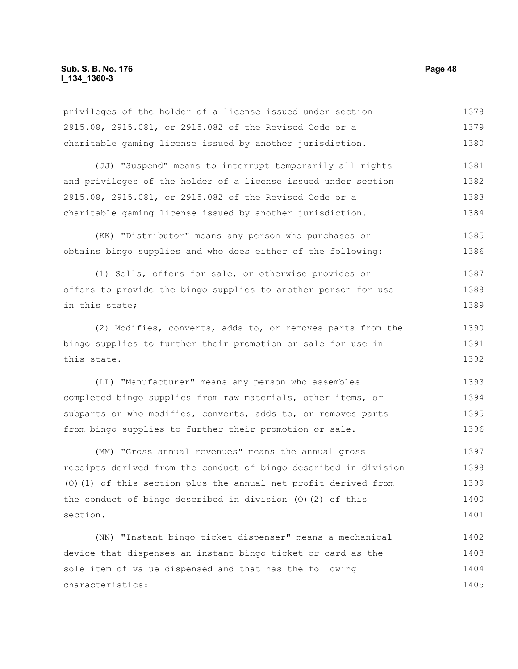## **Sub. S. B. No. 176 Page 48 l\_134\_1360-3**

privileges of the holder of a license issued under section 2915.08, 2915.081, or 2915.082 of the Revised Code or a charitable gaming license issued by another jurisdiction. (JJ) "Suspend" means to interrupt temporarily all rights and privileges of the holder of a license issued under section 2915.08, 2915.081, or 2915.082 of the Revised Code or a 1378 1379 1380 1381 1382 1383

charitable gaming license issued by another jurisdiction. 1384

(KK) "Distributor" means any person who purchases or obtains bingo supplies and who does either of the following: 1385 1386

(1) Sells, offers for sale, or otherwise provides or offers to provide the bingo supplies to another person for use in this state; 1387 1388 1389

(2) Modifies, converts, adds to, or removes parts from the bingo supplies to further their promotion or sale for use in this state. 1390 1391 1392

(LL) "Manufacturer" means any person who assembles completed bingo supplies from raw materials, other items, or subparts or who modifies, converts, adds to, or removes parts from bingo supplies to further their promotion or sale. 1393 1394 1395 1396

(MM) "Gross annual revenues" means the annual gross receipts derived from the conduct of bingo described in division (O)(1) of this section plus the annual net profit derived from the conduct of bingo described in division (O)(2) of this section. 1397 1398 1399 1400 1401

(NN) "Instant bingo ticket dispenser" means a mechanical device that dispenses an instant bingo ticket or card as the sole item of value dispensed and that has the following characteristics: 1402 1403 1404 1405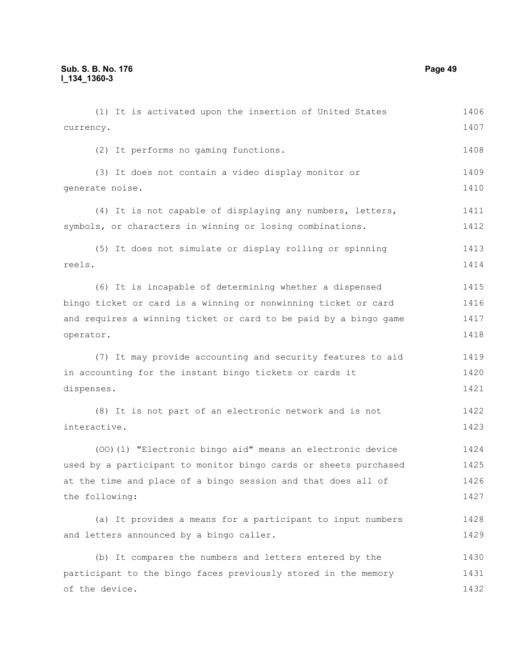(1) It is activated upon the insertion of United States currency. (2) It performs no gaming functions. (3) It does not contain a video display monitor or generate noise. (4) It is not capable of displaying any numbers, letters, symbols, or characters in winning or losing combinations. (5) It does not simulate or display rolling or spinning reels. (6) It is incapable of determining whether a dispensed bingo ticket or card is a winning or nonwinning ticket or card and requires a winning ticket or card to be paid by a bingo game operator. (7) It may provide accounting and security features to aid in accounting for the instant bingo tickets or cards it dispenses. (8) It is not part of an electronic network and is not interactive. (OO)(1) "Electronic bingo aid" means an electronic device used by a participant to monitor bingo cards or sheets purchased at the time and place of a bingo session and that does all of the following: (a) It provides a means for a participant to input numbers and letters announced by a bingo caller. (b) It compares the numbers and letters entered by the participant to the bingo faces previously stored in the memory of the device. 1406 1407 1408 1409 1410 1411 1412 1413 1414 1415 1416 1417 1418 1419 1420 1421 1422 1423 1424 1425 1426 1427 1428 1429 1430 1431 1432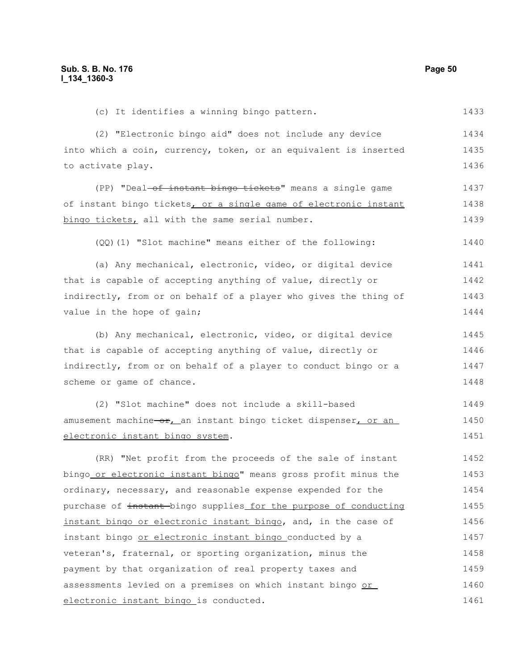| ю<br>c | n |
|--------|---|
|--------|---|

1433

1440

(c) It identifies a winning bingo pattern.

(2) "Electronic bingo aid" does not include any device into which a coin, currency, token, or an equivalent is inserted to activate play. 1434 1435 1436

(PP) "Deal-of instant bingo tickets" means a single game of instant bingo tickets, or a single game of electronic instant bingo tickets, all with the same serial number. 1437 1438 1439

(QQ)(1) "Slot machine" means either of the following:

(a) Any mechanical, electronic, video, or digital device that is capable of accepting anything of value, directly or indirectly, from or on behalf of a player who gives the thing of value in the hope of gain; 1441 1442 1443 1444

(b) Any mechanical, electronic, video, or digital device that is capable of accepting anything of value, directly or indirectly, from or on behalf of a player to conduct bingo or a scheme or game of chance. 1445 1446 1447 1448

(2) "Slot machine" does not include a skill-based amusement machine or, an instant bingo ticket dispenser, or an electronic instant bingo system. 1449 1450 1451

(RR) "Net profit from the proceeds of the sale of instant bingo or electronic instant bingo" means gross profit minus the ordinary, necessary, and reasonable expense expended for the purchase of instant-bingo supplies for the purpose of conducting instant bingo or electronic instant bingo, and, in the case of instant bingo or electronic instant bingo conducted by a veteran's, fraternal, or sporting organization, minus the payment by that organization of real property taxes and assessments levied on a premises on which instant bingo or electronic instant bingo is conducted. 1452 1453 1454 1455 1456 1457 1458 1459 1460 1461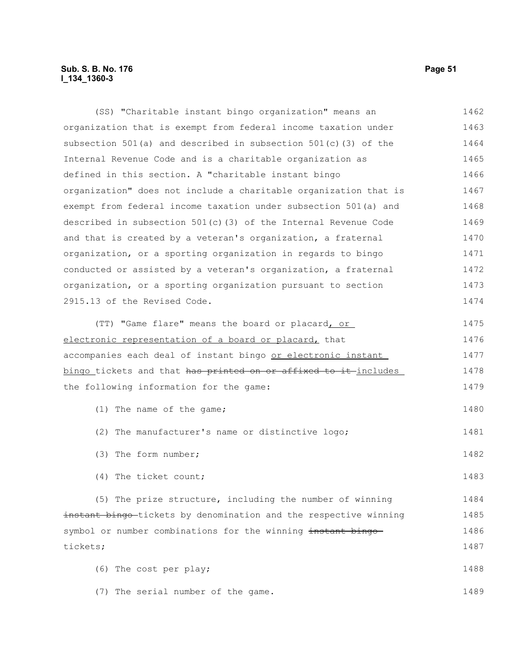# **Sub. S. B. No. 176** Page 51 **l\_134\_1360-3**

| (SS) "Charitable instant bingo organization" means an             | 1462 |
|-------------------------------------------------------------------|------|
| organization that is exempt from federal income taxation under    | 1463 |
| subsection 501(a) and described in subsection 501(c)(3) of the    | 1464 |
| Internal Revenue Code and is a charitable organization as         | 1465 |
| defined in this section. A "charitable instant bingo              | 1466 |
| organization" does not include a charitable organization that is  | 1467 |
| exempt from federal income taxation under subsection 501(a) and   | 1468 |
| described in subsection $501(c)$ (3) of the Internal Revenue Code | 1469 |
| and that is created by a veteran's organization, a fraternal      | 1470 |
| organization, or a sporting organization in regards to bingo      | 1471 |
| conducted or assisted by a veteran's organization, a fraternal    | 1472 |
| organization, or a sporting organization pursuant to section      | 1473 |
| 2915.13 of the Revised Code.                                      | 1474 |
| (TT) "Game flare" means the board or placard, or                  | 1475 |
| electronic representation of a board or placard, that             | 1476 |
| accompanies each deal of instant bingo or electronic instant      | 1477 |
| bingo tickets and that has printed on or affixed to it includes   | 1478 |
| the following information for the game:                           | 1479 |
|                                                                   |      |
| (1) The name of the game;                                         | 1480 |
| (2) The manufacturer's name or distinctive logo;                  | 1481 |
| (3) The form number;                                              | 1482 |
| (4) The ticket count;                                             | 1483 |
| (5) The prize structure, including the number of winning          | 1484 |
| instant bingo-tickets by denomination and the respective winning  | 1485 |
| symbol or number combinations for the winning instant bingo-      | 1486 |
| tickets;                                                          | 1487 |
| (6) The cost per play;                                            | 1488 |
| The serial number of the game.<br>(7)                             | 1489 |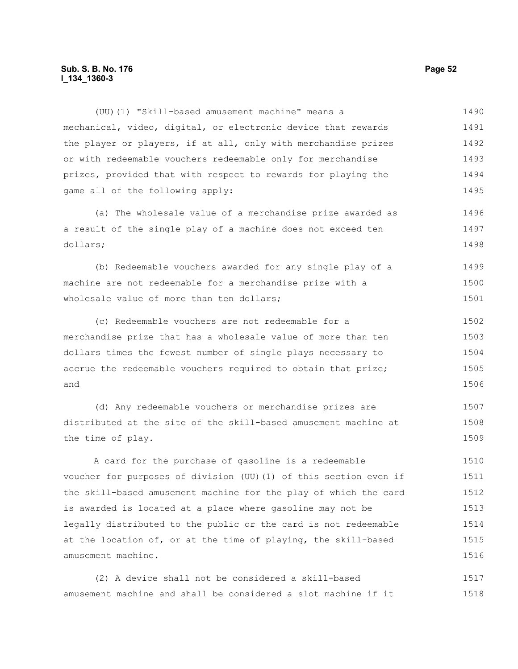## **Sub. S. B. No. 176 Page 52 l\_134\_1360-3**

(UU)(1) "Skill-based amusement machine" means a mechanical, video, digital, or electronic device that rewards the player or players, if at all, only with merchandise prizes or with redeemable vouchers redeemable only for merchandise prizes, provided that with respect to rewards for playing the game all of the following apply: 1490 1491 1492 1493 1494 1495

(a) The wholesale value of a merchandise prize awarded as a result of the single play of a machine does not exceed ten dollars; 1496 1497 1498

(b) Redeemable vouchers awarded for any single play of a machine are not redeemable for a merchandise prize with a wholesale value of more than ten dollars; 1499 1500 1501

(c) Redeemable vouchers are not redeemable for a merchandise prize that has a wholesale value of more than ten dollars times the fewest number of single plays necessary to accrue the redeemable vouchers required to obtain that prize; and 1502 1503 1504 1505 1506

(d) Any redeemable vouchers or merchandise prizes are distributed at the site of the skill-based amusement machine at the time of play. 1507 1508 1509

A card for the purchase of gasoline is a redeemable voucher for purposes of division (UU)(1) of this section even if the skill-based amusement machine for the play of which the card is awarded is located at a place where gasoline may not be legally distributed to the public or the card is not redeemable at the location of, or at the time of playing, the skill-based amusement machine. 1510 1511 1512 1513 1514 1515 1516

(2) A device shall not be considered a skill-based amusement machine and shall be considered a slot machine if it 1517 1518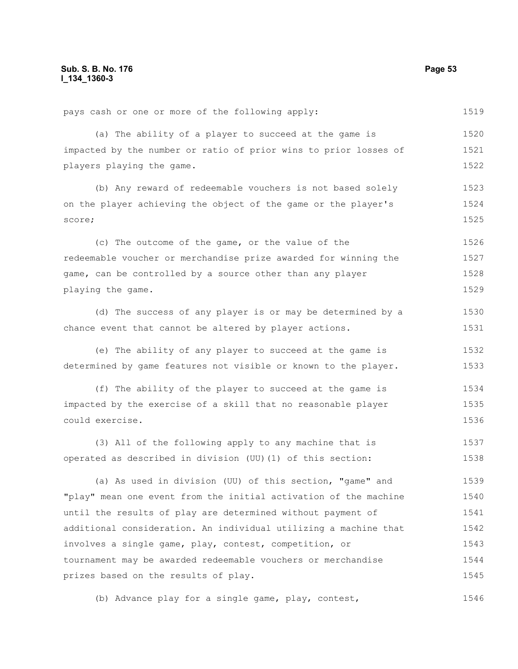pays cash or one or more of the following apply: (a) The ability of a player to succeed at the game is impacted by the number or ratio of prior wins to prior losses of players playing the game. (b) Any reward of redeemable vouchers is not based solely on the player achieving the object of the game or the player's score; (c) The outcome of the game, or the value of the redeemable voucher or merchandise prize awarded for winning the game, can be controlled by a source other than any player playing the game. (d) The success of any player is or may be determined by a chance event that cannot be altered by player actions. (e) The ability of any player to succeed at the game is determined by game features not visible or known to the player. (f) The ability of the player to succeed at the game is impacted by the exercise of a skill that no reasonable player could exercise. (3) All of the following apply to any machine that is operated as described in division (UU)(1) of this section: (a) As used in division (UU) of this section, "game" and "play" mean one event from the initial activation of the machine until the results of play are determined without payment of additional consideration. An individual utilizing a machine that involves a single game, play, contest, competition, or 1519 1520 1521 1522 1523 1524 1525 1526 1527 1528 1529 1530 1531 1532 1533 1534 1535 1536 1537 1538 1539 1540 1541 1542 1543

(b) Advance play for a single game, play, contest, 1546

tournament may be awarded redeemable vouchers or merchandise

prizes based on the results of play.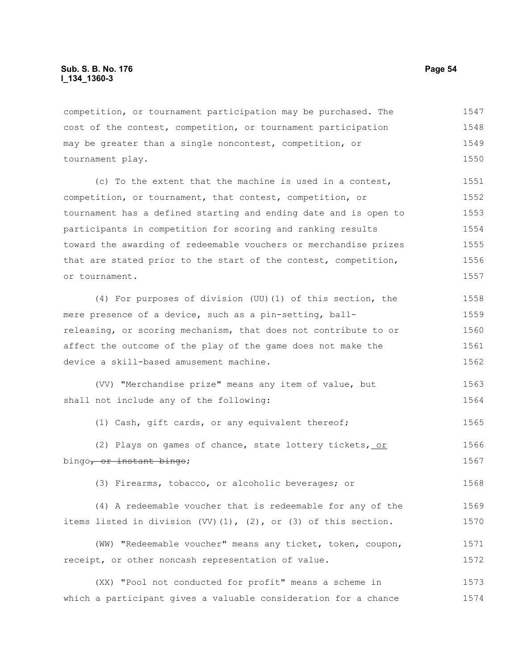## **Sub. S. B. No. 176 Page 54 l\_134\_1360-3**

competition, or tournament participation may be purchased. The cost of the contest, competition, or tournament participation may be greater than a single noncontest, competition, or tournament play. 1547 1548 1549 1550

(c) To the extent that the machine is used in a contest, competition, or tournament, that contest, competition, or tournament has a defined starting and ending date and is open to participants in competition for scoring and ranking results toward the awarding of redeemable vouchers or merchandise prizes that are stated prior to the start of the contest, competition, or tournament. 1551 1552 1553 1554 1555 1556 1557

(4) For purposes of division (UU)(1) of this section, the mere presence of a device, such as a pin-setting, ballreleasing, or scoring mechanism, that does not contribute to or affect the outcome of the play of the game does not make the device a skill-based amusement machine. 1558 1559 1560 1561 1562

(VV) "Merchandise prize" means any item of value, but shall not include any of the following: 1563 1564

(1) Cash, gift cards, or any equivalent thereof; 1565

|                                       |  |  |  | (2) Plays on games of chance, state lottery tickets, or | 1566 |
|---------------------------------------|--|--|--|---------------------------------------------------------|------|
| bingo <del>, or instant bingo</del> ; |  |  |  |                                                         | 1567 |

(3) Firearms, tobacco, or alcoholic beverages; or

(4) A redeemable voucher that is redeemable for any of the items listed in division (VV) $(1)$ ,  $(2)$ , or  $(3)$  of this section. 1569 1570

(WW) "Redeemable voucher" means any ticket, token, coupon, receipt, or other noncash representation of value. 1571 1572

(XX) "Pool not conducted for profit" means a scheme in which a participant gives a valuable consideration for a chance 1573 1574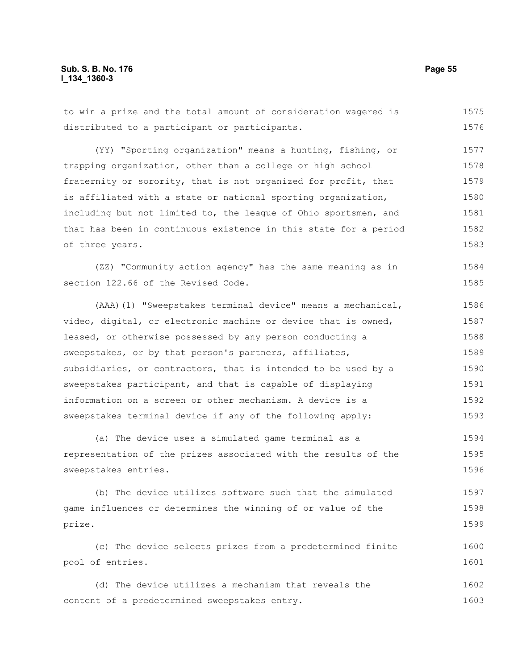to win a prize and the total amount of consideration wagered is distributed to a participant or participants. 1575 1576

(YY) "Sporting organization" means a hunting, fishing, or trapping organization, other than a college or high school fraternity or sorority, that is not organized for profit, that is affiliated with a state or national sporting organization, including but not limited to, the league of Ohio sportsmen, and that has been in continuous existence in this state for a period of three years. 1577 1578 1579 1580 1581 1582 1583

(ZZ) "Community action agency" has the same meaning as in section 122.66 of the Revised Code. 1584 1585

(AAA)(1) "Sweepstakes terminal device" means a mechanical, video, digital, or electronic machine or device that is owned, leased, or otherwise possessed by any person conducting a sweepstakes, or by that person's partners, affiliates, subsidiaries, or contractors, that is intended to be used by a sweepstakes participant, and that is capable of displaying information on a screen or other mechanism. A device is a sweepstakes terminal device if any of the following apply: 1586 1587 1588 1589 1590 1591 1592 1593

(a) The device uses a simulated game terminal as a representation of the prizes associated with the results of the sweepstakes entries. 1594 1595 1596

(b) The device utilizes software such that the simulated game influences or determines the winning of or value of the prize. 1597 1598 1599

(c) The device selects prizes from a predetermined finite pool of entries. 1600 1601

(d) The device utilizes a mechanism that reveals the content of a predetermined sweepstakes entry. 1602 1603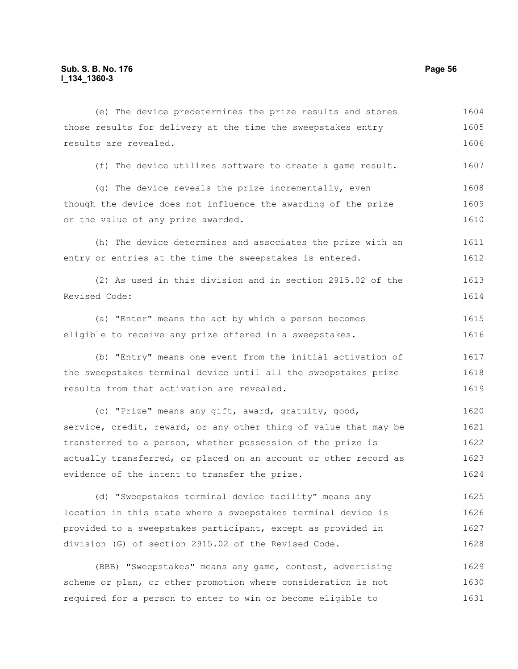| those results for delivery at the time the sweepstakes entry     | 1605 |
|------------------------------------------------------------------|------|
| results are revealed.                                            | 1606 |
| (f) The device utilizes software to create a game result.        | 1607 |
| (g) The device reveals the prize incrementally, even             | 1608 |
| though the device does not influence the awarding of the prize   | 1609 |
| or the value of any prize awarded.                               | 1610 |
| (h) The device determines and associates the prize with an       | 1611 |
| entry or entries at the time the sweepstakes is entered.         | 1612 |
| (2) As used in this division and in section 2915.02 of the       | 1613 |
| Revised Code:                                                    | 1614 |
| (a) "Enter" means the act by which a person becomes              | 1615 |
| eligible to receive any prize offered in a sweepstakes.          | 1616 |
| (b) "Entry" means one event from the initial activation of       | 1617 |
| the sweepstakes terminal device until all the sweepstakes prize  | 1618 |
| results from that activation are revealed.                       | 1619 |
| (c) "Prize" means any gift, award, gratuity, good,               | 1620 |
| service, credit, reward, or any other thing of value that may be | 1621 |
| transferred to a person, whether possession of the prize is      | 1622 |
| actually transferred, or placed on an account or other record as | 1623 |
| evidence of the intent to transfer the prize.                    | 1624 |
| (d) "Sweepstakes terminal device facility" means any             | 1625 |
| location in this state where a sweepstakes terminal device is    | 1626 |
| provided to a sweepstakes participant, except as provided in     | 1627 |
| division (G) of section 2915.02 of the Revised Code.             | 1628 |
| (BBB) "Sweepstakes" means any game, contest, advertising         | 1629 |
| scheme or plan, or other promotion where consideration is not    | 1630 |
| required for a person to enter to win or become eligible to      | 1631 |

(e) The device predetermines the prize results and stores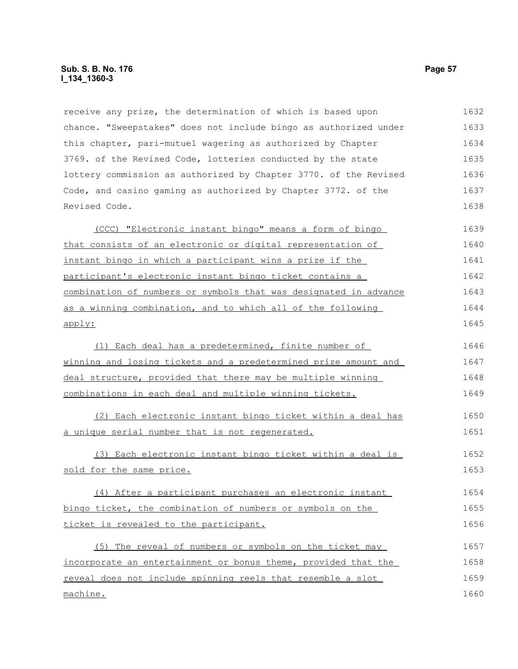receive any prize, the determination of which is based upon chance. "Sweepstakes" does not include bingo as authorized under this chapter, pari-mutuel wagering as authorized by Chapter 3769. of the Revised Code, lotteries conducted by the state lottery commission as authorized by Chapter 3770. of the Revised Code, and casino gaming as authorized by Chapter 3772. of the Revised Code. 1632 1633 1634 1635 1636 1637 1638

(CCC) "Electronic instant bingo" means a form of bingo that consists of an electronic or digital representation of instant bingo in which a participant wins a prize if the participant's electronic instant bingo ticket contains a combination of numbers or symbols that was designated in advance as a winning combination, and to which all of the following apply: 1639 1640 1641 1642 1643 1644 1645

| (1) Each deal has a predetermined, finite number of             | 1646 |
|-----------------------------------------------------------------|------|
| winning and losing tickets and a predetermined prize amount and | 1647 |
| deal structure, provided that there may be multiple winning     | 1648 |
| combinations in each deal and multiple winning tickets.         | 1649 |

(2) Each electronic instant bingo ticket within a deal has a unique serial number that is not regenerated. 1650 1651

(3) Each electronic instant bingo ticket within a deal is sold for the same price. 1652 1653

(4) After a participant purchases an electronic instant bingo ticket, the combination of numbers or symbols on the ticket is revealed to the participant. 1654 1655 1656

(5) The reveal of numbers or symbols on the ticket may incorporate an entertainment or bonus theme, provided that the reveal does not include spinning reels that resemble a slot machine. 1657 1658 1659 1660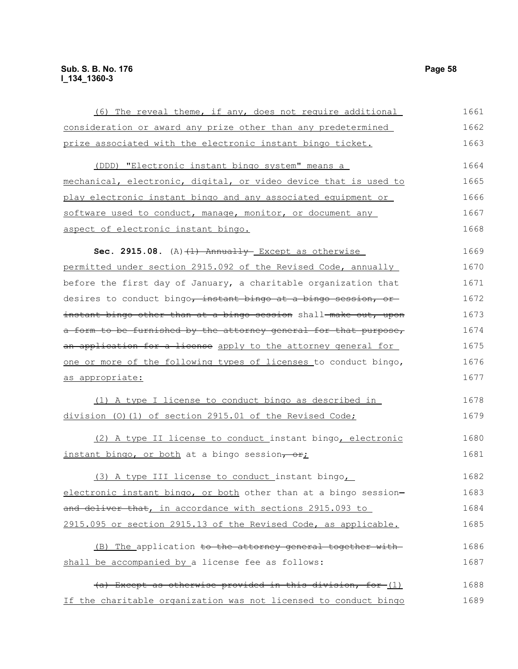| (6) The reveal theme, if any, does not require additional        | 1661 |
|------------------------------------------------------------------|------|
| consideration or award any prize other than any predetermined    | 1662 |
| prize associated with the electronic instant bingo ticket.       | 1663 |
| (DDD) "Electronic instant bingo system" means a                  | 1664 |
| mechanical, electronic, digital, or video device that is used to | 1665 |
| play electronic instant bingo and any associated equipment or    | 1666 |
| software used to conduct, manage, monitor, or document any       | 1667 |
| aspect of electronic instant bingo.                              | 1668 |
| Sec. 2915.08. $(A)$ $(1)$ Annually Except as otherwise           | 1669 |
| permitted under section 2915.092 of the Revised Code, annually   | 1670 |
| before the first day of January, a charitable organization that  | 1671 |
| desires to conduct bingo, instant bingo at a bingo session, or   | 1672 |
| instant bingo other than at a bingo session shall-make out, upon | 1673 |
| a form to be furnished by the attorney general for that purpose, | 1674 |
| an application for a license apply to the attorney general for   | 1675 |
| one or more of the following types of licenses to conduct bingo, | 1676 |
| as appropriate:                                                  | 1677 |
| (1) A type I license to conduct bingo as described in            | 1678 |
| division (0) (1) of section 2915.01 of the Revised Code;         | 1679 |
| (2) A type II license to conduct instant bingo, electronic       | 1680 |
| instant bingo, or both at a bingo session, or;                   | 1681 |
| (3) A type III license to conduct instant bingo,                 | 1682 |
| electronic instant bingo, or both other than at a bingo session- | 1683 |
| and deliver that, in accordance with sections 2915.093 to        | 1684 |
| 2915.095 or section 2915.13 of the Revised Code, as applicable.  | 1685 |
| (B) The application to the attorney general together with-       | 1686 |
| shall be accompanied by a license fee as follows:                | 1687 |
| (a) Except as otherwise provided in this division, for (1)       | 1688 |
| If the charitable organization was not licensed to conduct bingo | 1689 |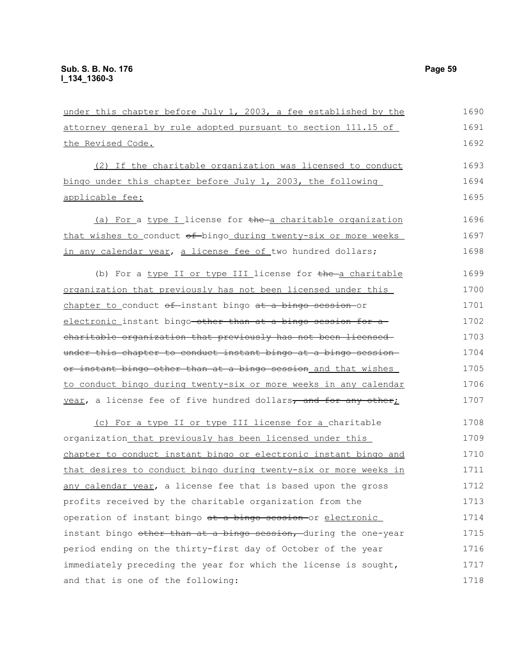under this chapter before July 1, 2003, a fee established by the attorney general by rule adopted pursuant to section 111.15 of the Revised Code. (2) If the charitable organization was licensed to conduct bingo under this chapter before July 1, 2003, the following applicable fee: (a) For a type I license for  $the-a$  charitable organization that wishes to conduct of bingo during twenty-six or more weeks in any calendar year, a license fee of two hundred dollars; (b) For a type II or type III license for the a charitable organization that previously has not been licensed under this chapter to conduct  $\theta f$ -instant bingo at a bingo session-or electronic instant bingo-other than at a bingo session for a charitable organization that previously has not been licensed under this chapter to conduct instant bingo at a bingo sessionor instant bingo other than at a bingo session and that wishes to conduct bingo during twenty-six or more weeks in any calendar year, a license fee of five hundred dollars, and for any other; (c) For a type II or type III license for a charitable organization that previously has been licensed under this chapter to conduct instant bingo or electronic instant bingo and that desires to conduct bingo during twenty-six or more weeks in any calendar year, a license fee that is based upon the gross profits received by the charitable organization from the operation of instant bingo at a bingo session or electronic instant bingo other than at a bingo session, during the one-year period ending on the thirty-first day of October of the year immediately preceding the year for which the license is sought, and that is one of the following: 1690 1691 1692 1693 1694 1695 1696 1697 1698 1699 1700 1701 1702 1703 1704 1705 1706 1707 1708 1709 1710 1711 1712 1713 1714 1715 1716 1717 1718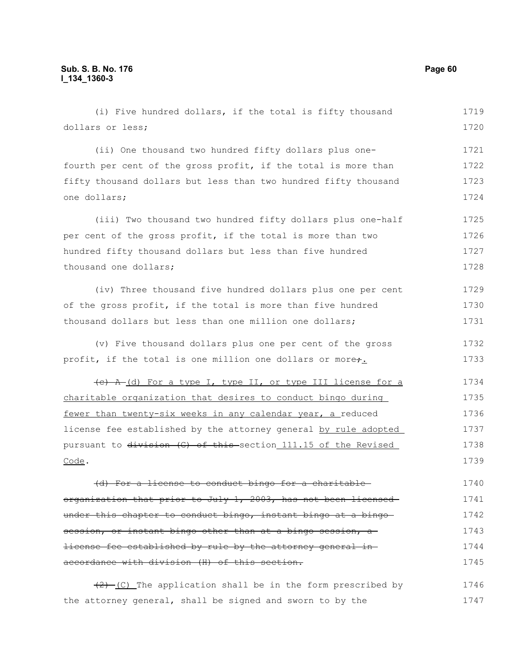(i) Five hundred dollars, if the total is fifty thousand dollars or less; (ii) One thousand two hundred fifty dollars plus onefourth per cent of the gross profit, if the total is more than fifty thousand dollars but less than two hundred fifty thousand one dollars; (iii) Two thousand two hundred fifty dollars plus one-half per cent of the gross profit, if the total is more than two hundred fifty thousand dollars but less than five hundred thousand one dollars; (iv) Three thousand five hundred dollars plus one per cent of the gross profit, if the total is more than five hundred thousand dollars but less than one million one dollars; (v) Five thousand dollars plus one per cent of the gross profit, if the total is one million one dollars or more+. (c) A (d) For a type I, type II, or type III license for a charitable organization that desires to conduct bingo during fewer than twenty-six weeks in any calendar year, a reduced license fee established by the attorney general by rule adopted pursuant to division (G) of this section 111.15 of the Revised Code. 1719 1720 1721 1722 1723 1724 1725 1726 1727 1728 1729 1730 1731 1732 1733 1734 1735 1736 1737 1738 1739

(d) For a license to conduct bingo for a charitable organization that prior to July 1, 2003, has not been licensed under this chapter to conduct bingo, instant bingo at a bingo session, or instant bingo other than at a bingo session, a license fee established by rule by the attorney general in accordance with division (H) of this section. 1740 1741 1742 1743 1744 1745

 $(2)$  (C) The application shall be in the form prescribed by the attorney general, shall be signed and sworn to by the 1746 1747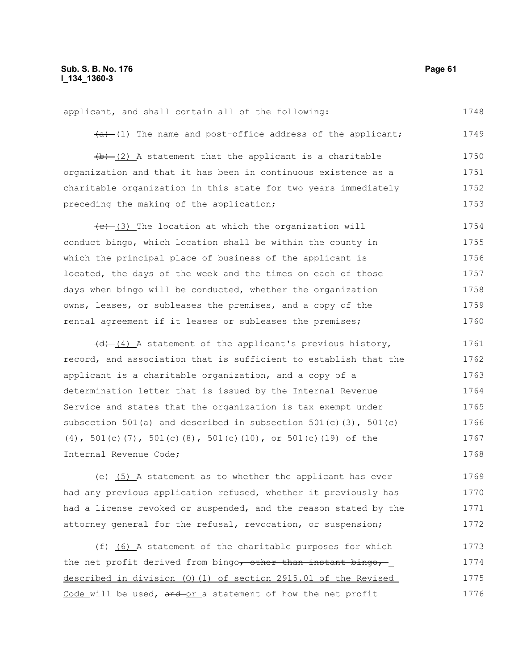Internal Revenue Code;

| applicant, and shall contain all of the following:                          | 1748 |
|-----------------------------------------------------------------------------|------|
| $(a)$ (1) The name and post-office address of the applicant;                | 1749 |
| $(b)$ (2) A statement that the applicant is a charitable                    | 1750 |
| organization and that it has been in continuous existence as a              | 1751 |
| charitable organization in this state for two years immediately             | 1752 |
| preceding the making of the application;                                    | 1753 |
| $(e)$ (3) The location at which the organization will                       | 1754 |
| conduct bingo, which location shall be within the county in                 | 1755 |
| which the principal place of business of the applicant is                   | 1756 |
| located, the days of the week and the times on each of those                | 1757 |
| days when bingo will be conducted, whether the organization                 | 1758 |
| owns, leases, or subleases the premises, and a copy of the                  | 1759 |
| rental agreement if it leases or subleases the premises;                    | 1760 |
| $\left(\frac{d}{d}\right)$ A statement of the applicant's previous history, | 1761 |
| record, and association that is sufficient to establish that the            | 1762 |
| applicant is a charitable organization, and a copy of a                     | 1763 |
| determination letter that is issued by the Internal Revenue                 | 1764 |
| Service and states that the organization is tax exempt under                | 1765 |
| subsection 501(a) and described in subsection 501(c)(3), 501(c)             | 1766 |
| (4), $501(c)$ (7), $501(c)$ (8), $501(c)$ (10), or $501(c)$ (19) of the     | 1767 |

 $(e)$  (5) A statement as to whether the applicant has ever had any previous application refused, whether it previously has had a license revoked or suspended, and the reason stated by the attorney general for the refusal, revocation, or suspension;

 $(f)$  (6) A statement of the charitable purposes for which the net profit derived from bingo, other than instant bingo, described in division (O)(1) of section 2915.01 of the Revised Code will be used, and or a statement of how the net profit 1773 1774 1775 1776

1768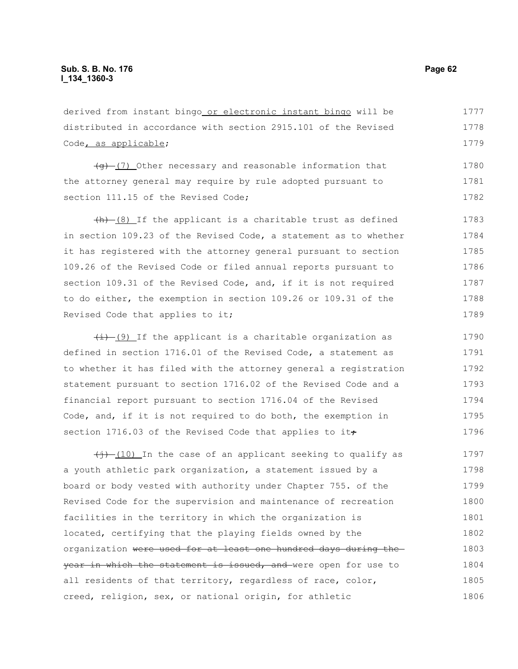## **Sub. S. B. No. 176 Page 62 l\_134\_1360-3**

derived from instant bingo or electronic instant bingo will be distributed in accordance with section 2915.101 of the Revised Code, as applicable; 1777 1778 1779

 $\frac{q}{q}$  (7) Other necessary and reasonable information that the attorney general may require by rule adopted pursuant to section 111.15 of the Revised Code; 1780 1781 1782

 $+h$  (8) If the applicant is a charitable trust as defined in section 109.23 of the Revised Code, a statement as to whether it has registered with the attorney general pursuant to section 109.26 of the Revised Code or filed annual reports pursuant to section 109.31 of the Revised Code, and, if it is not required to do either, the exemption in section 109.26 or 109.31 of the Revised Code that applies to it; 1783 1784 1785 1786 1787 1788 1789

 $\frac{1}{1}$  (9) If the applicant is a charitable organization as defined in section 1716.01 of the Revised Code, a statement as to whether it has filed with the attorney general a registration statement pursuant to section 1716.02 of the Revised Code and a financial report pursuant to section 1716.04 of the Revised Code, and, if it is not required to do both, the exemption in section 1716.03 of the Revised Code that applies to it $\div$ 1790 1791 1792 1793 1794 1795 1796

 $\overline{(10)}$  In the case of an applicant seeking to qualify as a youth athletic park organization, a statement issued by a board or body vested with authority under Chapter 755. of the Revised Code for the supervision and maintenance of recreation facilities in the territory in which the organization is located, certifying that the playing fields owned by the organization were used for at least one hundred days during the year in which the statement is issued, and were open for use to all residents of that territory, regardless of race, color, creed, religion, sex, or national origin, for athletic 1797 1798 1799 1800 1801 1802 1803 1804 1805 1806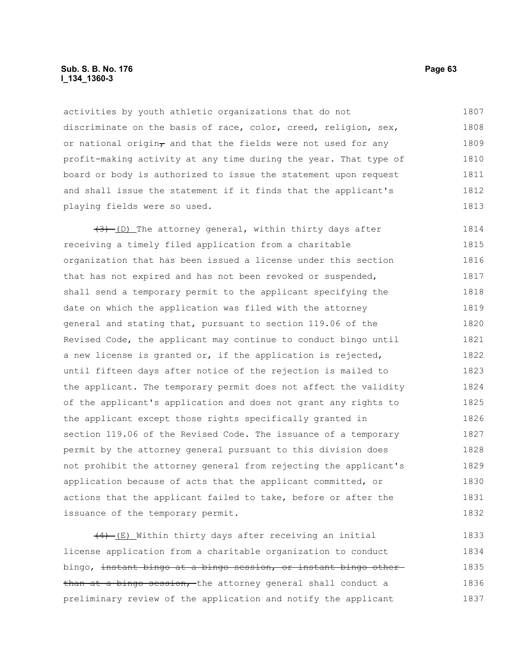## **Sub. S. B. No. 176 Page 63 l\_134\_1360-3**

activities by youth athletic organizations that do not discriminate on the basis of race, color, creed, religion, sex, or national origin $<sub>7</sub>$  and that the fields were not used for any</sub> profit-making activity at any time during the year. That type of board or body is authorized to issue the statement upon request and shall issue the statement if it finds that the applicant's playing fields were so used. 1807 1808 1809 1810 1811 1812 1813

 $(3)$  (D) The attorney general, within thirty days after receiving a timely filed application from a charitable organization that has been issued a license under this section that has not expired and has not been revoked or suspended, shall send a temporary permit to the applicant specifying the date on which the application was filed with the attorney general and stating that, pursuant to section 119.06 of the Revised Code, the applicant may continue to conduct bingo until a new license is granted or, if the application is rejected, until fifteen days after notice of the rejection is mailed to the applicant. The temporary permit does not affect the validity of the applicant's application and does not grant any rights to the applicant except those rights specifically granted in section 119.06 of the Revised Code. The issuance of a temporary permit by the attorney general pursuant to this division does not prohibit the attorney general from rejecting the applicant's application because of acts that the applicant committed, or actions that the applicant failed to take, before or after the issuance of the temporary permit. 1814 1815 1816 1817 1818 1819 1820 1821 1822 1823 1824 1825 1826 1827 1828 1829 1830 1831 1832

(4) (E) Within thirty days after receiving an initial license application from a charitable organization to conduct bingo, instant bingo at a bingo session, or instant bingo otherthan at a bingo session, the attorney general shall conduct a preliminary review of the application and notify the applicant 1833 1834 1835 1836 1837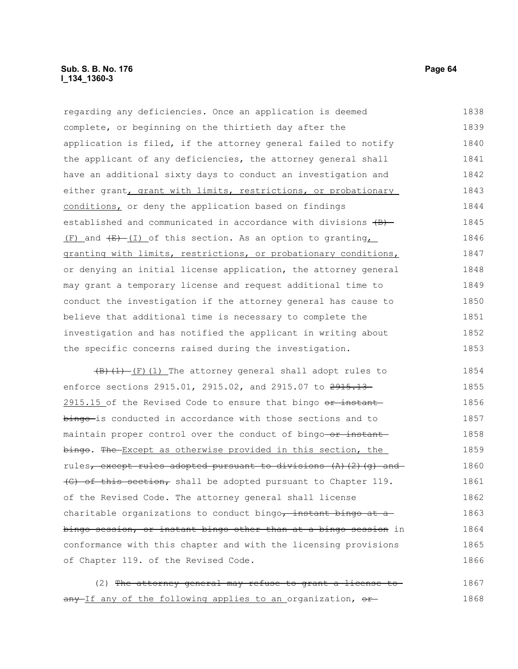regarding any deficiencies. Once an application is deemed complete, or beginning on the thirtieth day after the application is filed, if the attorney general failed to notify the applicant of any deficiencies, the attorney general shall have an additional sixty days to conduct an investigation and either grant, grant with limits, restrictions, or probationary conditions, or deny the application based on findings established and communicated in accordance with divisions  $\overline{B}$ (F) and  $(E)$  (I) of this section. As an option to granting, granting with limits, restrictions, or probationary conditions, or denying an initial license application, the attorney general may grant a temporary license and request additional time to conduct the investigation if the attorney general has cause to believe that additional time is necessary to complete the investigation and has notified the applicant in writing about the specific concerns raised during the investigation. 1838 1839 1840 1841 1842 1843 1844 1845 1846 1847 1848 1849 1850 1851 1852 1853 1854

 $\overline{(B)(1) - (F)(1)}$  The attorney general shall adopt rules to enforce sections 2915.01, 2915.02, and 2915.07 to 2915.13  $2915.15$  of the Revised Code to ensure that bingo  $\theta$  instant bingo-is conducted in accordance with those sections and to maintain proper control over the conduct of bingo-or instant bingo. The Except as otherwise provided in this section, the rules, except rules adopted pursuant to divisions  $(A)$   $(2)$   $(q)$  and (G) of this section, shall be adopted pursuant to Chapter 119. of the Revised Code. The attorney general shall license charitable organizations to conduct bingo $\frac{1}{2}$  instant bingo at a bingo session, or instant bingo other than at a bingo session in conformance with this chapter and with the licensing provisions of Chapter 119. of the Revised Code. 1855 1856 1857 1858 1859 1860 1861 1862 1863 1864 1865 1866

(2) The attorney general may refuse to grant a license to any-If any of the following applies to an organization, or 1867 1868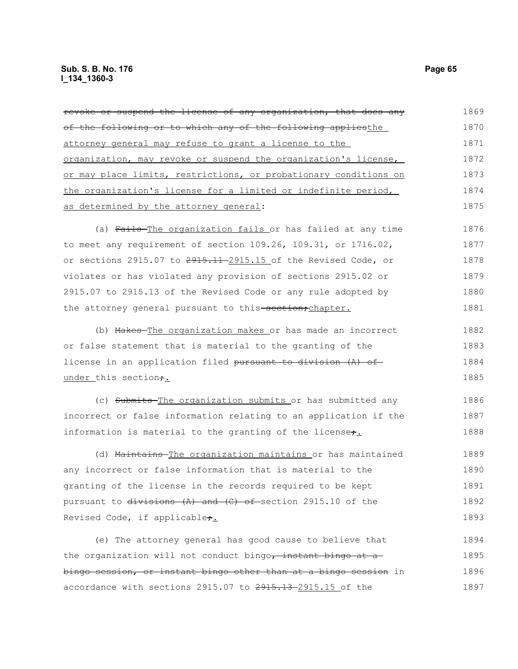| revoke or suspend the license of any organization, that does any | 1869 |
|------------------------------------------------------------------|------|
| of the following or to which any of the following appliesthe     | 1870 |
| attorney general may refuse to grant a license to the            | 1871 |
| organization, may revoke or suspend the organization's license,  | 1872 |
| or may place limits, restrictions, or probationary conditions on | 1873 |
| the organization's license for a limited or indefinite period,   | 1874 |
| as determined by the attorney general:                           | 1875 |
|                                                                  |      |

(a) Fails The organization fails or has failed at any time to meet any requirement of section 109.26, 109.31, or 1716.02, or sections 2915.07 to 2915.11-2915.15 of the Revised Code, or violates or has violated any provision of sections 2915.02 or 2915.07 to 2915.13 of the Revised Code or any rule adopted by the attorney general pursuant to this-section; chapter. 1876 1877 1878 1879 1880 1881

(b) Makes-The organization makes or has made an incorrect or false statement that is material to the granting of the license in an application filed pursuant to division (A) of under this section,. 1882 1883 1884 1885

(c) Submits The organization submits or has submitted any incorrect or false information relating to an application if the information is material to the granting of the license+. 1886 1887 1888

(d) Maintains-The organization maintains or has maintained any incorrect or false information that is material to the granting of the license in the records required to be kept pursuant to divisions (A) and (C) of section 2915.10 of the Revised Code, if applicablet. 1889 1890 1891 1892 1893

(e) The attorney general has good cause to believe that the organization will not conduct bingo, instant bingo at a bingo session, or instant bingo other than at a bingo session in accordance with sections 2915.07 to 2915.13-2915.15 of the 1894 1895 1896 1897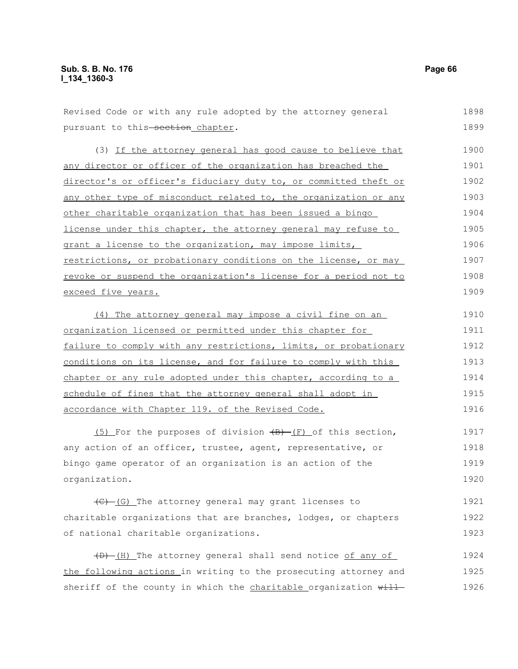| Revised Code or with any rule adopted by the attorney general          | 1898 |
|------------------------------------------------------------------------|------|
| pursuant to this-section chapter.                                      | 1899 |
| (3) If the attorney general has good cause to believe that             | 1900 |
| any director or officer of the organization has breached the           | 1901 |
| director's or officer's fiduciary duty to, or committed theft or       | 1902 |
| any other type of misconduct related to, the organization or any       | 1903 |
| other charitable organization that has been issued a bingo             | 1904 |
| license under this chapter, the attorney general may refuse to         | 1905 |
| grant a license to the organization, may impose limits,                | 1906 |
| restrictions, or probationary conditions on the license, or may        | 1907 |
| revoke or suspend the organization's license for a period not to       | 1908 |
| exceed five years.                                                     | 1909 |
| (4) The attorney general may impose a civil fine on an                 | 1910 |
| organization licensed or permitted under this chapter for              | 1911 |
| failure to comply with any restrictions, limits, or probationary       | 1912 |
| conditions on its license, and for failure to comply with this         | 1913 |
| chapter or any rule adopted under this chapter, according to a         | 1914 |
| schedule of fines that the attorney general shall adopt in             | 1915 |
| accordance with Chapter 119. of the Revised Code.                      | 1916 |
| $(5)$ For the purposes of division $(B)$ - $(F)$ of this section,      | 1917 |
| any action of an officer, trustee, agent, representative, or           | 1918 |
| bingo game operator of an organization is an action of the             | 1919 |
| organization.                                                          | 1920 |
| (C) [G] The attorney general may grant licenses to                     | 1921 |
| charitable organizations that are branches, lodges, or chapters        | 1922 |
| of national charitable organizations.                                  | 1923 |
|                                                                        |      |
| (B) (H) The attorney general shall send notice of any of               | 1924 |
| the following actions in writing to the prosecuting attorney and       | 1925 |
| sheriff of the county in which the <i>charitable</i> organization will | 1926 |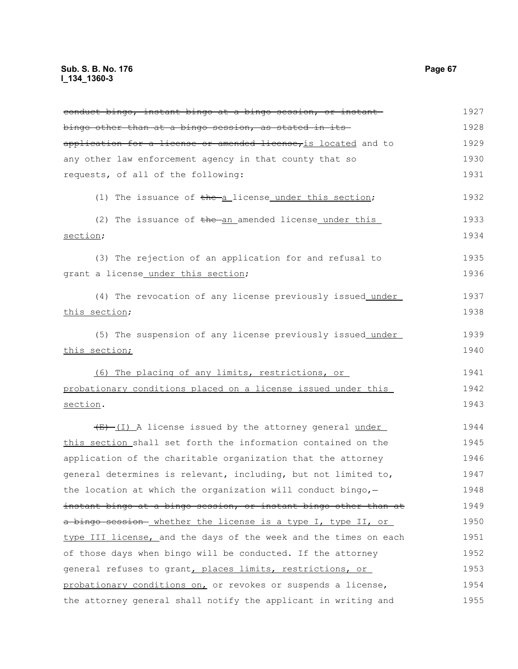| conduct bingo, instant bingo at a bingo session, or instant      | 1927 |
|------------------------------------------------------------------|------|
| bingo other than at a bingo session, as stated in its            | 1928 |
| application for a license or amended license, is located and to  | 1929 |
| any other law enforcement agency in that county that so          | 1930 |
| requests, of all of the following:                               | 1931 |
| (1) The issuance of $the-a$ license under this section;          | 1932 |
| (2) The issuance of $the$ -an amended license under this         | 1933 |
| section;                                                         | 1934 |
| (3) The rejection of an application for and refusal to           | 1935 |
| grant a license_under_this_section;                              | 1936 |
| (4) The revocation of any license previously issued under        | 1937 |
| this section;                                                    | 1938 |
| (5) The suspension of any license previously issued under        | 1939 |
| this section;                                                    | 1940 |
| (6) The placing of any limits, restrictions, or                  | 1941 |
| probationary conditions placed on a license issued under this    | 1942 |
| section.                                                         | 1943 |
| $\overline{E}-1$ A license issued by the attorney general under  | 1944 |
| this section shall set forth the information contained on the    | 1945 |
| application of the charitable organization that the attorney     | 1946 |
| general determines is relevant, including, but not limited to,   | 1947 |
| the location at which the organization will conduct bingo,-      | 1948 |
| instant bingo at a bingo session, or instant bingo other than at | 1949 |
| a bingo session whether the license is a type I, type II, or     | 1950 |
| type III license, and the days of the week and the times on each | 1951 |
| of those days when bingo will be conducted. If the attorney      | 1952 |
| general refuses to grant, places limits, restrictions, or        | 1953 |
| probationary conditions on, or revokes or suspends a license,    | 1954 |
| the attorney general shall notify the applicant in writing and   | 1955 |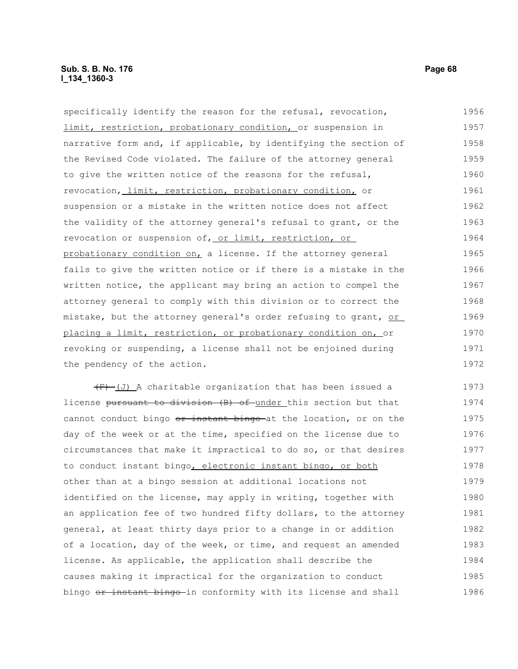specifically identify the reason for the refusal, revocation, limit, restriction, probationary condition, or suspension in narrative form and, if applicable, by identifying the section of the Revised Code violated. The failure of the attorney general to give the written notice of the reasons for the refusal, revocation, limit, restriction, probationary condition, or suspension or a mistake in the written notice does not affect the validity of the attorney general's refusal to grant, or the revocation or suspension of, or limit, restriction, or probationary condition on, a license. If the attorney general fails to give the written notice or if there is a mistake in the written notice, the applicant may bring an action to compel the attorney general to comply with this division or to correct the mistake, but the attorney general's order refusing to grant, or placing a limit, restriction, or probationary condition on, or revoking or suspending, a license shall not be enjoined during the pendency of the action. 1956 1957 1958 1959 1960 1961 1962 1963 1964 1965 1966 1967 1968 1969 1970 1971 1972

 $(F)$  (J) A charitable organization that has been issued a license pursuant to division (B) of under this section but that cannot conduct bingo or instant bingo at the location, or on the day of the week or at the time, specified on the license due to circumstances that make it impractical to do so, or that desires to conduct instant bingo, electronic instant bingo, or both other than at a bingo session at additional locations not identified on the license, may apply in writing, together with an application fee of two hundred fifty dollars, to the attorney general, at least thirty days prior to a change in or addition of a location, day of the week, or time, and request an amended license. As applicable, the application shall describe the causes making it impractical for the organization to conduct bingo or instant bingo-in conformity with its license and shall 1973 1974 1975 1976 1977 1978 1979 1980 1981 1982 1983 1984 1985 1986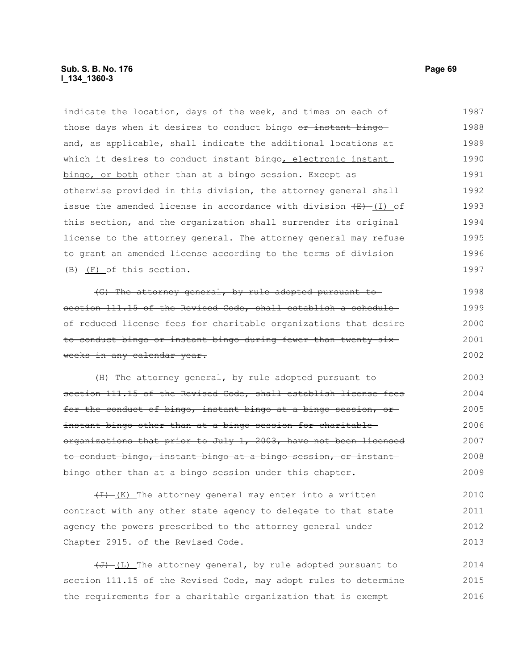## **Sub. S. B. No. 176 Page 69 l\_134\_1360-3**

indicate the location, days of the week, and times on each of those days when it desires to conduct bingo or instant bingo and, as applicable, shall indicate the additional locations at which it desires to conduct instant bingo, electronic instant bingo, or both other than at a bingo session. Except as otherwise provided in this division, the attorney general shall issue the amended license in accordance with division  $(E)$  (I) of this section, and the organization shall surrender its original license to the attorney general. The attorney general may refuse to grant an amended license according to the terms of division  $(B)$  (F) of this section. 1987 1988 1989 1990 1991 1992 1993 1994 1995 1996 1997

(G) The attorney general, by rule adopted pursuant to section 111.15 of the Revised Code, shall establish a schedule of reduced license fees for charitable organizations that desire to conduct bingo or instant bingo during fewer than twenty-six weeks in any calendar year. 1998 1999 2000 2001 2002

(H) The attorney general, by rule adopted pursuant to section 111.15 of the Revised Code, shall establish license fees for the conduct of bingo, instant bingo at a bingo session, or instant bingo other than at a bingo session for charitable organizations that prior to July 1, 2003, have not been licensed to conduct bingo, instant bingo at a bingo session, or instant bingo other than at a bingo session under this chapter. 2003 2004 2005 2006 2007 2008 2009

 $(H)$  (K) The attorney general may enter into a written contract with any other state agency to delegate to that state agency the powers prescribed to the attorney general under Chapter 2915. of the Revised Code. 2010 2011 2012 2013

(J) (L) The attorney general, by rule adopted pursuant to section 111.15 of the Revised Code, may adopt rules to determine the requirements for a charitable organization that is exempt 2014 2015 2016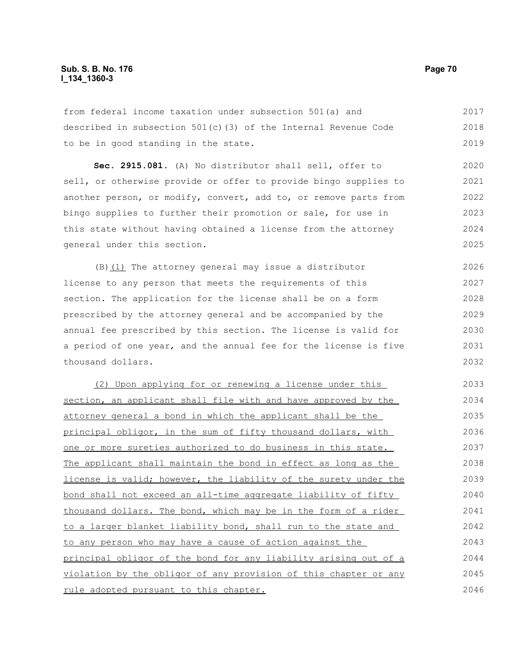## **Sub. S. B. No. 176 Page 70 l\_134\_1360-3**

from federal income taxation under subsection 501(a) and described in subsection 501(c)(3) of the Internal Revenue Code to be in good standing in the state. 2017 2018 2019

**Sec. 2915.081.** (A) No distributor shall sell, offer to sell, or otherwise provide or offer to provide bingo supplies to another person, or modify, convert, add to, or remove parts from bingo supplies to further their promotion or sale, for use in this state without having obtained a license from the attorney general under this section. 2020 2021 2022 2023 2024 2025

(B)(1) The attorney general may issue a distributor license to any person that meets the requirements of this section. The application for the license shall be on a form prescribed by the attorney general and be accompanied by the annual fee prescribed by this section. The license is valid for a period of one year, and the annual fee for the license is five thousand dollars. 2026 2027 2028 2029 2030 2031 2032

(2) Upon applying for or renewing a license under this section, an applicant shall file with and have approved by the attorney general a bond in which the applicant shall be the principal obligor, in the sum of fifty thousand dollars, with one or more sureties authorized to do business in this state. The applicant shall maintain the bond in effect as long as the license is valid; however, the liability of the surety under the bond shall not exceed an all-time aggregate liability of fifty thousand dollars. The bond, which may be in the form of a rider to a larger blanket liability bond, shall run to the state and to any person who may have a cause of action against the principal obligor of the bond for any liability arising out of a violation by the obligor of any provision of this chapter or any rule adopted pursuant to this chapter. 2033 2034 2035 2036 2037 2038 2039 2040 2041 2042 2043 2044 2045 2046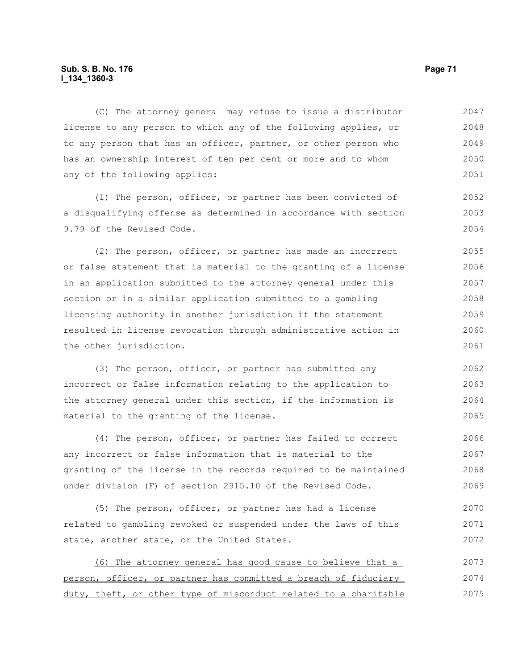## **Sub. S. B. No. 176 Page 71 l\_134\_1360-3**

(C) The attorney general may refuse to issue a distributor license to any person to which any of the following applies, or to any person that has an officer, partner, or other person who has an ownership interest of ten per cent or more and to whom any of the following applies: 2047 2048 2049 2050 2051

(1) The person, officer, or partner has been convicted of a disqualifying offense as determined in accordance with section 9.79 of the Revised Code.

(2) The person, officer, or partner has made an incorrect or false statement that is material to the granting of a license in an application submitted to the attorney general under this section or in a similar application submitted to a gambling licensing authority in another jurisdiction if the statement resulted in license revocation through administrative action in the other jurisdiction. 2055 2056 2057 2058 2059 2060 2061

(3) The person, officer, or partner has submitted any incorrect or false information relating to the application to the attorney general under this section, if the information is material to the granting of the license. 2062 2063 2064 2065

(4) The person, officer, or partner has failed to correct any incorrect or false information that is material to the granting of the license in the records required to be maintained under division (F) of section 2915.10 of the Revised Code. 2066 2067 2068 2069

(5) The person, officer, or partner has had a license related to gambling revoked or suspended under the laws of this state, another state, or the United States. 2070 2071 2072

| (6) The attorney general has good cause to believe that a        | 2073 |
|------------------------------------------------------------------|------|
| person, officer, or partner has committed a breach of fiduciary  | 2074 |
| duty, theft, or other type of misconduct related to a charitable | 2075 |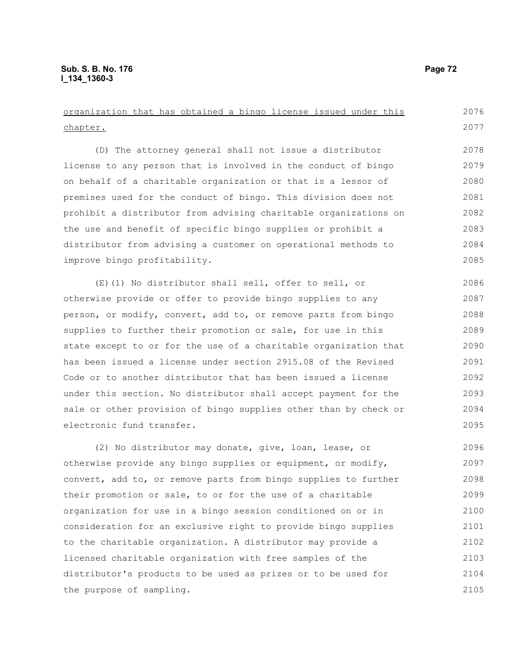organization that has obtained a bingo license issued under this chapter. (D) The attorney general shall not issue a distributor license to any person that is involved in the conduct of bingo on behalf of a charitable organization or that is a lessor of premises used for the conduct of bingo. This division does not prohibit a distributor from advising charitable organizations on the use and benefit of specific bingo supplies or prohibit a distributor from advising a customer on operational methods to improve bingo profitability. (E)(1) No distributor shall sell, offer to sell, or otherwise provide or offer to provide bingo supplies to any person, or modify, convert, add to, or remove parts from bingo supplies to further their promotion or sale, for use in this state except to or for the use of a charitable organization that has been issued a license under section 2915.08 of the Revised Code or to another distributor that has been issued a license under this section. No distributor shall accept payment for the sale or other provision of bingo supplies other than by check or electronic fund transfer. (2) No distributor may donate, give, loan, lease, or 2076 2077 2078 2079 2080 2081 2082 2083 2084 2085 2086 2087 2088 2089 2090 2091 2092 2093 2094 2095 2096

otherwise provide any bingo supplies or equipment, or modify, convert, add to, or remove parts from bingo supplies to further their promotion or sale, to or for the use of a charitable organization for use in a bingo session conditioned on or in consideration for an exclusive right to provide bingo supplies to the charitable organization. A distributor may provide a licensed charitable organization with free samples of the distributor's products to be used as prizes or to be used for the purpose of sampling. 2097 2098 2099 2100 2101 2102 2103 2104 2105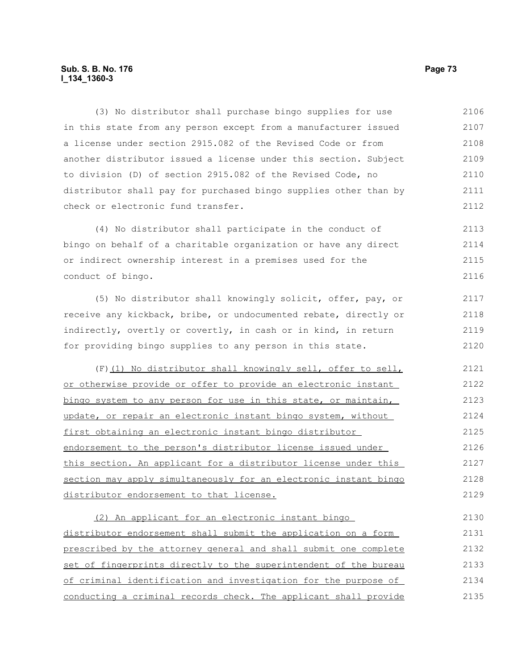## **Sub. S. B. No. 176 Page 73 l\_134\_1360-3**

(3) No distributor shall purchase bingo supplies for use in this state from any person except from a manufacturer issued a license under section 2915.082 of the Revised Code or from another distributor issued a license under this section. Subject to division (D) of section 2915.082 of the Revised Code, no distributor shall pay for purchased bingo supplies other than by check or electronic fund transfer. 2106 2107 2108 2109 2110 2111 2112

(4) No distributor shall participate in the conduct of bingo on behalf of a charitable organization or have any direct or indirect ownership interest in a premises used for the conduct of bingo. 2113 2114 2115 2116

(5) No distributor shall knowingly solicit, offer, pay, or receive any kickback, bribe, or undocumented rebate, directly or indirectly, overtly or covertly, in cash or in kind, in return for providing bingo supplies to any person in this state. 2117 2118 2119 2120

(F)(1) No distributor shall knowingly sell, offer to sell, or otherwise provide or offer to provide an electronic instant bingo system to any person for use in this state, or maintain, update, or repair an electronic instant bingo system, without first obtaining an electronic instant bingo distributor endorsement to the person's distributor license issued under this section. An applicant for a distributor license under this section may apply simultaneously for an electronic instant bingo distributor endorsement to that license. 2121 2122 2123 2124 2125 2126 2127 2128 2129

(2) An applicant for an electronic instant bingo distributor endorsement shall submit the application on a form prescribed by the attorney general and shall submit one complete set of fingerprints directly to the superintendent of the bureau of criminal identification and investigation for the purpose of conducting a criminal records check. The applicant shall provide 2130 2131 2132 2133 2134 2135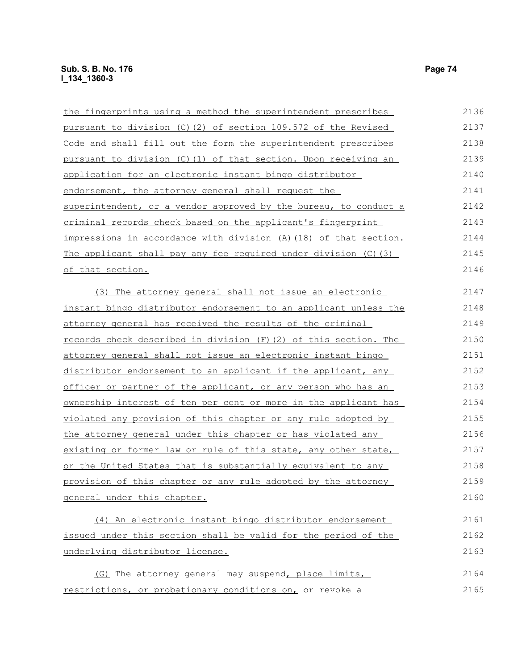| the fingerprints using a method the superintendent prescribes     | 2136 |
|-------------------------------------------------------------------|------|
| pursuant to division (C)(2) of section 109.572 of the Revised     | 2137 |
| Code and shall fill out the form the superintendent prescribes    | 2138 |
| pursuant to division (C) (1) of that section. Upon receiving an   | 2139 |
| application for an electronic instant bingo distributor           | 2140 |
| endorsement, the attorney general shall request the               | 2141 |
| superintendent, or a vendor approved by the bureau, to conduct a  | 2142 |
| criminal records check based on the applicant's fingerprint       | 2143 |
| impressions in accordance with division (A) (18) of that section. | 2144 |
| The applicant shall pay any fee required under division (C) (3)   | 2145 |
| of that section.                                                  | 2146 |
| (3) The attorney general shall not issue an electronic            | 2147 |
| instant bingo distributor endorsement to an applicant unless the  | 2148 |
| attorney general has received the results of the criminal         | 2149 |
| records check described in division (F) (2) of this section. The  | 2150 |
| attorney general shall not issue an electronic instant bingo      | 2151 |
| distributor endorsement to an applicant if the applicant, any     | 2152 |
| officer or partner of the applicant, or any person who has an     | 2153 |
| ownership interest of ten per cent or more in the applicant has   | 2154 |
| violated any provision of this chapter or any rule adopted by     | 2155 |
| the attorney general under this chapter or has violated any       | 2156 |
| existing or former law or rule of this state, any other state,    | 2157 |
| or the United States that is substantially equivalent to any      | 2158 |
| provision of this chapter or any rule adopted by the attorney     | 2159 |
| general under this chapter.                                       | 2160 |
| (4) An electronic instant bingo distributor endorsement           | 2161 |
| issued under this section shall be valid for the period of the    | 2162 |
| underlying distributor license.                                   | 2163 |
| (G) The attorney general may suspend, place limits,               | 2164 |
| restrictions, or probationary conditions on, or revoke a          | 2165 |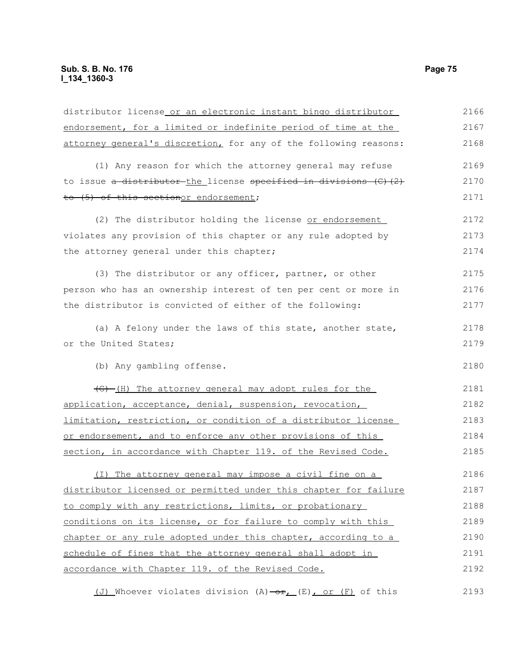| distributor license or an electronic instant bingo distributor   | 2166 |
|------------------------------------------------------------------|------|
| endorsement, for a limited or indefinite period of time at the   | 2167 |
| attorney general's discretion, for any of the following reasons: | 2168 |
| (1) Any reason for which the attorney general may refuse         | 2169 |
| to issue a distributor the license specified in divisions (C)(2) | 2170 |
| to (5) of this sectionor endorsement;                            | 2171 |
| (2) The distributor holding the license or endorsement           | 2172 |
| violates any provision of this chapter or any rule adopted by    | 2173 |
| the attorney general under this chapter;                         | 2174 |
| (3) The distributor or any officer, partner, or other            | 2175 |
| person who has an ownership interest of ten per cent or more in  | 2176 |
| the distributor is convicted of either of the following:         | 2177 |
| (a) A felony under the laws of this state, another state,        | 2178 |
| or the United States;                                            | 2179 |
| (b) Any gambling offense.                                        | 2180 |
| (G) (H) The attorney general may adopt rules for the             | 2181 |
| application, acceptance, denial, suspension, revocation,         | 2182 |
| limitation, restriction, or condition of a distributor license   | 2183 |
| or endorsement, and to enforce any other provisions of this      | 2184 |
| section, in accordance with Chapter 119. of the Revised Code.    | 2185 |
| (I) The attorney general may impose a civil fine on a            | 2186 |
| distributor licensed or permitted under this chapter for failure | 2187 |
| to comply with any restrictions, limits, or probationary         | 2188 |
| conditions on its license, or for failure to comply with this    | 2189 |
| chapter or any rule adopted under this chapter, according to a   | 2190 |
| schedule of fines that the attorney general shall adopt in       | 2191 |
| accordance with Chapter 119. of the Revised Code.                | 2192 |
| (J) Whoever violates division (A) -or (E), or (F) of this        | 2193 |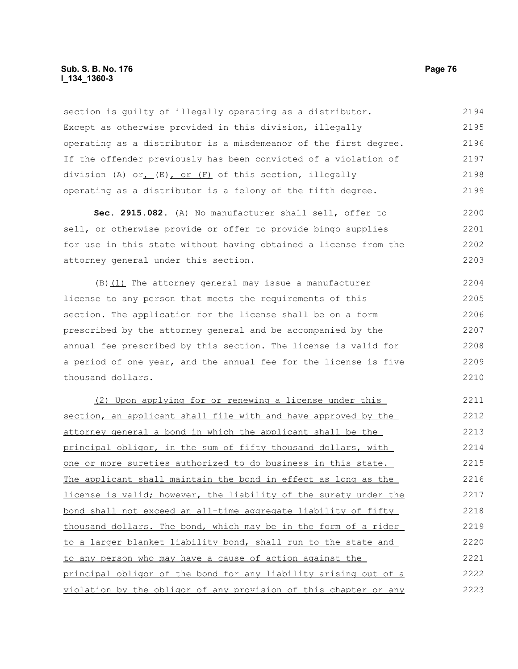### **Sub. S. B. No. 176 Page 76 l\_134\_1360-3**

section is guilty of illegally operating as a distributor. Except as otherwise provided in this division, illegally operating as a distributor is a misdemeanor of the first degree. If the offender previously has been convicted of a violation of division  $(A) - \sigma_{L}$  (E), or (F) of this section, illegally operating as a distributor is a felony of the fifth degree. 2194 2195 2196 2197 2198 2199

**Sec. 2915.082.** (A) No manufacturer shall sell, offer to sell, or otherwise provide or offer to provide bingo supplies for use in this state without having obtained a license from the attorney general under this section. 2200 2201 2202 2203

 $(B)$  (1) The attorney general may issue a manufacturer license to any person that meets the requirements of this section. The application for the license shall be on a form prescribed by the attorney general and be accompanied by the annual fee prescribed by this section. The license is valid for a period of one year, and the annual fee for the license is five thousand dollars. 2204 2205 2206 2207 2208 2209 2210

(2) Upon applying for or renewing a license under this section, an applicant shall file with and have approved by the attorney general a bond in which the applicant shall be the principal obligor, in the sum of fifty thousand dollars, with one or more sureties authorized to do business in this state. The applicant shall maintain the bond in effect as long as the license is valid; however, the liability of the surety under the bond shall not exceed an all-time aggregate liability of fifty thousand dollars. The bond, which may be in the form of a rider to a larger blanket liability bond, shall run to the state and to any person who may have a cause of action against the principal obligor of the bond for any liability arising out of a violation by the obligor of any provision of this chapter or any 2211 2212 2213 2214 2215 2216 2217 2218 2219 2220 2221 2222 2223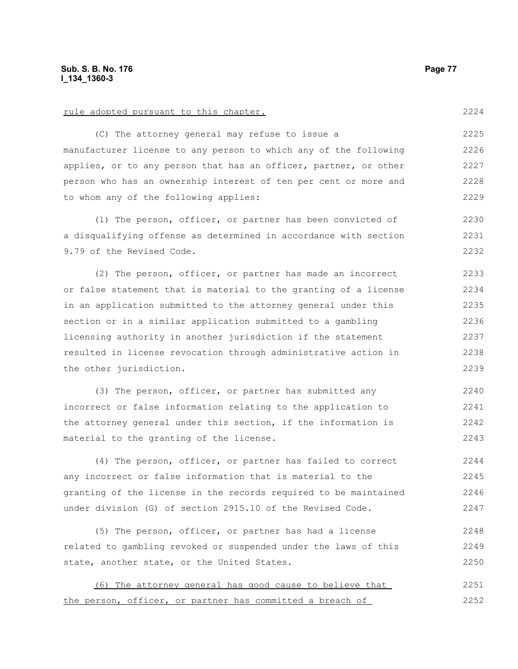(C) The attorney general may refuse to issue a manufacturer license to any person to which any of the following applies, or to any person that has an officer, partner, or other person who has an ownership interest of ten per cent or more and to whom any of the following applies: 2225 2226 2227 2228 2229

(1) The person, officer, or partner has been convicted of a disqualifying offense as determined in accordance with section 9.79 of the Revised Code. 2230 2231 2232

(2) The person, officer, or partner has made an incorrect or false statement that is material to the granting of a license in an application submitted to the attorney general under this section or in a similar application submitted to a gambling licensing authority in another jurisdiction if the statement resulted in license revocation through administrative action in the other jurisdiction. 2233 2234 2235 2236 2237 2238 2239

(3) The person, officer, or partner has submitted any incorrect or false information relating to the application to the attorney general under this section, if the information is material to the granting of the license. 2240 2241 2242 2243

(4) The person, officer, or partner has failed to correct any incorrect or false information that is material to the granting of the license in the records required to be maintained under division (G) of section 2915.10 of the Revised Code. 2244 2245 2246 2247

(5) The person, officer, or partner has had a license related to gambling revoked or suspended under the laws of this state, another state, or the United States. 2248 2249 2250

(6) The attorney general has good cause to believe that the person, officer, or partner has committed a breach of 2251 2252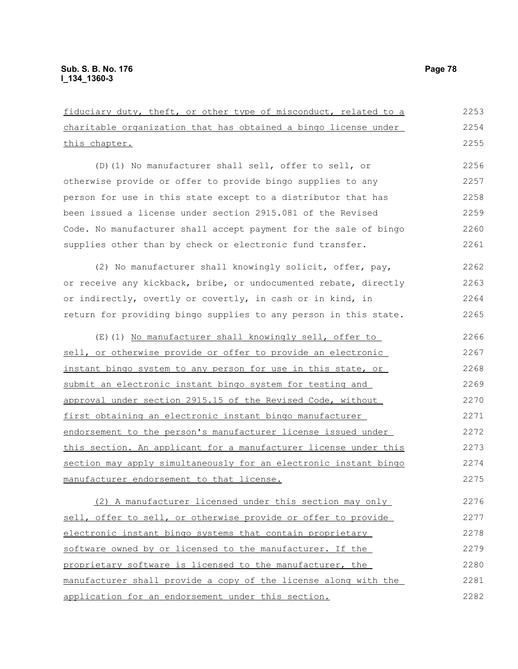| fiduciary duty, theft, or other type of misconduct, related to a | 2253 |
|------------------------------------------------------------------|------|
| charitable organization that has obtained a bingo license under  | 2254 |
| this chapter.                                                    | 2255 |
| (D)(1) No manufacturer shall sell, offer to sell, or             | 2256 |
| otherwise provide or offer to provide bingo supplies to any      | 2257 |
| person for use in this state except to a distributor that has    | 2258 |
| been issued a license under section 2915.081 of the Revised      | 2259 |
| Code. No manufacturer shall accept payment for the sale of bingo | 2260 |
| supplies other than by check or electronic fund transfer.        | 2261 |
| (2) No manufacturer shall knowingly solicit, offer, pay,         | 2262 |
| or receive any kickback, bribe, or undocumented rebate, directly | 2263 |
| or indirectly, overtly or covertly, in cash or in kind, in       | 2264 |
| return for providing bingo supplies to any person in this state. | 2265 |
| (E)(1) No manufacturer shall knowingly sell, offer to            | 2266 |
| sell, or otherwise provide or offer to provide an electronic     | 2267 |
| instant bingo system to any person for use in this state, or     | 2268 |
| submit an electronic instant bingo system for testing and        | 2269 |
| approval under section 2915.15 of the Revised Code, without      | 2270 |
| first obtaining an electronic instant bingo manufacturer         | 2271 |
| endorsement to the person's manufacturer license issued under    | 2272 |
| this section. An applicant for a manufacturer license under this | 2273 |
| section may apply simultaneously for an electronic instant bingo | 2274 |
| manufacturer endorsement to that license.                        | 2275 |
| (2) A manufacturer licensed under this section may only          | 2276 |
| sell, offer to sell, or otherwise provide or offer to provide    | 2277 |
| electronic instant bingo systems that contain proprietary        | 2278 |
| software owned by or licensed to the manufacturer. If the        | 2279 |
| proprietary software is licensed to the manufacturer, the        | 2280 |
| manufacturer shall provide a copy of the license along with the  | 2281 |
| application for an endorsement under this section.               | 2282 |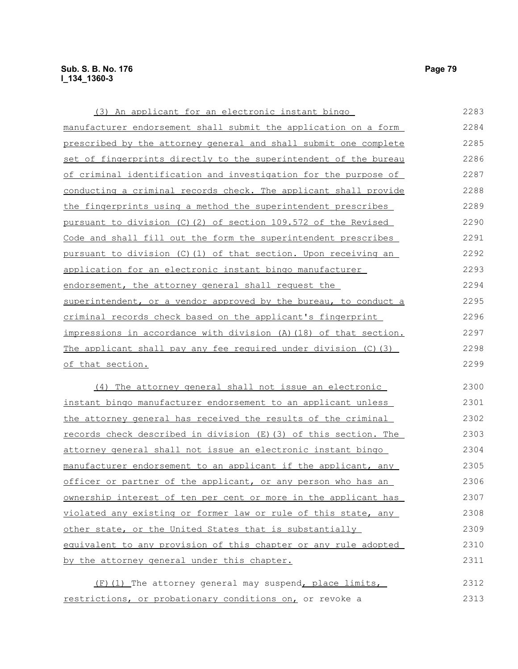| (3) An applicant for an electronic instant bingo                       | 2283 |
|------------------------------------------------------------------------|------|
| manufacturer endorsement shall submit the application on a form        | 2284 |
| prescribed by the attorney general and shall submit one complete       | 2285 |
| set of fingerprints directly to the superintendent of the bureau       | 2286 |
| of criminal identification and investigation for the purpose of        | 2287 |
| conducting a criminal records check. The applicant shall provide       | 2288 |
| the fingerprints using a method the superintendent prescribes          | 2289 |
| pursuant to division (C)(2) of section 109.572 of the Revised          | 2290 |
| Code and shall fill out the form the superintendent prescribes         | 2291 |
| pursuant to division (C)(1) of that section. Upon receiving an         | 2292 |
| application for an electronic instant bingo manufacturer               | 2293 |
| endorsement, the attorney general shall request the                    | 2294 |
| superintendent, or a vendor approved by the bureau, to conduct a       | 2295 |
| criminal records check based on the applicant's fingerprint            | 2296 |
| impressions in accordance with division (A) (18) of that section.      | 2297 |
| The applicant shall pay any fee required under division (C) (3)        | 2298 |
| <u>of that section.</u>                                                | 2299 |
| (4) The attorney general shall not issue an electronic                 | 2300 |
| instant bingo manufacturer endorsement to an applicant unless          | 2301 |
| the attorney general has received the results of the criminal          | 2302 |
| <u>records check described in division (E)(3) of this section. The</u> | 2303 |
| attorney general shall not issue an electronic instant bingo           | 2304 |
| manufacturer endorsement to an applicant if the applicant, any         | 2305 |
| officer or partner of the applicant, or any person who has an          | 2306 |
| ownership interest of ten per cent or more in the applicant has        | 2307 |
| violated any existing or former law or rule of this state, any         | 2308 |
| other state, or the United States that is substantially                | 2309 |
| equivalent to any provision of this chapter or any rule adopted        | 2310 |

(F)(1) The attorney general may suspend, place limits, restrictions, or probationary conditions on, or revoke a 2312 2313

by the attorney general under this chapter.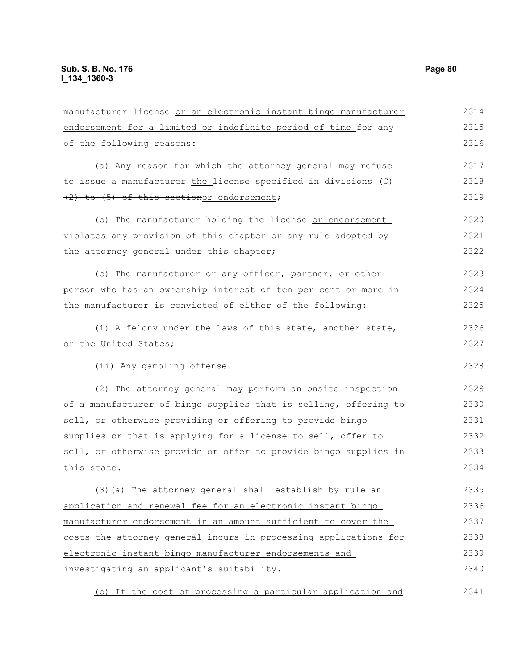| manufacturer license <u>or an electronic instant bingo manufacturer</u>              | 2314 |
|--------------------------------------------------------------------------------------|------|
| endorsement for a limited or indefinite period of time for any                       | 2315 |
| of the following reasons:                                                            | 2316 |
| (a) Any reason for which the attorney general may refuse                             | 2317 |
| to issue <del>a manufacturer the</del> license <del>specified in divisions (C)</del> | 2318 |
| (2) to (5) of this sectionor endorsement;                                            | 2319 |
| (b) The manufacturer holding the license or endorsement                              | 2320 |
| violates any provision of this chapter or any rule adopted by                        | 2321 |
| the attorney general under this chapter;                                             | 2322 |
| (c) The manufacturer or any officer, partner, or other                               | 2323 |
| person who has an ownership interest of ten per cent or more in                      | 2324 |
| the manufacturer is convicted of either of the following:                            | 2325 |
| (i) A felony under the laws of this state, another state,                            | 2326 |
| or the United States;                                                                | 2327 |
| (ii) Any gambling offense.                                                           | 2328 |
| (2) The attorney general may perform an onsite inspection                            | 2329 |
| of a manufacturer of bingo supplies that is selling, offering to                     | 2330 |
| sell, or otherwise providing or offering to provide bingo                            | 2331 |
| supplies or that is applying for a license to sell, offer to                         | 2332 |
| sell, or otherwise provide or offer to provide bingo supplies in                     | 2333 |
| this state.                                                                          | 2334 |
| (3) (a) The attorney general shall establish by rule an                              | 2335 |
| application and renewal fee for an electronic instant bingo                          | 2336 |
| manufacturer endorsement in an amount sufficient to cover the                        | 2337 |
| costs the attorney general incurs in processing applications for                     | 2338 |
| electronic instant bingo manufacturer endorsements and                               | 2339 |
| investigating an applicant's suitability.                                            | 2340 |
|                                                                                      |      |

(b) If the cost of processing a particular application and 2341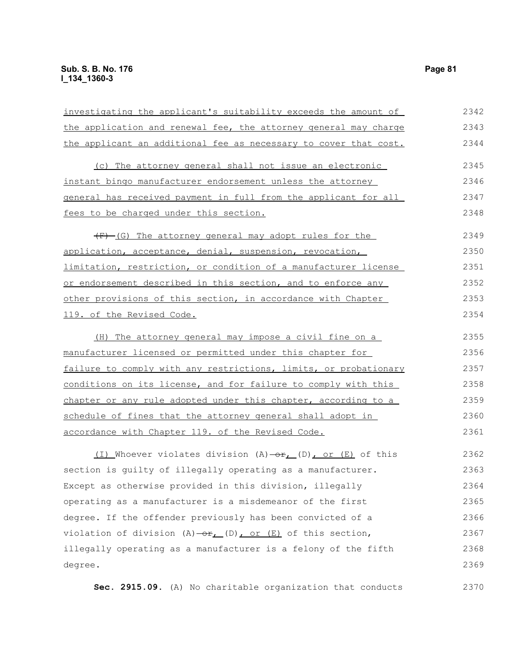# **Sub. S. B. No. 176** Page 81 **l\_134\_1360-3**

| investigating the applicant's suitability exceeds the amount of           | 2342 |
|---------------------------------------------------------------------------|------|
| the application and renewal fee, the attorney general may charge          | 2343 |
| the applicant an additional fee as necessary to cover that cost.          | 2344 |
| (c) The attorney general shall not issue an electronic                    | 2345 |
| instant bingo manufacturer endorsement unless the attorney                | 2346 |
| general has received payment in full from the applicant for all           | 2347 |
| fees to be charged under this section.                                    | 2348 |
| (F) (G) The attorney general may adopt rules for the                      | 2349 |
| application, acceptance, denial, suspension, revocation,                  | 2350 |
| limitation, restriction, or condition of a manufacturer license           | 2351 |
| or endorsement described in this section, and to enforce any              | 2352 |
| other provisions of this section, in accordance with Chapter              | 2353 |
| 119. of the Revised Code.                                                 | 2354 |
| (H) The attorney general may impose a civil fine on a                     | 2355 |
| manufacturer licensed or permitted under this chapter for                 | 2356 |
| failure to comply with any restrictions, limits, or probationary          | 2357 |
| conditions on its license, and for failure to comply with this            | 2358 |
| chapter or any rule adopted under this chapter, according to a            | 2359 |
| schedule of fines that the attorney general shall adopt in                | 2360 |
| accordance with Chapter 119. of the Revised Code.                         | 2361 |
| $(I)$ Whoever violates division $(A) \rightarrow F$ (D), or $(E)$ of this | 2362 |
| section is quilty of illegally operating as a manufacturer.               | 2363 |
| Except as otherwise provided in this division, illegally                  | 2364 |
| operating as a manufacturer is a misdemeanor of the first                 | 2365 |
| degree. If the offender previously has been convicted of a                | 2366 |
| violation of division $(A) - or (D)$ , or $(E)$ of this section,          | 2367 |
| illegally operating as a manufacturer is a felony of the fifth            | 2368 |
| degree.                                                                   | 2369 |
| Sec. 2915.09. (A) No charitable organization that conducts                | 2370 |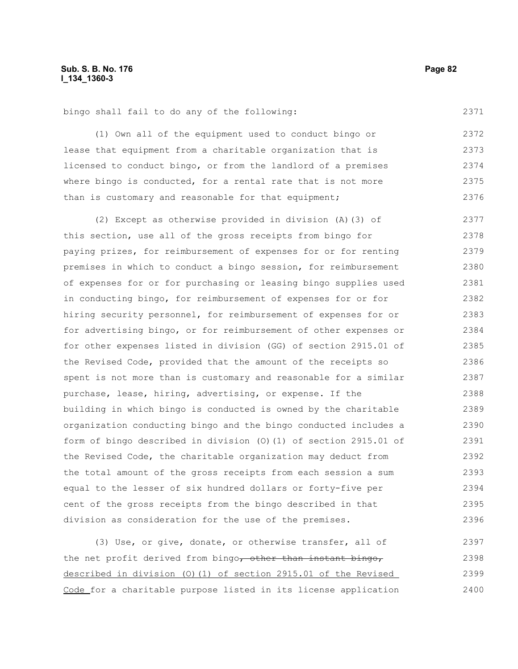bingo shall fail to do any of the following:

(1) Own all of the equipment used to conduct bingo or lease that equipment from a charitable organization that is licensed to conduct bingo, or from the landlord of a premises where bingo is conducted, for a rental rate that is not more than is customary and reasonable for that equipment; 2372 2373 2374 2375 2376

(2) Except as otherwise provided in division (A)(3) of this section, use all of the gross receipts from bingo for paying prizes, for reimbursement of expenses for or for renting premises in which to conduct a bingo session, for reimbursement of expenses for or for purchasing or leasing bingo supplies used in conducting bingo, for reimbursement of expenses for or for hiring security personnel, for reimbursement of expenses for or for advertising bingo, or for reimbursement of other expenses or for other expenses listed in division (GG) of section 2915.01 of the Revised Code, provided that the amount of the receipts so spent is not more than is customary and reasonable for a similar purchase, lease, hiring, advertising, or expense. If the building in which bingo is conducted is owned by the charitable organization conducting bingo and the bingo conducted includes a form of bingo described in division (O)(1) of section 2915.01 of the Revised Code, the charitable organization may deduct from the total amount of the gross receipts from each session a sum equal to the lesser of six hundred dollars or forty-five per cent of the gross receipts from the bingo described in that division as consideration for the use of the premises. 2377 2378 2379 2380 2381 2382 2383 2384 2385 2386 2387 2388 2389 2390 2391 2392 2393 2394 2395 2396

(3) Use, or give, donate, or otherwise transfer, all of the net profit derived from bingo, other than instant bingo, described in division (O)(1) of section 2915.01 of the Revised Code for a charitable purpose listed in its license application 2397 2398 2399 2400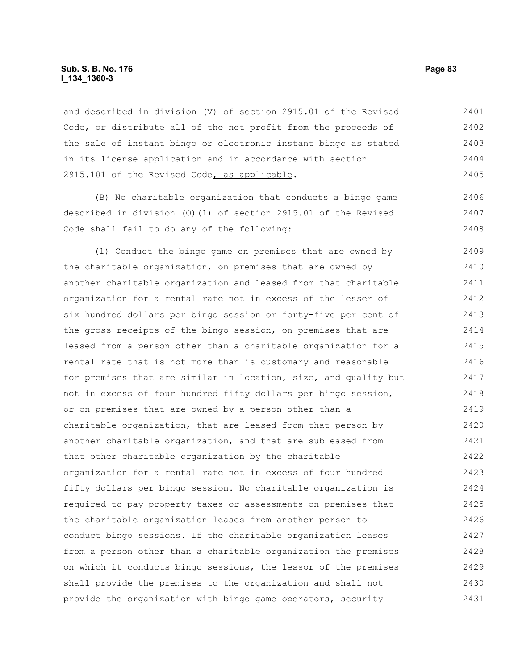#### **Sub. S. B. No. 176 Page 83 l\_134\_1360-3**

and described in division (V) of section 2915.01 of the Revised Code, or distribute all of the net profit from the proceeds of the sale of instant bingo or electronic instant bingo as stated in its license application and in accordance with section 2915.101 of the Revised Code, as applicable. 2401 2402 2403 2404 2405

(B) No charitable organization that conducts a bingo game described in division (O)(1) of section 2915.01 of the Revised Code shall fail to do any of the following:

(1) Conduct the bingo game on premises that are owned by the charitable organization, on premises that are owned by another charitable organization and leased from that charitable organization for a rental rate not in excess of the lesser of six hundred dollars per bingo session or forty-five per cent of the gross receipts of the bingo session, on premises that are leased from a person other than a charitable organization for a rental rate that is not more than is customary and reasonable for premises that are similar in location, size, and quality but not in excess of four hundred fifty dollars per bingo session, or on premises that are owned by a person other than a charitable organization, that are leased from that person by another charitable organization, and that are subleased from that other charitable organization by the charitable organization for a rental rate not in excess of four hundred fifty dollars per bingo session. No charitable organization is required to pay property taxes or assessments on premises that the charitable organization leases from another person to conduct bingo sessions. If the charitable organization leases from a person other than a charitable organization the premises on which it conducts bingo sessions, the lessor of the premises shall provide the premises to the organization and shall not provide the organization with bingo game operators, security 2409 2410 2411 2412 2413 2414 2415 2416 2417 2418 2419 2420 2421 2422 2423 2424 2425 2426 2427 2428 2429 2430 2431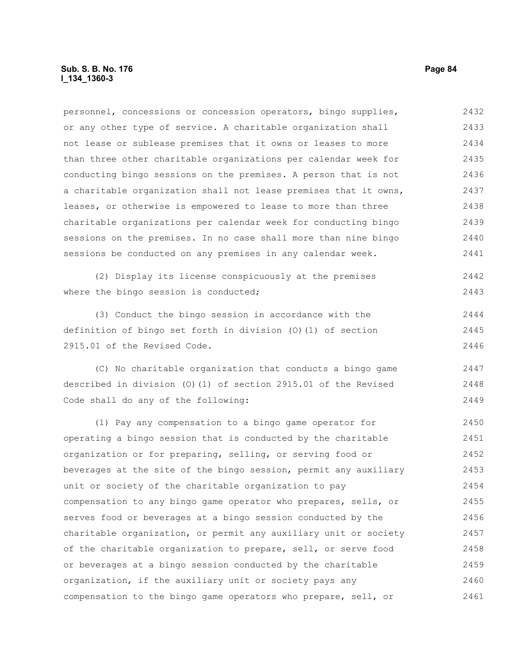### **Sub. S. B. No. 176 Page 84 l\_134\_1360-3**

personnel, concessions or concession operators, bingo supplies, or any other type of service. A charitable organization shall not lease or sublease premises that it owns or leases to more than three other charitable organizations per calendar week for conducting bingo sessions on the premises. A person that is not a charitable organization shall not lease premises that it owns, leases, or otherwise is empowered to lease to more than three charitable organizations per calendar week for conducting bingo sessions on the premises. In no case shall more than nine bingo sessions be conducted on any premises in any calendar week. 2432 2433 2434 2435 2436 2437 2438 2439 2440 2441

(2) Display its license conspicuously at the premises where the bingo session is conducted; 2442 2443

(3) Conduct the bingo session in accordance with the definition of bingo set forth in division (O)(1) of section 2915.01 of the Revised Code. 2444 2445 2446

(C) No charitable organization that conducts a bingo game described in division (O)(1) of section 2915.01 of the Revised Code shall do any of the following:

(1) Pay any compensation to a bingo game operator for operating a bingo session that is conducted by the charitable organization or for preparing, selling, or serving food or beverages at the site of the bingo session, permit any auxiliary unit or society of the charitable organization to pay compensation to any bingo game operator who prepares, sells, or serves food or beverages at a bingo session conducted by the charitable organization, or permit any auxiliary unit or society of the charitable organization to prepare, sell, or serve food or beverages at a bingo session conducted by the charitable organization, if the auxiliary unit or society pays any compensation to the bingo game operators who prepare, sell, or 2450 2451 2452 2453 2454 2455 2456 2457 2458 2459 2460 2461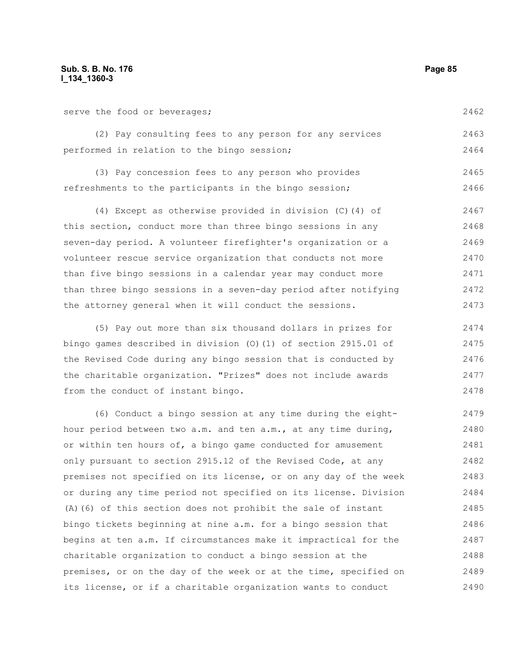serve the food or beverages;

(2) Pay consulting fees to any person for any services performed in relation to the bingo session; 2463 2464

(3) Pay concession fees to any person who provides refreshments to the participants in the bingo session; 2465 2466

(4) Except as otherwise provided in division (C)(4) of this section, conduct more than three bingo sessions in any seven-day period. A volunteer firefighter's organization or a volunteer rescue service organization that conducts not more than five bingo sessions in a calendar year may conduct more than three bingo sessions in a seven-day period after notifying the attorney general when it will conduct the sessions. 2467 2468 2469 2470 2471 2472 2473

(5) Pay out more than six thousand dollars in prizes for bingo games described in division (O)(1) of section 2915.01 of the Revised Code during any bingo session that is conducted by the charitable organization. "Prizes" does not include awards from the conduct of instant bingo. 2474 2475 2476 2477 2478

(6) Conduct a bingo session at any time during the eighthour period between two a.m. and ten a.m., at any time during, or within ten hours of, a bingo game conducted for amusement only pursuant to section 2915.12 of the Revised Code, at any premises not specified on its license, or on any day of the week or during any time period not specified on its license. Division (A)(6) of this section does not prohibit the sale of instant bingo tickets beginning at nine a.m. for a bingo session that begins at ten a.m. If circumstances make it impractical for the charitable organization to conduct a bingo session at the premises, or on the day of the week or at the time, specified on its license, or if a charitable organization wants to conduct 2479 2480 2481 2482 2483 2484 2485 2486 2487 2488 2489 2490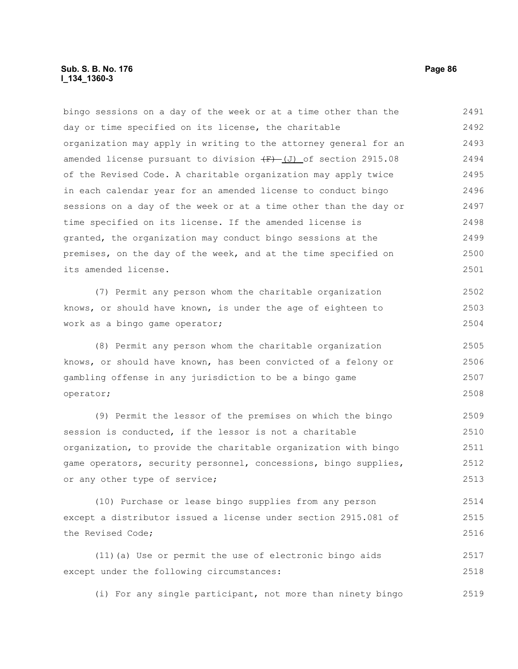### **Sub. S. B. No. 176 Page 86 l\_134\_1360-3**

the Revised Code;

bingo sessions on a day of the week or at a time other than the day or time specified on its license, the charitable organization may apply in writing to the attorney general for an amended license pursuant to division  $\overline{F}$  (J) of section 2915.08 of the Revised Code. A charitable organization may apply twice in each calendar year for an amended license to conduct bingo sessions on a day of the week or at a time other than the day or time specified on its license. If the amended license is granted, the organization may conduct bingo sessions at the premises, on the day of the week, and at the time specified on its amended license. (7) Permit any person whom the charitable organization knows, or should have known, is under the age of eighteen to work as a bingo game operator; (8) Permit any person whom the charitable organization knows, or should have known, has been convicted of a felony or gambling offense in any jurisdiction to be a bingo game operator; (9) Permit the lessor of the premises on which the bingo session is conducted, if the lessor is not a charitable organization, to provide the charitable organization with bingo game operators, security personnel, concessions, bingo supplies, or any other type of service; (10) Purchase or lease bingo supplies from any person except a distributor issued a license under section 2915.081 of 2491 2492 2493 2494 2495 2496 2497 2498 2499 2500 2501 2502 2503 2504 2505 2506 2507 2508 2509 2510 2511 2512 2513 2514 2515

(11)(a) Use or permit the use of electronic bingo aids except under the following circumstances: 2517 2518

(i) For any single participant, not more than ninety bingo 2519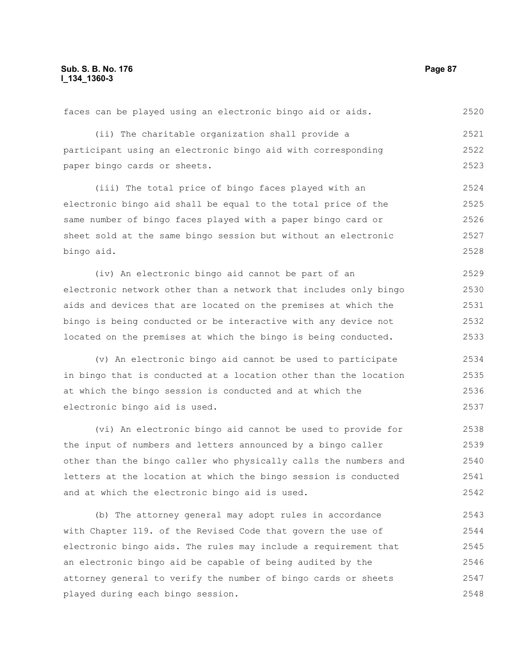| (ii) The charitable organization shall provide a                 | 2521 |
|------------------------------------------------------------------|------|
| participant using an electronic bingo aid with corresponding     | 2522 |
| paper bingo cards or sheets.                                     | 2523 |
| (iii) The total price of bingo faces played with an              | 2524 |
| electronic bingo aid shall be equal to the total price of the    | 2525 |
| same number of bingo faces played with a paper bingo card or     | 2526 |
| sheet sold at the same bingo session but without an electronic   | 2527 |
| bingo aid.                                                       | 2528 |
| (iv) An electronic bingo aid cannot be part of an                | 2529 |
| electronic network other than a network that includes only bingo | 2530 |
| aids and devices that are located on the premises at which the   | 2531 |
| bingo is being conducted or be interactive with any device not   | 2532 |
| located on the premises at which the bingo is being conducted.   | 2533 |
| (v) An electronic bingo aid cannot be used to participate        | 2534 |
| in bingo that is conducted at a location other than the location | 2535 |
| at which the bingo session is conducted and at which the         | 2536 |
| electronic bingo aid is used.                                    | 2537 |
| (vi) An electronic bingo aid cannot be used to provide for       | 2538 |
| the input of numbers and letters announced by a bingo caller     | 2539 |
| other than the bingo caller who physically calls the numbers and | 2540 |
| letters at the location at which the bingo session is conducted  | 2541 |
| and at which the electronic bingo aid is used.                   | 2542 |
| (b) The attorney general may adopt rules in accordance           | 2543 |
| with Chapter 119. of the Revised Code that govern the use of     | 2544 |
| electronic bingo aids. The rules may include a requirement that  | 2545 |
| an electronic bingo aid be capable of being audited by the       | 2546 |
| attorney general to verify the number of bingo cards or sheets   | 2547 |
| played during each bingo session.                                | 2548 |

faces can be played using an electronic bingo aid or aids.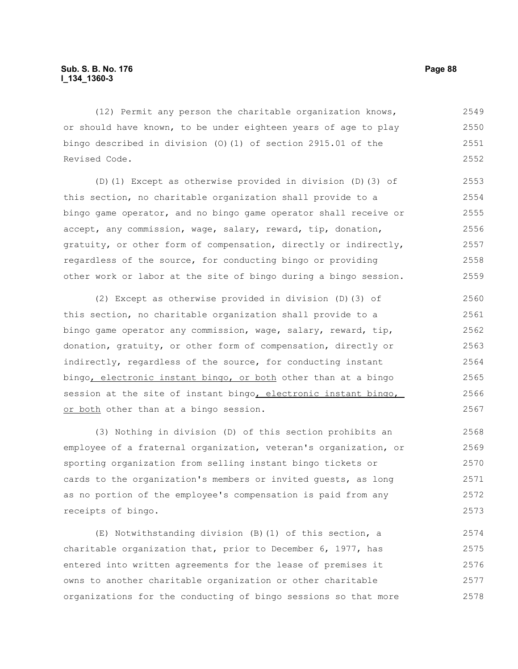(12) Permit any person the charitable organization knows, or should have known, to be under eighteen years of age to play bingo described in division (O)(1) of section 2915.01 of the Revised Code. 2549 2550 2551 2552

(D)(1) Except as otherwise provided in division (D)(3) of this section, no charitable organization shall provide to a bingo game operator, and no bingo game operator shall receive or accept, any commission, wage, salary, reward, tip, donation, gratuity, or other form of compensation, directly or indirectly, regardless of the source, for conducting bingo or providing other work or labor at the site of bingo during a bingo session. 2553 2554 2555 2556 2557 2558 2559

(2) Except as otherwise provided in division (D)(3) of this section, no charitable organization shall provide to a bingo game operator any commission, wage, salary, reward, tip, donation, gratuity, or other form of compensation, directly or indirectly, regardless of the source, for conducting instant bingo, electronic instant bingo, or both other than at a bingo session at the site of instant bingo, electronic instant bingo, or both other than at a bingo session. 2560 2561 2562 2563 2564 2565 2566 2567

(3) Nothing in division (D) of this section prohibits an employee of a fraternal organization, veteran's organization, or sporting organization from selling instant bingo tickets or cards to the organization's members or invited guests, as long as no portion of the employee's compensation is paid from any receipts of bingo. 2568 2569 2570 2571 2572 2573

(E) Notwithstanding division (B)(1) of this section, a charitable organization that, prior to December 6, 1977, has entered into written agreements for the lease of premises it owns to another charitable organization or other charitable organizations for the conducting of bingo sessions so that more 2574 2575 2576 2577 2578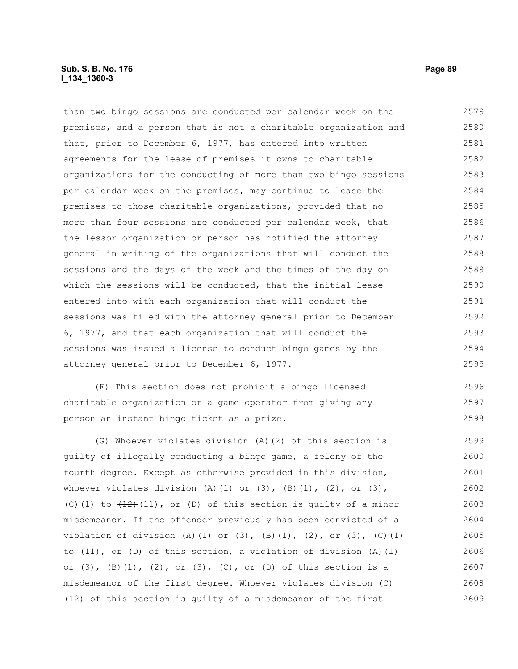### **Sub. S. B. No. 176 Page 89 l\_134\_1360-3**

than two bingo sessions are conducted per calendar week on the premises, and a person that is not a charitable organization and that, prior to December 6, 1977, has entered into written agreements for the lease of premises it owns to charitable organizations for the conducting of more than two bingo sessions per calendar week on the premises, may continue to lease the premises to those charitable organizations, provided that no more than four sessions are conducted per calendar week, that the lessor organization or person has notified the attorney general in writing of the organizations that will conduct the sessions and the days of the week and the times of the day on which the sessions will be conducted, that the initial lease entered into with each organization that will conduct the sessions was filed with the attorney general prior to December 6, 1977, and that each organization that will conduct the sessions was issued a license to conduct bingo games by the attorney general prior to December 6, 1977. 2579 2580 2581 2582 2583 2584 2585 2586 2587 2588 2589 2590 2591 2592 2593 2594 2595

(F) This section does not prohibit a bingo licensed charitable organization or a game operator from giving any person an instant bingo ticket as a prize. 2596 2597 2598

(G) Whoever violates division (A)(2) of this section is guilty of illegally conducting a bingo game, a felony of the fourth degree. Except as otherwise provided in this division, whoever violates division (A)(1) or  $(3)$ ,  $(B)(1)$ ,  $(2)$ , or  $(3)$ , (C)(1) to  $(12)$  (11), or (D) of this section is guilty of a minor misdemeanor. If the offender previously has been convicted of a violation of division (A)(1) or (3),  $(B)(1)$ , (2), or (3), (C)(1) to (11), or (D) of this section, a violation of division (A)(1) or  $(3)$ ,  $(B) (1)$ ,  $(2)$ , or  $(3)$ ,  $(C)$ , or  $(D)$  of this section is a misdemeanor of the first degree. Whoever violates division (C) (12) of this section is guilty of a misdemeanor of the first 2599 2600 2601 2602 2603 2604 2605 2606 2607 2608 2609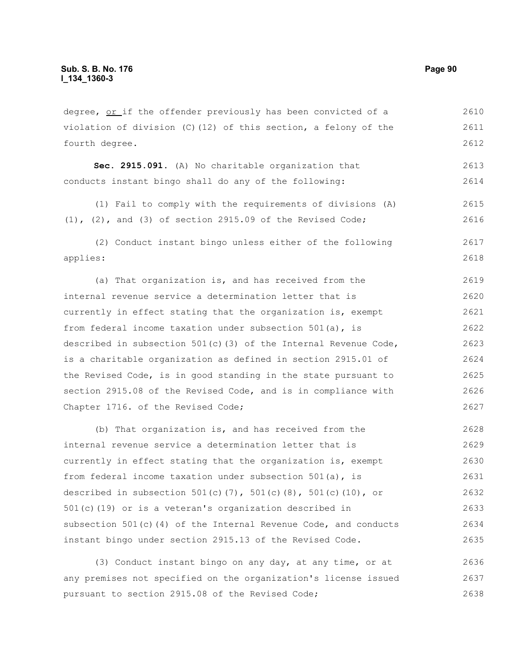degree, or if the offender previously has been convicted of a violation of division (C)(12) of this section, a felony of the fourth degree. 2610 2611 2612

**Sec. 2915.091.** (A) No charitable organization that conducts instant bingo shall do any of the following: 2613 2614

(1) Fail to comply with the requirements of divisions (A)  $(1)$ ,  $(2)$ , and  $(3)$  of section 2915.09 of the Revised Code; 2615 2616

(2) Conduct instant bingo unless either of the following applies: 2617 2618

(a) That organization is, and has received from the internal revenue service a determination letter that is currently in effect stating that the organization is, exempt from federal income taxation under subsection 501(a), is described in subsection  $501(c)$  (3) of the Internal Revenue Code, is a charitable organization as defined in section 2915.01 of the Revised Code, is in good standing in the state pursuant to section 2915.08 of the Revised Code, and is in compliance with Chapter 1716. of the Revised Code; 2619 2620 2621 2622 2623 2624 2625 2626 2627

(b) That organization is, and has received from the internal revenue service a determination letter that is currently in effect stating that the organization is, exempt from federal income taxation under subsection 501(a), is described in subsection 501(c)(7), 501(c)(8), 501(c)(10), or 501(c)(19) or is a veteran's organization described in subsection  $501(c)$  (4) of the Internal Revenue Code, and conducts instant bingo under section 2915.13 of the Revised Code. 2628 2629 2630 2631 2632 2633 2634 2635

(3) Conduct instant bingo on any day, at any time, or at any premises not specified on the organization's license issued pursuant to section 2915.08 of the Revised Code; 2636 2637 2638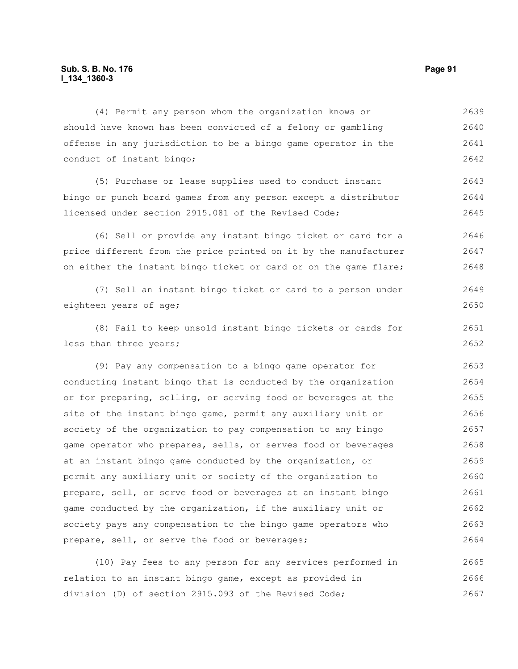(4) Permit any person whom the organization knows or should have known has been convicted of a felony or gambling offense in any jurisdiction to be a bingo game operator in the conduct of instant bingo; 2639 2640 2641 2642

(5) Purchase or lease supplies used to conduct instant bingo or punch board games from any person except a distributor licensed under section 2915.081 of the Revised Code; 2643 2644 2645

(6) Sell or provide any instant bingo ticket or card for a price different from the price printed on it by the manufacturer on either the instant bingo ticket or card or on the game flare; 2646 2647 2648

(7) Sell an instant bingo ticket or card to a person under eighteen years of age; 2649 2650

(8) Fail to keep unsold instant bingo tickets or cards for less than three years;

(9) Pay any compensation to a bingo game operator for conducting instant bingo that is conducted by the organization or for preparing, selling, or serving food or beverages at the site of the instant bingo game, permit any auxiliary unit or society of the organization to pay compensation to any bingo game operator who prepares, sells, or serves food or beverages at an instant bingo game conducted by the organization, or permit any auxiliary unit or society of the organization to prepare, sell, or serve food or beverages at an instant bingo game conducted by the organization, if the auxiliary unit or society pays any compensation to the bingo game operators who prepare, sell, or serve the food or beverages; 2653 2654 2655 2656 2657 2658 2659 2660 2661 2662 2663 2664

(10) Pay fees to any person for any services performed in relation to an instant bingo game, except as provided in division (D) of section 2915.093 of the Revised Code; 2665 2666 2667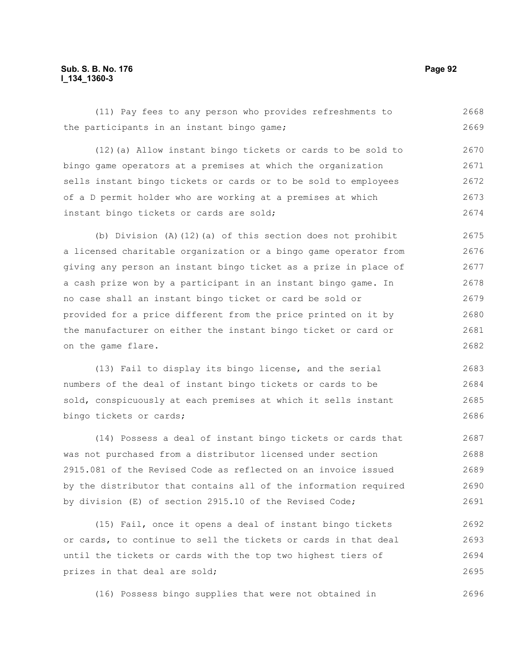# **Sub. S. B. No. 176 Page 92 l\_134\_1360-3**

(11) Pay fees to any person who provides refreshments to the participants in an instant bingo game; 2668 2669

(12)(a) Allow instant bingo tickets or cards to be sold to bingo game operators at a premises at which the organization sells instant bingo tickets or cards or to be sold to employees of a D permit holder who are working at a premises at which instant bingo tickets or cards are sold; 2670 2671 2672 2673 2674

(b) Division (A)(12)(a) of this section does not prohibit a licensed charitable organization or a bingo game operator from giving any person an instant bingo ticket as a prize in place of a cash prize won by a participant in an instant bingo game. In no case shall an instant bingo ticket or card be sold or provided for a price different from the price printed on it by the manufacturer on either the instant bingo ticket or card or on the game flare. 2675 2676 2677 2678 2679 2680 2681 2682

(13) Fail to display its bingo license, and the serial numbers of the deal of instant bingo tickets or cards to be sold, conspicuously at each premises at which it sells instant bingo tickets or cards; 2683 2684 2685 2686

(14) Possess a deal of instant bingo tickets or cards that was not purchased from a distributor licensed under section 2915.081 of the Revised Code as reflected on an invoice issued by the distributor that contains all of the information required by division (E) of section 2915.10 of the Revised Code; 2687 2688 2689 2690 2691

(15) Fail, once it opens a deal of instant bingo tickets or cards, to continue to sell the tickets or cards in that deal until the tickets or cards with the top two highest tiers of prizes in that deal are sold; 2692 2693 2694 2695

(16) Possess bingo supplies that were not obtained in 2696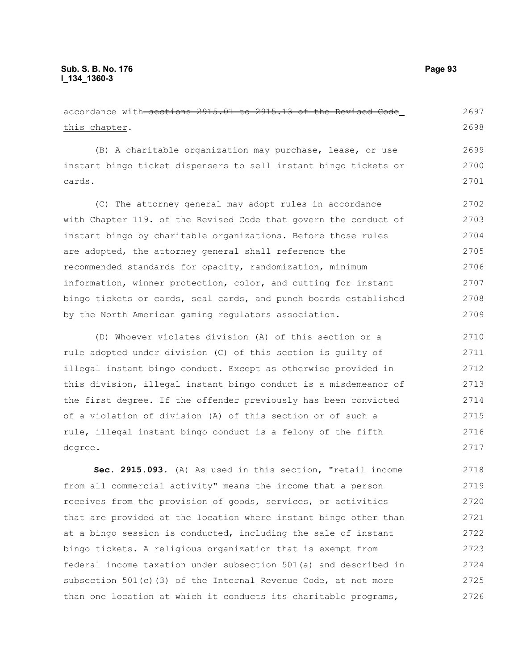degree.

accordance with sections 2915.01 to 2915.13 of the Revised Code this chapter. (B) A charitable organization may purchase, lease, or use instant bingo ticket dispensers to sell instant bingo tickets or cards. (C) The attorney general may adopt rules in accordance with Chapter 119. of the Revised Code that govern the conduct of instant bingo by charitable organizations. Before those rules are adopted, the attorney general shall reference the recommended standards for opacity, randomization, minimum information, winner protection, color, and cutting for instant bingo tickets or cards, seal cards, and punch boards established by the North American gaming regulators association. (D) Whoever violates division (A) of this section or a rule adopted under division (C) of this section is guilty of illegal instant bingo conduct. Except as otherwise provided in this division, illegal instant bingo conduct is a misdemeanor of the first degree. If the offender previously has been convicted of a violation of division (A) of this section or of such a rule, illegal instant bingo conduct is a felony of the fifth 2697 2698 2699 2700 2701 2702 2703 2704 2705 2706 2707 2708 2709 2710 2711 2712 2713 2714 2715 2716

**Sec. 2915.093.** (A) As used in this section, "retail income from all commercial activity" means the income that a person receives from the provision of goods, services, or activities that are provided at the location where instant bingo other than at a bingo session is conducted, including the sale of instant bingo tickets. A religious organization that is exempt from federal income taxation under subsection 501(a) and described in subsection  $501(c)(3)$  of the Internal Revenue Code, at not more than one location at which it conducts its charitable programs, 2718 2719 2720 2721 2722 2723 2724 2725 2726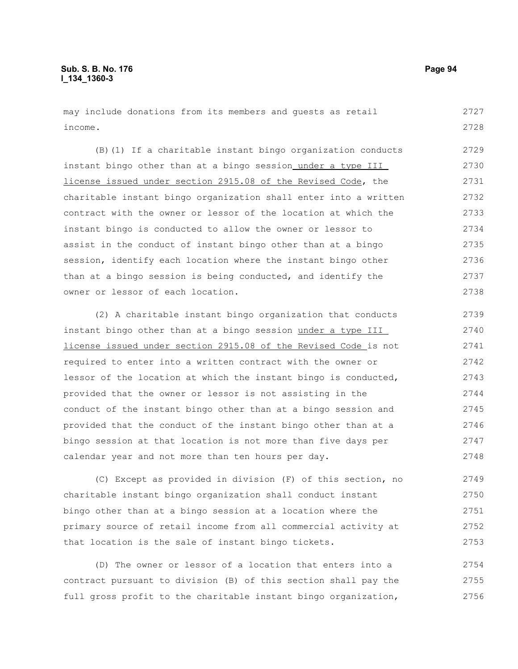may include donations from its members and guests as retail income. 2727 2728

(B)(1) If a charitable instant bingo organization conducts instant bingo other than at a bingo session under a type III license issued under section 2915.08 of the Revised Code, the charitable instant bingo organization shall enter into a written contract with the owner or lessor of the location at which the instant bingo is conducted to allow the owner or lessor to assist in the conduct of instant bingo other than at a bingo session, identify each location where the instant bingo other than at a bingo session is being conducted, and identify the owner or lessor of each location. 2729 2730 2731 2732 2733 2734 2735 2736 2737 2738

(2) A charitable instant bingo organization that conducts instant bingo other than at a bingo session under a type III license issued under section 2915.08 of the Revised Code is not required to enter into a written contract with the owner or lessor of the location at which the instant bingo is conducted, provided that the owner or lessor is not assisting in the conduct of the instant bingo other than at a bingo session and provided that the conduct of the instant bingo other than at a bingo session at that location is not more than five days per calendar year and not more than ten hours per day. 2739 2740 2741 2742 2743 2744 2745 2746 2747 2748

(C) Except as provided in division (F) of this section, no charitable instant bingo organization shall conduct instant bingo other than at a bingo session at a location where the primary source of retail income from all commercial activity at that location is the sale of instant bingo tickets. 2749 2750 2751 2752 2753

(D) The owner or lessor of a location that enters into a contract pursuant to division (B) of this section shall pay the full gross profit to the charitable instant bingo organization, 2754 2755 2756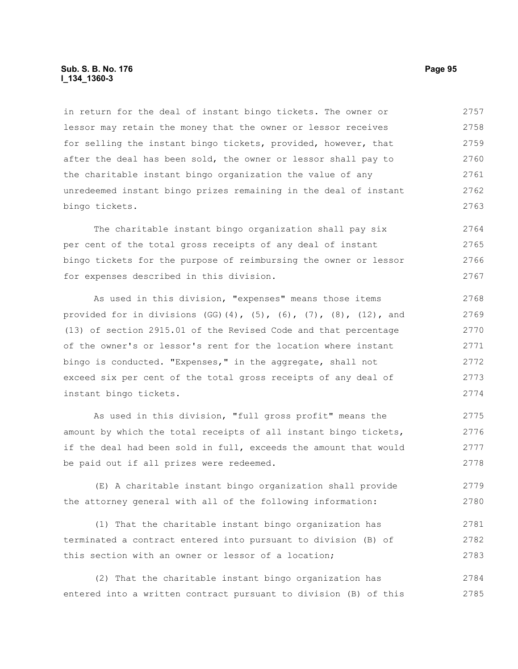### **Sub. S. B. No. 176 Page 95 l\_134\_1360-3**

in return for the deal of instant bingo tickets. The owner or lessor may retain the money that the owner or lessor receives for selling the instant bingo tickets, provided, however, that after the deal has been sold, the owner or lessor shall pay to the charitable instant bingo organization the value of any unredeemed instant bingo prizes remaining in the deal of instant bingo tickets. 2757 2758 2759 2760 2761 2762 2763

The charitable instant bingo organization shall pay six per cent of the total gross receipts of any deal of instant bingo tickets for the purpose of reimbursing the owner or lessor for expenses described in this division. 2764 2765 2766 2767

As used in this division, "expenses" means those items provided for in divisions (GG)(4),  $(5)$ ,  $(6)$ ,  $(7)$ ,  $(8)$ ,  $(12)$ , and (13) of section 2915.01 of the Revised Code and that percentage of the owner's or lessor's rent for the location where instant bingo is conducted. "Expenses," in the aggregate, shall not exceed six per cent of the total gross receipts of any deal of instant bingo tickets. 2769 2770 2771

As used in this division, "full gross profit" means the amount by which the total receipts of all instant bingo tickets, if the deal had been sold in full, exceeds the amount that would be paid out if all prizes were redeemed. 2775 2776 2777 2778

(E) A charitable instant bingo organization shall provide the attorney general with all of the following information: 2779 2780

(1) That the charitable instant bingo organization has terminated a contract entered into pursuant to division (B) of this section with an owner or lessor of a location; 2781 2782 2783

(2) That the charitable instant bingo organization has entered into a written contract pursuant to division (B) of this 2784 2785

2768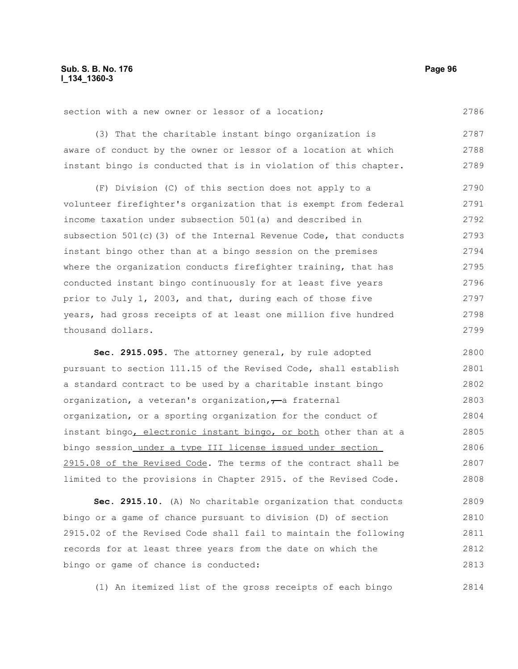2786

2814

section with a new owner or lessor of a location;

(3) That the charitable instant bingo organization is aware of conduct by the owner or lessor of a location at which instant bingo is conducted that is in violation of this chapter. 2787 2788 2789

(F) Division (C) of this section does not apply to a volunteer firefighter's organization that is exempt from federal income taxation under subsection 501(a) and described in subsection 501(c)(3) of the Internal Revenue Code, that conducts instant bingo other than at a bingo session on the premises where the organization conducts firefighter training, that has conducted instant bingo continuously for at least five years prior to July 1, 2003, and that, during each of those five years, had gross receipts of at least one million five hundred thousand dollars. 2790 2791 2792 2793 2794 2795 2796 2797 2798 2799

**Sec. 2915.095.** The attorney general, by rule adopted pursuant to section 111.15 of the Revised Code, shall establish a standard contract to be used by a charitable instant bingo organization, a veteran's organization, $\tau$ a fraternal organization, or a sporting organization for the conduct of instant bingo, electronic instant bingo, or both other than at a bingo session under a type III license issued under section 2915.08 of the Revised Code. The terms of the contract shall be limited to the provisions in Chapter 2915. of the Revised Code. 2800 2801 2802 2803 2804 2805 2806 2807 2808

**Sec. 2915.10.** (A) No charitable organization that conducts bingo or a game of chance pursuant to division (D) of section 2915.02 of the Revised Code shall fail to maintain the following records for at least three years from the date on which the bingo or game of chance is conducted: 2809 2810 2811 2812 2813

(1) An itemized list of the gross receipts of each bingo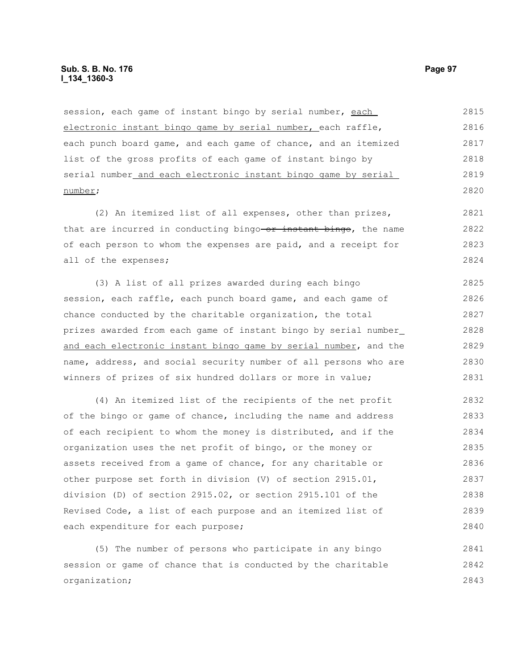session, each game of instant bingo by serial number, each electronic instant bingo game by serial number, each raffle, each punch board game, and each game of chance, and an itemized list of the gross profits of each game of instant bingo by serial number and each electronic instant bingo game by serial number; 2815 2816 2817 2818 2819 2820

(2) An itemized list of all expenses, other than prizes, that are incurred in conducting bingo-or instant bingo, the name of each person to whom the expenses are paid, and a receipt for all of the expenses; 2821 2822 2823 2824

(3) A list of all prizes awarded during each bingo session, each raffle, each punch board game, and each game of chance conducted by the charitable organization, the total prizes awarded from each game of instant bingo by serial number and each electronic instant bingo game by serial number, and the name, address, and social security number of all persons who are winners of prizes of six hundred dollars or more in value; 2825 2826 2827 2828 2829 2830 2831

(4) An itemized list of the recipients of the net profit of the bingo or game of chance, including the name and address of each recipient to whom the money is distributed, and if the organization uses the net profit of bingo, or the money or assets received from a game of chance, for any charitable or other purpose set forth in division (V) of section 2915.01, division (D) of section 2915.02, or section 2915.101 of the Revised Code, a list of each purpose and an itemized list of each expenditure for each purpose; 2832 2833 2834 2835 2836 2837 2838 2839 2840

(5) The number of persons who participate in any bingo session or game of chance that is conducted by the charitable organization; 2841 2842 2843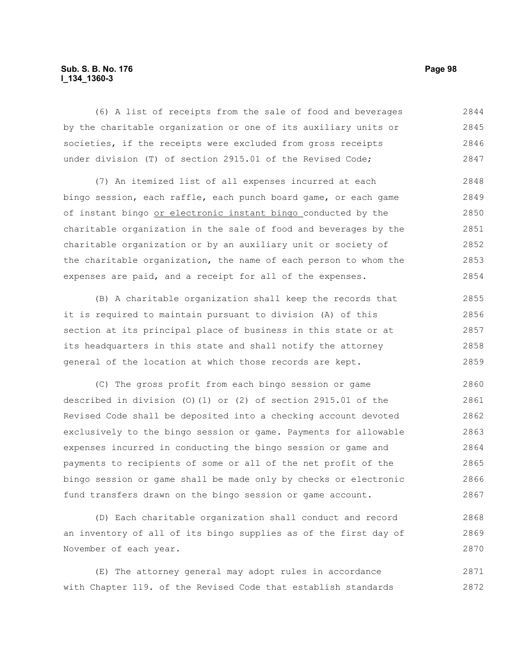# **Sub. S. B. No. 176 Page 98 l\_134\_1360-3**

(6) A list of receipts from the sale of food and beverages by the charitable organization or one of its auxiliary units or societies, if the receipts were excluded from gross receipts under division (T) of section 2915.01 of the Revised Code; 2844 2845 2846 2847

(7) An itemized list of all expenses incurred at each bingo session, each raffle, each punch board game, or each game of instant bingo or electronic instant bingo conducted by the charitable organization in the sale of food and beverages by the charitable organization or by an auxiliary unit or society of the charitable organization, the name of each person to whom the expenses are paid, and a receipt for all of the expenses. 2848 2849 2850 2851 2852 2853 2854

(B) A charitable organization shall keep the records that it is required to maintain pursuant to division (A) of this section at its principal place of business in this state or at its headquarters in this state and shall notify the attorney general of the location at which those records are kept. 2855 2856 2857 2858 2859

(C) The gross profit from each bingo session or game described in division (O)(1) or (2) of section 2915.01 of the Revised Code shall be deposited into a checking account devoted exclusively to the bingo session or game. Payments for allowable expenses incurred in conducting the bingo session or game and payments to recipients of some or all of the net profit of the bingo session or game shall be made only by checks or electronic fund transfers drawn on the bingo session or game account. 2860 2861 2862 2863 2864 2865 2866 2867

(D) Each charitable organization shall conduct and record an inventory of all of its bingo supplies as of the first day of November of each year. 2868 2869 2870

(E) The attorney general may adopt rules in accordance with Chapter 119. of the Revised Code that establish standards 2871 2872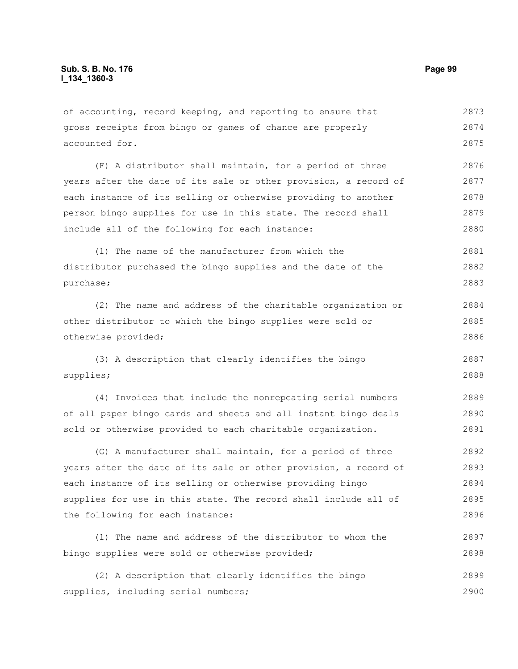of accounting, record keeping, and reporting to ensure that gross receipts from bingo or games of chance are properly accounted for. 2873 2874 2875

(F) A distributor shall maintain, for a period of three years after the date of its sale or other provision, a record of each instance of its selling or otherwise providing to another person bingo supplies for use in this state. The record shall include all of the following for each instance: 2876 2877 2878 2879 2880

(1) The name of the manufacturer from which the distributor purchased the bingo supplies and the date of the purchase; 2881 2882 2883

(2) The name and address of the charitable organization or other distributor to which the bingo supplies were sold or otherwise provided; 2884 2885 2886

(3) A description that clearly identifies the bingo supplies; 2887 2888

(4) Invoices that include the nonrepeating serial numbers of all paper bingo cards and sheets and all instant bingo deals sold or otherwise provided to each charitable organization. 2889 2890 2891

(G) A manufacturer shall maintain, for a period of three years after the date of its sale or other provision, a record of each instance of its selling or otherwise providing bingo supplies for use in this state. The record shall include all of the following for each instance: 2892 2893 2894 2895 2896

(1) The name and address of the distributor to whom the bingo supplies were sold or otherwise provided; 2897 2898

(2) A description that clearly identifies the bingo supplies, including serial numbers; 2899 2900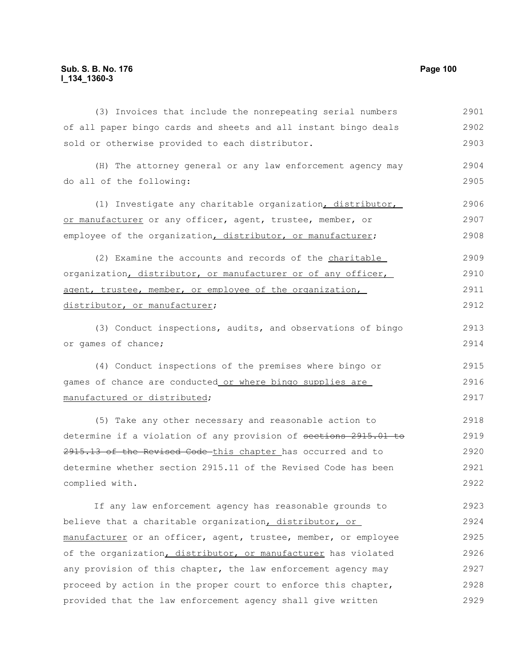| (3) Invoices that include the nonrepeating serial numbers        | 2901 |
|------------------------------------------------------------------|------|
| of all paper bingo cards and sheets and all instant bingo deals  | 2902 |
| sold or otherwise provided to each distributor.                  | 2903 |
| (H) The attorney general or any law enforcement agency may       | 2904 |
| do all of the following:                                         | 2905 |
| (1) Investigate any charitable organization, distributor,        | 2906 |
| or manufacturer or any officer, agent, trustee, member, or       | 2907 |
| employee of the organization, distributor, or manufacturer;      | 2908 |
|                                                                  |      |
| (2) Examine the accounts and records of the charitable           | 2909 |
| organization, distributor, or manufacturer or of any officer,    | 2910 |
| agent, trustee, member, or employee of the organization,         | 2911 |
| distributor, or manufacturer;                                    | 2912 |
| (3) Conduct inspections, audits, and observations of bingo       | 2913 |
| or games of chance;                                              | 2914 |
| (4) Conduct inspections of the premises where bingo or           | 2915 |
| games of chance are conducted_or where bingo supplies are        | 2916 |
| manufactured or distributed;                                     | 2917 |
| (5) Take any other necessary and reasonable action to            | 2918 |
| determine if a violation of any provision of sections 2915.01 to | 2919 |
| 2915.13 of the Revised Code this chapter has occurred and to     | 2920 |
| determine whether section 2915.11 of the Revised Code has been   | 2921 |
| complied with.                                                   | 2922 |
|                                                                  |      |
| If any law enforcement agency has reasonable grounds to          | 2923 |
| believe that a charitable organization, distributor, or          | 2924 |
| manufacturer or an officer, agent, trustee, member, or employee  | 2925 |
| of the organization, distributor, or manufacturer has violated   | 2926 |
| any provision of this chapter, the law enforcement agency may    | 2927 |
| proceed by action in the proper court to enforce this chapter,   | 2928 |
| provided that the law enforcement agency shall give written      | 2929 |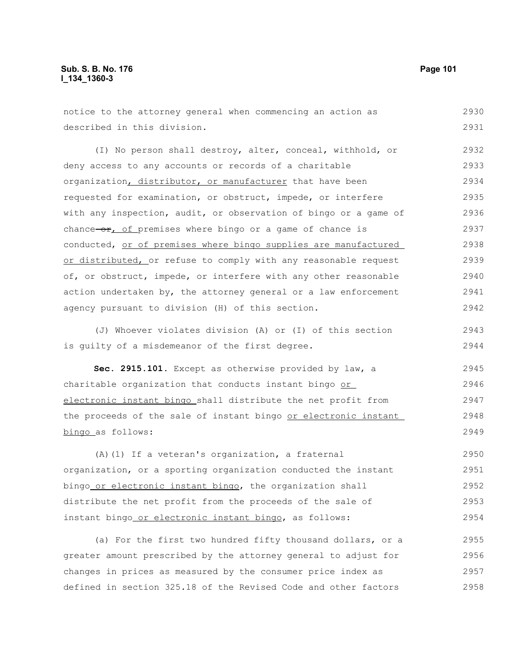| notice to the attorney general when commencing an action as      | 2930 |
|------------------------------------------------------------------|------|
| described in this division.                                      | 2931 |
| (I) No person shall destroy, alter, conceal, withhold, or        | 2932 |
| deny access to any accounts or records of a charitable           | 2933 |
| organization, distributor, or manufacturer that have been        | 2934 |
| requested for examination, or obstruct, impede, or interfere     | 2935 |
| with any inspection, audit, or observation of bingo or a game of | 2936 |
| chance-or, of premises where bingo or a game of chance is        | 2937 |
| conducted, or of premises where bingo supplies are manufactured  | 2938 |
| or distributed, or refuse to comply with any reasonable request  | 2939 |
| of, or obstruct, impede, or interfere with any other reasonable  | 2940 |
| action undertaken by, the attorney general or a law enforcement  | 2941 |
| agency pursuant to division (H) of this section.                 | 2942 |
| (J) Whoever violates division (A) or (I) of this section         | 2943 |
| is guilty of a misdemeanor of the first degree.                  | 2944 |
| Sec. 2915.101. Except as otherwise provided by law, a            | 2945 |
| charitable organization that conducts instant bingo or           | 2946 |
| electronic instant bingo shall distribute the net profit from    | 2947 |
| the proceeds of the sale of instant bingo or electronic instant  | 2948 |
| bingo as follows:                                                | 2949 |
| (A) (1) If a veteran's organization, a fraternal                 | 2950 |
| organization, or a sporting organization conducted the instant   | 2951 |
| bingo or electronic instant bingo, the organization shall        | 2952 |
| distribute the net profit from the proceeds of the sale of       | 2953 |
| instant bingo or electronic instant bingo, as follows:           | 2954 |
| (a) For the first two hundred fifty thousand dollars, or a       | 2955 |
| greater amount prescribed by the attorney general to adjust for  | 2956 |

changes in prices as measured by the consumer price index as defined in section 325.18 of the Revised Code and other factors 2957 2958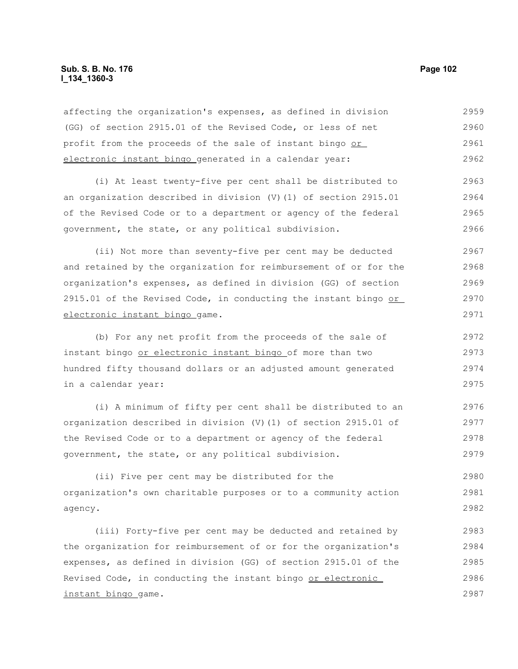affecting the organization's expenses, as defined in division (GG) of section 2915.01 of the Revised Code, or less of net profit from the proceeds of the sale of instant bingo or electronic instant bingo generated in a calendar year: 2959 2960 2961 2962

(i) At least twenty-five per cent shall be distributed to an organization described in division (V)(1) of section 2915.01 of the Revised Code or to a department or agency of the federal government, the state, or any political subdivision. 2963 2964 2965 2966

(ii) Not more than seventy-five per cent may be deducted and retained by the organization for reimbursement of or for the organization's expenses, as defined in division (GG) of section 2915.01 of the Revised Code, in conducting the instant bingo or electronic instant bingo game. 2967 2968 2969 2970 2971

(b) For any net profit from the proceeds of the sale of instant bingo or electronic instant bingo of more than two hundred fifty thousand dollars or an adjusted amount generated in a calendar year: 2972 2973 2974 2975

(i) A minimum of fifty per cent shall be distributed to an organization described in division (V)(1) of section 2915.01 of the Revised Code or to a department or agency of the federal government, the state, or any political subdivision. 2976 2977 2978 2979

(ii) Five per cent may be distributed for the organization's own charitable purposes or to a community action agency. 2980 2981 2982

(iii) Forty-five per cent may be deducted and retained by the organization for reimbursement of or for the organization's expenses, as defined in division (GG) of section 2915.01 of the Revised Code, in conducting the instant bingo or electronic instant bingo game. 2983 2984 2985 2986 2987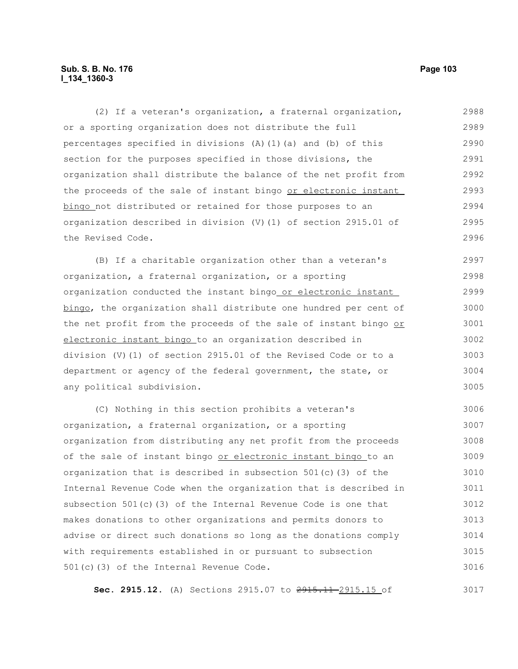## **Sub. S. B. No. 176 Page 103 l\_134\_1360-3**

(2) If a veteran's organization, a fraternal organization, or a sporting organization does not distribute the full percentages specified in divisions (A)(1)(a) and (b) of this section for the purposes specified in those divisions, the organization shall distribute the balance of the net profit from the proceeds of the sale of instant bingo or electronic instant bingo not distributed or retained for those purposes to an organization described in division (V)(1) of section 2915.01 of the Revised Code. 2988 2989 2990 2991 2992 2993 2994 2995 2996

(B) If a charitable organization other than a veteran's organization, a fraternal organization, or a sporting organization conducted the instant bingo or electronic instant bingo, the organization shall distribute one hundred per cent of the net profit from the proceeds of the sale of instant bingo or electronic instant bingo to an organization described in division (V)(1) of section 2915.01 of the Revised Code or to a department or agency of the federal government, the state, or any political subdivision. 2997 2998 2999 3000 3001 3002 3003 3004 3005

(C) Nothing in this section prohibits a veteran's organization, a fraternal organization, or a sporting organization from distributing any net profit from the proceeds of the sale of instant bingo or electronic instant bingo to an organization that is described in subsection  $501(c)$  (3) of the Internal Revenue Code when the organization that is described in subsection  $501(c)$  (3) of the Internal Revenue Code is one that makes donations to other organizations and permits donors to advise or direct such donations so long as the donations comply with requirements established in or pursuant to subsection 501(c)(3) of the Internal Revenue Code. 3006 3007 3008 3009 3010 3011 3012 3013 3014 3015 3016

**Sec. 2915.12.** (A) Sections 2915.07 to  $2915.11 - 2915.15$  of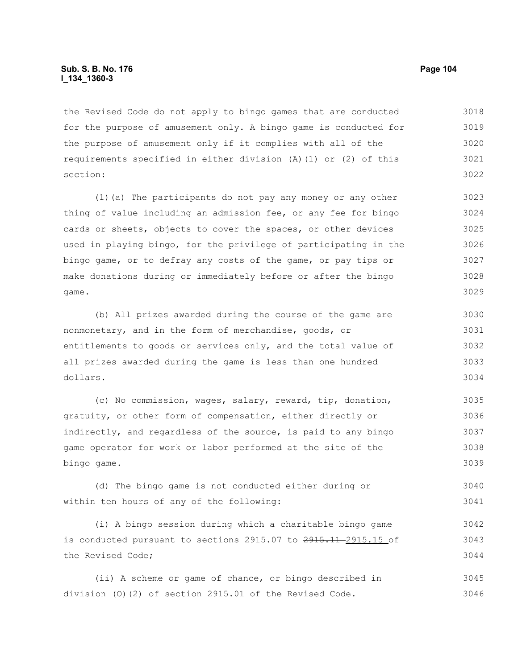# **Sub. S. B. No. 176** Page 104 **l\_134\_1360-3**

the Revised Code do not apply to bingo games that are conducted for the purpose of amusement only. A bingo game is conducted for the purpose of amusement only if it complies with all of the requirements specified in either division (A)(1) or (2) of this section: 3018 3019 3020 3021 3022

(1)(a) The participants do not pay any money or any other thing of value including an admission fee, or any fee for bingo cards or sheets, objects to cover the spaces, or other devices used in playing bingo, for the privilege of participating in the bingo game, or to defray any costs of the game, or pay tips or make donations during or immediately before or after the bingo game. 3023 3024 3025 3026 3027 3028 3029

(b) All prizes awarded during the course of the game are nonmonetary, and in the form of merchandise, goods, or entitlements to goods or services only, and the total value of all prizes awarded during the game is less than one hundred dollars. 3030 3031 3032 3033 3034

(c) No commission, wages, salary, reward, tip, donation, gratuity, or other form of compensation, either directly or indirectly, and regardless of the source, is paid to any bingo game operator for work or labor performed at the site of the bingo game. 3035 3036 3037 3038 3039

(d) The bingo game is not conducted either during or within ten hours of any of the following: 3040 3041

(i) A bingo session during which a charitable bingo game is conducted pursuant to sections 2915.07 to 2915.11-2915.15 of the Revised Code; 3042 3043 3044

(ii) A scheme or game of chance, or bingo described in division (O)(2) of section 2915.01 of the Revised Code. 3045 3046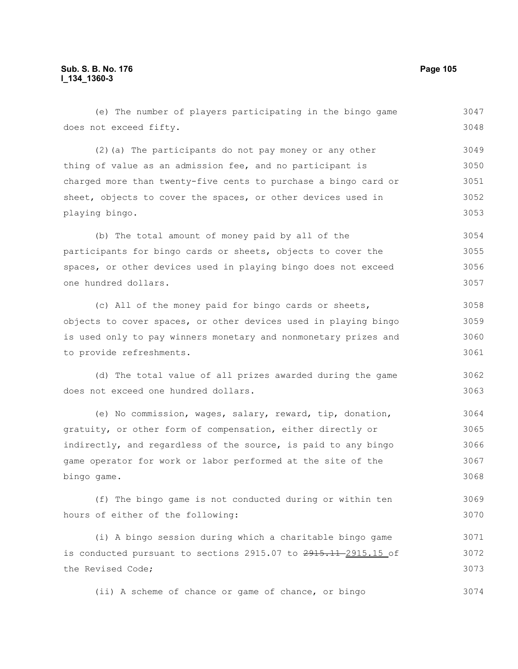| (e) The number of players participating in the bingo game       | 3047 |
|-----------------------------------------------------------------|------|
| does not exceed fifty.                                          | 3048 |
| (2) (a) The participants do not pay money or any other          | 3049 |
| thing of value as an admission fee, and no participant is       | 3050 |
| charged more than twenty-five cents to purchase a bingo card or | 3051 |
| sheet, objects to cover the spaces, or other devices used in    | 3052 |
| playing bingo.                                                  | 3053 |
| (b) The total amount of money paid by all of the                | 3054 |
| participants for bingo cards or sheets, objects to cover the    | 3055 |
| spaces, or other devices used in playing bingo does not exceed  | 3056 |
| one hundred dollars.                                            | 3057 |
| (c) All of the money paid for bingo cards or sheets,            | 3058 |
| objects to cover spaces, or other devices used in playing bingo | 3059 |
| is used only to pay winners monetary and nonmonetary prizes and | 3060 |
| to provide refreshments.                                        | 3061 |
| (d) The total value of all prizes awarded during the game       | 3062 |
| does not exceed one hundred dollars.                            | 3063 |
| (e) No commission, wages, salary, reward, tip, donation,        | 3064 |
| gratuity, or other form of compensation, either directly or     | 3065 |
| indirectly, and regardless of the source, is paid to any bingo  | 3066 |
| game operator for work or labor performed at the site of the    | 3067 |
| bingo game.                                                     | 3068 |
| (f) The bingo game is not conducted during or within ten        | 3069 |
| hours of either of the following:                               | 3070 |
| (i) A bingo session during which a charitable bingo game        | 3071 |
| is conducted pursuant to sections 2915.07 to 2915.11-2915.15 of | 3072 |
| the Revised Code;                                               | 3073 |
| (ii) A scheme of chance or game of chance, or bingo             | 3074 |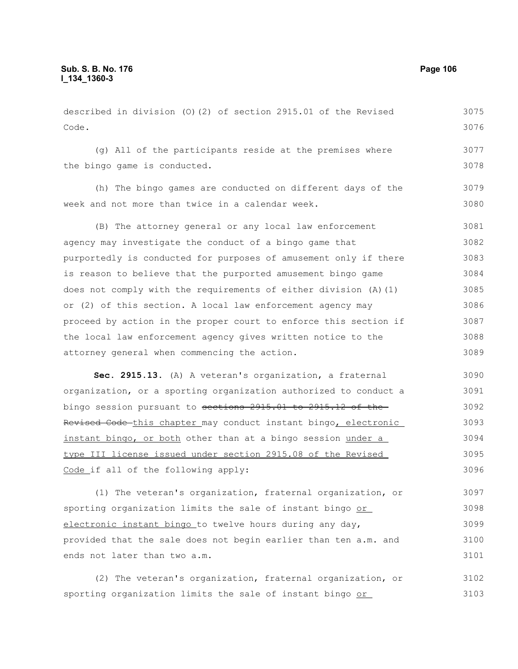| described in division (0)(2) of section 2915.01 of the Revised   | 3075 |
|------------------------------------------------------------------|------|
| Code.                                                            | 3076 |
| (g) All of the participants reside at the premises where         | 3077 |
| the bingo game is conducted.                                     | 3078 |
|                                                                  | 3079 |
| (h) The bingo games are conducted on different days of the       |      |
| week and not more than twice in a calendar week.                 | 3080 |
| (B) The attorney general or any local law enforcement            | 3081 |
| agency may investigate the conduct of a bingo game that          | 3082 |
| purportedly is conducted for purposes of amusement only if there | 3083 |
| is reason to believe that the purported amusement bingo game     | 3084 |
| does not comply with the requirements of either division (A) (1) | 3085 |
| or (2) of this section. A local law enforcement agency may       | 3086 |
| proceed by action in the proper court to enforce this section if | 3087 |
| the local law enforcement agency gives written notice to the     | 3088 |
| attorney general when commencing the action.                     | 3089 |
| Sec. 2915.13. (A) A veteran's organization, a fraternal          | 3090 |
| organization, or a sporting organization authorized to conduct a | 3091 |
| bingo session pursuant to sections 2915.01 to 2915.12 of the     | 3092 |
| Revised Code this chapter may conduct instant bingo, electronic  | 3093 |
| instant bingo, or both other than at a bingo session under a     | 3094 |
| type III license issued under section 2915.08 of the Revised     | 3095 |
| Code if all of the following apply:                              | 3096 |
| (1) The veteran's organization, fraternal organization, or       | 3097 |
| sporting organization limits the sale of instant bingo or        | 3098 |
| electronic instant bingo to twelve hours during any day,         | 3099 |
| provided that the sale does not begin earlier than ten a.m. and  | 3100 |
| ends not later than two a.m.                                     | 3101 |
|                                                                  |      |

(2) The veteran's organization, fraternal organization, or sporting organization limits the sale of instant bingo or 3102 3103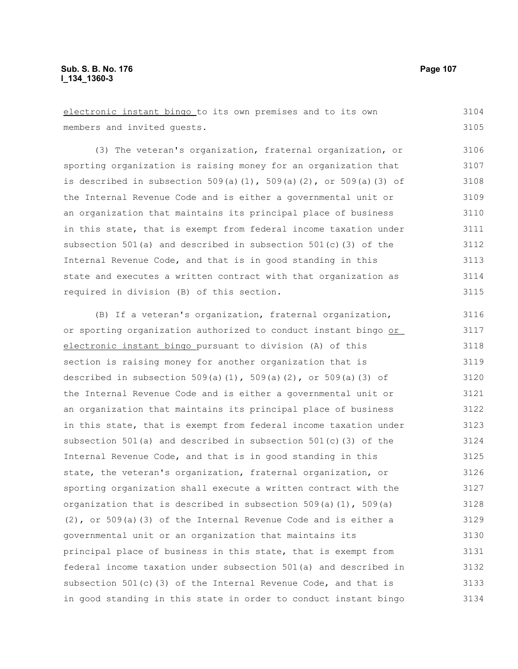electronic instant bingo to its own premises and to its own members and invited guests. 3104 3105

(3) The veteran's organization, fraternal organization, or sporting organization is raising money for an organization that is described in subsection  $509(a)(1)$ ,  $509(a)(2)$ , or  $509(a)(3)$  of the Internal Revenue Code and is either a governmental unit or an organization that maintains its principal place of business in this state, that is exempt from federal income taxation under subsection 501(a) and described in subsection 501(c)(3) of the Internal Revenue Code, and that is in good standing in this state and executes a written contract with that organization as required in division (B) of this section. 3106 3107 3108 3109 3110 3111 3112 3113 3114 3115

(B) If a veteran's organization, fraternal organization, or sporting organization authorized to conduct instant bingo or electronic instant bingo pursuant to division (A) of this section is raising money for another organization that is described in subsection  $509(a)(1)$ ,  $509(a)(2)$ , or  $509(a)(3)$  of the Internal Revenue Code and is either a governmental unit or an organization that maintains its principal place of business in this state, that is exempt from federal income taxation under subsection 501(a) and described in subsection 501(c)(3) of the Internal Revenue Code, and that is in good standing in this state, the veteran's organization, fraternal organization, or sporting organization shall execute a written contract with the organization that is described in subsection  $509(a)(1)$ ,  $509(a)$ (2), or 509(a)(3) of the Internal Revenue Code and is either a governmental unit or an organization that maintains its principal place of business in this state, that is exempt from federal income taxation under subsection 501(a) and described in subsection  $501(c)(3)$  of the Internal Revenue Code, and that is in good standing in this state in order to conduct instant bingo 3116 3117 3118 3119 3120 3121 3122 3123 3124 3125 3126 3127 3128 3129 3130 3131 3132 3133 3134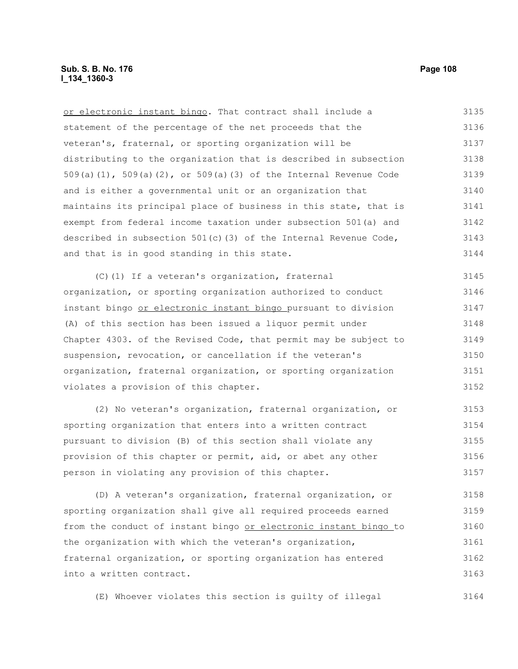or electronic instant bingo. That contract shall include a statement of the percentage of the net proceeds that the veteran's, fraternal, or sporting organization will be distributing to the organization that is described in subsection 509(a)(1), 509(a)(2), or 509(a)(3) of the Internal Revenue Code and is either a governmental unit or an organization that maintains its principal place of business in this state, that is exempt from federal income taxation under subsection 501(a) and described in subsection 501(c)(3) of the Internal Revenue Code, and that is in good standing in this state. (C)(1) If a veteran's organization, fraternal organization, or sporting organization authorized to conduct instant bingo or electronic instant bingo pursuant to division (A) of this section has been issued a liquor permit under Chapter 4303. of the Revised Code, that permit may be subject to suspension, revocation, or cancellation if the veteran's organization, fraternal organization, or sporting organization violates a provision of this chapter. (2) No veteran's organization, fraternal organization, or sporting organization that enters into a written contract pursuant to division (B) of this section shall violate any provision of this chapter or permit, aid, or abet any other person in violating any provision of this chapter. 3135 3136 3137 3138 3139 3140 3141 3142 3143 3144 3145 3146 3147 3148 3149 3150 3151 3152 3153 3154 3155 3156 3157

(D) A veteran's organization, fraternal organization, or sporting organization shall give all required proceeds earned from the conduct of instant bingo or electronic instant bingo to the organization with which the veteran's organization, fraternal organization, or sporting organization has entered into a written contract. 3158 3159 3160 3161 3162 3163

(E) Whoever violates this section is guilty of illegal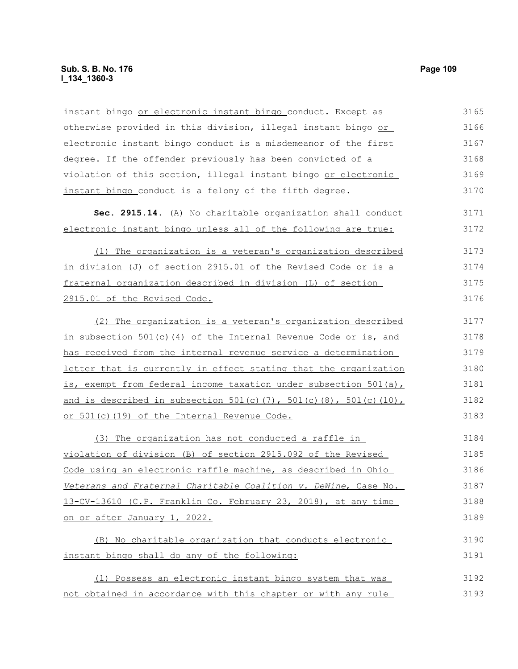| instant bingo or electronic instant bingo conduct. Except as            | 3165 |
|-------------------------------------------------------------------------|------|
| otherwise provided in this division, illegal instant bingo or           | 3166 |
| electronic instant bingo conduct is a misdemeanor of the first          | 3167 |
| degree. If the offender previously has been convicted of a              | 3168 |
| violation of this section, illegal instant bingo or electronic          | 3169 |
| instant bingo conduct is a felony of the fifth degree.                  | 3170 |
| Sec. 2915.14. (A) No charitable organization shall conduct              | 3171 |
| electronic instant bingo unless all of the following are true:          | 3172 |
| (1) The organization is a veteran's organization described              | 3173 |
| in division (J) of section 2915.01 of the Revised Code or is a          | 3174 |
| fraternal organization described in division (L) of section             | 3175 |
| 2915.01 of the Revised Code.                                            | 3176 |
| (2) The organization is a veteran's organization described              | 3177 |
| in subsection 501(c)(4) of the Internal Revenue Code or is, and         | 3178 |
| has received from the internal revenue service a determination          | 3179 |
| letter that is currently in effect stating that the organization        | 3180 |
| is, exempt from federal income taxation under subsection 501(a),        | 3181 |
| <u>and is described in subsection 501(c)(7), 501(c)(8), 501(c)(10),</u> | 3182 |
| or 501(c)(19) of the Internal Revenue Code.                             | 3183 |
| (3) The organization has not conducted a raffle in                      | 3184 |
| violation of division (B) of section 2915.092 of the Revised            | 3185 |
| Code using an electronic raffle machine, as described in Ohio           | 3186 |
| Veterans and Fraternal Charitable Coalition v. DeWine, Case No.         | 3187 |
| 13-CV-13610 (C.P. Franklin Co. February 23, 2018), at any time          | 3188 |
| on or after January 1, 2022.                                            | 3189 |
| (B) No charitable organization that conducts electronic                 | 3190 |
| instant bingo shall do any of the following:                            | 3191 |
| (1) Possess an electronic instant bingo system that was                 | 3192 |
| not obtained in accordance with this chapter or with any rule           | 3193 |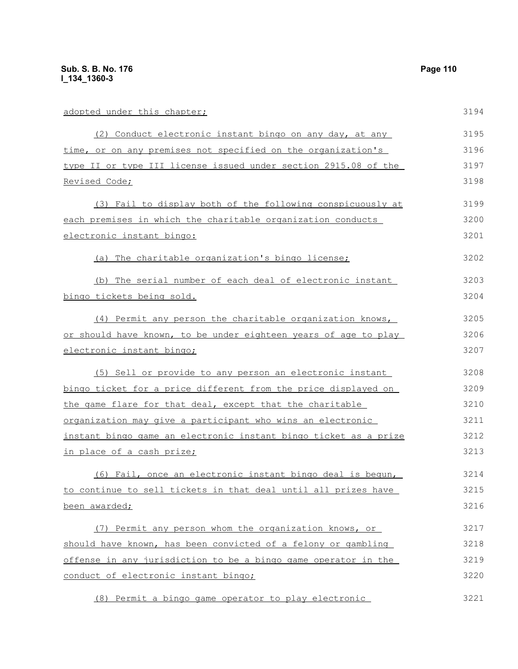| adopted under this chapter;                                       | 3194 |
|-------------------------------------------------------------------|------|
| (2) Conduct electronic instant bingo on any day, at any           | 3195 |
| time, or on any premises not specified on the organization's      | 3196 |
| type II or type III license issued under section 2915.08 of the   | 3197 |
| <u>Revised Code;</u>                                              | 3198 |
| (3) Fail to display both of the following conspicuously at        | 3199 |
| each premises in which the charitable organization conducts       | 3200 |
| <u>electronic instant bingo:</u>                                  | 3201 |
| (a) The charitable organization's bingo license;                  | 3202 |
| (b) The serial number of each deal of electronic instant          | 3203 |
| bingo tickets being sold.                                         | 3204 |
| (4) Permit any person the charitable organization knows,          | 3205 |
| or should have known, to be under eighteen years of age to play   | 3206 |
| electronic instant bingo;                                         | 3207 |
| (5) Sell or provide to any person an electronic instant           | 3208 |
| bingo ticket for a price different from the price displayed on    | 3209 |
| the game flare for that deal, except that the charitable          | 3210 |
| <u>organization may qive a participant who wins an electronic</u> | 3211 |
| instant bingo game an electronic instant bingo ticket as a prize  | 3212 |
| in place of a cash prize;                                         | 3213 |
| (6) Fail, once an electronic instant bingo deal is begun,         | 3214 |
| to continue to sell tickets in that deal until all prizes have    | 3215 |
| <u>been awarded;</u>                                              | 3216 |
| (7) Permit any person whom the organization knows, or             | 3217 |
| should have known, has been convicted of a felony or gambling     | 3218 |
| offense in any jurisdiction to be a bingo game operator in the    | 3219 |
| conduct of electronic instant bingo;                              | 3220 |
| (8) Permit a bingo game operator to play electronic               | 3221 |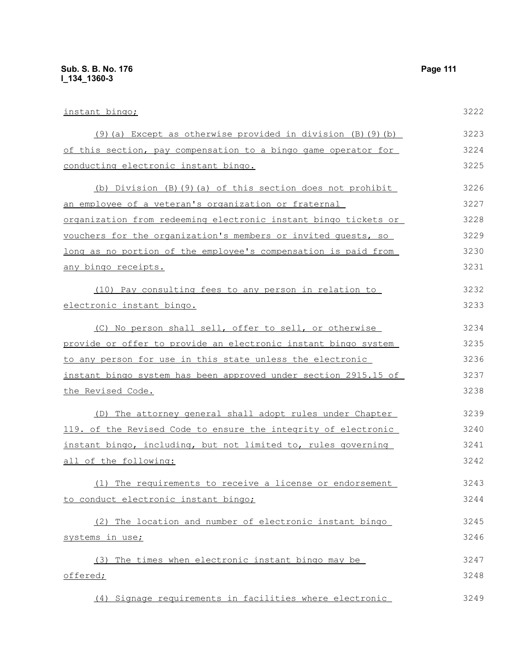| instant bingo;                                                  | 3222 |
|-----------------------------------------------------------------|------|
| (9) (a) Except as otherwise provided in division (B) (9) (b)    | 3223 |
| of this section, pay compensation to a bingo game operator for  | 3224 |
| conducting electronic instant bingo.                            | 3225 |
| (b) Division (B) (9) (a) of this section does not prohibit      | 3226 |
| an employee of a veteran's organization or fraternal            | 3227 |
| organization from redeeming electronic instant bingo tickets or | 3228 |
| vouchers for the organization's members or invited quests, so   | 3229 |
| long as no portion of the employee's compensation is paid from  | 3230 |
| any bingo receipts.                                             | 3231 |
| (10) Pay consulting fees to any person in relation to           | 3232 |
| electronic instant bingo.                                       | 3233 |
| (C) No person shall sell, offer to sell, or otherwise           | 3234 |
| provide or offer to provide an electronic instant bingo system  | 3235 |
| to any person for use in this state unless the electronic       | 3236 |
| instant bingo system has been approved under section 2915.15 of | 3237 |
| the Revised Code.                                               | 3238 |
| (D) The attorney general shall adopt rules under Chapter        | 3239 |
| 119. of the Revised Code to ensure the integrity of electronic  | 3240 |
| instant bingo, including, but not limited to, rules governing   | 3241 |
| all of the following:                                           | 3242 |
| (1) The requirements to receive a license or endorsement        | 3243 |
| to conduct electronic instant bingo;                            | 3244 |
| (2) The location and number of electronic instant bingo         | 3245 |
| systems in use;                                                 | 3246 |
| (3) The times when electronic instant bingo may be              | 3247 |
| offered;                                                        | 3248 |
| (4) Signage requirements in facilities where electronic         | 3249 |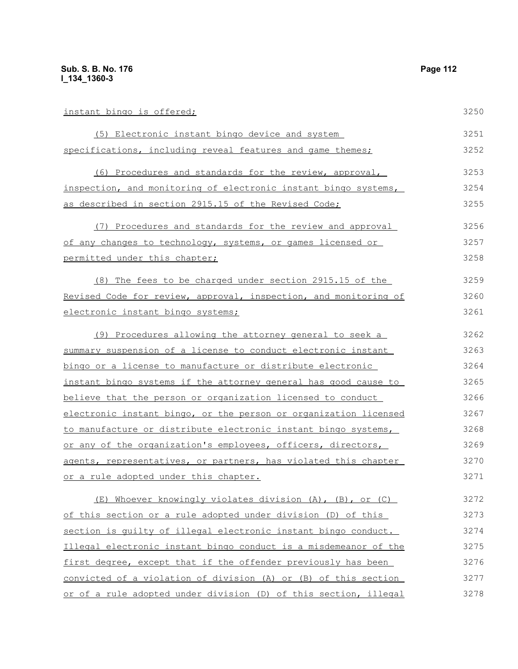| instant bingo is offered;                                        | 3250 |
|------------------------------------------------------------------|------|
| (5) Electronic instant bingo device and system                   | 3251 |
| specifications, including reveal features and game themes;       | 3252 |
| (6) Procedures and standards for the review, approval,           | 3253 |
| inspection, and monitoring of electronic instant bingo systems,  | 3254 |
| as described in section 2915.15 of the Revised Code;             | 3255 |
| (7) Procedures and standards for the review and approval         | 3256 |
| of any changes to technology, systems, or games licensed or      | 3257 |
| permitted under this chapter;                                    | 3258 |
| (8) The fees to be charged under section 2915.15 of the          | 3259 |
| Revised Code for review, approval, inspection, and monitoring of | 3260 |
| electronic instant bingo systems;                                | 3261 |
| (9) Procedures allowing the attorney general to seek a           | 3262 |
| summary suspension of a license to conduct electronic instant    | 3263 |
| bingo or a license to manufacture or distribute electronic       | 3264 |
| instant bingo systems if the attorney general has good cause to  | 3265 |
| believe that the person or organization licensed to conduct      | 3266 |
| electronic instant bingo, or the person or organization licensed | 3267 |
| to manufacture or distribute electronic instant bingo systems,   | 3268 |
| or any of the organization's employees, officers, directors,     | 3269 |
| agents, representatives, or partners, has violated this chapter  | 3270 |
| or a rule adopted under this chapter.                            | 3271 |
| (E) Whoever knowingly violates division (A), (B), or (C)         | 3272 |
| of this section or a rule adopted under division (D) of this     | 3273 |
| section is quilty of illegal electronic instant bingo conduct.   | 3274 |
| Illegal electronic instant bingo conduct is a misdemeanor of the | 3275 |
| first degree, except that if the offender previously has been    | 3276 |
| convicted of a violation of division (A) or (B) of this section  | 3277 |
| or of a rule adopted under division (D) of this section, illegal | 3278 |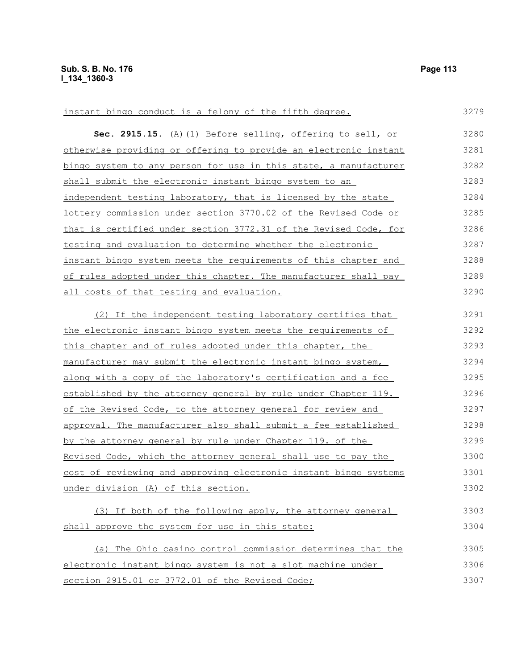instant bingo conduct is a felony of the fifth degree. **Sec. 2915.15.** (A)(1) Before selling, offering to sell, or otherwise providing or offering to provide an electronic instant bingo system to any person for use in this state, a manufacturer shall submit the electronic instant bingo system to an independent testing laboratory, that is licensed by the state lottery commission under section 3770.02 of the Revised Code or that is certified under section 3772.31 of the Revised Code, for testing and evaluation to determine whether the electronic instant bingo system meets the requirements of this chapter and of rules adopted under this chapter. The manufacturer shall pay all costs of that testing and evaluation. (2) If the independent testing laboratory certifies that the electronic instant bingo system meets the requirements of this chapter and of rules adopted under this chapter, the manufacturer may submit the electronic instant bingo system, along with a copy of the laboratory's certification and a fee established by the attorney general by rule under Chapter 119. of the Revised Code, to the attorney general for review and approval. The manufacturer also shall submit a fee established by the attorney general by rule under Chapter 119. of the Revised Code, which the attorney general shall use to pay the cost of reviewing and approving electronic instant bingo systems under division (A) of this section. 3280 3281 3282 3283 3284 3285 3286 3287 3288 3289 3290 3291 3292 3293 3294 3295 3296 3297 3298 3299 3300 3301 3302

(3) If both of the following apply, the attorney general shall approve the system for use in this state: 3303 3304

(a) The Ohio casino control commission determines that the electronic instant bingo system is not a slot machine under section 2915.01 or 3772.01 of the Revised Code; 3305 3306 3307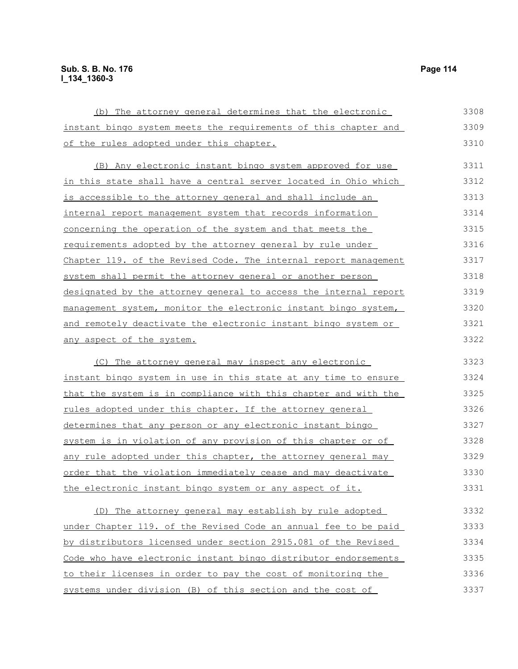(b) The attorney general determines that the electronic instant bingo system meets the requirements of this chapter and of the rules adopted under this chapter. (B) Any electronic instant bingo system approved for use in this state shall have a central server located in Ohio which is accessible to the attorney general and shall include an internal report management system that records information concerning the operation of the system and that meets the requirements adopted by the attorney general by rule under Chapter 119. of the Revised Code. The internal report management system shall permit the attorney general or another person designated by the attorney general to access the internal report management system, monitor the electronic instant bingo system, and remotely deactivate the electronic instant bingo system or any aspect of the system. (C) The attorney general may inspect any electronic instant bingo system in use in this state at any time to ensure that the system is in compliance with this chapter and with the rules adopted under this chapter. If the attorney general determines that any person or any electronic instant bingo system is in violation of any provision of this chapter or of any rule adopted under this chapter, the attorney general may order that the violation immediately cease and may deactivate the electronic instant bingo system or any aspect of it. (D) The attorney general may establish by rule adopted under Chapter 119. of the Revised Code an annual fee to be paid by distributors licensed under section 2915.081 of the Revised Code who have electronic instant bingo distributor endorsements to their licenses in order to pay the cost of monitoring the 3308 3309 3310 3311 3312 3313 3314 3315 3316 3317 3318 3319 3320 3321 3322 3323 3324 3325 3326 3327 3328 3329 3330 3331 3332 3333 3334 3335 3336

systems under division (B) of this section and the cost of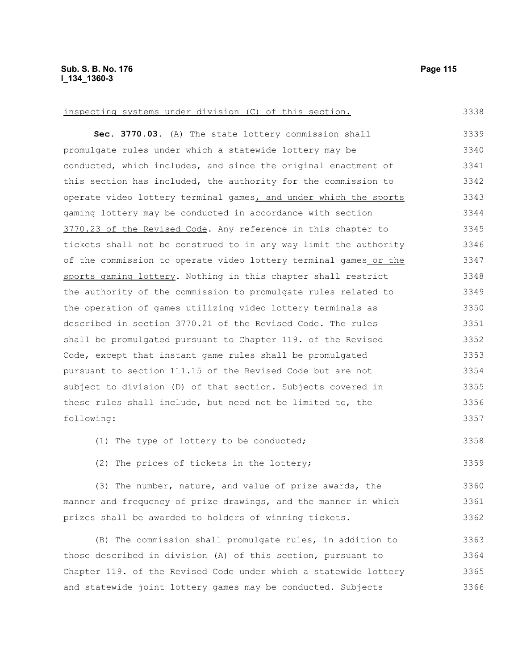#### inspecting systems under division (C) of this section. **Sec. 3770.03.** (A) The state lottery commission shall promulgate rules under which a statewide lottery may be conducted, which includes, and since the original enactment of this section has included, the authority for the commission to operate video lottery terminal games, and under which the sports gaming lottery may be conducted in accordance with section 3770.23 of the Revised Code. Any reference in this chapter to tickets shall not be construed to in any way limit the authority of the commission to operate video lottery terminal games or the sports gaming lottery. Nothing in this chapter shall restrict the authority of the commission to promulgate rules related to the operation of games utilizing video lottery terminals as described in section 3770.21 of the Revised Code. The rules shall be promulgated pursuant to Chapter 119. of the Revised Code, except that instant game rules shall be promulgated pursuant to section 111.15 of the Revised Code but are not subject to division (D) of that section. Subjects covered in these rules shall include, but need not be limited to, the following: (1) The type of lottery to be conducted; (2) The prices of tickets in the lottery; (3) The number, nature, and value of prize awards, the manner and frequency of prize drawings, and the manner in which prizes shall be awarded to holders of winning tickets. (B) The commission shall promulgate rules, in addition to those described in division (A) of this section, pursuant to Chapter 119. of the Revised Code under which a statewide lottery and statewide joint lottery games may be conducted. Subjects 3338 3339 3340 3341 3342 3343 3344 3345 3346 3347 3348 3349 3350 3351 3352 3353 3354 3355 3356 3357 3358 3359 3360 3361 3362 3363 3364 3365 3366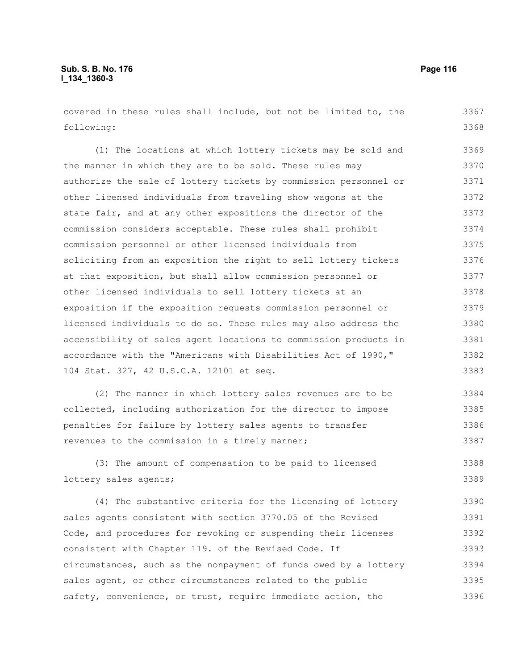covered in these rules shall include, but not be limited to, the following: 3367 3368

(1) The locations at which lottery tickets may be sold and the manner in which they are to be sold. These rules may authorize the sale of lottery tickets by commission personnel or other licensed individuals from traveling show wagons at the state fair, and at any other expositions the director of the commission considers acceptable. These rules shall prohibit commission personnel or other licensed individuals from soliciting from an exposition the right to sell lottery tickets at that exposition, but shall allow commission personnel or other licensed individuals to sell lottery tickets at an exposition if the exposition requests commission personnel or licensed individuals to do so. These rules may also address the accessibility of sales agent locations to commission products in accordance with the "Americans with Disabilities Act of 1990," 104 Stat. 327, 42 U.S.C.A. 12101 et seq. 3369 3370 3371 3372 3373 3374 3375 3376 3377 3378 3379 3380 3381 3382 3383

(2) The manner in which lottery sales revenues are to be collected, including authorization for the director to impose penalties for failure by lottery sales agents to transfer revenues to the commission in a timely manner; 3384 3385 3386 3387

(3) The amount of compensation to be paid to licensed lottery sales agents; 3388 3389

(4) The substantive criteria for the licensing of lottery sales agents consistent with section 3770.05 of the Revised Code, and procedures for revoking or suspending their licenses consistent with Chapter 119. of the Revised Code. If circumstances, such as the nonpayment of funds owed by a lottery sales agent, or other circumstances related to the public safety, convenience, or trust, require immediate action, the 3390 3391 3392 3393 3394 3395 3396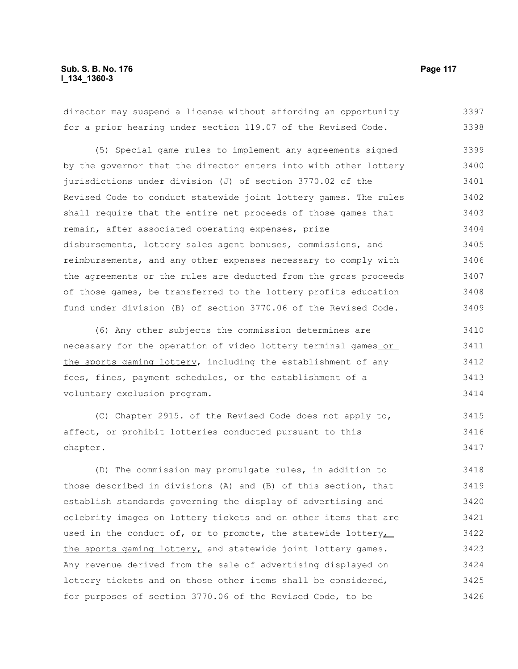# **Sub. S. B. No. 176 Page 117 l\_134\_1360-3**

director may suspend a license without affording an opportunity for a prior hearing under section 119.07 of the Revised Code. 3397 3398

(5) Special game rules to implement any agreements signed by the governor that the director enters into with other lottery jurisdictions under division (J) of section 3770.02 of the Revised Code to conduct statewide joint lottery games. The rules shall require that the entire net proceeds of those games that remain, after associated operating expenses, prize disbursements, lottery sales agent bonuses, commissions, and reimbursements, and any other expenses necessary to comply with the agreements or the rules are deducted from the gross proceeds of those games, be transferred to the lottery profits education fund under division (B) of section 3770.06 of the Revised Code. 3399 3400 3401 3402 3403 3404 3405 3406 3407 3408 3409

(6) Any other subjects the commission determines are necessary for the operation of video lottery terminal games or the sports gaming lottery, including the establishment of any fees, fines, payment schedules, or the establishment of a voluntary exclusion program. 3410 3411 3412 3413 3414

(C) Chapter 2915. of the Revised Code does not apply to, affect, or prohibit lotteries conducted pursuant to this chapter. 3415 3416 3417

(D) The commission may promulgate rules, in addition to those described in divisions (A) and (B) of this section, that establish standards governing the display of advertising and celebrity images on lottery tickets and on other items that are used in the conduct of, or to promote, the statewide lottery, the sports gaming lottery, and statewide joint lottery games. Any revenue derived from the sale of advertising displayed on lottery tickets and on those other items shall be considered, for purposes of section 3770.06 of the Revised Code, to be 3418 3419 3420 3421 3422 3423 3424 3425 3426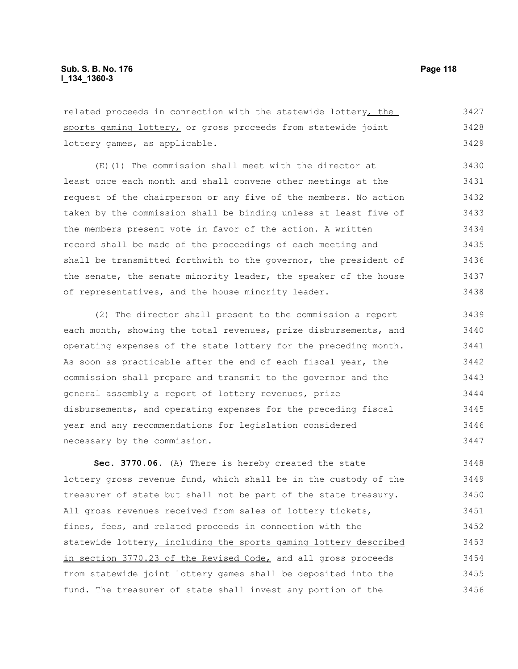# **Sub. S. B. No. 176 Page 118 l\_134\_1360-3**

related proceeds in connection with the statewide lottery, the sports gaming lottery, or gross proceeds from statewide joint lottery games, as applicable. 3427 3428 3429

(E)(1) The commission shall meet with the director at least once each month and shall convene other meetings at the request of the chairperson or any five of the members. No action taken by the commission shall be binding unless at least five of the members present vote in favor of the action. A written record shall be made of the proceedings of each meeting and shall be transmitted forthwith to the governor, the president of the senate, the senate minority leader, the speaker of the house of representatives, and the house minority leader. 3430 3431 3432 3433 3434 3435 3436 3437 3438

(2) The director shall present to the commission a report each month, showing the total revenues, prize disbursements, and operating expenses of the state lottery for the preceding month. As soon as practicable after the end of each fiscal year, the commission shall prepare and transmit to the governor and the general assembly a report of lottery revenues, prize disbursements, and operating expenses for the preceding fiscal year and any recommendations for legislation considered necessary by the commission. 3439 3440 3441 3442 3443 3444 3445 3446 3447

**Sec. 3770.06.** (A) There is hereby created the state lottery gross revenue fund, which shall be in the custody of the treasurer of state but shall not be part of the state treasury. All gross revenues received from sales of lottery tickets, fines, fees, and related proceeds in connection with the statewide lottery, including the sports gaming lottery described in section 3770.23 of the Revised Code, and all gross proceeds from statewide joint lottery games shall be deposited into the fund. The treasurer of state shall invest any portion of the 3448 3449 3450 3451 3452 3453 3454 3455 3456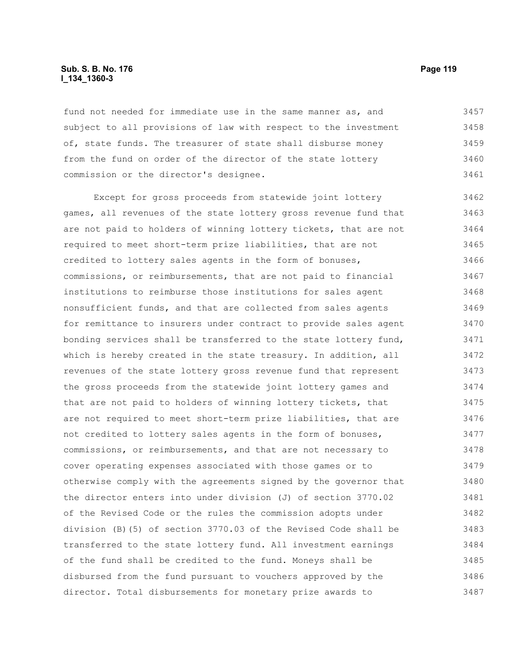## **Sub. S. B. No. 176 Page 119 l\_134\_1360-3**

fund not needed for immediate use in the same manner as, and subject to all provisions of law with respect to the investment of, state funds. The treasurer of state shall disburse money from the fund on order of the director of the state lottery commission or the director's designee. 3457 3458 3459 3460 3461

Except for gross proceeds from statewide joint lottery games, all revenues of the state lottery gross revenue fund that are not paid to holders of winning lottery tickets, that are not required to meet short-term prize liabilities, that are not credited to lottery sales agents in the form of bonuses, commissions, or reimbursements, that are not paid to financial institutions to reimburse those institutions for sales agent nonsufficient funds, and that are collected from sales agents for remittance to insurers under contract to provide sales agent bonding services shall be transferred to the state lottery fund, which is hereby created in the state treasury. In addition, all revenues of the state lottery gross revenue fund that represent the gross proceeds from the statewide joint lottery games and that are not paid to holders of winning lottery tickets, that are not required to meet short-term prize liabilities, that are not credited to lottery sales agents in the form of bonuses, commissions, or reimbursements, and that are not necessary to cover operating expenses associated with those games or to otherwise comply with the agreements signed by the governor that the director enters into under division (J) of section 3770.02 of the Revised Code or the rules the commission adopts under division (B)(5) of section 3770.03 of the Revised Code shall be transferred to the state lottery fund. All investment earnings of the fund shall be credited to the fund. Moneys shall be disbursed from the fund pursuant to vouchers approved by the director. Total disbursements for monetary prize awards to 3462 3463 3464 3465 3466 3467 3468 3469 3470 3471 3472 3473 3474 3475 3476 3477 3478 3479 3480 3481 3482 3483 3484 3485 3486 3487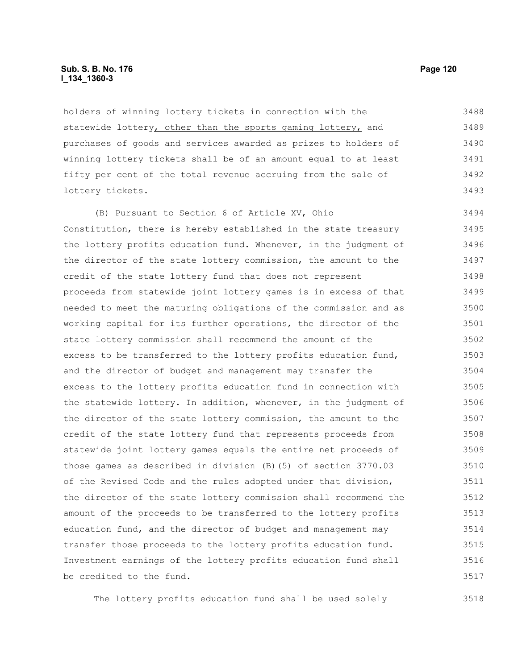# **Sub. S. B. No. 176 Page 120 l\_134\_1360-3**

holders of winning lottery tickets in connection with the statewide lottery, other than the sports gaming lottery, and purchases of goods and services awarded as prizes to holders of winning lottery tickets shall be of an amount equal to at least fifty per cent of the total revenue accruing from the sale of lottery tickets. 3488 3489 3490 3491 3492 3493

(B) Pursuant to Section 6 of Article XV, Ohio Constitution, there is hereby established in the state treasury the lottery profits education fund. Whenever, in the judgment of the director of the state lottery commission, the amount to the credit of the state lottery fund that does not represent proceeds from statewide joint lottery games is in excess of that needed to meet the maturing obligations of the commission and as working capital for its further operations, the director of the state lottery commission shall recommend the amount of the excess to be transferred to the lottery profits education fund, and the director of budget and management may transfer the excess to the lottery profits education fund in connection with the statewide lottery. In addition, whenever, in the judgment of the director of the state lottery commission, the amount to the credit of the state lottery fund that represents proceeds from statewide joint lottery games equals the entire net proceeds of those games as described in division (B)(5) of section 3770.03 of the Revised Code and the rules adopted under that division, the director of the state lottery commission shall recommend the amount of the proceeds to be transferred to the lottery profits education fund, and the director of budget and management may transfer those proceeds to the lottery profits education fund. Investment earnings of the lottery profits education fund shall be credited to the fund. 3494 3495 3496 3497 3498 3499 3500 3501 3502 3503 3504 3505 3506 3507 3508 3509 3510 3511 3512 3513 3514 3515 3516 3517

The lottery profits education fund shall be used solely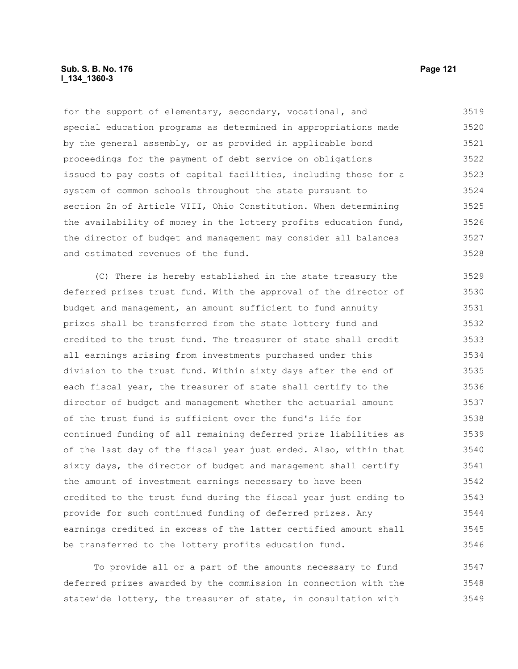for the support of elementary, secondary, vocational, and special education programs as determined in appropriations made by the general assembly, or as provided in applicable bond proceedings for the payment of debt service on obligations issued to pay costs of capital facilities, including those for a system of common schools throughout the state pursuant to section 2n of Article VIII, Ohio Constitution. When determining the availability of money in the lottery profits education fund, the director of budget and management may consider all balances and estimated revenues of the fund. 3519 3520 3521 3522 3523 3524 3525 3526 3527 3528

(C) There is hereby established in the state treasury the deferred prizes trust fund. With the approval of the director of budget and management, an amount sufficient to fund annuity prizes shall be transferred from the state lottery fund and credited to the trust fund. The treasurer of state shall credit all earnings arising from investments purchased under this division to the trust fund. Within sixty days after the end of each fiscal year, the treasurer of state shall certify to the director of budget and management whether the actuarial amount of the trust fund is sufficient over the fund's life for continued funding of all remaining deferred prize liabilities as of the last day of the fiscal year just ended. Also, within that sixty days, the director of budget and management shall certify the amount of investment earnings necessary to have been credited to the trust fund during the fiscal year just ending to provide for such continued funding of deferred prizes. Any earnings credited in excess of the latter certified amount shall be transferred to the lottery profits education fund. 3529 3530 3531 3532 3533 3534 3535 3536 3537 3538 3539 3540 3541 3542 3543 3544 3545 3546

To provide all or a part of the amounts necessary to fund deferred prizes awarded by the commission in connection with the statewide lottery, the treasurer of state, in consultation with 3547 3548 3549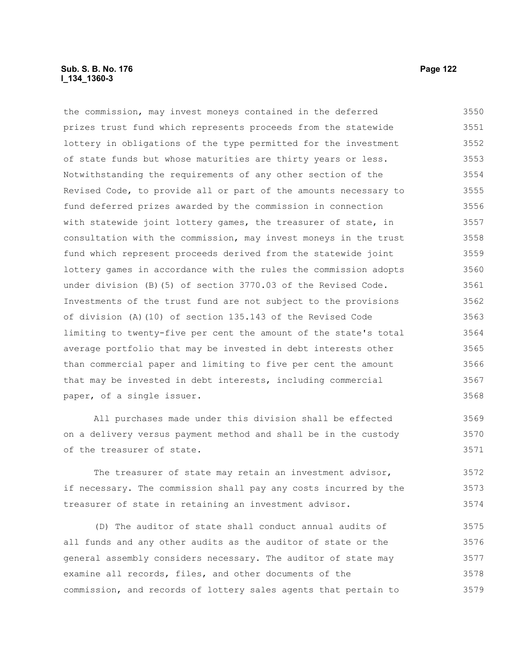## **Sub. S. B. No. 176 Page 122 l\_134\_1360-3**

the commission, may invest moneys contained in the deferred prizes trust fund which represents proceeds from the statewide lottery in obligations of the type permitted for the investment of state funds but whose maturities are thirty years or less. Notwithstanding the requirements of any other section of the Revised Code, to provide all or part of the amounts necessary to fund deferred prizes awarded by the commission in connection with statewide joint lottery games, the treasurer of state, in consultation with the commission, may invest moneys in the trust fund which represent proceeds derived from the statewide joint lottery games in accordance with the rules the commission adopts under division (B)(5) of section 3770.03 of the Revised Code. Investments of the trust fund are not subject to the provisions of division (A)(10) of section 135.143 of the Revised Code limiting to twenty-five per cent the amount of the state's total average portfolio that may be invested in debt interests other than commercial paper and limiting to five per cent the amount that may be invested in debt interests, including commercial paper, of a single issuer. 3550 3551 3552 3553 3554 3555 3556 3557 3558 3559 3560 3561 3562 3563 3564 3565 3566 3567 3568

All purchases made under this division shall be effected on a delivery versus payment method and shall be in the custody of the treasurer of state.

The treasurer of state may retain an investment advisor, if necessary. The commission shall pay any costs incurred by the treasurer of state in retaining an investment advisor. 3572 3573 3574

(D) The auditor of state shall conduct annual audits of all funds and any other audits as the auditor of state or the general assembly considers necessary. The auditor of state may examine all records, files, and other documents of the commission, and records of lottery sales agents that pertain to 3575 3576 3577 3578 3579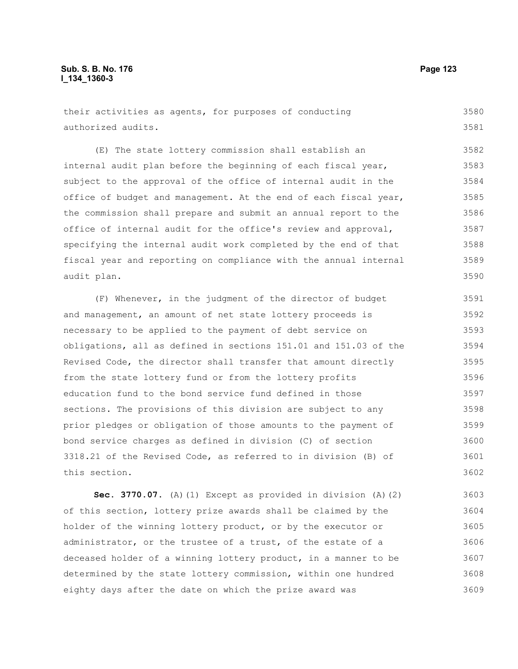their activities as agents, for purposes of conducting authorized audits. 3580 3581

(E) The state lottery commission shall establish an internal audit plan before the beginning of each fiscal year, subject to the approval of the office of internal audit in the office of budget and management. At the end of each fiscal year, the commission shall prepare and submit an annual report to the office of internal audit for the office's review and approval, specifying the internal audit work completed by the end of that fiscal year and reporting on compliance with the annual internal audit plan. 3582 3583 3584 3585 3586 3587 3588 3589 3590

(F) Whenever, in the judgment of the director of budget and management, an amount of net state lottery proceeds is necessary to be applied to the payment of debt service on obligations, all as defined in sections 151.01 and 151.03 of the Revised Code, the director shall transfer that amount directly from the state lottery fund or from the lottery profits education fund to the bond service fund defined in those sections. The provisions of this division are subject to any prior pledges or obligation of those amounts to the payment of bond service charges as defined in division (C) of section 3318.21 of the Revised Code, as referred to in division (B) of this section. 3591 3592 3593 3594 3595 3596 3597 3598 3599 3600 3601 3602

**Sec. 3770.07.** (A)(1) Except as provided in division (A)(2) of this section, lottery prize awards shall be claimed by the holder of the winning lottery product, or by the executor or administrator, or the trustee of a trust, of the estate of a deceased holder of a winning lottery product, in a manner to be determined by the state lottery commission, within one hundred eighty days after the date on which the prize award was 3603 3604 3605 3606 3607 3608 3609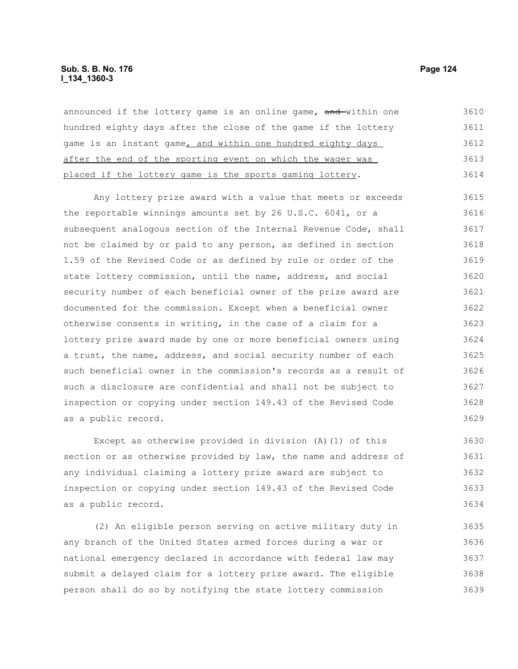# **Sub. S. B. No. 176 Page 124 l\_134\_1360-3**

announced if the lottery game is an online game, and within one hundred eighty days after the close of the game if the lottery game is an instant game, and within one hundred eighty days after the end of the sporting event on which the wager was placed if the lottery game is the sports gaming lottery. 3610 3611 3612 3613 3614

Any lottery prize award with a value that meets or exceeds the reportable winnings amounts set by 26 U.S.C. 6041, or a subsequent analogous section of the Internal Revenue Code, shall not be claimed by or paid to any person, as defined in section 1.59 of the Revised Code or as defined by rule or order of the state lottery commission, until the name, address, and social security number of each beneficial owner of the prize award are documented for the commission. Except when a beneficial owner otherwise consents in writing, in the case of a claim for a lottery prize award made by one or more beneficial owners using a trust, the name, address, and social security number of each such beneficial owner in the commission's records as a result of such a disclosure are confidential and shall not be subject to inspection or copying under section 149.43 of the Revised Code as a public record. 3615 3616 3617 3618 3619 3620 3621 3622 3623 3624 3625 3626 3627 3628 3629

Except as otherwise provided in division (A)(1) of this section or as otherwise provided by law, the name and address of any individual claiming a lottery prize award are subject to inspection or copying under section 149.43 of the Revised Code as a public record. 3630 3631 3632 3633 3634

(2) An eligible person serving on active military duty in any branch of the United States armed forces during a war or national emergency declared in accordance with federal law may submit a delayed claim for a lottery prize award. The eligible person shall do so by notifying the state lottery commission 3635 3636 3637 3638 3639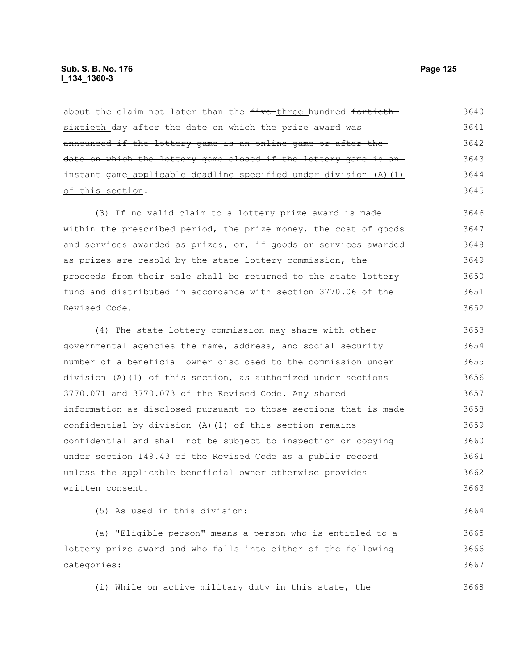about the claim not later than the five-three hundred fortiethsixtieth day after the date on which the prize award was announced if the lottery game is an online game or after the date on which the lottery game closed if the lottery game is an instant game applicable deadline specified under division (A)(1) of this section. 3640 3641 3642 3643 3644 3645

(3) If no valid claim to a lottery prize award is made within the prescribed period, the prize money, the cost of goods and services awarded as prizes, or, if goods or services awarded as prizes are resold by the state lottery commission, the proceeds from their sale shall be returned to the state lottery fund and distributed in accordance with section 3770.06 of the Revised Code. 3646 3647 3648 3649 3650 3651 3652

(4) The state lottery commission may share with other governmental agencies the name, address, and social security number of a beneficial owner disclosed to the commission under division (A)(1) of this section, as authorized under sections 3770.071 and 3770.073 of the Revised Code. Any shared information as disclosed pursuant to those sections that is made confidential by division (A)(1) of this section remains confidential and shall not be subject to inspection or copying under section 149.43 of the Revised Code as a public record unless the applicable beneficial owner otherwise provides written consent. 3653 3654 3655 3656 3657 3658 3659 3660 3661 3662 3663

(5) As used in this division:

(a) "Eligible person" means a person who is entitled to a lottery prize award and who falls into either of the following categories: 3665 3666 3667

(i) While on active military duty in this state, the

3664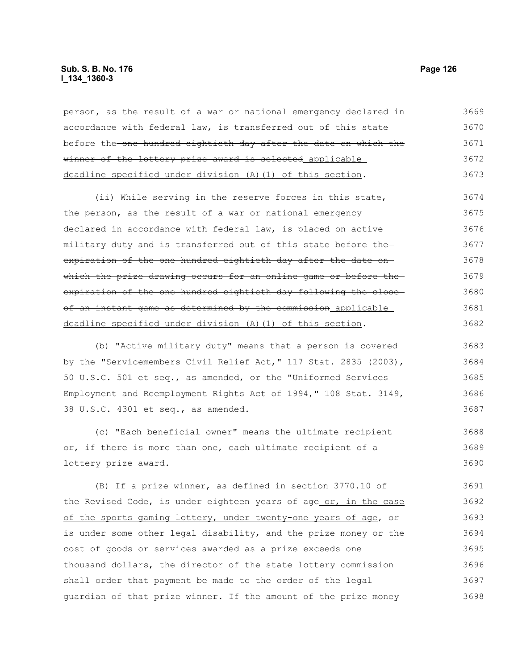person, as the result of a war or national emergency declared in accordance with federal law, is transferred out of this state before the one hundred eightieth day after the date on which the winner of the lottery prize award is selected applicable deadline specified under division (A)(1) of this section. 3669 3670 3671 3672 3673

(ii) While serving in the reserve forces in this state, the person, as the result of a war or national emergency declared in accordance with federal law, is placed on active military duty and is transferred out of this state before the expiration of the one hundred eightieth day after the date on which the prize drawing occurs for an online game or before the expiration of the one hundred eightieth day following the close of an instant game as determined by the commission applicable deadline specified under division (A)(1) of this section. 3674 3675 3676 3677 3678 3679 3680 3681 3682

(b) "Active military duty" means that a person is covered by the "Servicemembers Civil Relief Act," 117 Stat. 2835 (2003), 50 U.S.C. 501 et seq., as amended, or the "Uniformed Services Employment and Reemployment Rights Act of 1994," 108 Stat. 3149, 38 U.S.C. 4301 et seq., as amended. 3683 3684 3685 3686 3687

(c) "Each beneficial owner" means the ultimate recipient or, if there is more than one, each ultimate recipient of a lottery prize award. 3688 3689 3690

(B) If a prize winner, as defined in section 3770.10 of the Revised Code, is under eighteen years of age or, in the case of the sports gaming lottery, under twenty-one years of age, or is under some other legal disability, and the prize money or the cost of goods or services awarded as a prize exceeds one thousand dollars, the director of the state lottery commission shall order that payment be made to the order of the legal guardian of that prize winner. If the amount of the prize money 3691 3692 3693 3694 3695 3696 3697 3698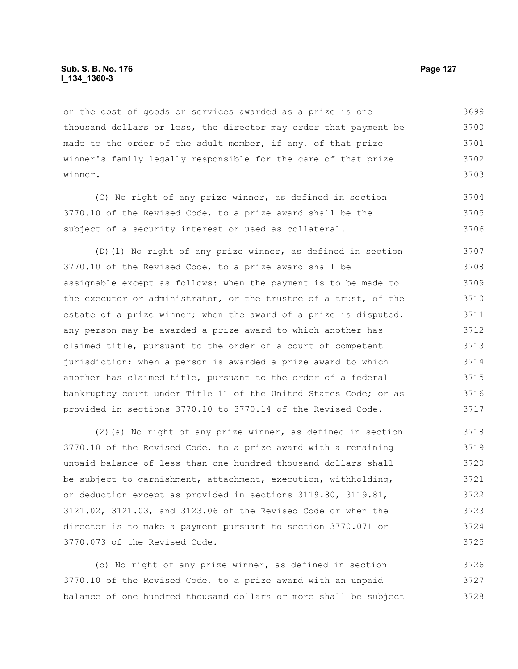## **Sub. S. B. No. 176 Page 127 l\_134\_1360-3**

or the cost of goods or services awarded as a prize is one thousand dollars or less, the director may order that payment be made to the order of the adult member, if any, of that prize winner's family legally responsible for the care of that prize winner. 3699 3700 3701 3702 3703

(C) No right of any prize winner, as defined in section 3770.10 of the Revised Code, to a prize award shall be the subject of a security interest or used as collateral. 3704 3705 3706

(D)(1) No right of any prize winner, as defined in section 3770.10 of the Revised Code, to a prize award shall be assignable except as follows: when the payment is to be made to the executor or administrator, or the trustee of a trust, of the estate of a prize winner; when the award of a prize is disputed, any person may be awarded a prize award to which another has claimed title, pursuant to the order of a court of competent jurisdiction; when a person is awarded a prize award to which another has claimed title, pursuant to the order of a federal bankruptcy court under Title 11 of the United States Code; or as provided in sections 3770.10 to 3770.14 of the Revised Code. 3707 3708 3709 3710 3711 3712 3713 3714 3715 3716 3717

(2)(a) No right of any prize winner, as defined in section 3770.10 of the Revised Code, to a prize award with a remaining unpaid balance of less than one hundred thousand dollars shall be subject to garnishment, attachment, execution, withholding, or deduction except as provided in sections 3119.80, 3119.81, 3121.02, 3121.03, and 3123.06 of the Revised Code or when the director is to make a payment pursuant to section 3770.071 or 3770.073 of the Revised Code. 3718 3719 3720 3721 3722 3723 3724 3725

(b) No right of any prize winner, as defined in section 3770.10 of the Revised Code, to a prize award with an unpaid balance of one hundred thousand dollars or more shall be subject 3726 3727 3728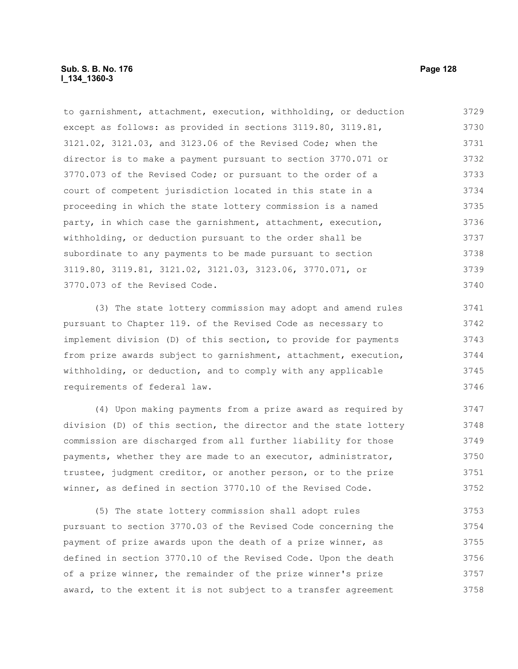to garnishment, attachment, execution, withholding, or deduction except as follows: as provided in sections 3119.80, 3119.81, 3121.02, 3121.03, and 3123.06 of the Revised Code; when the director is to make a payment pursuant to section 3770.071 or 3770.073 of the Revised Code; or pursuant to the order of a court of competent jurisdiction located in this state in a proceeding in which the state lottery commission is a named party, in which case the garnishment, attachment, execution, withholding, or deduction pursuant to the order shall be subordinate to any payments to be made pursuant to section 3119.80, 3119.81, 3121.02, 3121.03, 3123.06, 3770.071, or 3770.073 of the Revised Code. 3729 3730 3731 3732 3733 3734 3735 3736 3737 3738 3739 3740

(3) The state lottery commission may adopt and amend rules pursuant to Chapter 119. of the Revised Code as necessary to implement division (D) of this section, to provide for payments from prize awards subject to garnishment, attachment, execution, withholding, or deduction, and to comply with any applicable requirements of federal law. 3741 3742 3743 3744 3745 3746

(4) Upon making payments from a prize award as required by division (D) of this section, the director and the state lottery commission are discharged from all further liability for those payments, whether they are made to an executor, administrator, trustee, judgment creditor, or another person, or to the prize winner, as defined in section 3770.10 of the Revised Code. 3747 3748 3749 3750 3751 3752

(5) The state lottery commission shall adopt rules pursuant to section 3770.03 of the Revised Code concerning the payment of prize awards upon the death of a prize winner, as defined in section 3770.10 of the Revised Code. Upon the death of a prize winner, the remainder of the prize winner's prize award, to the extent it is not subject to a transfer agreement 3753 3754 3755 3756 3757 3758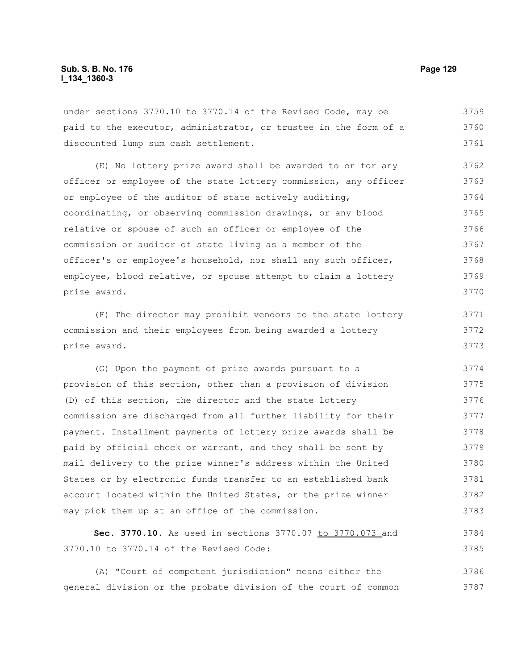under sections 3770.10 to 3770.14 of the Revised Code, may be paid to the executor, administrator, or trustee in the form of a discounted lump sum cash settlement. 3759 3760

(E) No lottery prize award shall be awarded to or for any officer or employee of the state lottery commission, any officer or employee of the auditor of state actively auditing, coordinating, or observing commission drawings, or any blood relative or spouse of such an officer or employee of the commission or auditor of state living as a member of the officer's or employee's household, nor shall any such officer, employee, blood relative, or spouse attempt to claim a lottery prize award. 3762 3763 3764 3765 3766 3767 3768 3769 3770

(F) The director may prohibit vendors to the state lottery commission and their employees from being awarded a lottery prize award. 3771 3772 3773

(G) Upon the payment of prize awards pursuant to a provision of this section, other than a provision of division (D) of this section, the director and the state lottery commission are discharged from all further liability for their payment. Installment payments of lottery prize awards shall be paid by official check or warrant, and they shall be sent by mail delivery to the prize winner's address within the United States or by electronic funds transfer to an established bank account located within the United States, or the prize winner may pick them up at an office of the commission. 3774 3775 3776 3777 3778 3779 3780 3781 3782 3783

**Sec. 3770.10.** As used in sections 3770.07 to 3770.073 and 3770.10 to 3770.14 of the Revised Code: 3784 3785

(A) "Court of competent jurisdiction" means either the general division or the probate division of the court of common 3786 3787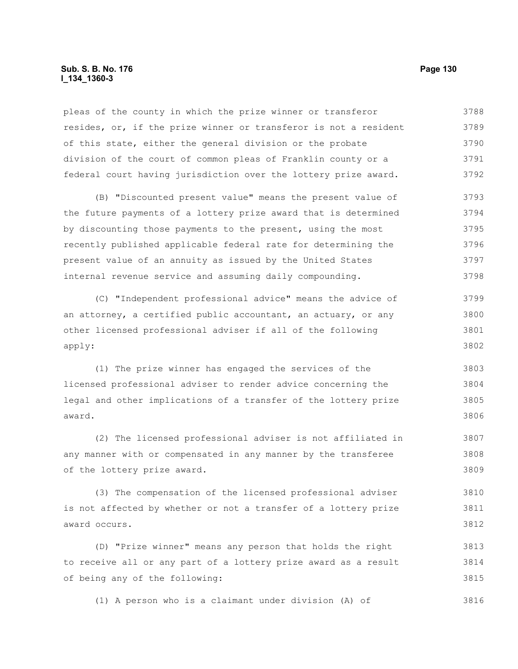## **Sub. S. B. No. 176 Page 130 l\_134\_1360-3**

pleas of the county in which the prize winner or transferor resides, or, if the prize winner or transferor is not a resident of this state, either the general division or the probate division of the court of common pleas of Franklin county or a federal court having jurisdiction over the lottery prize award. 3788 3789 3790 3791 3792

(B) "Discounted present value" means the present value of the future payments of a lottery prize award that is determined by discounting those payments to the present, using the most recently published applicable federal rate for determining the present value of an annuity as issued by the United States internal revenue service and assuming daily compounding. 3793 3794 3795 3796 3797 3798

(C) "Independent professional advice" means the advice of an attorney, a certified public accountant, an actuary, or any other licensed professional adviser if all of the following apply: 3799 3800 3801 3802

(1) The prize winner has engaged the services of the licensed professional adviser to render advice concerning the legal and other implications of a transfer of the lottery prize award. 3803 3804 3805 3806

(2) The licensed professional adviser is not affiliated in any manner with or compensated in any manner by the transferee of the lottery prize award. 3807 3808 3809

(3) The compensation of the licensed professional adviser is not affected by whether or not a transfer of a lottery prize award occurs. 3810 3811 3812

(D) "Prize winner" means any person that holds the right to receive all or any part of a lottery prize award as a result of being any of the following: 3813 3814 3815

(1) A person who is a claimant under division (A) of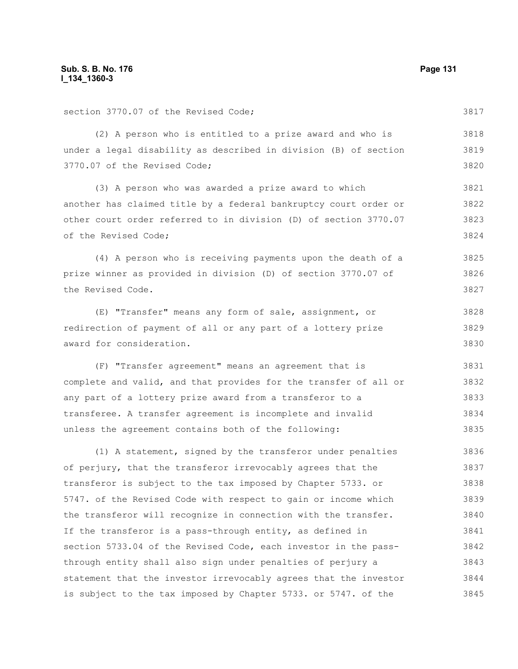section 3770.07 of the Revised Code;

(2) A person who is entitled to a prize award and who is under a legal disability as described in division (B) of section 3770.07 of the Revised Code; 3818 3819 3820

(3) A person who was awarded a prize award to which another has claimed title by a federal bankruptcy court order or other court order referred to in division (D) of section 3770.07 of the Revised Code; 3821 3822 3823 3824

(4) A person who is receiving payments upon the death of a prize winner as provided in division (D) of section 3770.07 of the Revised Code. 3825 3826 3827

(E) "Transfer" means any form of sale, assignment, or redirection of payment of all or any part of a lottery prize award for consideration. 3828 3829 3830

(F) "Transfer agreement" means an agreement that is complete and valid, and that provides for the transfer of all or any part of a lottery prize award from a transferor to a transferee. A transfer agreement is incomplete and invalid unless the agreement contains both of the following: 3831 3832 3833 3834 3835

(1) A statement, signed by the transferor under penalties of perjury, that the transferor irrevocably agrees that the transferor is subject to the tax imposed by Chapter 5733. or 5747. of the Revised Code with respect to gain or income which the transferor will recognize in connection with the transfer. If the transferor is a pass-through entity, as defined in section 5733.04 of the Revised Code, each investor in the passthrough entity shall also sign under penalties of perjury a statement that the investor irrevocably agrees that the investor is subject to the tax imposed by Chapter 5733. or 5747. of the 3836 3837 3838 3839 3840 3841 3842 3843 3844 3845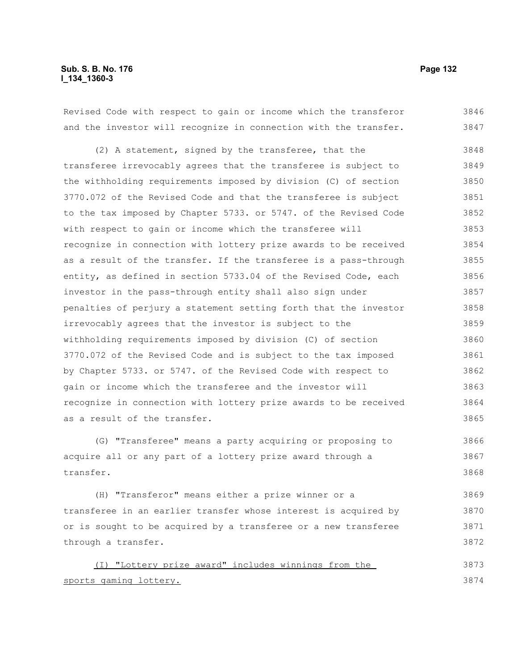# **Sub. S. B. No. 176 Page 132 l\_134\_1360-3**

Revised Code with respect to gain or income which the transferor and the investor will recognize in connection with the transfer. 3846 3847

(2) A statement, signed by the transferee, that the transferee irrevocably agrees that the transferee is subject to the withholding requirements imposed by division (C) of section 3770.072 of the Revised Code and that the transferee is subject to the tax imposed by Chapter 5733. or 5747. of the Revised Code with respect to gain or income which the transferee will recognize in connection with lottery prize awards to be received as a result of the transfer. If the transferee is a pass-through entity, as defined in section 5733.04 of the Revised Code, each investor in the pass-through entity shall also sign under penalties of perjury a statement setting forth that the investor irrevocably agrees that the investor is subject to the withholding requirements imposed by division (C) of section 3770.072 of the Revised Code and is subject to the tax imposed by Chapter 5733. or 5747. of the Revised Code with respect to gain or income which the transferee and the investor will recognize in connection with lottery prize awards to be received as a result of the transfer. 3848 3849 3850 3851 3852 3853 3854 3855 3856 3857 3858 3859 3860 3861 3862 3863 3864 3865

(G) "Transferee" means a party acquiring or proposing to acquire all or any part of a lottery prize award through a transfer. 3866 3867 3868

(H) "Transferor" means either a prize winner or a transferee in an earlier transfer whose interest is acquired by or is sought to be acquired by a transferee or a new transferee through a transfer. 3869 3870 3871 3872

(I) "Lottery prize award" includes winnings from the sports gaming lottery. 3873 3874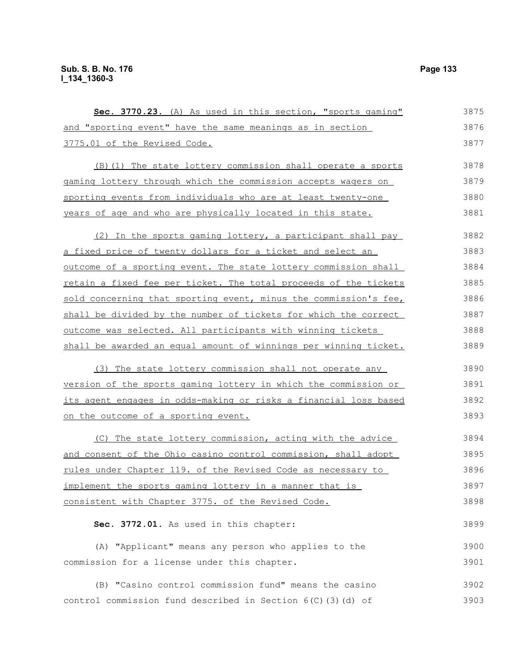**Sec. 3770.23.** (A) As used in this section, "sports gaming" and "sporting event" have the same meanings as in section 3775.01 of the Revised Code. (B)(1) The state lottery commission shall operate a sports gaming lottery through which the commission accepts wagers on sporting events from individuals who are at least twenty-one years of age and who are physically located in this state. (2) In the sports gaming lottery, a participant shall pay a fixed price of twenty dollars for a ticket and select an outcome of a sporting event. The state lottery commission shall retain a fixed fee per ticket. The total proceeds of the tickets sold concerning that sporting event, minus the commission's fee, shall be divided by the number of tickets for which the correct outcome was selected. All participants with winning tickets shall be awarded an equal amount of winnings per winning ticket. (3) The state lottery commission shall not operate any version of the sports gaming lottery in which the commission or its agent engages in odds-making or risks a financial loss based on the outcome of a sporting event. (C) The state lottery commission, acting with the advice and consent of the Ohio casino control commission, shall adopt rules under Chapter 119. of the Revised Code as necessary to implement the sports gaming lottery in a manner that is consistent with Chapter 3775. of the Revised Code. **Sec. 3772.01.** As used in this chapter: (A) "Applicant" means any person who applies to the commission for a license under this chapter. (B) "Casino control commission fund" means the casino 3875 3876 3877 3878 3879 3880 3881 3882 3883 3884 3885 3886 3887 3888 3889 3890 3891 3892 3893 3894 3895 3896 3897 3898 3899 3900 3901 3902

control commission fund described in Section 6(C)(3)(d) of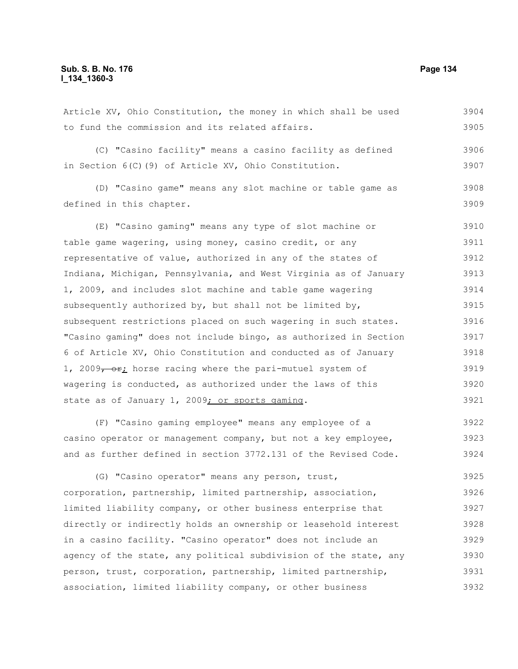Article XV, Ohio Constitution, the money in which shall be used to fund the commission and its related affairs. (C) "Casino facility" means a casino facility as defined in Section 6(C)(9) of Article XV, Ohio Constitution. (D) "Casino game" means any slot machine or table game as defined in this chapter. (E) "Casino gaming" means any type of slot machine or table game wagering, using money, casino credit, or any representative of value, authorized in any of the states of Indiana, Michigan, Pennsylvania, and West Virginia as of January 1, 2009, and includes slot machine and table game wagering subsequently authorized by, but shall not be limited by, subsequent restrictions placed on such wagering in such states. "Casino gaming" does not include bingo, as authorized in Section 3904 3905 3906 3907 3908 3909 3910 3911 3912 3913 3914 3915 3916 3917

6 of Article XV, Ohio Constitution and conducted as of January 1, 2009 $\frac{1}{1}$  orse racing where the pari-mutuel system of wagering is conducted, as authorized under the laws of this state as of January 1, 2009; or sports gaming. 3918 3919 3920 3921

(F) "Casino gaming employee" means any employee of a casino operator or management company, but not a key employee, and as further defined in section 3772.131 of the Revised Code. 3922 3923 3924

(G) "Casino operator" means any person, trust, corporation, partnership, limited partnership, association, limited liability company, or other business enterprise that directly or indirectly holds an ownership or leasehold interest in a casino facility. "Casino operator" does not include an agency of the state, any political subdivision of the state, any person, trust, corporation, partnership, limited partnership, association, limited liability company, or other business 3925 3926 3927 3928 3929 3930 3931 3932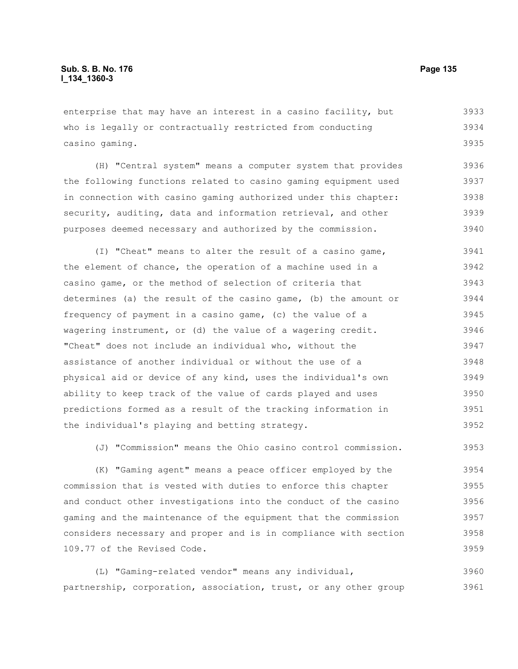enterprise that may have an interest in a casino facility, but who is legally or contractually restricted from conducting casino gaming. 3933 3934 3935

(H) "Central system" means a computer system that provides the following functions related to casino gaming equipment used in connection with casino gaming authorized under this chapter: security, auditing, data and information retrieval, and other purposes deemed necessary and authorized by the commission. 3936 3937 3938 3939 3940

(I) "Cheat" means to alter the result of a casino game, the element of chance, the operation of a machine used in a casino game, or the method of selection of criteria that determines (a) the result of the casino game, (b) the amount or frequency of payment in a casino game, (c) the value of a wagering instrument, or (d) the value of a wagering credit. "Cheat" does not include an individual who, without the assistance of another individual or without the use of a physical aid or device of any kind, uses the individual's own ability to keep track of the value of cards played and uses predictions formed as a result of the tracking information in the individual's playing and betting strategy. 3941 3942 3943 3944 3945 3946 3947 3948 3949 3950 3951 3952

(J) "Commission" means the Ohio casino control commission. 3953

(K) "Gaming agent" means a peace officer employed by the commission that is vested with duties to enforce this chapter and conduct other investigations into the conduct of the casino gaming and the maintenance of the equipment that the commission considers necessary and proper and is in compliance with section 109.77 of the Revised Code. 3954 3955 3956 3957 3958 3959

(L) "Gaming-related vendor" means any individual, partnership, corporation, association, trust, or any other group 3960 3961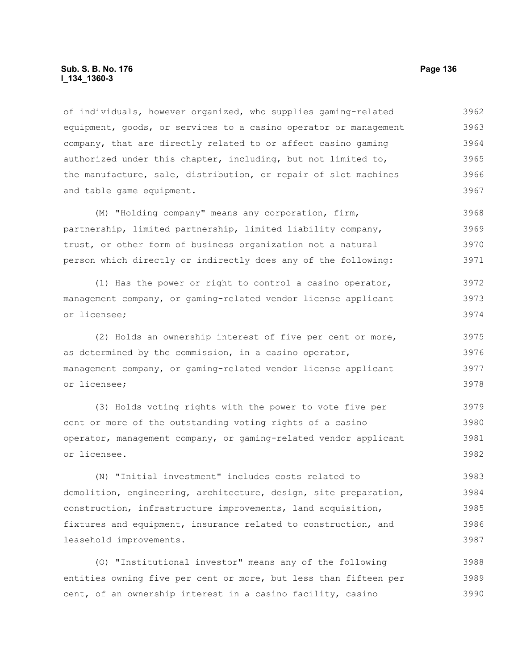of individuals, however organized, who supplies gaming-related equipment, goods, or services to a casino operator or management company, that are directly related to or affect casino gaming authorized under this chapter, including, but not limited to, the manufacture, sale, distribution, or repair of slot machines and table game equipment. 3962 3963 3964 3965 3966 3967

(M) "Holding company" means any corporation, firm, partnership, limited partnership, limited liability company, trust, or other form of business organization not a natural person which directly or indirectly does any of the following: 3968 3969 3970 3971

(1) Has the power or right to control a casino operator, management company, or gaming-related vendor license applicant or licensee; 3972 3973 3974

(2) Holds an ownership interest of five per cent or more, as determined by the commission, in a casino operator, management company, or gaming-related vendor license applicant or licensee; 3975 3976 3977 3978

(3) Holds voting rights with the power to vote five per cent or more of the outstanding voting rights of a casino operator, management company, or gaming-related vendor applicant or licensee. 3979 3980 3981 3982

(N) "Initial investment" includes costs related to demolition, engineering, architecture, design, site preparation, construction, infrastructure improvements, land acquisition, fixtures and equipment, insurance related to construction, and leasehold improvements. 3983 3984 3986 3987

(O) "Institutional investor" means any of the following entities owning five per cent or more, but less than fifteen per cent, of an ownership interest in a casino facility, casino 3988 3989 3990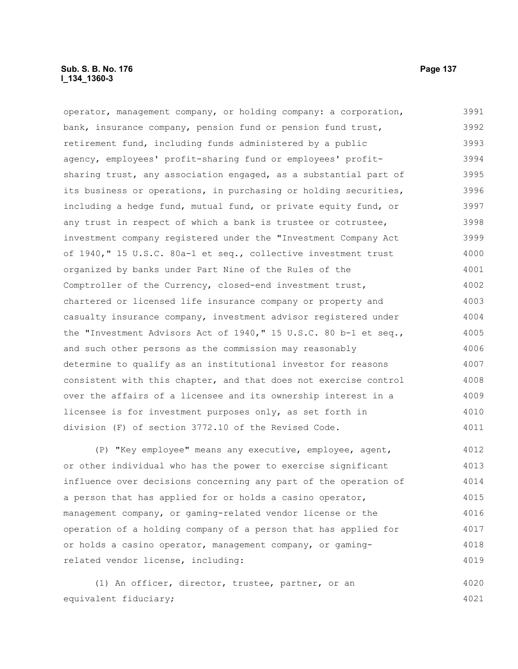# **Sub. S. B. No. 176 Page 137 l\_134\_1360-3**

operator, management company, or holding company: a corporation, bank, insurance company, pension fund or pension fund trust, retirement fund, including funds administered by a public agency, employees' profit-sharing fund or employees' profitsharing trust, any association engaged, as a substantial part of its business or operations, in purchasing or holding securities, including a hedge fund, mutual fund, or private equity fund, or any trust in respect of which a bank is trustee or cotrustee, investment company registered under the "Investment Company Act of 1940," 15 U.S.C. 80a-1 et seq., collective investment trust organized by banks under Part Nine of the Rules of the Comptroller of the Currency, closed-end investment trust, chartered or licensed life insurance company or property and casualty insurance company, investment advisor registered under the "Investment Advisors Act of 1940," 15 U.S.C. 80 b-1 et seq., and such other persons as the commission may reasonably determine to qualify as an institutional investor for reasons consistent with this chapter, and that does not exercise control over the affairs of a licensee and its ownership interest in a licensee is for investment purposes only, as set forth in division (F) of section 3772.10 of the Revised Code. 3991 3992 3993 3994 3995 3996 3997 3998 3999 4000 4001 4002 4003 4004 4005 4006 4007 4008 4009 4010 4011

(P) "Key employee" means any executive, employee, agent, or other individual who has the power to exercise significant influence over decisions concerning any part of the operation of a person that has applied for or holds a casino operator, management company, or gaming-related vendor license or the operation of a holding company of a person that has applied for or holds a casino operator, management company, or gamingrelated vendor license, including: 4012 4013 4014 4015 4016 4017 4018 4019

(1) An officer, director, trustee, partner, or an equivalent fiduciary; 4020 4021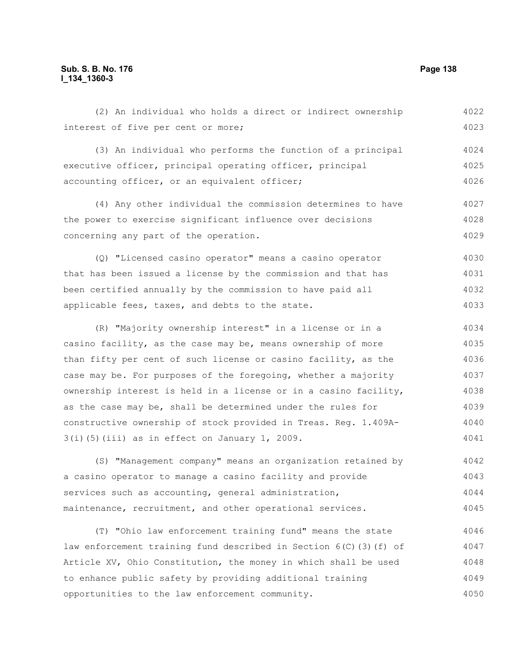# **Sub. S. B. No. 176 Page 138 l\_134\_1360-3**

interest of five per cent or more; (3) An individual who performs the function of a principal executive officer, principal operating officer, principal accounting officer, or an equivalent officer; (4) Any other individual the commission determines to have the power to exercise significant influence over decisions concerning any part of the operation. (Q) "Licensed casino operator" means a casino operator that has been issued a license by the commission and that has been certified annually by the commission to have paid all applicable fees, taxes, and debts to the state. (R) "Majority ownership interest" in a license or in a casino facility, as the case may be, means ownership of more than fifty per cent of such license or casino facility, as the case may be. For purposes of the foregoing, whether a majority ownership interest is held in a license or in a casino facility, as the case may be, shall be determined under the rules for constructive ownership of stock provided in Treas. Reg. 1.409A- $3(i)$ (5)(iii) as in effect on January 1, 2009. (S) "Management company" means an organization retained by a casino operator to manage a casino facility and provide services such as accounting, general administration, maintenance, recruitment, and other operational services. (T) "Ohio law enforcement training fund" means the state law enforcement training fund described in Section  $6(C)$  (3)(f) of Article XV, Ohio Constitution, the money in which shall be used 4023 4024 4025 4026 4027 4028 4029 4030 4031 4032 4033 4034 4035 4036 4037 4038 4039 4040 4041 4042 4043 4044 4045 4046 4047 4048

to enhance public safety by providing additional training

opportunities to the law enforcement community.

(2) An individual who holds a direct or indirect ownership

4022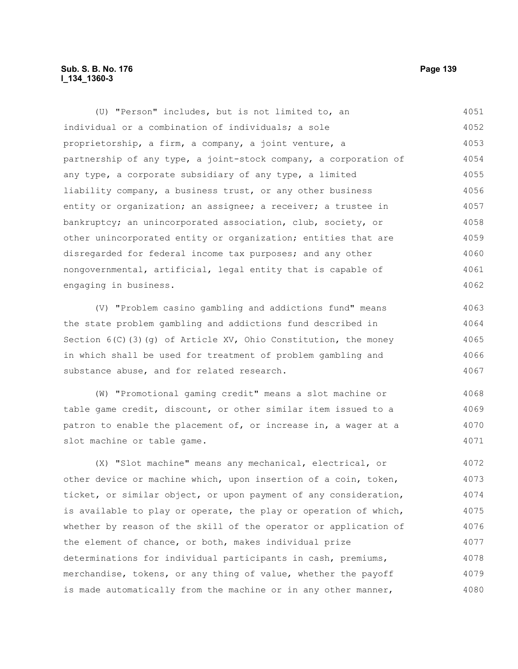# **Sub. S. B. No. 176 Page 139 l\_134\_1360-3**

(U) "Person" includes, but is not limited to, an individual or a combination of individuals; a sole proprietorship, a firm, a company, a joint venture, a partnership of any type, a joint-stock company, a corporation of any type, a corporate subsidiary of any type, a limited liability company, a business trust, or any other business entity or organization; an assignee; a receiver; a trustee in bankruptcy; an unincorporated association, club, society, or other unincorporated entity or organization; entities that are disregarded for federal income tax purposes; and any other nongovernmental, artificial, legal entity that is capable of engaging in business. 4051 4052 4053 4054 4055 4056 4057 4058 4059 4060 4061 4062

(V) "Problem casino gambling and addictions fund" means the state problem gambling and addictions fund described in Section  $6(C)(3)(q)$  of Article XV, Ohio Constitution, the money in which shall be used for treatment of problem gambling and substance abuse, and for related research. 4063 4064 4065 4066 4067

(W) "Promotional gaming credit" means a slot machine or table game credit, discount, or other similar item issued to a patron to enable the placement of, or increase in, a wager at a slot machine or table game. 4068 4069 4070 4071

(X) "Slot machine" means any mechanical, electrical, or other device or machine which, upon insertion of a coin, token, ticket, or similar object, or upon payment of any consideration, is available to play or operate, the play or operation of which, whether by reason of the skill of the operator or application of the element of chance, or both, makes individual prize determinations for individual participants in cash, premiums, merchandise, tokens, or any thing of value, whether the payoff is made automatically from the machine or in any other manner, 4072 4073 4074 4075 4076 4077 4078 4079 4080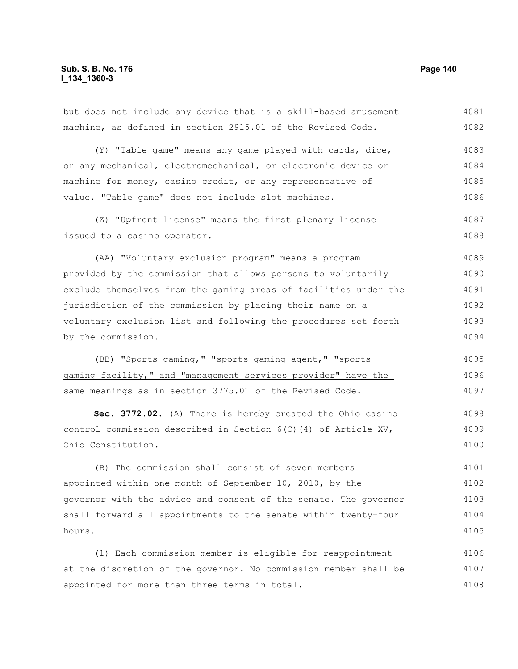but does not include any device that is a skill-based amusement machine, as defined in section 2915.01 of the Revised Code. 4081 4082

(Y) "Table game" means any game played with cards, dice, or any mechanical, electromechanical, or electronic device or machine for money, casino credit, or any representative of value. "Table game" does not include slot machines. 4083 4084 4085 4086

(Z) "Upfront license" means the first plenary license issued to a casino operator. 4087 4088

(AA) "Voluntary exclusion program" means a program provided by the commission that allows persons to voluntarily exclude themselves from the gaming areas of facilities under the jurisdiction of the commission by placing their name on a voluntary exclusion list and following the procedures set forth by the commission. 4089 4090 4091 4092 4093 4094

(BB) "Sports gaming," "sports gaming agent," "sports gaming facility," and "management services provider" have the same meanings as in section 3775.01 of the Revised Code. 4095 4096 4097

**Sec. 3772.02.** (A) There is hereby created the Ohio casino control commission described in Section 6(C)(4) of Article XV, Ohio Constitution. 4098 4099 4100

(B) The commission shall consist of seven members appointed within one month of September 10, 2010, by the governor with the advice and consent of the senate. The governor shall forward all appointments to the senate within twenty-four hours. 4101 4102 4103 4104 4105

(1) Each commission member is eligible for reappointment at the discretion of the governor. No commission member shall be appointed for more than three terms in total. 4106 4107 4108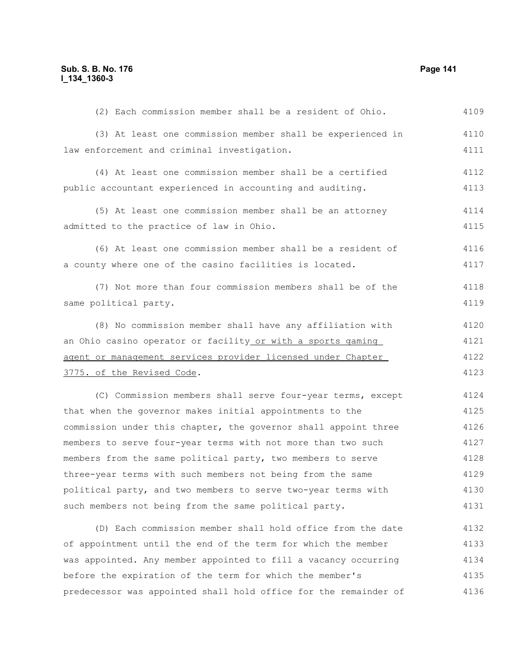(3) At least one commission member shall be experienced in law enforcement and criminal investigation. (4) At least one commission member shall be a certified public accountant experienced in accounting and auditing. (5) At least one commission member shall be an attorney admitted to the practice of law in Ohio. (6) At least one commission member shall be a resident of a county where one of the casino facilities is located. (7) Not more than four commission members shall be of the same political party. (8) No commission member shall have any affiliation with an Ohio casino operator or facility or with a sports gaming agent or management services provider licensed under Chapter 3775. of the Revised Code. (C) Commission members shall serve four-year terms, except that when the governor makes initial appointments to the commission under this chapter, the governor shall appoint three members to serve four-year terms with not more than two such members from the same political party, two members to serve three-year terms with such members not being from the same political party, and two members to serve two-year terms with such members not being from the same political party. 4110 4111 4112 4113 4114 4115 4116 4117 4118 4119 4120 4121 4122 4123 4124 4125 4126 4127 4128 4129 4130 4131

(2) Each commission member shall be a resident of Ohio.

(D) Each commission member shall hold office from the date of appointment until the end of the term for which the member was appointed. Any member appointed to fill a vacancy occurring before the expiration of the term for which the member's predecessor was appointed shall hold office for the remainder of 4132 4133 4134 4135 4136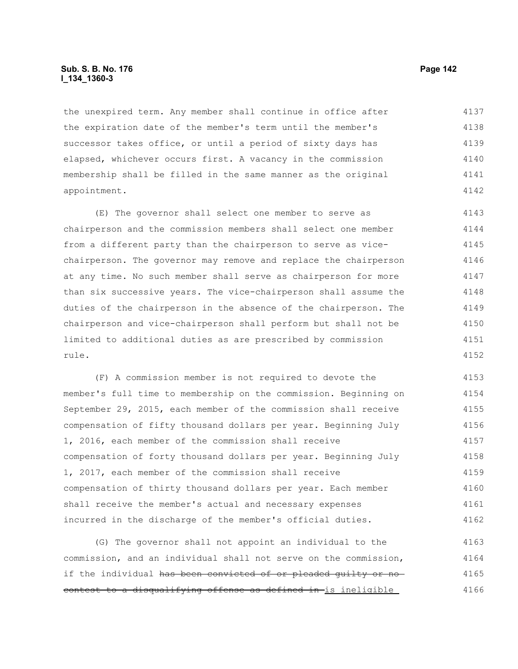## **Sub. S. B. No. 176 Page 142 l\_134\_1360-3**

the unexpired term. Any member shall continue in office after the expiration date of the member's term until the member's successor takes office, or until a period of sixty days has elapsed, whichever occurs first. A vacancy in the commission membership shall be filled in the same manner as the original appointment. 4137 4138 4139 4140 4141 4142

(E) The governor shall select one member to serve as chairperson and the commission members shall select one member from a different party than the chairperson to serve as vicechairperson. The governor may remove and replace the chairperson at any time. No such member shall serve as chairperson for more than six successive years. The vice-chairperson shall assume the duties of the chairperson in the absence of the chairperson. The chairperson and vice-chairperson shall perform but shall not be limited to additional duties as are prescribed by commission rule. 4143 4144 4145 4146 4147 4148 4149 4150 4151 4152

(F) A commission member is not required to devote the member's full time to membership on the commission. Beginning on September 29, 2015, each member of the commission shall receive compensation of fifty thousand dollars per year. Beginning July 1, 2016, each member of the commission shall receive compensation of forty thousand dollars per year. Beginning July 1, 2017, each member of the commission shall receive compensation of thirty thousand dollars per year. Each member shall receive the member's actual and necessary expenses incurred in the discharge of the member's official duties. 4153 4154 4155 4156 4157 4158 4159 4160 4161 4162

(G) The governor shall not appoint an individual to the commission, and an individual shall not serve on the commission, if the individual has been convicted of or pleaded guilty or noeontest to a disqualifying offense as defined in-is ineligible 4163 4164 4165 4166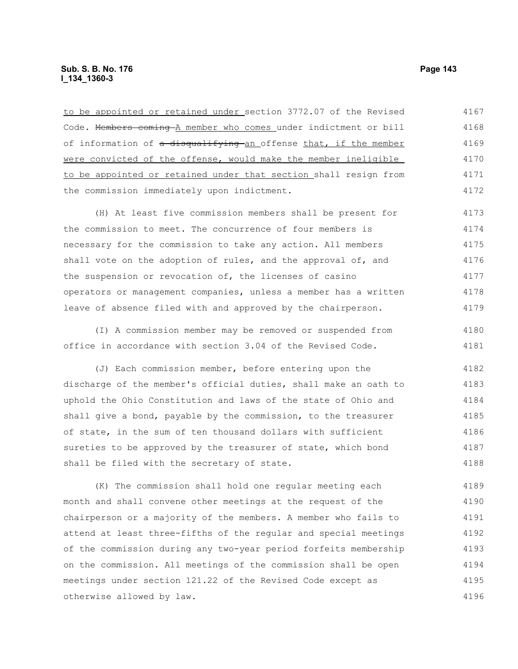to be appointed or retained under section 3772.07 of the Revised Code. Members coming A member who comes under indictment or bill of information of a disqualifying an offense that, if the member were convicted of the offense, would make the member ineligible to be appointed or retained under that section shall resign from the commission immediately upon indictment. 4167 4168 4169 4170 4171 4172

(H) At least five commission members shall be present for the commission to meet. The concurrence of four members is necessary for the commission to take any action. All members shall vote on the adoption of rules, and the approval of, and the suspension or revocation of, the licenses of casino operators or management companies, unless a member has a written leave of absence filed with and approved by the chairperson. 4173 4174 4175 4176 4177 4178 4179

(I) A commission member may be removed or suspended from office in accordance with section 3.04 of the Revised Code. 4180 4181

(J) Each commission member, before entering upon the discharge of the member's official duties, shall make an oath to uphold the Ohio Constitution and laws of the state of Ohio and shall give a bond, payable by the commission, to the treasurer of state, in the sum of ten thousand dollars with sufficient sureties to be approved by the treasurer of state, which bond shall be filed with the secretary of state. 4182 4183 4184 4185 4186 4187 4188

(K) The commission shall hold one regular meeting each month and shall convene other meetings at the request of the chairperson or a majority of the members. A member who fails to attend at least three-fifths of the regular and special meetings of the commission during any two-year period forfeits membership on the commission. All meetings of the commission shall be open meetings under section 121.22 of the Revised Code except as otherwise allowed by law. 4189 4190 4191 4192 4193 4194 4195 4196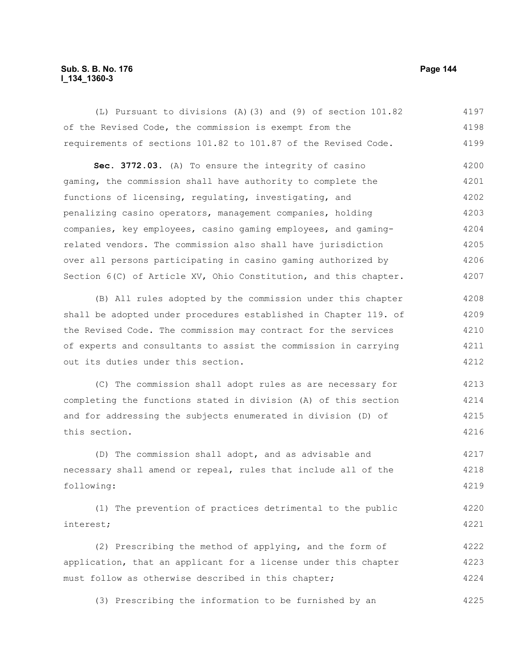# **Sub. S. B. No. 176 Page 144 l\_134\_1360-3**

(L) Pursuant to divisions (A)(3) and (9) of section 101.82 of the Revised Code, the commission is exempt from the requirements of sections 101.82 to 101.87 of the Revised Code. 4197 4198 4199

**Sec. 3772.03.** (A) To ensure the integrity of casino gaming, the commission shall have authority to complete the functions of licensing, regulating, investigating, and penalizing casino operators, management companies, holding companies, key employees, casino gaming employees, and gamingrelated vendors. The commission also shall have jurisdiction over all persons participating in casino gaming authorized by Section  $6(C)$  of Article XV, Ohio Constitution, and this chapter. 4200 4201 4202 4203 4204 4205 4206 4207

(B) All rules adopted by the commission under this chapter shall be adopted under procedures established in Chapter 119. of the Revised Code. The commission may contract for the services of experts and consultants to assist the commission in carrying out its duties under this section. 4208 4209 4210 4211 4212

(C) The commission shall adopt rules as are necessary for completing the functions stated in division (A) of this section and for addressing the subjects enumerated in division (D) of this section. 4213 4214 4215 4216

(D) The commission shall adopt, and as advisable and necessary shall amend or repeal, rules that include all of the following: 4217 4218 4219

(1) The prevention of practices detrimental to the public interest; 4220 4221

(2) Prescribing the method of applying, and the form of application, that an applicant for a license under this chapter must follow as otherwise described in this chapter; 4222 4223 4224

(3) Prescribing the information to be furnished by an 4225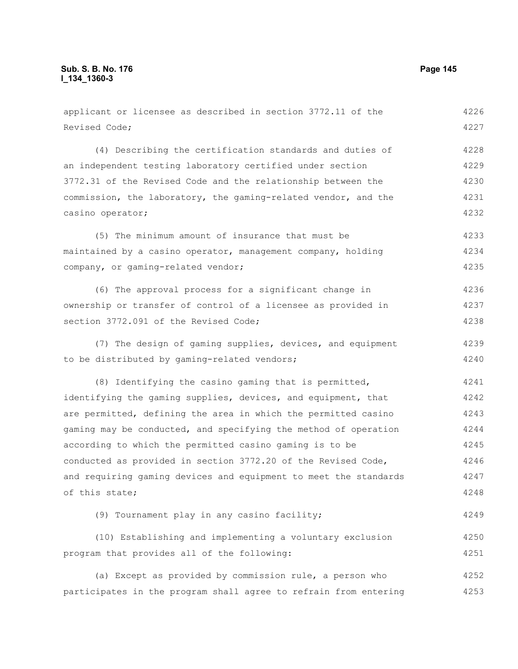| applicant or licensee as described in section 3772.11 of the     | 4226 |
|------------------------------------------------------------------|------|
| Revised Code;                                                    | 4227 |
| (4) Describing the certification standards and duties of         | 4228 |
| an independent testing laboratory certified under section        | 4229 |
| 3772.31 of the Revised Code and the relationship between the     | 4230 |
| commission, the laboratory, the gaming-related vendor, and the   | 4231 |
| casino operator;                                                 | 4232 |
| (5) The minimum amount of insurance that must be                 | 4233 |
| maintained by a casino operator, management company, holding     | 4234 |
| company, or gaming-related vendor;                               | 4235 |
| (6) The approval process for a significant change in             | 4236 |
| ownership or transfer of control of a licensee as provided in    | 4237 |
| section 3772.091 of the Revised Code;                            | 4238 |
| (7) The design of gaming supplies, devices, and equipment        | 4239 |
| to be distributed by gaming-related vendors;                     | 4240 |
| (8) Identifying the casino gaming that is permitted,             | 4241 |
| identifying the gaming supplies, devices, and equipment, that    | 4242 |
| are permitted, defining the area in which the permitted casino   | 4243 |
| gaming may be conducted, and specifying the method of operation  | 4244 |
| according to which the permitted casino gaming is to be          | 4245 |
| conducted as provided in section 3772.20 of the Revised Code,    | 4246 |
| and requiring gaming devices and equipment to meet the standards | 4247 |
| of this state;                                                   | 4248 |
| (9) Tournament play in any casino facility;                      | 4249 |
| (10) Establishing and implementing a voluntary exclusion         | 4250 |
| program that provides all of the following:                      | 4251 |
| (a) Except as provided by commission rule, a person who          | 4252 |
| participates in the program shall agree to refrain from entering | 4253 |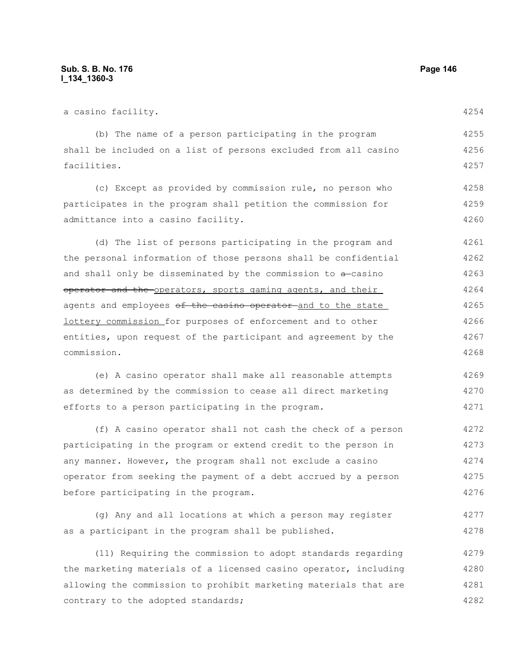4278

| a casino facility.                                              | 4254 |
|-----------------------------------------------------------------|------|
| (b) The name of a person participating in the program           | 4255 |
| shall be included on a list of persons excluded from all casino | 4256 |
| facilities.                                                     | 4257 |
| (c) Except as provided by commission rule, no person who        | 4258 |
| participates in the program shall petition the commission for   | 4259 |
| admittance into a casino facility.                              | 4260 |
| (d) The list of persons participating in the program and        | 4261 |
| the personal information of those persons shall be confidential | 4262 |
| and shall only be disseminated by the commission to a-casino    | 4263 |
| operator and the operators, sports gaming agents, and their     | 4264 |
| agents and employees of the casino operator and to the state    | 4265 |
| lottery commission for purposes of enforcement and to other     | 4266 |
| entities, upon request of the participant and agreement by the  | 4267 |
| commission.                                                     | 4268 |
| (e) A casino operator shall make all reasonable attempts        | 4269 |
| as determined by the commission to cease all direct marketing   | 4270 |
| efforts to a person participating in the program.               | 4271 |
| (f) A casino operator shall not cash the check of a person      | 4272 |
| participating in the program or extend credit to the person in  | 4273 |
| any manner. However, the program shall not exclude a casino     | 4274 |
| operator from seeking the payment of a debt accrued by a person | 4275 |
| before participating in the program.                            | 4276 |
| (g) Any and all locations at which a person may register        | 4277 |

(11) Requiring the commission to adopt standards regarding the marketing materials of a licensed casino operator, including allowing the commission to prohibit marketing materials that are contrary to the adopted standards; 4279 4280 4281 4282

as a participant in the program shall be published.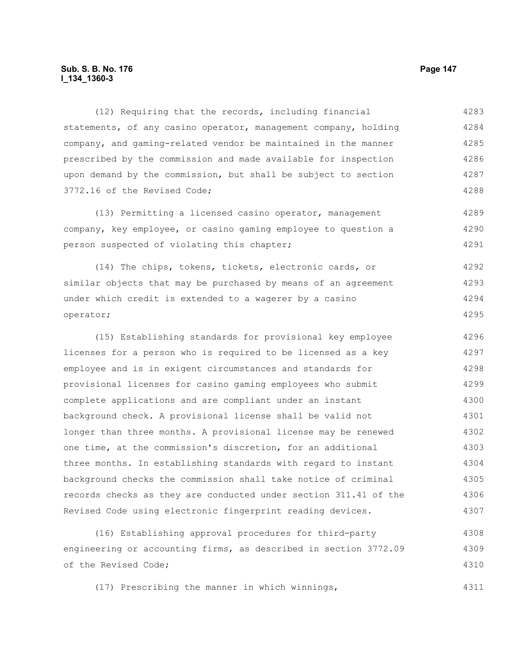## **Sub. S. B. No. 176 Page 147 Page 147 l\_134\_1360-3**

(12) Requiring that the records, including financial statements, of any casino operator, management company, holding company, and gaming-related vendor be maintained in the manner prescribed by the commission and made available for inspection upon demand by the commission, but shall be subject to section 3772.16 of the Revised Code; 4283 4284 4285 4286 4287 4288

(13) Permitting a licensed casino operator, management company, key employee, or casino gaming employee to question a person suspected of violating this chapter; 4289 4290 4291

(14) The chips, tokens, tickets, electronic cards, or similar objects that may be purchased by means of an agreement under which credit is extended to a wagerer by a casino operator; 4292 4293 4294 4295

(15) Establishing standards for provisional key employee licenses for a person who is required to be licensed as a key employee and is in exigent circumstances and standards for provisional licenses for casino gaming employees who submit complete applications and are compliant under an instant background check. A provisional license shall be valid not longer than three months. A provisional license may be renewed one time, at the commission's discretion, for an additional three months. In establishing standards with regard to instant background checks the commission shall take notice of criminal records checks as they are conducted under section 311.41 of the Revised Code using electronic fingerprint reading devices. 4296 4297 4298 4299 4300 4301 4302 4303 4304 4305 4306 4307

(16) Establishing approval procedures for third-party engineering or accounting firms, as described in section 3772.09 of the Revised Code; 4308 4309 4310

(17) Prescribing the manner in which winnings,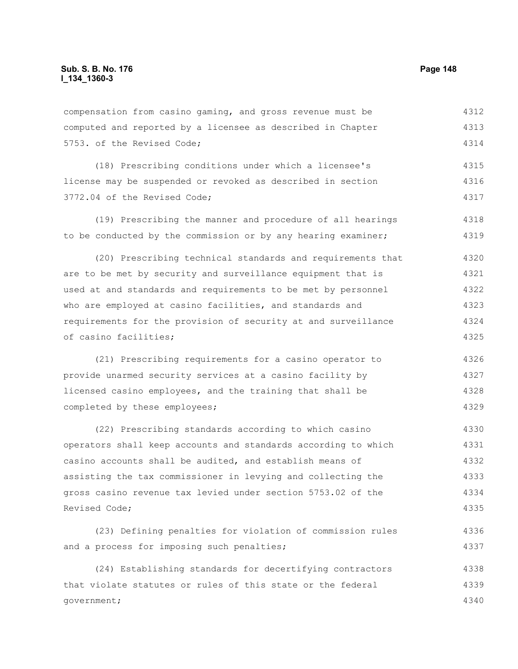compensation from casino gaming, and gross revenue must be computed and reported by a licensee as described in Chapter 5753. of the Revised Code; 4312 4313 4314

(18) Prescribing conditions under which a licensee's license may be suspended or revoked as described in section 3772.04 of the Revised Code; 4315 4316 4317

(19) Prescribing the manner and procedure of all hearings to be conducted by the commission or by any hearing examiner; 4318 4319

(20) Prescribing technical standards and requirements that are to be met by security and surveillance equipment that is used at and standards and requirements to be met by personnel who are employed at casino facilities, and standards and requirements for the provision of security at and surveillance of casino facilities; 4320 4321 4322 4323 4324 4325

(21) Prescribing requirements for a casino operator to provide unarmed security services at a casino facility by licensed casino employees, and the training that shall be completed by these employees; 4326 4327 4328 4329

(22) Prescribing standards according to which casino operators shall keep accounts and standards according to which casino accounts shall be audited, and establish means of assisting the tax commissioner in levying and collecting the gross casino revenue tax levied under section 5753.02 of the Revised Code; 4330 4331 4332 4333 4334 4335

(23) Defining penalties for violation of commission rules and a process for imposing such penalties;

(24) Establishing standards for decertifying contractors that violate statutes or rules of this state or the federal government; 4338 4339 4340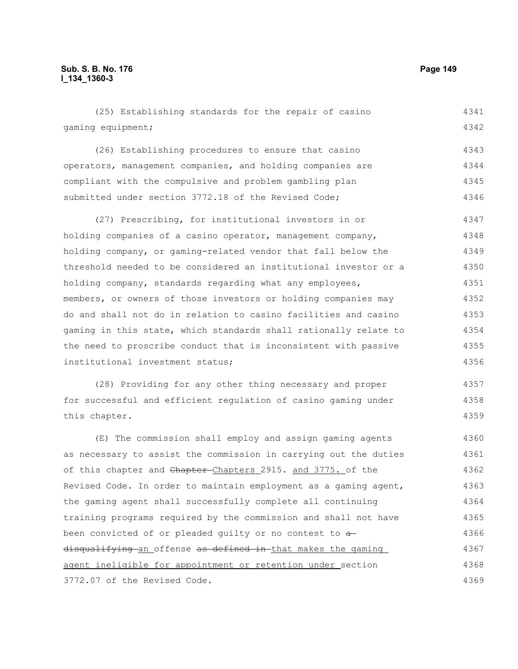(25) Establishing standards for the repair of casino gaming equipment; (26) Establishing procedures to ensure that casino operators, management companies, and holding companies are compliant with the compulsive and problem gambling plan submitted under section 3772.18 of the Revised Code; (27) Prescribing, for institutional investors in or holding companies of a casino operator, management company, holding company, or gaming-related vendor that fall below the threshold needed to be considered an institutional investor or a holding company, standards regarding what any employees, members, or owners of those investors or holding companies may do and shall not do in relation to casino facilities and casino gaming in this state, which standards shall rationally relate to the need to proscribe conduct that is inconsistent with passive institutional investment status; (28) Providing for any other thing necessary and proper for successful and efficient regulation of casino gaming under this chapter. (E) The commission shall employ and assign gaming agents as necessary to assist the commission in carrying out the duties of this chapter and Chapter-Chapters 2915. and 3775. of the Revised Code. In order to maintain employment as a gaming agent, 4341 4342 4343 4344 4345 4346 4347 4348 4349 4350 4351 4352 4353 4354 4355 4356 4357 4358 4359 4360 4361 4362 4363

the gaming agent shall successfully complete all continuing training programs required by the commission and shall not have been convicted of or pleaded quilty or no contest to  $a$ disqualifying an offense as defined in that makes the gaming agent ineligible for appointment or retention under section 3772.07 of the Revised Code. 4364 4365 4366 4367 4368 4369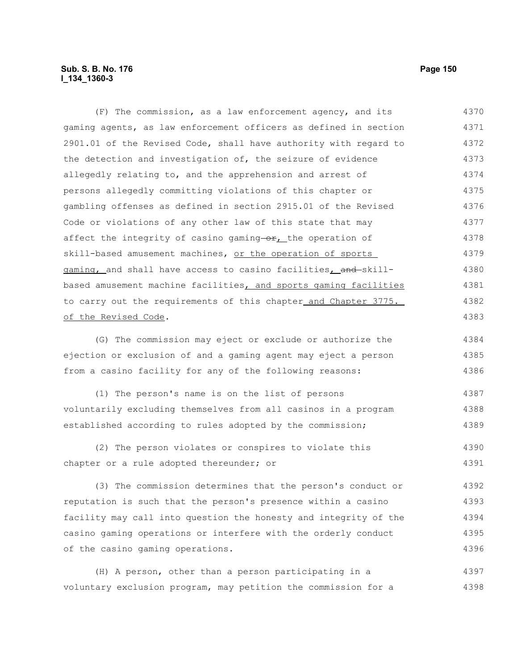## **Sub. S. B. No. 176 Page 150 l\_134\_1360-3**

(F) The commission, as a law enforcement agency, and its gaming agents, as law enforcement officers as defined in section 2901.01 of the Revised Code, shall have authority with regard to the detection and investigation of, the seizure of evidence allegedly relating to, and the apprehension and arrest of persons allegedly committing violations of this chapter or gambling offenses as defined in section 2915.01 of the Revised Code or violations of any other law of this state that may affect the integrity of casino gaming $-\sigma r$ , the operation of skill-based amusement machines, or the operation of sports gaming, and shall have access to casino facilities, and skillbased amusement machine facilities, and sports gaming facilities to carry out the requirements of this chapter and Chapter 3775. of the Revised Code. (G) The commission may eject or exclude or authorize the ejection or exclusion of and a gaming agent may eject a person from a casino facility for any of the following reasons: (1) The person's name is on the list of persons 4370 4371 4372 4373 4374 4375 4376 4377 4378 4379 4380 4381 4382 4383 4384 4385 4386 4387

voluntarily excluding themselves from all casinos in a program established according to rules adopted by the commission; 4388 4389

(2) The person violates or conspires to violate this chapter or a rule adopted thereunder; or 4390 4391

(3) The commission determines that the person's conduct or reputation is such that the person's presence within a casino facility may call into question the honesty and integrity of the casino gaming operations or interfere with the orderly conduct of the casino gaming operations. 4392 4393 4394 4395 4396

(H) A person, other than a person participating in a voluntary exclusion program, may petition the commission for a 4397 4398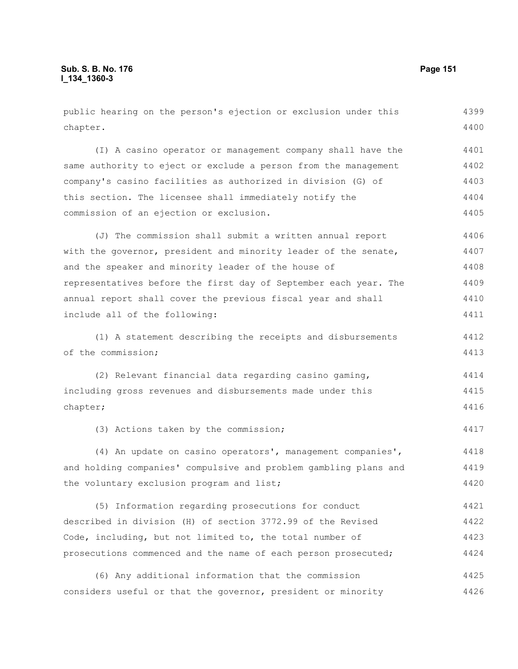public hearing on the person's ejection or exclusion under this chapter. (I) A casino operator or management company shall have the same authority to eject or exclude a person from the management company's casino facilities as authorized in division (G) of this section. The licensee shall immediately notify the commission of an ejection or exclusion. (J) The commission shall submit a written annual report with the governor, president and minority leader of the senate, and the speaker and minority leader of the house of representatives before the first day of September each year. The annual report shall cover the previous fiscal year and shall include all of the following: (1) A statement describing the receipts and disbursements of the commission; (2) Relevant financial data regarding casino gaming, including gross revenues and disbursements made under this chapter; (3) Actions taken by the commission; (4) An update on casino operators', management companies', and holding companies' compulsive and problem gambling plans and the voluntary exclusion program and list; (5) Information regarding prosecutions for conduct described in division (H) of section 3772.99 of the Revised Code, including, but not limited to, the total number of prosecutions commenced and the name of each person prosecuted; 4399 4400 4401 4402 4403 4404 4405 4406 4407 4408 4409 4410 4411 4412 4413 4414 4415 4416 4417 4418 4419 4420 4421 4422 4423 4424

(6) Any additional information that the commission considers useful or that the governor, president or minority 4425 4426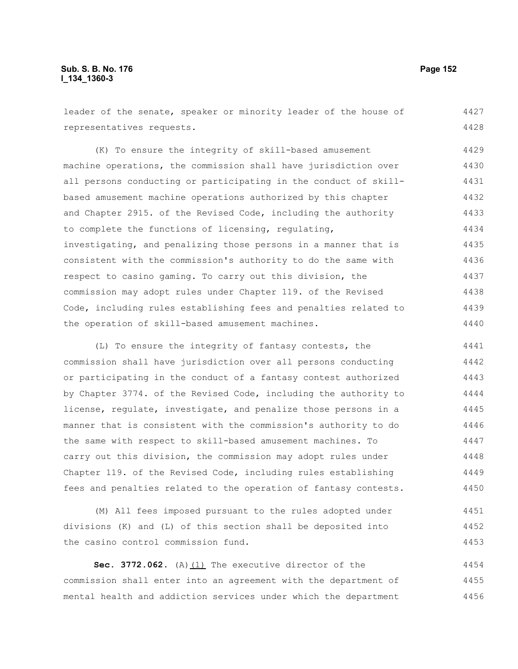leader of the senate, speaker or minority leader of the house of representatives requests. (K) To ensure the integrity of skill-based amusement machine operations, the commission shall have jurisdiction over all persons conducting or participating in the conduct of skillbased amusement machine operations authorized by this chapter and Chapter 2915. of the Revised Code, including the authority to complete the functions of licensing, regulating, investigating, and penalizing those persons in a manner that is consistent with the commission's authority to do the same with respect to casino gaming. To carry out this division, the commission may adopt rules under Chapter 119. of the Revised Code, including rules establishing fees and penalties related to the operation of skill-based amusement machines. (L) To ensure the integrity of fantasy contests, the commission shall have jurisdiction over all persons conducting or participating in the conduct of a fantasy contest authorized by Chapter 3774. of the Revised Code, including the authority to license, regulate, investigate, and penalize those persons in a manner that is consistent with the commission's authority to do 4427 4428 4429 4430 4431 4432 4433 4434 4435 4436 4437 4438 4439 4440 4441 4442 4443 4444 4445 4446

the same with respect to skill-based amusement machines. To carry out this division, the commission may adopt rules under Chapter 119. of the Revised Code, including rules establishing fees and penalties related to the operation of fantasy contests. 4447 4448 4449 4450

(M) All fees imposed pursuant to the rules adopted under divisions (K) and (L) of this section shall be deposited into the casino control commission fund. 4451 4452 4453

Sec. 3772.062. (A) (1) The executive director of the commission shall enter into an agreement with the department of mental health and addiction services under which the department 4454 4455 4456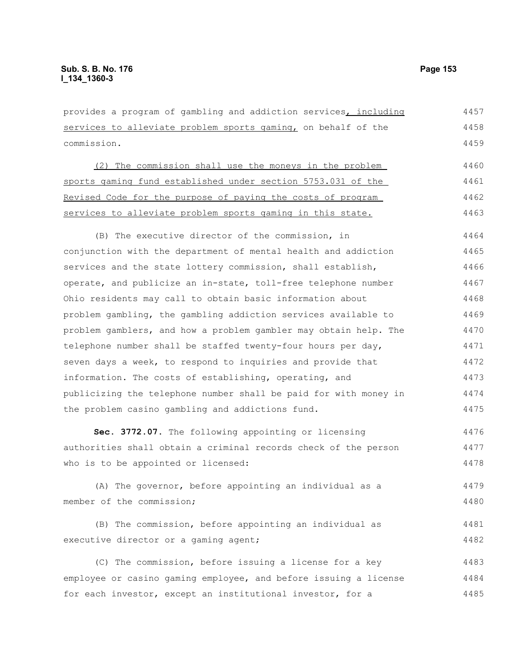provides a program of gambling and addiction services, including services to alleviate problem sports gaming, on behalf of the commission. 4457 4458

(2) The commission shall use the moneys in the problem sports gaming fund established under section 5753.031 of the Revised Code for the purpose of paying the costs of program services to alleviate problem sports gaming in this state. 4460 4461 4462 4463

(B) The executive director of the commission, in conjunction with the department of mental health and addiction services and the state lottery commission, shall establish, operate, and publicize an in-state, toll-free telephone number Ohio residents may call to obtain basic information about problem gambling, the gambling addiction services available to problem gamblers, and how a problem gambler may obtain help. The telephone number shall be staffed twenty-four hours per day, seven days a week, to respond to inquiries and provide that information. The costs of establishing, operating, and publicizing the telephone number shall be paid for with money in the problem casino gambling and addictions fund. 4464 4465 4466 4467 4468 4469 4470 4471 4472 4473 4474 4475

**Sec. 3772.07.** The following appointing or licensing authorities shall obtain a criminal records check of the person who is to be appointed or licensed: 4476 4477 4478

(A) The governor, before appointing an individual as a member of the commission; 4479 4480

(B) The commission, before appointing an individual as executive director or a gaming agent; 4481 4482

(C) The commission, before issuing a license for a key employee or casino gaming employee, and before issuing a license for each investor, except an institutional investor, for a 4483 4484 4485

- 
-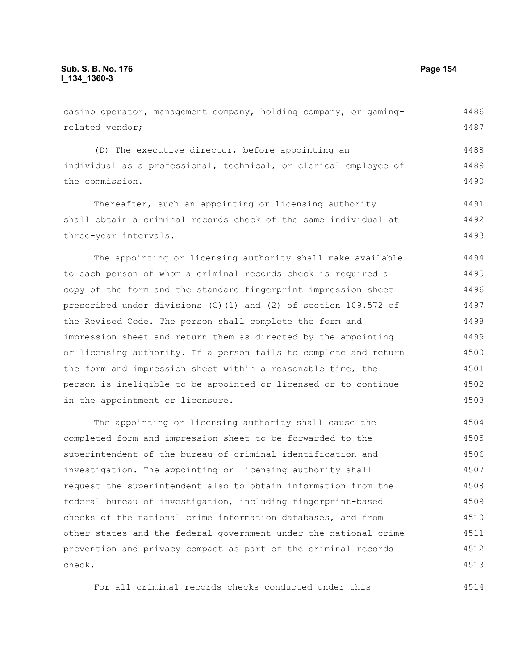check.

casino operator, management company, holding company, or gaming-

related vendor; (D) The executive director, before appointing an individual as a professional, technical, or clerical employee of the commission. Thereafter, such an appointing or licensing authority shall obtain a criminal records check of the same individual at three-year intervals. The appointing or licensing authority shall make available to each person of whom a criminal records check is required a copy of the form and the standard fingerprint impression sheet prescribed under divisions (C)(1) and (2) of section 109.572 of the Revised Code. The person shall complete the form and impression sheet and return them as directed by the appointing or licensing authority. If a person fails to complete and return the form and impression sheet within a reasonable time, the person is ineligible to be appointed or licensed or to continue in the appointment or licensure. The appointing or licensing authority shall cause the completed form and impression sheet to be forwarded to the superintendent of the bureau of criminal identification and investigation. The appointing or licensing authority shall request the superintendent also to obtain information from the federal bureau of investigation, including fingerprint-based checks of the national crime information databases, and from 4487 4488 4489 4490 4491 4492 4493 4494 4495 4496 4497 4498 4499 4500 4501 4502 4503 4504 4505 4506 4507 4508 4509 4510

For all criminal records checks conducted under this 4514

other states and the federal government under the national crime prevention and privacy compact as part of the criminal records

4486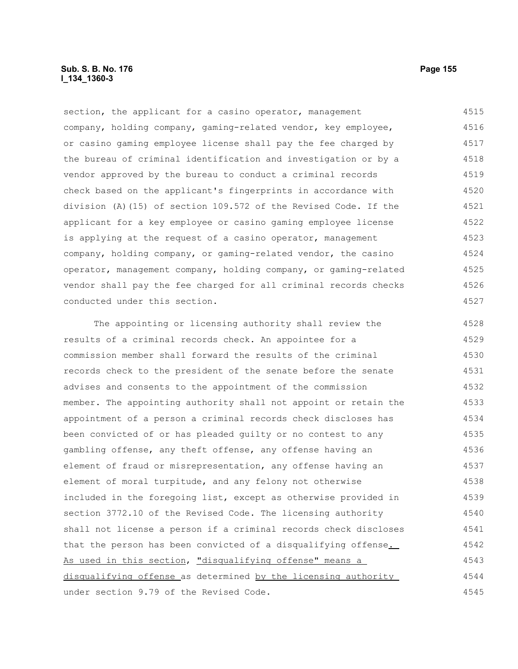## **Sub. S. B. No. 176 Page 155 l\_134\_1360-3**

section, the applicant for a casino operator, management company, holding company, gaming-related vendor, key employee, or casino gaming employee license shall pay the fee charged by the bureau of criminal identification and investigation or by a vendor approved by the bureau to conduct a criminal records check based on the applicant's fingerprints in accordance with division (A)(15) of section 109.572 of the Revised Code. If the applicant for a key employee or casino gaming employee license is applying at the request of a casino operator, management company, holding company, or gaming-related vendor, the casino operator, management company, holding company, or gaming-related vendor shall pay the fee charged for all criminal records checks conducted under this section. 4515 4516 4517 4518 4519 4520 4521 4522 4523 4524 4525 4526 4527

The appointing or licensing authority shall review the results of a criminal records check. An appointee for a commission member shall forward the results of the criminal records check to the president of the senate before the senate advises and consents to the appointment of the commission member. The appointing authority shall not appoint or retain the appointment of a person a criminal records check discloses has been convicted of or has pleaded guilty or no contest to any gambling offense, any theft offense, any offense having an element of fraud or misrepresentation, any offense having an element of moral turpitude, and any felony not otherwise included in the foregoing list, except as otherwise provided in section 3772.10 of the Revised Code. The licensing authority shall not license a person if a criminal records check discloses that the person has been convicted of a disqualifying offense. As used in this section, "disqualifying offense" means a disqualifying offense as determined by the licensing authority under section 9.79 of the Revised Code. 4528 4529 4530 4531 4532 4533 4534 4535 4536 4537 4538 4539 4540 4541 4542 4543 4544 4545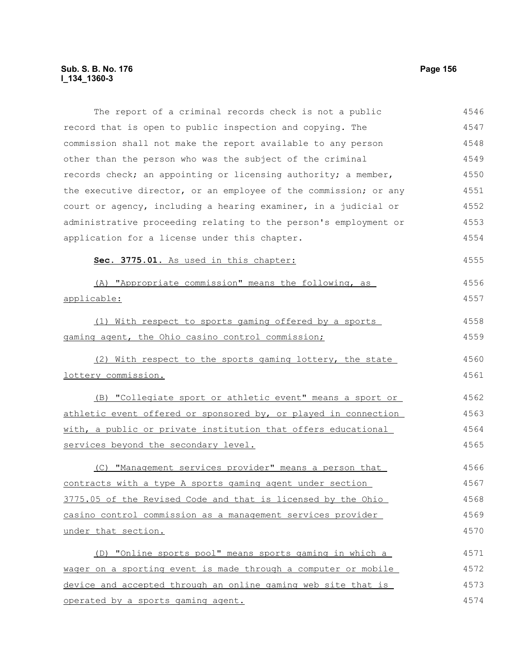The report of a criminal records check is not a public record that is open to public inspection and copying. The commission shall not make the report available to any person other than the person who was the subject of the criminal records check; an appointing or licensing authority; a member, the executive director, or an employee of the commission; or any court or agency, including a hearing examiner, in a judicial or administrative proceeding relating to the person's employment or application for a license under this chapter. **Sec. 3775.01.** As used in this chapter: (A) "Appropriate commission" means the following, as applicable: (1) With respect to sports gaming offered by a sports gaming agent, the Ohio casino control commission; (2) With respect to the sports gaming lottery, the state lottery commission. (B) "Collegiate sport or athletic event" means a sport or athletic event offered or sponsored by, or played in connection with, a public or private institution that offers educational services beyond the secondary level. (C) "Management services provider" means a person that contracts with a type A sports gaming agent under section 3775.05 of the Revised Code and that is licensed by the Ohio casino control commission as a management services provider under that section. (D) "Online sports pool" means sports gaming in which a wager on a sporting event is made through a computer or mobile device and accepted through an online gaming web site that is operated by a sports gaming agent. 4546 4547 4548 4549 4550 4551 4552 4553 4554 4555 4556 4557 4558 4559 4560 4561 4562 4563 4564 4565 4566 4567 4568 4569 4570 4571 4572 4573 4574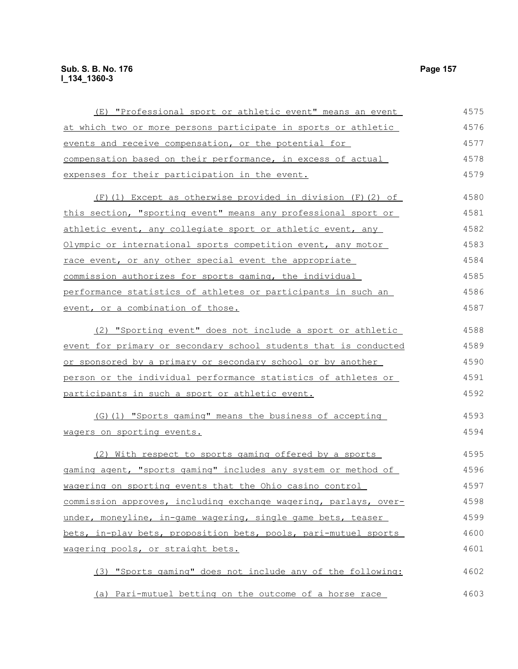| (E) "Professional sport or athletic event" means an event        | 4575 |
|------------------------------------------------------------------|------|
| at which two or more persons participate in sports or athletic   | 4576 |
| events and receive compensation, or the potential for            | 4577 |
| compensation based on their performance, in excess of actual     | 4578 |
| expenses for their participation in the event.                   | 4579 |
| $(F)$ (1) Except as otherwise provided in division (F) (2) of    | 4580 |
| this section, "sporting event" means any professional sport or   | 4581 |
| athletic event, any collegiate sport or athletic event, any      | 4582 |
| Olympic or international sports competition event, any motor     | 4583 |
| race event, or any other special event the appropriate           | 4584 |
| commission authorizes for sports gaming, the individual          | 4585 |
| performance statistics of athletes or participants in such an    | 4586 |
| event, or a combination of those.                                | 4587 |
| (2) "Sporting event" does not include a sport or athletic        | 4588 |
| event for primary or secondary school students that is conducted | 4589 |
| or sponsored by a primary or secondary school or by another      | 4590 |
| person or the individual performance statistics of athletes or   | 4591 |
| participants in such a sport or athletic event.                  | 4592 |
| (G) (1) "Sports gaming" means the business of accepting          | 4593 |
| wagers on sporting events.                                       | 4594 |
| (2) With respect to sports gaming offered by a sports            | 4595 |
| gaming agent, "sports gaming" includes any system or method of   | 4596 |
| wagering on sporting events that the Ohio casino control         | 4597 |
| commission approves, including exchange wagering, parlays, over- | 4598 |
| under, moneyline, in-game wagering, single game bets, teaser     | 4599 |
| bets, in-play bets, proposition bets, pools, pari-mutuel sports  | 4600 |
| wagering pools, or straight bets.                                | 4601 |
| (3) "Sports gaming" does not include any of the following:       | 4602 |
| (a) Pari-mutuel betting on the outcome of a horse race           | 4603 |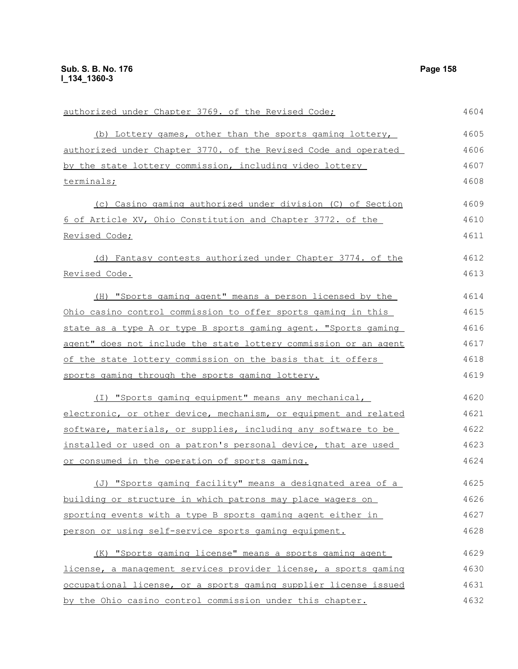| authorized under Chapter 3769. of the Revised Code;                  | 4604 |
|----------------------------------------------------------------------|------|
| (b) Lottery games, other than the sports gaming lottery,             | 4605 |
| authorized under Chapter 3770. of the Revised Code and operated      | 4606 |
| by the state lottery commission, including video lottery             | 4607 |
| terminals;                                                           | 4608 |
| (c) Casino gaming authorized under division (C) of Section           | 4609 |
| 6 of Article XV, Ohio Constitution and Chapter 3772. of the          | 4610 |
| Revised Code;                                                        | 4611 |
| (d) Fantasy contests authorized under Chapter 3774. of the           | 4612 |
| Revised Code.                                                        | 4613 |
| (H) "Sports gaming agent" means a person licensed by the             | 4614 |
| <u>Ohio casino control commission to offer sports gaming in this</u> | 4615 |
| state as a type A or type B sports gaming agent. "Sports gaming      | 4616 |
| agent" does not include the state lottery commission or an agent     | 4617 |
| of the state lottery commission on the basis that it offers          | 4618 |
| sports gaming through the sports gaming lottery.                     | 4619 |
| (I) "Sports gaming equipment" means any mechanical,                  | 4620 |
| electronic, or other device, mechanism, or equipment and related     | 4621 |
| software, materials, or supplies, including any software to be       | 4622 |
| installed or used on a patron's personal device, that are used       | 4623 |
| or consumed in the operation of sports gaming.                       | 4624 |
| (J) "Sports gaming facility" means a designated area of a            | 4625 |
| building or structure in which patrons may place wagers on           | 4626 |
| sporting events with a type B sports gaming agent either in          | 4627 |
| person or using self-service sports gaming equipment.                | 4628 |
| (K) "Sports gaming license" means a sports gaming agent              | 4629 |
| license, a management services provider license, a sports gaming     | 4630 |
| occupational license, or a sports qaming supplier license issued     | 4631 |
| by the Ohio casino control commission under this chapter.            | 4632 |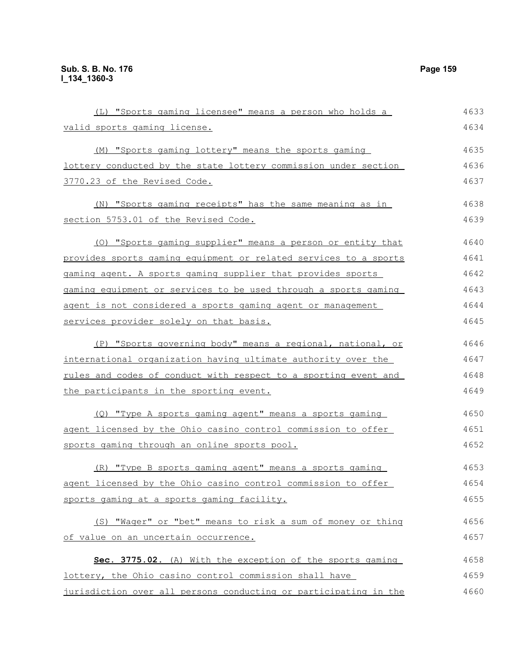(L) "Sports gaming licensee" means a person who holds a valid sports gaming license. (M) "Sports gaming lottery" means the sports gaming lottery conducted by the state lottery commission under section 3770.23 of the Revised Code. (N) "Sports gaming receipts" has the same meaning as in section 5753.01 of the Revised Code. (O) "Sports gaming supplier" means a person or entity that provides sports gaming equipment or related services to a sports gaming agent. A sports gaming supplier that provides sports gaming equipment or services to be used through a sports gaming agent is not considered a sports gaming agent or management services provider solely on that basis. (P) "Sports governing body" means a regional, national, or international organization having ultimate authority over the rules and codes of conduct with respect to a sporting event and the participants in the sporting event. (Q) "Type A sports gaming agent" means a sports gaming agent licensed by the Ohio casino control commission to offer sports gaming through an online sports pool. (R) "Type B sports gaming agent" means a sports gaming agent licensed by the Ohio casino control commission to offer sports gaming at a sports gaming facility. (S) "Wager" or "bet" means to risk a sum of money or thing of value on an uncertain occurrence. **Sec. 3775.02.** (A) With the exception of the sports gaming lottery, the Ohio casino control commission shall have 4633 4634 4635 4636 4637 4638 4639 4640 4641 4642 4643 4644 4645 4646 4647 4648 4649 4650 4651 4652 4653 4654 4655 4656 4657 4658 4659

jurisdiction over all persons conducting or participating in the 4660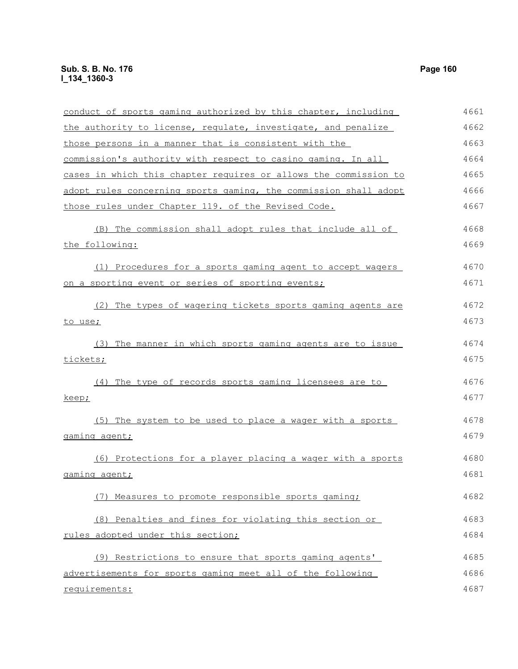the following:

conduct of sports gaming authorized by this chapter, including the authority to license, regulate, investigate, and penalize those persons in a manner that is consistent with the commission's authority with respect to casino gaming. In all cases in which this chapter requires or allows the commission to adopt rules concerning sports gaming, the commission shall adopt those rules under Chapter 119. of the Revised Code. (B) The commission shall adopt rules that include all of (1) Procedures for a sports gaming agent to accept wagers on a sporting event or series of sporting events; (2) The types of wagering tickets sports gaming agents are 4661 4662 4663 4664 4665 4666 4667 4668 4669 4670 4671 4672

to use; (3) The manner in which sports gaming agents are to issue tickets; 4673 4674 4675

(4) The type of records sports gaming licensees are to keep; 4676 4677

(5) The system to be used to place a wager with a sports gaming agent; 4678 4679

(6) Protections for a player placing a wager with a sports gaming agent; 4680 4681

(7) Measures to promote responsible sports gaming; (8) Penalties and fines for violating this section or 4682 4683

rules adopted under this section;

(9) Restrictions to ensure that sports gaming agents' advertisements for sports gaming meet all of the following requirements: 4685 4686 4687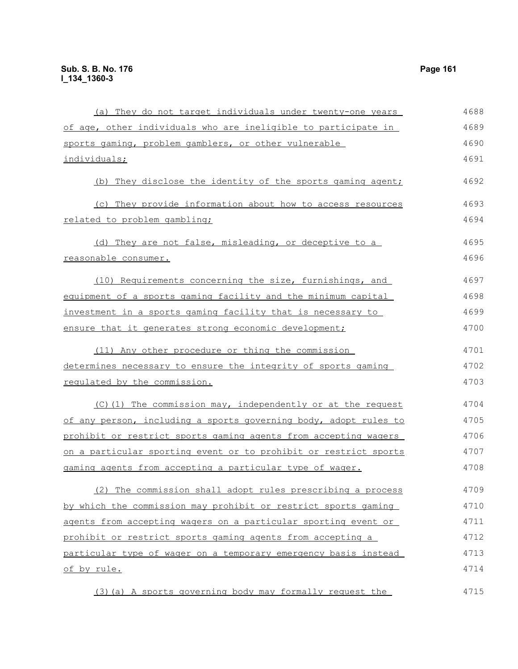| (a) They do not target individuals under twenty-one years        | 4688 |
|------------------------------------------------------------------|------|
| of age, other individuals who are ineligible to participate in   | 4689 |
| sports gaming, problem gamblers, or other vulnerable             | 4690 |
| individuals;                                                     | 4691 |
| (b) They disclose the identity of the sports gaming agent;       | 4692 |
| (c) They provide information about how to access resources       | 4693 |
| related to problem gambling;                                     | 4694 |
| (d) They are not false, misleading, or deceptive to a            | 4695 |
| <u>reasonable consumer.</u>                                      | 4696 |
| (10) Requirements concerning the size, furnishings, and          | 4697 |
| equipment of a sports gaming facility and the minimum capital    | 4698 |
| investment in a sports gaming facility that is necessary to      | 4699 |
| ensure that it generates strong economic development;            | 4700 |
| (11) Any other procedure or thing the commission                 | 4701 |
| determines necessary to ensure the integrity of sports gaming    | 4702 |
| requlated by the commission.                                     | 4703 |
| (C)(1) The commission may, independently or at the request       | 4704 |
| of any person, including a sports governing body, adopt rules to | 4705 |
| prohibit or restrict sports gaming agents from accepting wagers  | 4706 |
| on a particular sporting event or to prohibit or restrict sports | 4707 |
| gaming agents from accepting a particular type of wager.         | 4708 |
| (2) The commission shall adopt rules prescribing a process       | 4709 |
| by which the commission may prohibit or restrict sports gaming   | 4710 |
| agents from accepting wagers on a particular sporting event or   | 4711 |
| prohibit or restrict sports gaming agents from accepting a       | 4712 |
| particular type of wager on a temporary emergency basis instead  | 4713 |
| of by rule.                                                      | 4714 |
| (3) (a) A sports governing body may formally request the         | 4715 |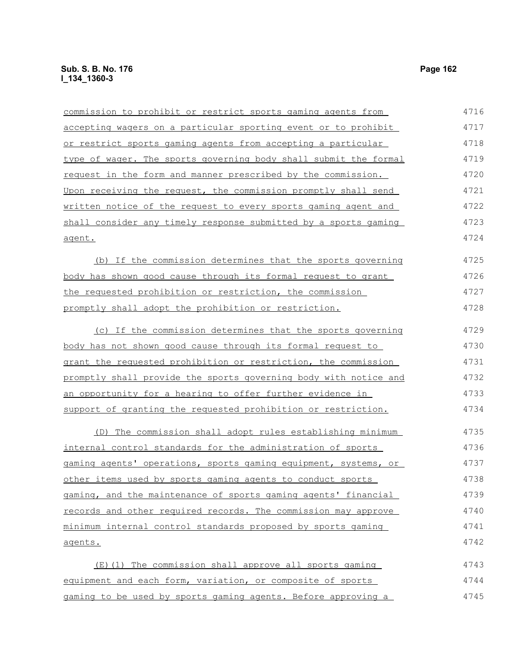commission to prohibit or restrict sports gaming agents from accepting wagers on a particular sporting event or to prohibit or restrict sports gaming agents from accepting a particular type of wager. The sports governing body shall submit the formal request in the form and manner prescribed by the commission. Upon receiving the request, the commission promptly shall send written notice of the request to every sports gaming agent and shall consider any timely response submitted by a sports gaming agent. (b) If the commission determines that the sports governing body has shown good cause through its formal request to grant the requested prohibition or restriction, the commission promptly shall adopt the prohibition or restriction. (c) If the commission determines that the sports governing body has not shown good cause through its formal request to grant the requested prohibition or restriction, the commission promptly shall provide the sports governing body with notice and an opportunity for a hearing to offer further evidence in support of granting the requested prohibition or restriction. (D) The commission shall adopt rules establishing minimum internal control standards for the administration of sports gaming agents' operations, sports gaming equipment, systems, or other items used by sports gaming agents to conduct sports gaming, and the maintenance of sports gaming agents' financial records and other required records. The commission may approve minimum internal control standards proposed by sports gaming agents. (E)(1) The commission shall approve all sports gaming equipment and each form, variation, or composite of sports gaming to be used by sports gaming agents. Before approving a 4716 4717 4718 4719 4720 4721 4722 4723 4724 4725 4726 4727 4728 4729 4730 4731 4732 4733 4734 4735 4736 4737 4738 4739 4740 4741 4742 4743 4744 4745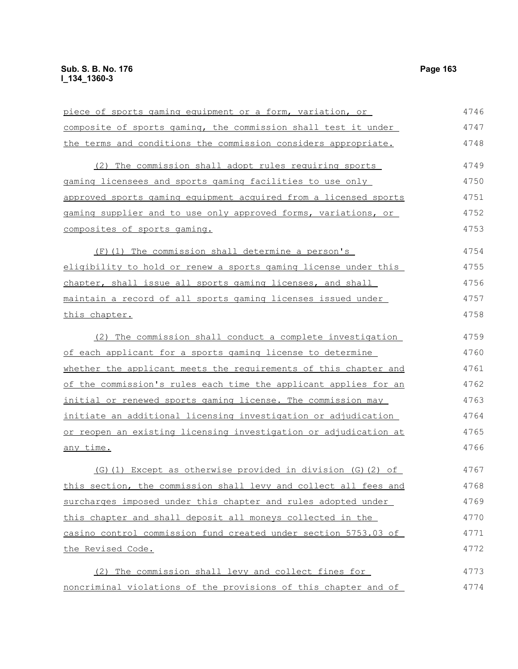piece of sports gaming equipment or a form, variation, or composite of sports gaming, the commission shall test it under the terms and conditions the commission considers appropriate. (2) The commission shall adopt rules requiring sports gaming licensees and sports gaming facilities to use only approved sports gaming equipment acquired from a licensed sports gaming supplier and to use only approved forms, variations, or composites of sports gaming. (F)(1) The commission shall determine a person's eligibility to hold or renew a sports gaming license under this chapter, shall issue all sports gaming licenses, and shall maintain a record of all sports gaming licenses issued under this chapter. (2) The commission shall conduct a complete investigation of each applicant for a sports gaming license to determine whether the applicant meets the requirements of this chapter and of the commission's rules each time the applicant applies for an initial or renewed sports gaming license. The commission may initiate an additional licensing investigation or adjudication or reopen an existing licensing investigation or adjudication at any time. (G)(1) Except as otherwise provided in division (G)(2) of this section, the commission shall levy and collect all fees and surcharges imposed under this chapter and rules adopted under this chapter and shall deposit all moneys collected in the casino control commission fund created under section 5753.03 of the Revised Code. (2) The commission shall levy and collect fines for noncriminal violations of the provisions of this chapter and of 4746 4747 4748 4749 4750 4751 4752 4753 4754 4755 4756 4757 4758 4759 4760 4761 4762 4763 4764 4765 4766 4767 4768 4769 4770 4771 4772 4773 4774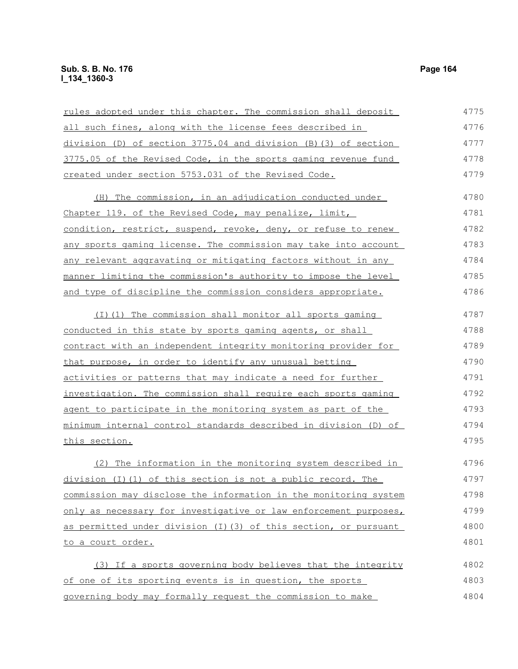| rules adopted under this chapter. The commission shall deposit   | 4775 |
|------------------------------------------------------------------|------|
| all such fines, along with the license fees described in         | 4776 |
| division (D) of section 3775.04 and division (B) (3) of section  | 4777 |
| 3775.05 of the Revised Code, in the sports gaming revenue fund   | 4778 |
| created under section 5753.031 of the Revised Code.              | 4779 |
| (H) The commission, in an adjudication conducted under           | 4780 |
| Chapter 119. of the Revised Code, may penalize, limit,           | 4781 |
| condition, restrict, suspend, revoke, deny, or refuse to renew   | 4782 |
| any sports gaming license. The commission may take into account  | 4783 |
| any relevant aggravating or mitigating factors without in any    | 4784 |
| manner limiting the commission's authority to impose the level   | 4785 |
| and type of discipline the commission considers appropriate.     | 4786 |
| (I) (1) The commission shall monitor all sports gaming           | 4787 |
| conducted in this state by sports gaming agents, or shall        | 4788 |
| contract with an independent integrity monitoring provider for   | 4789 |
| that purpose, in order to identify any unusual betting           | 4790 |
| activities or patterns that may indicate a need for further      | 4791 |
| investigation. The commission shall require each sports gaming   | 4792 |
| agent to participate in the monitoring system as part of the     | 4793 |
| minimum internal control standards described in division (D) of  | 4794 |
| this section.                                                    | 4795 |
| (2) The information in the monitoring system described in        | 4796 |
| division (I) (1) of this section is not a public record. The     | 4797 |
| commission may disclose the information in the monitoring system | 4798 |
| only as necessary for investigative or law enforcement purposes, | 4799 |
| as permitted under division (I) (3) of this section, or pursuant | 4800 |
| to a court order.                                                | 4801 |
| (3) If a sports governing body believes that the integrity       | 4802 |
| of one of its sporting events is in question, the sports         | 4803 |

governing body may formally request the commission to make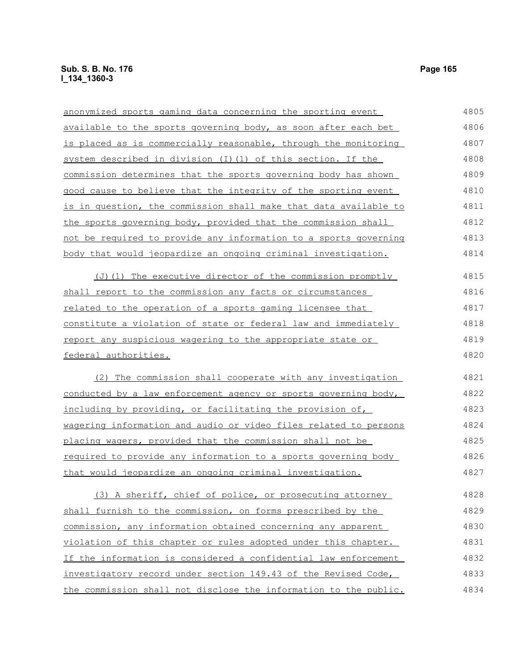| anonymized sports gaming data concerning the sporting event      | 4805 |
|------------------------------------------------------------------|------|
| available to the sports governing body, as soon after each bet   | 4806 |
| is placed as is commercially reasonable, through the monitoring  | 4807 |
| system described in division (I)(1) of this section. If the      | 4808 |
| commission determines that the sports governing body has shown   | 4809 |
| good cause to believe that the integrity of the sporting event   | 4810 |
| is in question, the commission shall make that data available to | 4811 |
| the sports governing body, provided that the commission shall    | 4812 |
| not be required to provide any information to a sports governing | 4813 |
| body that would jeopardize an ongoing criminal investigation.    | 4814 |
| (J)(1) The executive director of the commission promptly         | 4815 |
| shall report to the commission any facts or circumstances        | 4816 |
| related to the operation of a sports gaming licensee that        | 4817 |
| constitute a violation of state or federal law and immediately   | 4818 |
| report any suspicious wagering to the appropriate state or       | 4819 |
| federal authorities.                                             | 4820 |
| (2) The commission shall cooperate with any investigation        | 4821 |
| conducted by a law enforcement agency or sports governing body,  | 4822 |
| including by providing, or facilitating the provision of,        | 4823 |
| wagering information and audio or video files related to persons | 4824 |
| placing wagers, provided that the commission shall not be        | 4825 |
| required to provide any information to a sports governing body   | 4826 |
| that would jeopardize an ongoing criminal investigation.         | 4827 |
| (3) A sheriff, chief of police, or prosecuting attorney          | 4828 |
| shall furnish to the commission, on forms prescribed by the      | 4829 |
| commission, any information obtained concerning any apparent     | 4830 |
| violation of this chapter or rules adopted under this chapter.   | 4831 |
| If the information is considered a confidential law enforcement  | 4832 |
| investigatory record under section 149.43 of the Revised Code,   | 4833 |

the commission shall not disclose the information to the public. 4834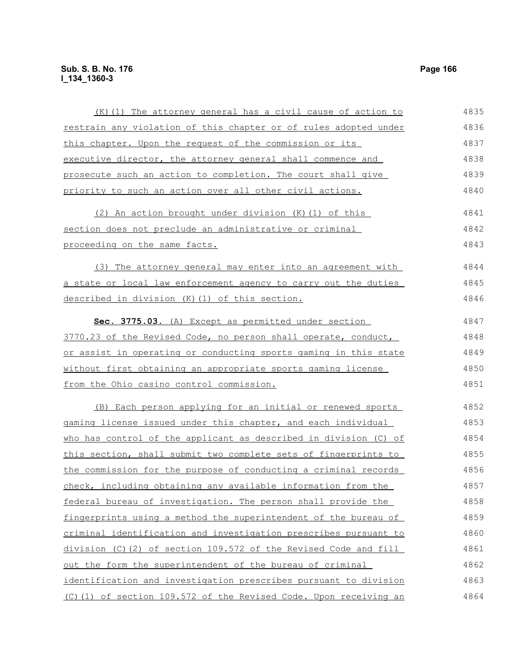| (K) (1) The attorney general has a civil cause of action to       | 4835 |
|-------------------------------------------------------------------|------|
| restrain any violation of this chapter or of rules adopted under  | 4836 |
| this chapter. Upon the request of the commission or its           | 4837 |
| executive director, the attorney general shall commence and       | 4838 |
| prosecute such an action to completion. The court shall give      | 4839 |
| priority to such an action over all other civil actions.          | 4840 |
| (2) An action brought under division (K) (1) of this              | 4841 |
| section does not preclude an administrative or criminal           | 4842 |
| proceeding on the same facts.                                     | 4843 |
| (3) The attorney general may enter into an agreement with         | 4844 |
| a state or local law enforcement agency to carry out the duties   | 4845 |
| described in division (K) (1) of this section.                    | 4846 |
| Sec. 3775.03. (A) Except as permitted under section               | 4847 |
| 3770.23 of the Revised Code, no person shall operate, conduct,    | 4848 |
| or assist in operating or conducting sports gaming in this state  | 4849 |
| without first obtaining an appropriate sports gaming license      | 4850 |
| from the Ohio casino control commission.                          | 4851 |
| (B) Each person applying for an initial or renewed sports         | 4852 |
| gaming license issued under this chapter, and each individual     | 4853 |
| who has control of the applicant as described in division (C) of  | 4854 |
| this section, shall submit two complete sets of fingerprints to   | 4855 |
| the commission for the purpose of conducting a criminal records   | 4856 |
| check, including obtaining any available information from the     | 4857 |
| federal bureau of investigation. The person shall provide the     | 4858 |
| fingerprints using a method the superintendent of the bureau of   | 4859 |
| criminal identification and investigation prescribes pursuant to  | 4860 |
| division (C) (2) of section 109.572 of the Revised Code and fill  | 4861 |
| out the form the superintendent of the bureau of criminal         | 4862 |
| identification and investigation prescribes pursuant to division  | 4863 |
| (C) (1) of section 109.572 of the Revised Code. Upon receiving an | 4864 |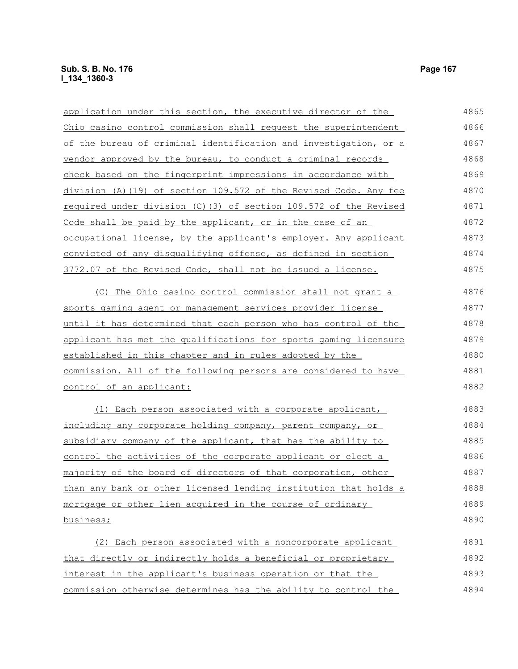| application under this section, the executive director of the     | 4865 |
|-------------------------------------------------------------------|------|
| Ohio casino control commission shall request the superintendent   | 4866 |
| of the bureau of criminal identification and investigation, or a  | 4867 |
| vendor approved by the bureau, to conduct a criminal records      | 4868 |
| check based on the fingerprint impressions in accordance with     | 4869 |
| division (A) (19) of section 109.572 of the Revised Code. Any fee | 4870 |
| required under division (C) (3) of section 109.572 of the Revised | 4871 |
| Code shall be paid by the applicant, or in the case of an         | 4872 |
| occupational license, by the applicant's employer. Any applicant  | 4873 |
| convicted of any disqualifying offense, as defined in section     | 4874 |
| 3772.07 of the Revised Code, shall not be issued a license.       | 4875 |
| (C) The Ohio casino control commission shall not grant a          | 4876 |
| sports gaming agent or management services provider license       | 4877 |
| until it has determined that each person who has control of the   | 4878 |
| applicant has met the qualifications for sports gaming licensure  | 4879 |
| established in this chapter and in rules adopted by the           | 4880 |
| commission. All of the following persons are considered to have   | 4881 |
| control of an applicant:                                          | 4882 |
| (1) Each person associated with a corporate applicant,            | 4883 |
| including any corporate holding company, parent company, or       | 4884 |
| subsidiary company of the applicant, that has the ability to      | 4885 |
| control the activities of the corporate applicant or elect a      | 4886 |
| majority of the board of directors of that corporation, other     | 4887 |
| than any bank or other licensed lending institution that holds a  | 4888 |
| mortgage or other lien acquired in the course of ordinary         | 4889 |
| business;                                                         | 4890 |
| (2) Each person associated with a noncorporate applicant          | 4891 |
| that directly or indirectly holds a beneficial or proprietary     | 4892 |
| interest in the applicant's business operation or that the        | 4893 |
| commission otherwise determines has the ability to control the    | 4894 |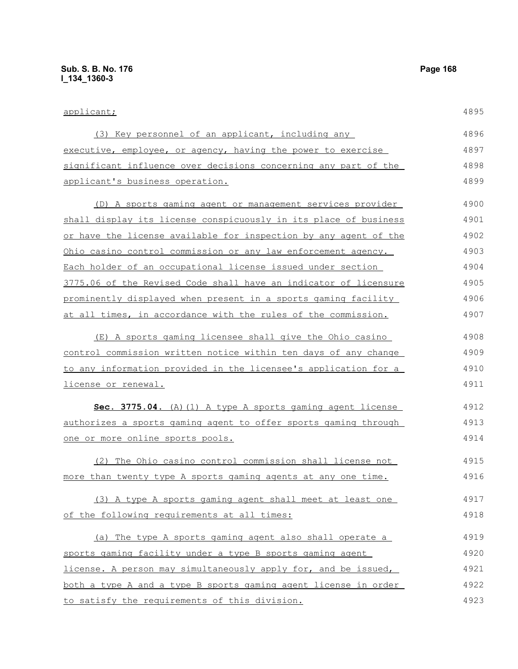applicant; (3) Key personnel of an applicant, including any executive, employee, or agency, having the power to exercise significant influence over decisions concerning any part of the applicant's business operation. (D) A sports gaming agent or management services provider shall display its license conspicuously in its place of business or have the license available for inspection by any agent of the Ohio casino control commission or any law enforcement agency. Each holder of an occupational license issued under section 3775.06 of the Revised Code shall have an indicator of licensure prominently displayed when present in a sports gaming facility at all times, in accordance with the rules of the commission. (E) A sports gaming licensee shall give the Ohio casino control commission written notice within ten days of any change to any information provided in the licensee's application for a license or renewal. **Sec. 3775.04.** (A)(1) A type A sports gaming agent license authorizes a sports gaming agent to offer sports gaming through one or more online sports pools. (2) The Ohio casino control commission shall license not more than twenty type A sports gaming agents at any one time. (3) A type A sports gaming agent shall meet at least one of the following requirements at all times: (a) The type A sports gaming agent also shall operate a sports gaming facility under a type B sports gaming agent license. A person may simultaneously apply for, and be issued, 4895 4896 4897 4898 4899 4900 4901 4902 4903 4904 4905 4906 4907 4908 4909 4910 4911 4912 4913 4914 4915 4916 4917 4918 4919 4920 4921

both a type A and a type B sports gaming agent license in order to satisfy the requirements of this division. 4922 4923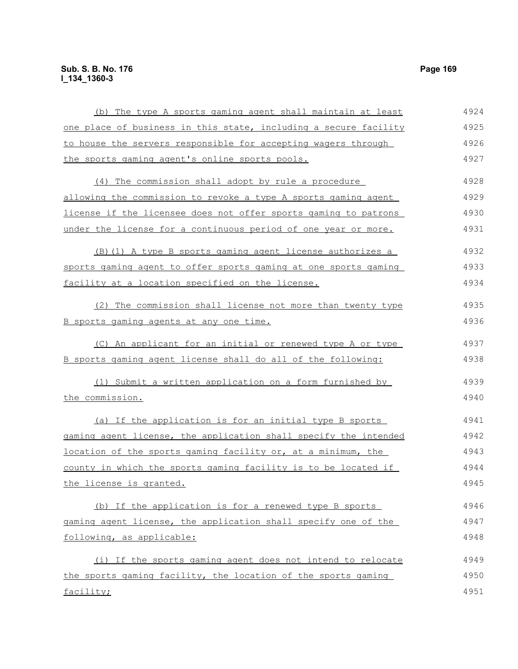(b) The type A sports gaming agent shall maintain at least one place of business in this state, including a secure facility to house the servers responsible for accepting wagers through the sports gaming agent's online sports pools. (4) The commission shall adopt by rule a procedure allowing the commission to revoke a type A sports gaming agent license if the licensee does not offer sports gaming to patrons under the license for a continuous period of one year or more. (B)(1) A type B sports gaming agent license authorizes a sports gaming agent to offer sports gaming at one sports gaming facility at a location specified on the license. (2) The commission shall license not more than twenty type B sports gaming agents at any one time. (C) An applicant for an initial or renewed type A or type B sports gaming agent license shall do all of the following: (1) Submit a written application on a form furnished by the commission. (a) If the application is for an initial type B sports gaming agent license, the application shall specify the intended location of the sports gaming facility or, at a minimum, the county in which the sports gaming facility is to be located if the license is granted. (b) If the application is for a renewed type B sports gaming agent license, the application shall specify one of the following, as applicable: (i) If the sports gaming agent does not intend to relocate the sports gaming facility, the location of the sports gaming facility; 4924 4925 4926 4927 4928 4929 4930 4931 4932 4933 4934 4935 4936 4937 4938 4939 4940 4941 4942 4943 4944 4945 4946 4947 4948 4949 4950 4951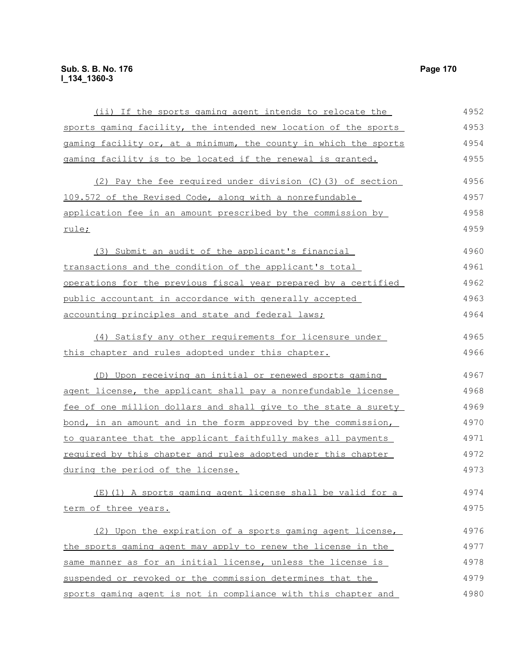| (ii) If the sports gaming agent intends to relocate the          | 4952 |
|------------------------------------------------------------------|------|
| sports gaming facility, the intended new location of the sports  | 4953 |
| gaming facility or, at a minimum, the county in which the sports | 4954 |
| gaming facility is to be located if the renewal is granted.      | 4955 |
| (2) Pay the fee required under division (C) (3) of section       | 4956 |
| 109.572 of the Revised Code, along with a nonrefundable          | 4957 |
| application fee in an amount prescribed by the commission by     | 4958 |
| rule;                                                            | 4959 |
| (3) Submit an audit of the applicant's financial                 | 4960 |
| transactions and the condition of the applicant's total          | 4961 |
| operations for the previous fiscal year prepared by a certified  | 4962 |
| public accountant in accordance with generally accepted          | 4963 |
| accounting principles and state and federal laws;                | 4964 |
| (4) Satisfy any other requirements for licensure under           | 4965 |
| this chapter and rules adopted under this chapter.               | 4966 |
| (D) Upon receiving an initial or renewed sports gaming           | 4967 |
| agent license, the applicant shall pay a nonrefundable license   | 4968 |
| fee of one million dollars and shall give to the state a surety  | 4969 |
| bond, in an amount and in the form approved by the commission,   | 4970 |
| to quarantee that the applicant faithfully makes all payments    | 4971 |
| required by this chapter and rules adopted under this chapter    | 4972 |
| during the period of the license.                                | 4973 |
| (E)(1) A sports gaming agent license shall be valid for a        | 4974 |
| term of three years.                                             | 4975 |
| (2) Upon the expiration of a sports gaming agent license,        | 4976 |
| the sports gaming agent may apply to renew the license in the    | 4977 |
| same manner as for an initial license, unless the license is     | 4978 |
| suspended or revoked or the commission determines that the       | 4979 |
| sports gaming agent is not in compliance with this chapter and   | 4980 |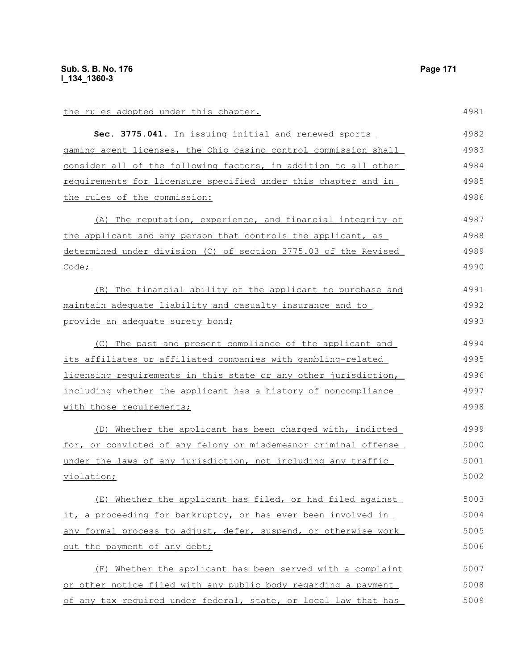violation;

| the rules adopted under this chapter.                           | 4981 |
|-----------------------------------------------------------------|------|
| Sec. 3775.041. In issuing initial and renewed sports            | 4982 |
| gaming agent licenses, the Ohio casino control commission shall | 4983 |
| consider all of the following factors, in addition to all other | 4984 |
| requirements for licensure specified under this chapter and in  | 4985 |
| the rules of the commission:                                    | 4986 |
| (A) The reputation, experience, and financial integrity of      | 4987 |
| the applicant and any person that controls the applicant, as    | 4988 |
| determined under division (C) of section 3775.03 of the Revised | 4989 |
| Code <sub>i</sub>                                               | 4990 |
| (B) The financial ability of the applicant to purchase and      | 4991 |
| maintain adequate liability and casualty insurance and to       | 4992 |
| provide an adequate surety bond;                                | 4993 |
| (C) The past and present compliance of the applicant and        | 4994 |
| its affiliates or affiliated companies with gambling-related    | 4995 |
| licensing requirements in this state or any other jurisdiction, | 4996 |
| including whether the applicant has a history of noncompliance  | 4997 |
| with those requirements;                                        | 4998 |
| (D) Whether the applicant has been charged with, indicted       | 4999 |
| for, or convicted of any felony or misdemeanor criminal offense | 5000 |
| under the laws of any jurisdiction, not including any traffic   | 5001 |

(E) Whether the applicant has filed, or had filed against it, a proceeding for bankruptcy, or has ever been involved in any formal process to adjust, defer, suspend, or otherwise work out the payment of any debt; 5003 5004 5005 5006

(F) Whether the applicant has been served with a complaint or other notice filed with any public body regarding a payment of any tax required under federal, state, or local law that has 5007 5008 5009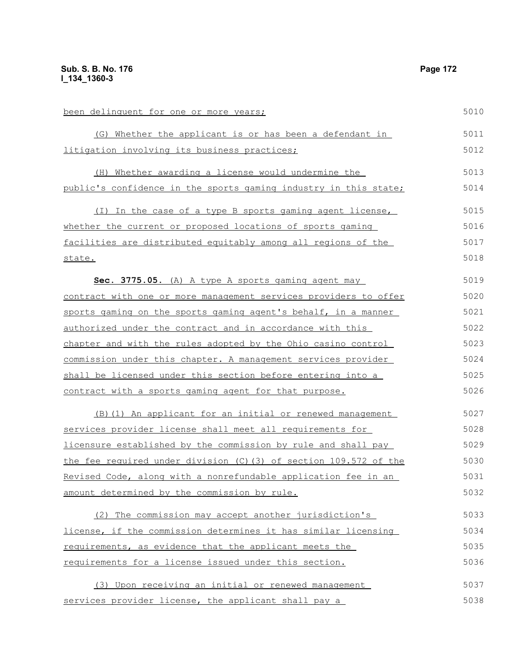| been delinquent for one or more years;                                  | 5010 |
|-------------------------------------------------------------------------|------|
| (G) Whether the applicant is or has been a defendant in                 | 5011 |
| litigation involving its business practices;                            | 5012 |
| (H) Whether awarding a license would undermine the                      | 5013 |
| public's confidence in the sports gaming industry in this state;        | 5014 |
| (I) In the case of a type B sports gaming agent license,                | 5015 |
| whether the current or proposed locations of sports gaming              | 5016 |
| facilities are distributed equitably among all regions of the           | 5017 |
| <u>state.</u>                                                           | 5018 |
| Sec. 3775.05. (A) A type A sports gaming agent may                      | 5019 |
| <u>contract with one or more management services providers to offer</u> | 5020 |
| sports gaming on the sports gaming agent's behalf, in a manner          | 5021 |
| authorized under the contract and in accordance with this               | 5022 |
| chapter and with the rules adopted by the Ohio casino control           | 5023 |
| commission under this chapter. A management services provider           | 5024 |
| shall be licensed under this section before entering into a             | 5025 |
| contract with a sports gaming agent for that purpose.                   | 5026 |
| (B) (1) An applicant for an initial or renewed management               | 5027 |
| services provider license shall meet all requirements for               | 5028 |
| licensure established by the commission by rule and shall pay           | 5029 |
| the fee required under division (C) (3) of section 109.572 of the       | 5030 |
| Revised Code, along with a nonrefundable application fee in an          | 5031 |
| amount determined by the commission by rule.                            | 5032 |
| (2) The commission may accept another jurisdiction's                    | 5033 |
| license, if the commission determines it has similar licensing          | 5034 |
| requirements, as evidence that the applicant meets the                  | 5035 |
| requirements for a license issued under this section.                   | 5036 |
| (3) Upon receiving an initial or renewed management                     | 5037 |
| services provider license, the applicant shall pay a                    | 5038 |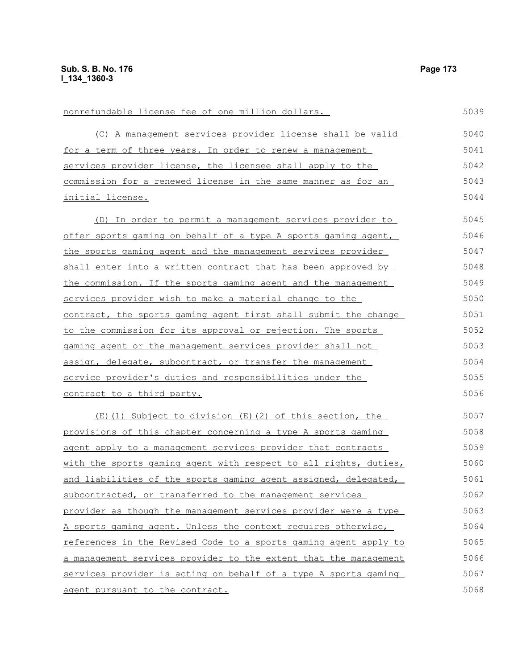nonrefundable license fee of one million dollars. (C) A management services provider license shall be valid for a term of three years. In order to renew a management services provider license, the licensee shall apply to the commission for a renewed license in the same manner as for an initial license. (D) In order to permit a management services provider to offer sports gaming on behalf of a type A sports gaming agent, the sports gaming agent and the management services provider shall enter into a written contract that has been approved by the commission. If the sports gaming agent and the management services provider wish to make a material change to the contract, the sports gaming agent first shall submit the change to the commission for its approval or rejection. The sports gaming agent or the management services provider shall not assign, delegate, subcontract, or transfer the management service provider's duties and responsibilities under the contract to a third party. (E)(1) Subject to division (E)(2) of this section, the provisions of this chapter concerning a type A sports gaming agent apply to a management services provider that contracts with the sports gaming agent with respect to all rights, duties, and liabilities of the sports gaming agent assigned, delegated, subcontracted, or transferred to the management services provider as though the management services provider were a type A sports gaming agent. Unless the context requires otherwise, references in the Revised Code to a sports gaming agent apply to a management services provider to the extent that the management services provider is acting on behalf of a type A sports gaming agent pursuant to the contract. 5039 5040 5041 5042 5043 5044 5045 5046 5047 5048 5049 5050 5051 5052 5053 5054 5055 5056 5057 5058 5059 5060 5061 5062 5063 5064 5065 5066 5067 5068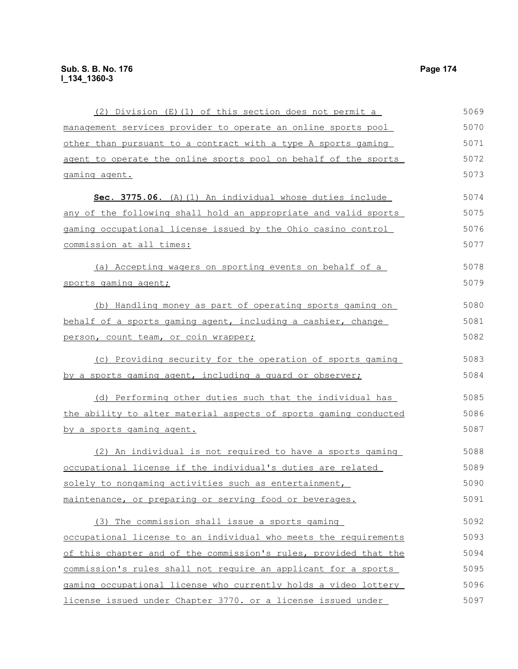| (2) Division (E)(1) of this section does not permit a            | 5069 |
|------------------------------------------------------------------|------|
| management services provider to operate an online sports pool    | 5070 |
| other than pursuant to a contract with a type A sports gaming    | 5071 |
| agent to operate the online sports pool on behalf of the sports  | 5072 |
| gaming agent.                                                    | 5073 |
| Sec. 3775.06. (A) (1) An individual whose duties include         | 5074 |
| any of the following shall hold an appropriate and valid sports  | 5075 |
| gaming occupational license issued by the Ohio casino control    | 5076 |
| commission at all times:                                         | 5077 |
| (a) Accepting wagers on sporting events on behalf of a           | 5078 |
| sports gaming agent;                                             | 5079 |
| (b) Handling money as part of operating sports gaming on         | 5080 |
| behalf of a sports gaming agent, including a cashier, change     | 5081 |
| person, count team, or coin wrapper;                             | 5082 |
| (c) Providing security for the operation of sports gaming        | 5083 |
| by a sports gaming agent, including a guard or observer;         | 5084 |
| (d) Performing other duties such that the individual has         | 5085 |
| the ability to alter material aspects of sports gaming conducted | 5086 |
| by a sports gaming agent.                                        | 5087 |
| (2) An individual is not required to have a sports gaming        | 5088 |
| occupational license if the individual's duties are related      | 5089 |
| solely to nongaming activities such as entertainment,            | 5090 |
| maintenance, or preparing or serving food or beverages.          | 5091 |
| (3) The commission shall issue a sports gaming                   | 5092 |
| occupational license to an individual who meets the requirements | 5093 |
| of this chapter and of the commission's rules, provided that the | 5094 |
| commission's rules shall not require an applicant for a sports   | 5095 |
| gaming occupational license who currently holds a video lottery  | 5096 |
| license issued under Chapter 3770. or a license issued under     | 5097 |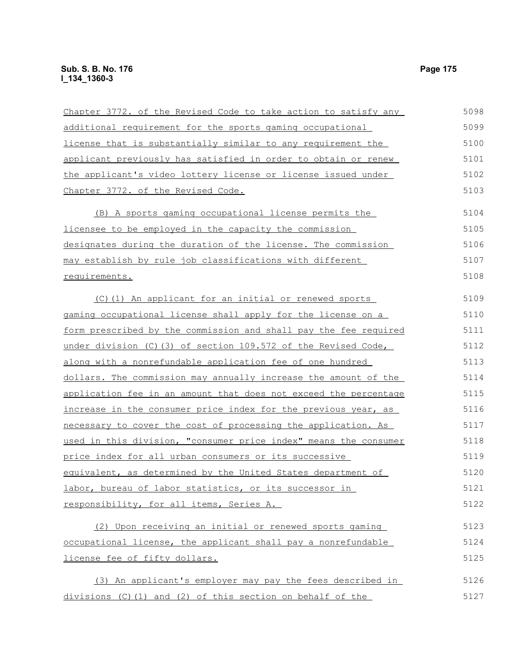| Chapter 3772. of the Revised Code to take action to satisfy any  | 5098 |
|------------------------------------------------------------------|------|
| additional requirement for the sports gaming occupational        | 5099 |
| license that is substantially similar to any requirement the     | 5100 |
| applicant previously has satisfied in order to obtain or renew   | 5101 |
| the applicant's video lottery license or license issued under    | 5102 |
| Chapter 3772. of the Revised Code.                               | 5103 |
| (B) A sports gaming occupational license permits the             | 5104 |
| licensee to be employed in the capacity the commission           | 5105 |
| designates during the duration of the license. The commission    | 5106 |
| may establish by rule job classifications with different         | 5107 |
| requirements.                                                    | 5108 |
| (C)(1) An applicant for an initial or renewed sports             | 5109 |
| gaming occupational license shall apply for the license on a     | 5110 |
| form prescribed by the commission and shall pay the fee required | 5111 |
| under division $(C)$ (3) of section 109.572 of the Revised Code, | 5112 |
| along with a nonrefundable application fee of one hundred        | 5113 |
| dollars. The commission may annually increase the amount of the  | 5114 |
| application fee in an amount that does not exceed the percentage | 5115 |
| increase in the consumer price index for the previous year, as   | 5116 |
| necessary to cover the cost of processing the application. As    | 5117 |
| used in this division, "consumer price index" means the consumer | 5118 |
| price index for all urban consumers or its successive            | 5119 |
| equivalent, as determined by the United States department of     | 5120 |
| labor, bureau of labor statistics, or its successor in           | 5121 |
| responsibility, for all items, Series A.                         | 5122 |
| (2) Upon receiving an initial or renewed sports gaming           | 5123 |
| occupational license, the applicant shall pay a nonrefundable    | 5124 |
| license fee of fifty dollars.                                    | 5125 |
| (3) An applicant's employer may pay the fees described in        | 5126 |
| $divisions$ (C)(1) and (2) of this section on behalf of the      | 5127 |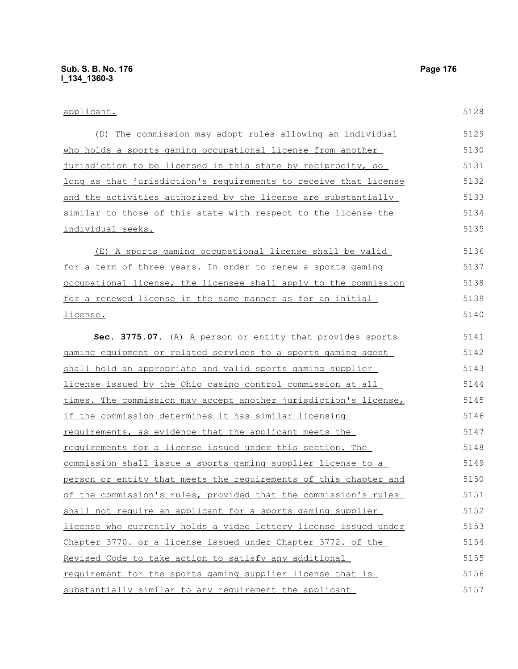| applicant. |  |                    |
|------------|--|--------------------|
|            |  | (D) The commission |

| (D) The commission may adopt rules allowing an individual           | 5129 |
|---------------------------------------------------------------------|------|
| who holds a sports gaming occupational license from another         | 5130 |
| jurisdiction to be licensed in this state by reciprocity, so        | 5131 |
| long as that jurisdiction's requirements to receive that license    | 5132 |
| and the activities authorized by the license are substantially      | 5133 |
| similar to those of this state with respect to the license the      | 5134 |
| individual seeks.                                                   | 5135 |
| (E) A sports gaming occupational license shall be valid             | 5136 |
| <u>for a term of three years. In order to renew a sports gaming</u> | 5137 |
| occupational license, the licensee shall apply to the commission    | 5138 |
| <u>for a renewed license in the same manner as for an initial</u>   | 5139 |
| license.                                                            | 5140 |
| Sec. 3775.07. (A) A person or entity that provides sports           | 5141 |
| gaming equipment or related services to a sports gaming agent       | 5142 |
| shall hold an appropriate and valid sports gaming supplier          | 5143 |
| license issued by the Ohio casino control commission at all         | 5144 |
| times. The commission may accept another jurisdiction's license,    | 5145 |
| if the commission determines it has similar licensing               | 5146 |
| requirements, as evidence that the applicant meets the              | 5147 |
| requirements for a license issued under this section. The           | 5148 |
| commission shall issue a sports gaming supplier license to a        | 5149 |
| person or entity that meets the requirements of this chapter and    | 5150 |
| of the commission's rules, provided that the commission's rules     | 5151 |
| shall not require an applicant for a sports gaming supplier         | 5152 |
| license who currently holds a video lottery license issued under    | 5153 |
| Chapter 3770. or a license issued under Chapter 3772. of the        | 5154 |
| Revised Code to take action to satisfy any additional               | 5155 |
| requirement for the sports gaming supplier license that is          | 5156 |
| substantially similar to any requirement the applicant              | 5157 |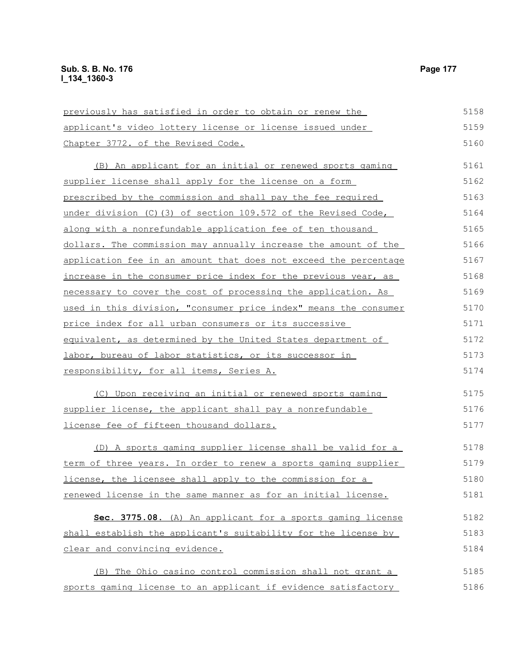applicant's video lottery license or license issued under Chapter 3772. of the Revised Code. (B) An applicant for an initial or renewed sports gaming supplier license shall apply for the license on a form prescribed by the commission and shall pay the fee required under division (C)(3) of section 109.572 of the Revised Code, along with a nonrefundable application fee of ten thousand dollars. The commission may annually increase the amount of the application fee in an amount that does not exceed the percentage increase in the consumer price index for the previous year, as necessary to cover the cost of processing the application. As used in this division, "consumer price index" means the consumer price index for all urban consumers or its successive equivalent, as determined by the United States department of labor, bureau of labor statistics, or its successor in responsibility, for all items, Series A. (C) Upon receiving an initial or renewed sports gaming supplier license, the applicant shall pay a nonrefundable license fee of fifteen thousand dollars. (D) A sports gaming supplier license shall be valid for a 5159 5160 5161 5162 5163 5164 5165 5166 5167 5168 5169 5170 5171 5172 5173 5174 5175 5176 5177 5178

previously has satisfied in order to obtain or renew the

term of three years. In order to renew a sports gaming supplier license, the licensee shall apply to the commission for a renewed license in the same manner as for an initial license. 5179 5180 5181

 **Sec. 3775.08.** (A) An applicant for a sports gaming license shall establish the applicant's suitability for the license by clear and convincing evidence. 5182 5183 5184

 (B) The Ohio casino control commission shall not grant a sports gaming license to an applicant if evidence satisfactory 5185 5186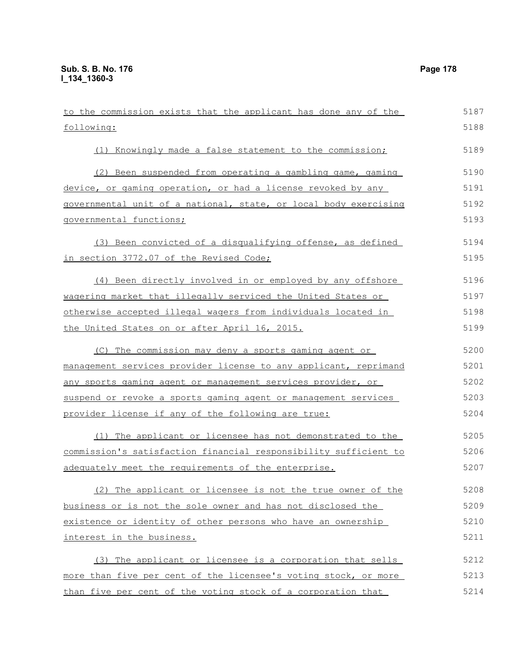| to the commission exists that the applicant has done any of the     | 5187 |
|---------------------------------------------------------------------|------|
| following:                                                          | 5188 |
| (1) Knowingly made a false statement to the commission;             | 5189 |
| (2) Been suspended from operating a gambling game, gaming           | 5190 |
| device, or gaming operation, or had a license revoked by any        | 5191 |
| governmental unit of a national, state, or local body exercising    | 5192 |
| governmental functions;                                             | 5193 |
| (3) Been convicted of a disqualifying offense, as defined           | 5194 |
| in section 3772.07 of the Revised Code;                             | 5195 |
| (4) Been directly involved in or employed by any offshore           | 5196 |
| wagering market that illegally serviced the United States or        | 5197 |
| otherwise accepted illegal wagers from individuals located in       | 5198 |
| the United States on or after April 16, 2015.                       | 5199 |
| (C) The commission may deny a sports gaming agent or                | 5200 |
| management services provider license to any applicant, reprimand    | 5201 |
| <u>any sports gaming agent or management services provider, or </u> | 5202 |
| suspend or revoke a sports gaming agent or management services      | 5203 |
| provider license if any of the following are true:                  | 5204 |
| (1) The applicant or licensee has not demonstrated to the           | 5205 |
| commission's satisfaction financial responsibility sufficient to    | 5206 |
| adequately meet the requirements of the enterprise.                 | 5207 |
| (2) The applicant or licensee is not the true owner of the          | 5208 |
| business or is not the sole owner and has not disclosed the         | 5209 |
| existence or identity of other persons who have an ownership        | 5210 |
| interest in the business.                                           | 5211 |
| (3) The applicant or licensee is a corporation that sells           | 5212 |
| more than five per cent of the licensee's voting stock, or more     | 5213 |
| than five per cent of the voting stock of a corporation that        | 5214 |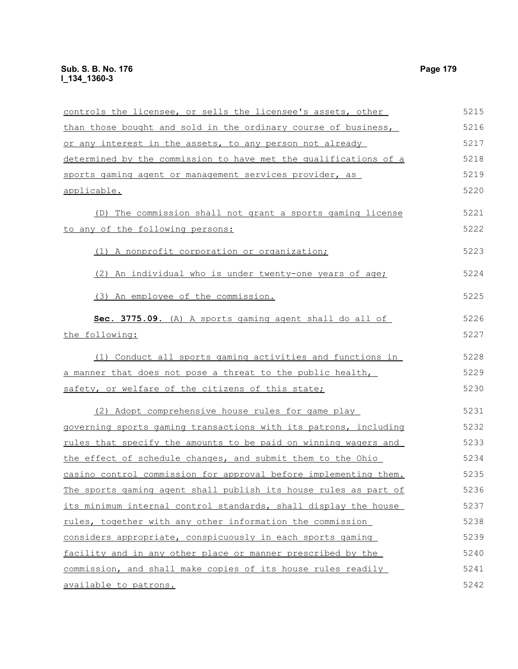controls the licensee, or sells the licensee's assets, other than those bought and sold in the ordinary course of business, or any interest in the assets, to any person not already determined by the commission to have met the qualifications of a sports gaming agent or management services provider, as applicable. (D) The commission shall not grant a sports gaming license to any of the following persons: (1) A nonprofit corporation or organization; (2) An individual who is under twenty-one years of age; (3) An employee of the commission. **Sec. 3775.09.** (A) A sports gaming agent shall do all of the following: (1) Conduct all sports gaming activities and functions in a manner that does not pose a threat to the public health, safety, or welfare of the citizens of this state; (2) Adopt comprehensive house rules for game play governing sports gaming transactions with its patrons, including rules that specify the amounts to be paid on winning wagers and the effect of schedule changes, and submit them to the Ohio casino control commission for approval before implementing them. 5215 5216 5217 5218 5219 5220 5221 5222 5223 5224 5225 5226 5227 5228 5229 5230 5231 5232 5233 5234 5235

The sports gaming agent shall publish its house rules as part of its minimum internal control standards, shall display the house rules, together with any other information the commission considers appropriate, conspicuously in each sports gaming facility and in any other place or manner prescribed by the commission, and shall make copies of its house rules readily available to patrons. 5236 5237 5238 5239 5240 5241 5242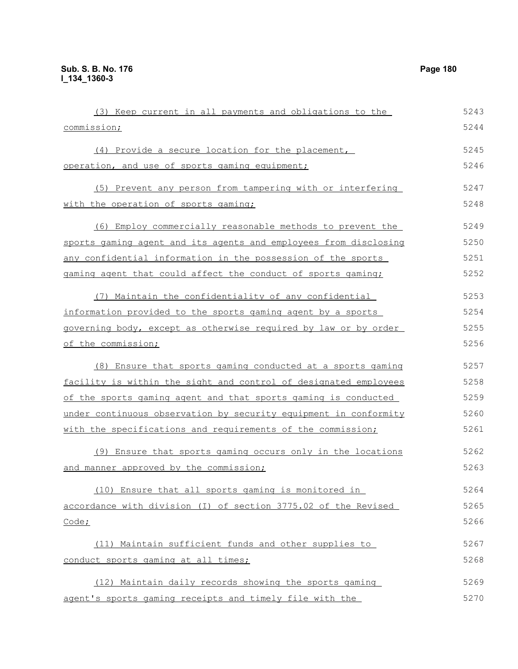(3) Keep current in all payments and obligations to the commission; (4) Provide a secure location for the placement, operation, and use of sports gaming equipment; (5) Prevent any person from tampering with or interfering with the operation of sports gaming; (6) Employ commercially reasonable methods to prevent the sports gaming agent and its agents and employees from disclosing any confidential information in the possession of the sports gaming agent that could affect the conduct of sports gaming; (7) Maintain the confidentiality of any confidential information provided to the sports gaming agent by a sports governing body, except as otherwise required by law or by order of the commission; (8) Ensure that sports gaming conducted at a sports gaming facility is within the sight and control of designated employees of the sports gaming agent and that sports gaming is conducted under continuous observation by security equipment in conformity with the specifications and requirements of the commission; (9) Ensure that sports gaming occurs only in the locations and manner approved by the commission; (10) Ensure that all sports gaming is monitored in accordance with division (I) of section 3775.02 of the Revised Code; (11) Maintain sufficient funds and other supplies to conduct sports gaming at all times; (12) Maintain daily records showing the sports gaming agent's sports gaming receipts and timely file with the 5243 5244 5245 5246 5247 5248 5249 5250 5251 5252 5253 5254 5255 5256 5257 5258 5259 5260 5261 5262 5263 5264 5265 5266 5267 5268 5269 5270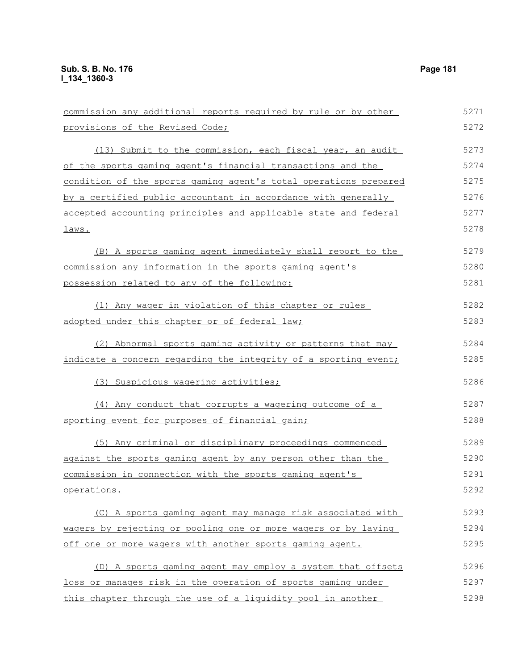| commission any additional reports required by rule or by other   | 5271 |
|------------------------------------------------------------------|------|
| provisions of the Revised Code;                                  | 5272 |
| (13) Submit to the commission, each fiscal year, an audit        | 5273 |
| of the sports gaming agent's financial transactions and the      | 5274 |
| condition of the sports gaming agent's total operations prepared | 5275 |
| by a certified public accountant in accordance with generally    | 5276 |
| accepted accounting principles and applicable state and federal  | 5277 |
| laws.                                                            | 5278 |
| (B) A sports gaming agent immediately shall report to the        | 5279 |
| commission any information in the sports gaming agent's          | 5280 |
| possession related to any of the following:                      | 5281 |
| (1) Any wager in violation of this chapter or rules              | 5282 |
| adopted under this chapter or of federal law;                    | 5283 |
| (2) Abnormal sports gaming activity or patterns that may         | 5284 |
| indicate a concern regarding the integrity of a sporting event;  | 5285 |
| (3) Suspicious wagering activities;                              | 5286 |
| (4) Any conduct that corrupts a wagering outcome of a            | 5287 |
| sporting event for purposes of financial gain;                   | 5288 |
| (5) Any criminal or disciplinary proceedings commenced           | 5289 |
| against the sports gaming agent by any person other than the     | 5290 |
| commission in connection with the sports gaming agent's          | 5291 |
| operations.                                                      | 5292 |
| (C) A sports gaming agent may manage risk associated with        | 5293 |
| wagers by rejecting or pooling one or more wagers or by laying   | 5294 |
| off one or more wagers with another sports gaming agent.         | 5295 |
| (D) A sports gaming agent may employ a system that offsets       | 5296 |
| loss or manages risk in the operation of sports gaming under     | 5297 |
| this chapter through the use of a liquidity pool in another      | 5298 |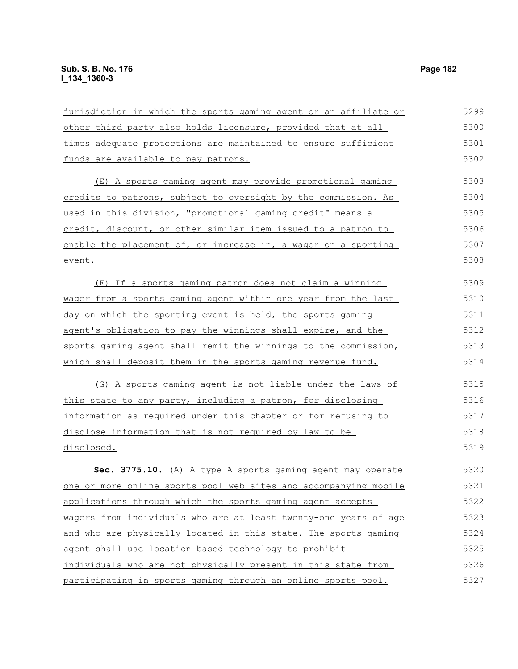jurisdiction in which the sports gaming agent or an affiliate or other third party also holds licensure, provided that at all times adequate protections are maintained to ensure sufficient funds are available to pay patrons. (E) A sports gaming agent may provide promotional gaming credits to patrons, subject to oversight by the commission. As used in this division, "promotional gaming credit" means a credit, discount, or other similar item issued to a patron to enable the placement of, or increase in, a wager on a sporting event. (F) If a sports gaming patron does not claim a winning wager from a sports gaming agent within one year from the last day on which the sporting event is held, the sports gaming agent's obligation to pay the winnings shall expire, and the sports gaming agent shall remit the winnings to the commission, which shall deposit them in the sports gaming revenue fund. (G) A sports gaming agent is not liable under the laws of this state to any party, including a patron, for disclosing information as required under this chapter or for refusing to disclose information that is not required by law to be disclosed. **Sec. 3775.10.** (A) A type A sports gaming agent may operate one or more online sports pool web sites and accompanying mobile applications through which the sports gaming agent accepts wagers from individuals who are at least twenty-one years of age and who are physically located in this state. The sports gaming agent shall use location based technology to prohibit individuals who are not physically present in this state from 5299 5300 5301 5302 5303 5304 5305 5306 5307 5308 5309 5310 5311 5312 5313 5314 5315 5316 5317 5318 5319 5320 5321 5322 5323 5324 5325 5326

participating in sports gaming through an online sports pool.

5327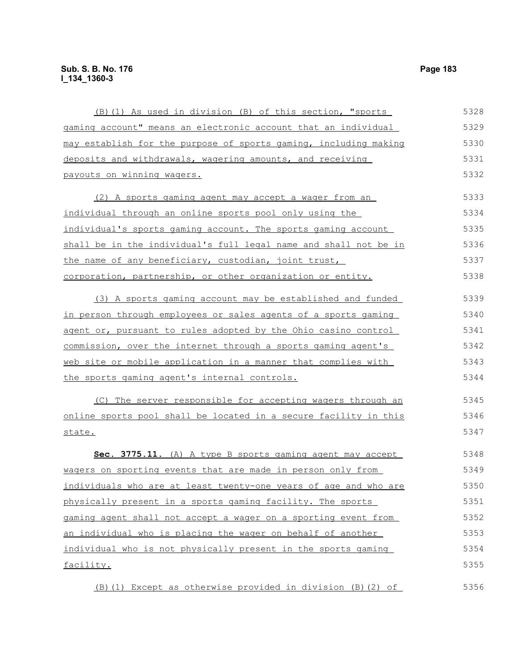| (B) (1) As used in division (B) of this section, "sports         | 5328 |
|------------------------------------------------------------------|------|
| gaming account" means an electronic account that an individual   | 5329 |
| may establish for the purpose of sports gaming, including making | 5330 |
| deposits and withdrawals, wagering amounts, and receiving        | 5331 |
| payouts on winning wagers.                                       | 5332 |
| (2) A sports gaming agent may accept a wager from an             | 5333 |
| individual through an online sports pool only using the          | 5334 |
| individual's sports gaming account. The sports gaming account    | 5335 |
| shall be in the individual's full legal name and shall not be in | 5336 |
| the name of any beneficiary, custodian, joint trust,             | 5337 |
| corporation, partnership, or other organization or entity.       | 5338 |
| (3) A sports gaming account may be established and funded        | 5339 |
| in person through employees or sales agents of a sports gaming   | 5340 |
| agent or, pursuant to rules adopted by the Ohio casino control   | 5341 |
| commission, over the internet through a sports gaming agent's    | 5342 |
| web site or mobile application in a manner that complies with    | 5343 |
| the sports gaming agent's internal controls.                     | 5344 |
| (C) The server responsible for accepting wagers through an       | 5345 |
| online sports pool shall be located in a secure facility in this | 5346 |
| state.                                                           | 5347 |
| Sec. 3775.11. (A) A type B sports gaming agent may accept        | 5348 |
| wagers on sporting events that are made in person only from      | 5349 |
| individuals who are at least twenty-one years of age and who are | 5350 |
| physically present in a sports gaming facility. The sports       | 5351 |
| gaming agent shall not accept a wager on a sporting event from   | 5352 |
| an individual who is placing the wager on behalf of another      | 5353 |
| individual who is not physically present in the sports gaming    | 5354 |
| facility.                                                        | 5355 |
| (B)(1) Except as otherwise provided in division (B)(2) of        | 5356 |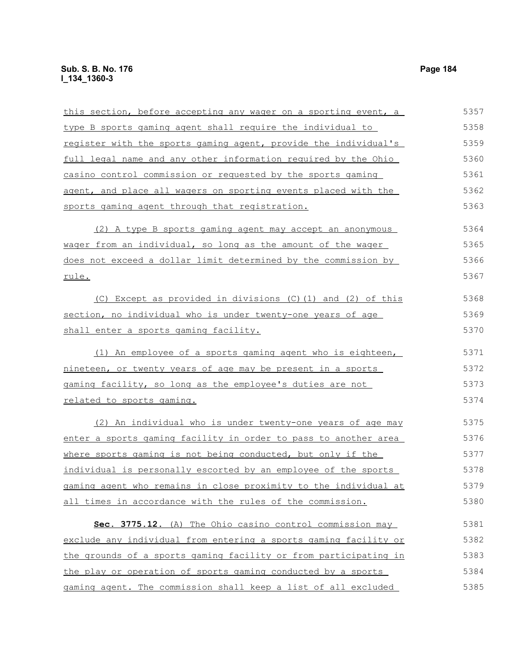| this section, before accepting any wager on a sporting event, a  | 5357 |
|------------------------------------------------------------------|------|
| type B sports gaming agent shall require the individual to       | 5358 |
| register with the sports gaming agent, provide the individual's  | 5359 |
| full legal name and any other information required by the Ohio   | 5360 |
| casino control commission or requested by the sports gaming      | 5361 |
| agent, and place all wagers on sporting events placed with the   | 5362 |
| sports gaming agent through that registration.                   | 5363 |
| (2) A type B sports gaming agent may accept an anonymous         | 5364 |
| wager from an individual, so long as the amount of the wager     | 5365 |
| does not exceed a dollar limit determined by the commission by   | 5366 |
| rule.                                                            | 5367 |
| (C) Except as provided in divisions (C) (1) and (2) of this      | 5368 |
| section, no individual who is under twenty-one years of age      | 5369 |
| shall enter a sports gaming facility.                            | 5370 |
| (1) An employee of a sports gaming agent who is eighteen,        | 5371 |
| nineteen, or twenty years of age may be present in a sports      | 5372 |
| gaming facility, so long as the employee's duties are not        | 5373 |
| <u>related to sports gaming.</u>                                 | 5374 |
| (2) An individual who is under twenty-one years of age may       | 5375 |
| enter a sports gaming facility in order to pass to another area  | 5376 |
| where sports gaming is not being conducted, but only if the      | 5377 |
| individual is personally escorted by an employee of the sports   | 5378 |
| gaming agent who remains in close proximity to the individual at | 5379 |
| all times in accordance with the rules of the commission.        | 5380 |
| Sec. 3775.12. (A) The Ohio casino control commission may         | 5381 |
| exclude any individual from entering a sports gaming facility or | 5382 |
| the grounds of a sports gaming facility or from participating in | 5383 |
| the play or operation of sports gaming conducted by a sports     | 5384 |
| gaming agent. The commission shall keep a list of all excluded   | 5385 |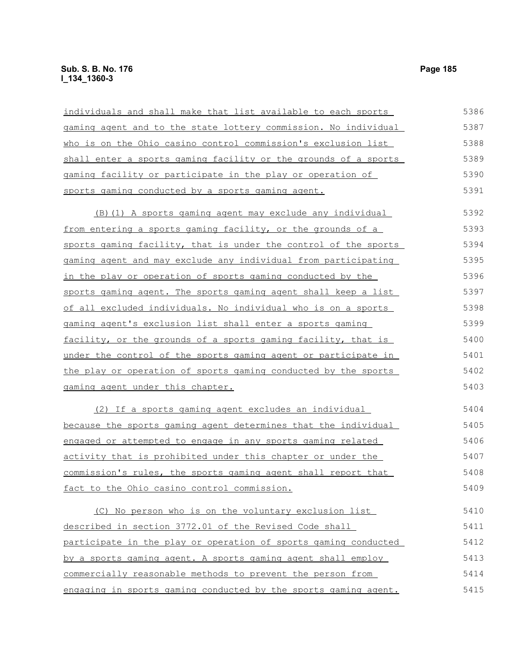| individuals and shall make that list available to each sports         | 5386 |
|-----------------------------------------------------------------------|------|
| gaming agent and to the state lottery commission. No individual       | 5387 |
| who is on the Ohio casino control commission's exclusion list         | 5388 |
| shall enter a sports gaming facility or the grounds of a sports       | 5389 |
| <u>gaming facility or participate in the play or operation of</u>     | 5390 |
| sports gaming conducted by a sports gaming agent.                     | 5391 |
| (B) (1) A sports gaming agent may exclude any individual              | 5392 |
| from entering a sports gaming facility, or the grounds of a           | 5393 |
| sports gaming facility, that is under the control of the sports       | 5394 |
| gaming agent and may exclude any individual from participating        | 5395 |
| in the play or operation of sports gaming conducted by the            | 5396 |
| sports gaming agent. The sports gaming agent shall keep a list        | 5397 |
| of all excluded individuals. No individual who is on a sports         | 5398 |
| <u>gaming agent's exclusion list shall enter a sports gaming </u>     | 5399 |
| facility, or the grounds of a sports gaming facility, that is         | 5400 |
| under the control of the sports gaming agent or participate in        | 5401 |
| <u>the play or operation of sports gaming conducted by the sports</u> | 5402 |
| <u>gaming agent under this chapter.</u>                               | 5403 |
| (2) If a sports gaming agent excludes an individual                   | 5404 |
| because the sports gaming agent determines that the individual        | 5405 |
| engaged or attempted to engage in any sports gaming related           | 5406 |
| <u>activity that is prohibited under this chapter or under the </u>   | 5407 |
| <u>commission's rules, the sports gaming agent shall report that</u>  | 5408 |
| fact to the Ohio casino control commission.                           | 5409 |
| (C) No person who is on the voluntary exclusion list                  | 5410 |
| described in section 3772.01 of the Revised Code shall                | 5411 |
| participate in the play or operation of sports gaming conducted       | 5412 |
| <u>by a sports gaming agent. A sports gaming agent shall employ </u>  | 5413 |
| commercially reasonable methods to prevent the person from            | 5414 |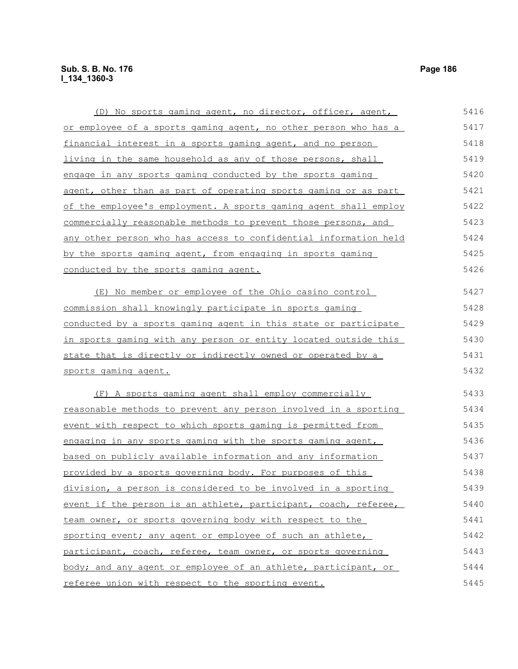(D) No sports gaming agent, no director, officer, agent, or employee of a sports gaming agent, no other person who has a financial interest in a sports gaming agent, and no person living in the same household as any of those persons, shall engage in any sports gaming conducted by the sports gaming agent, other than as part of operating sports gaming or as part of the employee's employment. A sports gaming agent shall employ commercially reasonable methods to prevent those persons, and any other person who has access to confidential information held by the sports gaming agent, from engaging in sports gaming conducted by the sports gaming agent. (E) No member or employee of the Ohio casino control commission shall knowingly participate in sports gaming conducted by a sports gaming agent in this state or participate in sports gaming with any person or entity located outside this state that is directly or indirectly owned or operated by a sports gaming agent. 5416 5417 5418 5419 5420 5421 5422 5423 5424 5425 5426 5427 5428 5429 5430 5431 5432

(F) A sports gaming agent shall employ commercially reasonable methods to prevent any person involved in a sporting event with respect to which sports gaming is permitted from engaging in any sports gaming with the sports gaming agent, based on publicly available information and any information provided by a sports governing body. For purposes of this division, a person is considered to be involved in a sporting event if the person is an athlete, participant, coach, referee, team owner, or sports governing body with respect to the sporting event; any agent or employee of such an athlete, participant, coach, referee, team owner, or sports governing body; and any agent or employee of an athlete, participant, or referee union with respect to the sporting event. 5433 5434 5435 5436 5437 5438 5439 5440 5441 5442 5443 5444 5445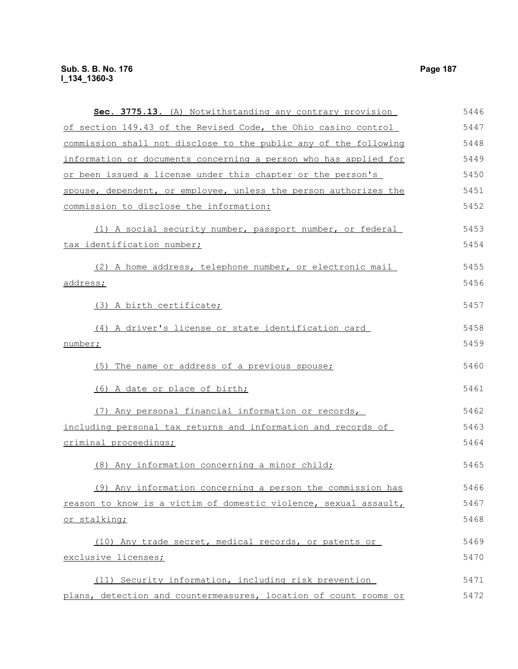**Sec. 3775.13.** (A) Notwithstanding any contrary provision of section 149.43 of the Revised Code, the Ohio casino control commission shall not disclose to the public any of the following information or documents concerning a person who has applied for or been issued a license under this chapter or the person's spouse, dependent, or employee, unless the person authorizes the commission to disclose the information: (1) A social security number, passport number, or federal tax identification number; (2) A home address, telephone number, or electronic mail address; (3) A birth certificate; (4) A driver's license or state identification card number; (5) The name or address of a previous spouse; (6) A date or place of birth; (7) Any personal financial information or records, including personal tax returns and information and records of criminal proceedings; (8) Any information concerning a minor child; (9) Any information concerning a person the commission has reason to know is a victim of domestic violence, sexual assault, or stalking; (10) Any trade secret, medical records, or patents or exclusive licenses; (11) Security information, including risk prevention plans, detection and countermeasures, location of count rooms or 5446 5447 5448 5449 5450 5451 5452 5453 5454 5455 5456 5457 5458 5459 5460 5461 5462 5463 5464 5465 5466 5467 5468 5469 5470 5471 5472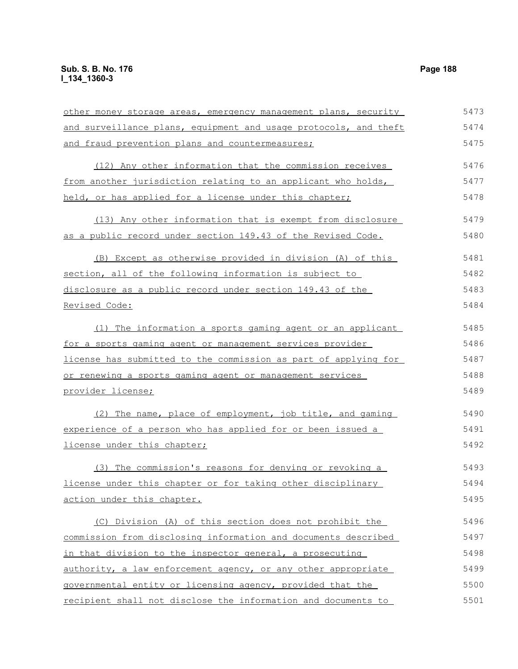other money storage areas, emergency management plans, security and surveillance plans, equipment and usage protocols, and theft and fraud prevention plans and countermeasures; (12) Any other information that the commission receives from another jurisdiction relating to an applicant who holds, held, or has applied for a license under this chapter; (13) Any other information that is exempt from disclosure as a public record under section 149.43 of the Revised Code. (B) Except as otherwise provided in division (A) of this section, all of the following information is subject to disclosure as a public record under section 149.43 of the Revised Code: (1) The information a sports gaming agent or an applicant for a sports gaming agent or management services provider license has submitted to the commission as part of applying for or renewing a sports gaming agent or management services provider license; (2) The name, place of employment, job title, and gaming experience of a person who has applied for or been issued a license under this chapter; (3) The commission's reasons for denying or revoking a license under this chapter or for taking other disciplinary action under this chapter. (C) Division (A) of this section does not prohibit the commission from disclosing information and documents described in that division to the inspector general, a prosecuting authority, a law enforcement agency, or any other appropriate governmental entity or licensing agency, provided that the recipient shall not disclose the information and documents to 5473 5474 5475 5476 5477 5478 5479 5480 5481 5482 5483 5484 5485 5486 5487 5488 5489 5490 5491 5492 5493 5494 5495 5496 5497 5498 5499 5500 5501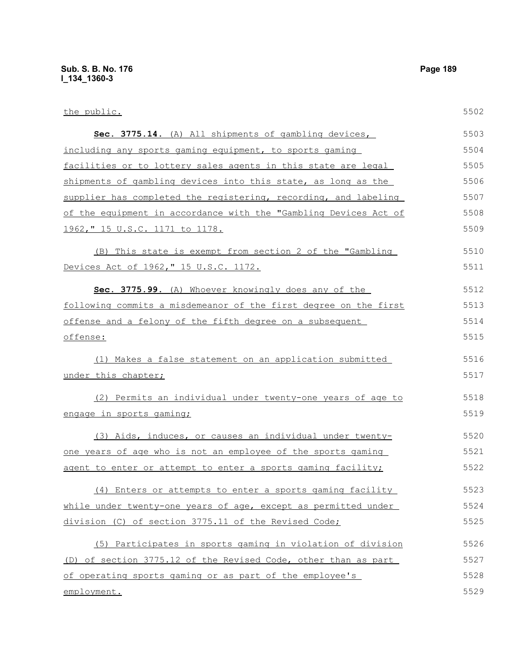| the public.                                                      | 5502 |
|------------------------------------------------------------------|------|
| Sec. 3775.14. (A) All shipments of gambling devices,             | 5503 |
| including any sports gaming equipment, to sports gaming          | 5504 |
| facilities or to lottery sales agents in this state are legal    | 5505 |
| shipments of gambling devices into this state, as long as the    | 5506 |
| supplier has completed the registering, recording, and labeling  | 5507 |
| of the equipment in accordance with the "Gambling Devices Act of | 5508 |
| <u>1962, " 15 U.S.C. 1171 to 1178.</u>                           | 5509 |
| (B) This state is exempt from section 2 of the "Gambling         | 5510 |
| Devices Act of 1962, " 15 U.S.C. 1172.                           | 5511 |
| Sec. 3775.99. (A) Whoever knowingly does any of the              | 5512 |
| following commits a misdemeanor of the first degree on the first | 5513 |
| offense and a felony of the fifth degree on a subsequent         | 5514 |
| offense:                                                         | 5515 |
| (1) Makes a false statement on an application submitted          | 5516 |
| under this chapter;                                              | 5517 |
| (2) Permits an individual under twenty-one years of age to       | 5518 |
| engage in sports gaming;                                         | 5519 |
| (3) Aids, induces, or causes an individual under twenty-         | 5520 |
| one years of age who is not an employee of the sports gaming     | 5521 |
| agent to enter or attempt to enter a sports gaming facility;     | 5522 |
| (4) Enters or attempts to enter a sports gaming facility         | 5523 |
| while under twenty-one years of age, except as permitted under   | 5524 |
| division (C) of section 3775.11 of the Revised Code;             | 5525 |
| (5) Participates in sports gaming in violation of division       | 5526 |
| (D) of section 3775.12 of the Revised Code, other than as part   | 5527 |
| of operating sports gaming or as part of the employee's          | 5528 |
| employment.                                                      | 5529 |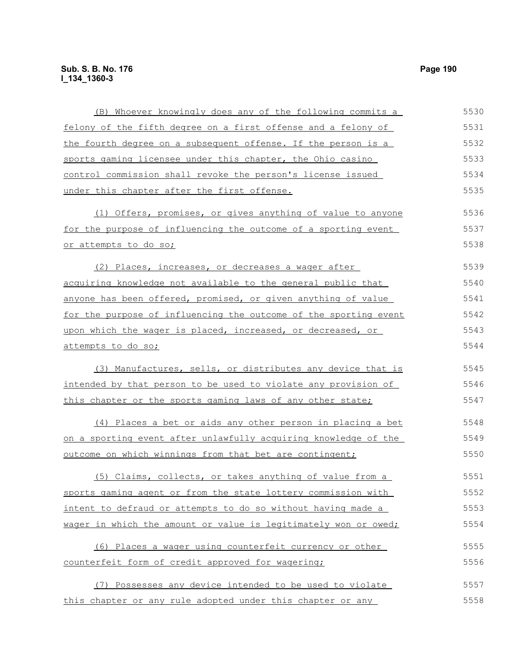| (B) Whoever knowingly does any of the following commits a             | 5530 |
|-----------------------------------------------------------------------|------|
| felony of the fifth degree on a first offense and a felony of         | 5531 |
| the fourth degree on a subsequent offense. If the person is a         | 5532 |
| sports gaming licensee under this chapter, the Ohio casino            | 5533 |
| control commission shall revoke the person's license issued           | 5534 |
| under this chapter after the first offense.                           | 5535 |
| (1) Offers, promises, or gives anything of value to anyone            | 5536 |
| for the purpose of influencing the outcome of a sporting event        | 5537 |
| <u>or attempts to do so;</u>                                          | 5538 |
| (2) Places, increases, or decreases a wager after                     | 5539 |
| acquiring knowledge not available to the general public that          | 5540 |
| anyone has been offered, promised, or given anything of value         | 5541 |
| for the purpose of influencing the outcome of the sporting event      | 5542 |
| upon which the wager is placed, increased, or decreased, or           | 5543 |
| attempts to do so;                                                    | 5544 |
| (3) Manufactures, sells, or distributes any device that is            | 5545 |
| <u>intended by that person to be used to violate any provision of</u> | 5546 |
| this chapter or the sports gaming laws of any other state;            | 5547 |
| (4) Places a bet or aids any other person in placing a bet            | 5548 |
| on a sporting event after unlawfully acquiring knowledge of the       | 5549 |
| outcome on which winnings from that bet are contingent;               | 5550 |
| (5) Claims, collects, or takes anything of value from a               | 5551 |
| sports gaming agent or from the state lottery commission with         | 5552 |
| intent to defraud or attempts to do so without having made a          | 5553 |
| wager in which the amount or value is legitimately won or owed;       | 5554 |
| (6) Places a wager using counterfeit currency or other                | 5555 |
| counterfeit form of credit approved for wagering;                     | 5556 |
| (7) Possesses any device intended to be used to violate               | 5557 |
| this chapter or any rule adopted under this chapter or any            | 5558 |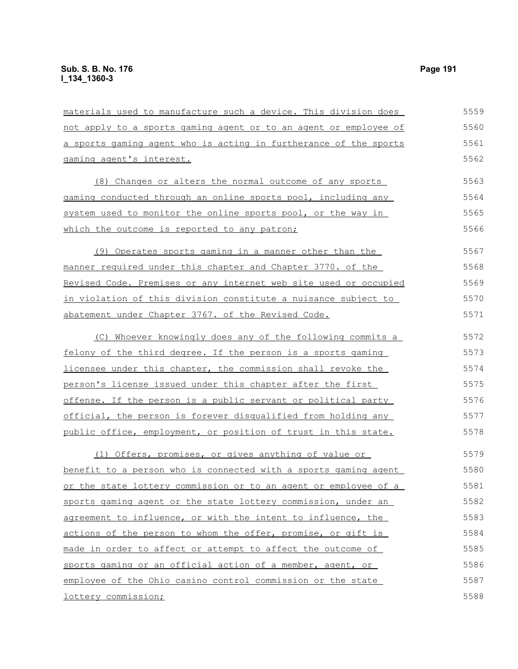| materials used to manufacture such a device. This division does  | 5559 |
|------------------------------------------------------------------|------|
| not apply to a sports gaming agent or to an agent or employee of | 5560 |
| a sports gaming agent who is acting in furtherance of the sports | 5561 |
| gaming agent's interest.                                         | 5562 |
| (8) Changes or alters the normal outcome of any sports           | 5563 |
| gaming conducted through an online sports pool, including any    | 5564 |
| system used to monitor the online sports pool, or the way in     | 5565 |
| which the outcome is reported to any patron;                     | 5566 |
| (9) Operates sports gaming in a manner other than the            | 5567 |
| manner required under this chapter and Chapter 3770. of the      | 5568 |
| Revised Code. Premises or any internet web site used or occupied | 5569 |
| in violation of this division constitute a nuisance subject to   | 5570 |
| abatement under Chapter 3767. of the Revised Code.               | 5571 |
| (C) Whoever knowingly does any of the following commits a        | 5572 |
| felony of the third degree. If the person is a sports gaming     | 5573 |
| licensee under this chapter, the commission shall revoke the     | 5574 |
| person's license issued under this chapter after the first       | 5575 |
| offense. If the person is a public servant or political party    | 5576 |
| official, the person is forever disqualified from holding any    | 5577 |
| public office, employment, or position of trust in this state.   | 5578 |
| (1) Offers, promises, or gives anything of value or              | 5579 |
| benefit to a person who is connected with a sports gaming agent  | 5580 |
| or the state lottery commission or to an agent or employee of a  | 5581 |
| sports gaming agent or the state lottery commission, under an    | 5582 |
| agreement to influence, or with the intent to influence, the     | 5583 |
| actions of the person to whom the offer, promise, or gift is     | 5584 |
| made in order to affect or attempt to affect the outcome of      | 5585 |
| sports gaming or an official action of a member, agent, or       | 5586 |
| employee of the Ohio casino control commission or the state      | 5587 |
| lottery commission;                                              | 5588 |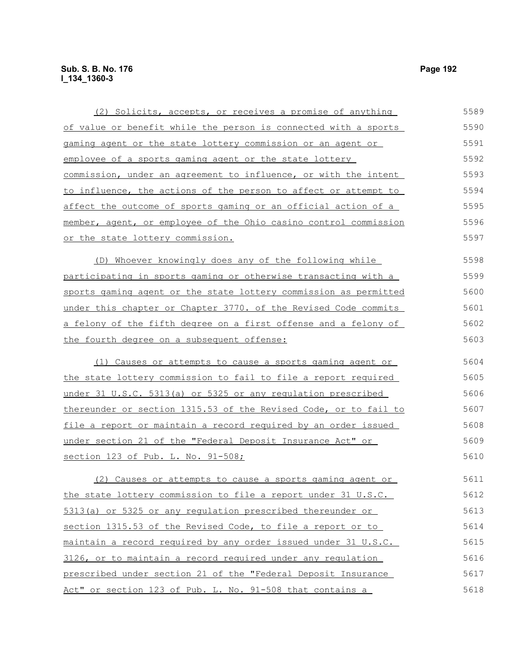or the state lottery commission.

(2) Solicits, accepts, or receives a promise of anything of value or benefit while the person is connected with a sports gaming agent or the state lottery commission or an agent or employee of a sports gaming agent or the state lottery commission, under an agreement to influence, or with the intent to influence, the actions of the person to affect or attempt to affect the outcome of sports gaming or an official action of a 5589 5590 5591 5592 5593 5594 5595

(D) Whoever knowingly does any of the following while participating in sports gaming or otherwise transacting with a sports gaming agent or the state lottery commission as permitted under this chapter or Chapter 3770. of the Revised Code commits a felony of the fifth degree on a first offense and a felony of the fourth degree on a subsequent offense: 5598 5599 5600 5601 5602 5603

member, agent, or employee of the Ohio casino control commission

(1) Causes or attempts to cause a sports gaming agent or the state lottery commission to fail to file a report required under 31 U.S.C. 5313(a) or 5325 or any regulation prescribed thereunder or section 1315.53 of the Revised Code, or to fail to file a report or maintain a record required by an order issued under section 21 of the "Federal Deposit Insurance Act" or section 123 of Pub. L. No. 91-508; 5604 5605 5606 5607 5608 5609 5610

(2) Causes or attempts to cause a sports gaming agent or the state lottery commission to file a report under 31 U.S.C. 5313(a) or 5325 or any regulation prescribed thereunder or section 1315.53 of the Revised Code, to file a report or to maintain a record required by any order issued under 31 U.S.C. 3126, or to maintain a record required under any regulation prescribed under section 21 of the "Federal Deposit Insurance Act" or section 123 of Pub. L. No. 91-508 that contains a 5611 5612 5613 5614 5615 5616 5617 5618

5596 5597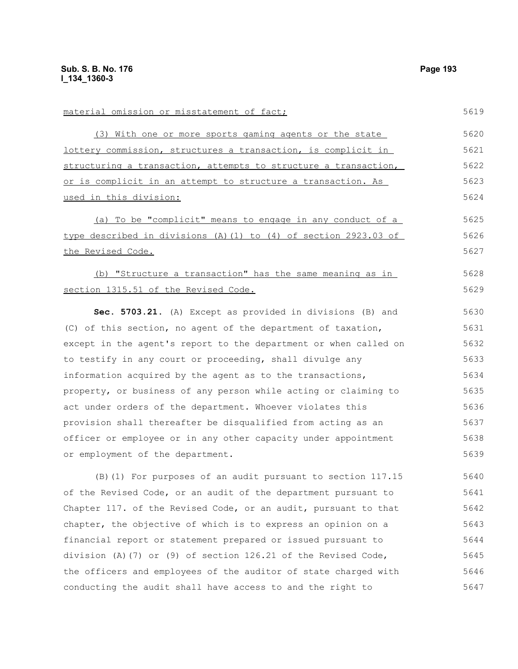5619

material omission or misstatement of fact; (3) With one or more sports gaming agents or the state lottery commission, structures a transaction, is complicit in structuring a transaction, attempts to structure a transaction, or is complicit in an attempt to structure a transaction. As used in this division: (a) To be "complicit" means to engage in any conduct of a type described in divisions (A)(1) to (4) of section 2923.03 of the Revised Code. (b) "Structure a transaction" has the same meaning as in section 1315.51 of the Revised Code. 5620 5621 5622 5623 5624 5625 5626 5627 5628 5629

**Sec. 5703.21.** (A) Except as provided in divisions (B) and (C) of this section, no agent of the department of taxation, except in the agent's report to the department or when called on to testify in any court or proceeding, shall divulge any information acquired by the agent as to the transactions, property, or business of any person while acting or claiming to act under orders of the department. Whoever violates this provision shall thereafter be disqualified from acting as an officer or employee or in any other capacity under appointment or employment of the department. 5630 5631 5632 5633 5634 5635 5636 5637 5638 5639

(B)(1) For purposes of an audit pursuant to section 117.15 of the Revised Code, or an audit of the department pursuant to Chapter 117. of the Revised Code, or an audit, pursuant to that chapter, the objective of which is to express an opinion on a financial report or statement prepared or issued pursuant to division (A)(7) or (9) of section 126.21 of the Revised Code, the officers and employees of the auditor of state charged with conducting the audit shall have access to and the right to 5640 5641 5642 5643 5644 5645 5646 5647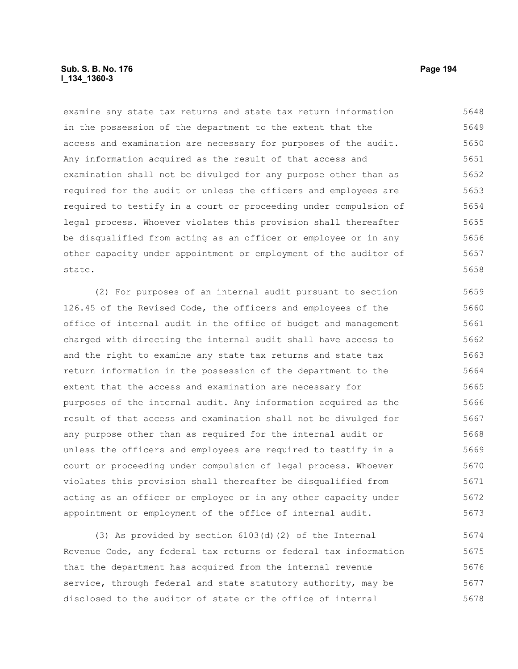# **Sub. S. B. No. 176 Page 194 l\_134\_1360-3**

examine any state tax returns and state tax return information in the possession of the department to the extent that the access and examination are necessary for purposes of the audit. Any information acquired as the result of that access and examination shall not be divulged for any purpose other than as required for the audit or unless the officers and employees are required to testify in a court or proceeding under compulsion of legal process. Whoever violates this provision shall thereafter be disqualified from acting as an officer or employee or in any other capacity under appointment or employment of the auditor of state. 5648 5649 5650 5651 5652 5653 5654 5655 5656 5657 5658

(2) For purposes of an internal audit pursuant to section 126.45 of the Revised Code, the officers and employees of the office of internal audit in the office of budget and management charged with directing the internal audit shall have access to and the right to examine any state tax returns and state tax return information in the possession of the department to the extent that the access and examination are necessary for purposes of the internal audit. Any information acquired as the result of that access and examination shall not be divulged for any purpose other than as required for the internal audit or unless the officers and employees are required to testify in a court or proceeding under compulsion of legal process. Whoever violates this provision shall thereafter be disqualified from acting as an officer or employee or in any other capacity under appointment or employment of the office of internal audit. 5659 5660 5661 5662 5663 5664 5665 5666 5667 5668 5669 5670 5671 5672 5673

(3) As provided by section 6103(d)(2) of the Internal Revenue Code, any federal tax returns or federal tax information that the department has acquired from the internal revenue service, through federal and state statutory authority, may be disclosed to the auditor of state or the office of internal 5674 5675 5676 5677 5678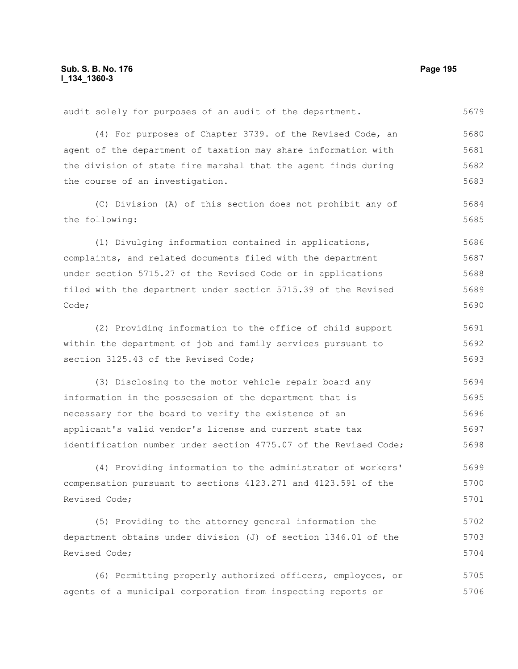#### audit solely for purposes of an audit of the department. (4) For purposes of Chapter 3739. of the Revised Code, an agent of the department of taxation may share information with the division of state fire marshal that the agent finds during the course of an investigation. (C) Division (A) of this section does not prohibit any of the following: (1) Divulging information contained in applications, complaints, and related documents filed with the department under section 5715.27 of the Revised Code or in applications filed with the department under section 5715.39 of the Revised Code; (2) Providing information to the office of child support within the department of job and family services pursuant to section 3125.43 of the Revised Code; (3) Disclosing to the motor vehicle repair board any information in the possession of the department that is necessary for the board to verify the existence of an applicant's valid vendor's license and current state tax identification number under section 4775.07 of the Revised Code; (4) Providing information to the administrator of workers' compensation pursuant to sections 4123.271 and 4123.591 of the Revised Code; (5) Providing to the attorney general information the 5679 5680 5681 5682 5683 5684 5685 5686 5687 5688 5689 5690 5691 5692 5693 5694 5695 5696 5697 5698 5699 5700 5701 5702

department obtains under division (J) of section 1346.01 of the Revised Code; 5703 5704

(6) Permitting properly authorized officers, employees, or agents of a municipal corporation from inspecting reports or 5705 5706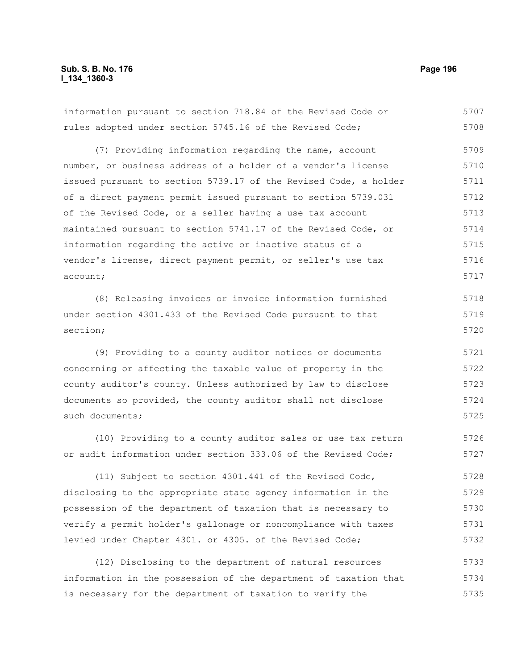information pursuant to section 718.84 of the Revised Code or rules adopted under section 5745.16 of the Revised Code; (7) Providing information regarding the name, account number, or business address of a holder of a vendor's license issued pursuant to section 5739.17 of the Revised Code, a holder of a direct payment permit issued pursuant to section 5739.031 of the Revised Code, or a seller having a use tax account maintained pursuant to section 5741.17 of the Revised Code, or information regarding the active or inactive status of a vendor's license, direct payment permit, or seller's use tax account; 5707 5708 5709 5710 5711 5712 5713 5714 5715 5716 5717

(8) Releasing invoices or invoice information furnished under section 4301.433 of the Revised Code pursuant to that section; 5718 5719 5720

(9) Providing to a county auditor notices or documents concerning or affecting the taxable value of property in the county auditor's county. Unless authorized by law to disclose documents so provided, the county auditor shall not disclose such documents; 5721 5722 5723 5724 5725

(10) Providing to a county auditor sales or use tax return or audit information under section 333.06 of the Revised Code; 5726 5727

(11) Subject to section 4301.441 of the Revised Code, disclosing to the appropriate state agency information in the possession of the department of taxation that is necessary to verify a permit holder's gallonage or noncompliance with taxes levied under Chapter 4301. or 4305. of the Revised Code; 5728 5729 5730 5731 5732

(12) Disclosing to the department of natural resources information in the possession of the department of taxation that is necessary for the department of taxation to verify the 5733 5734 5735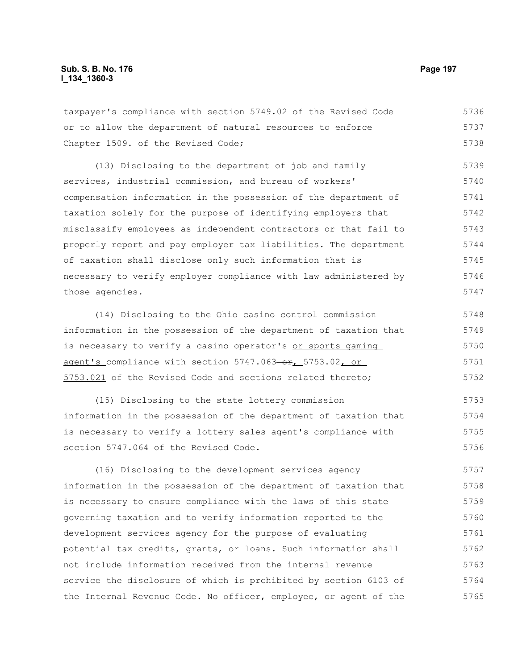taxpayer's compliance with section 5749.02 of the Revised Code or to allow the department of natural resources to enforce Chapter 1509. of the Revised Code; 5736 5737 5738

(13) Disclosing to the department of job and family services, industrial commission, and bureau of workers' compensation information in the possession of the department of taxation solely for the purpose of identifying employers that misclassify employees as independent contractors or that fail to properly report and pay employer tax liabilities. The department of taxation shall disclose only such information that is necessary to verify employer compliance with law administered by those agencies. 5739 5740 5741 5742 5743 5744 5745 5746 5747

(14) Disclosing to the Ohio casino control commission information in the possession of the department of taxation that is necessary to verify a casino operator's or sports gaming agent's compliance with section 5747.063-or, 5753.02, or 5753.021 of the Revised Code and sections related thereto; 5748 5749 5750 5751 5752

(15) Disclosing to the state lottery commission information in the possession of the department of taxation that is necessary to verify a lottery sales agent's compliance with section 5747.064 of the Revised Code. 5753 5754 5755 5756

(16) Disclosing to the development services agency information in the possession of the department of taxation that is necessary to ensure compliance with the laws of this state governing taxation and to verify information reported to the development services agency for the purpose of evaluating potential tax credits, grants, or loans. Such information shall not include information received from the internal revenue service the disclosure of which is prohibited by section 6103 of the Internal Revenue Code. No officer, employee, or agent of the 5757 5758 5759 5760 5761 5762 5763 5764 5765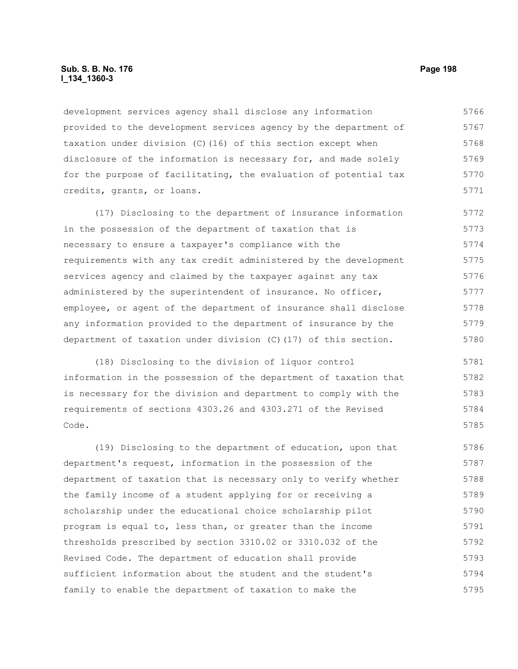## **Sub. S. B. No. 176 Page 198 l\_134\_1360-3**

development services agency shall disclose any information provided to the development services agency by the department of taxation under division (C)(16) of this section except when disclosure of the information is necessary for, and made solely for the purpose of facilitating, the evaluation of potential tax credits, grants, or loans. 5766 5767 5768 5769 5770 5771

(17) Disclosing to the department of insurance information in the possession of the department of taxation that is necessary to ensure a taxpayer's compliance with the requirements with any tax credit administered by the development services agency and claimed by the taxpayer against any tax administered by the superintendent of insurance. No officer, employee, or agent of the department of insurance shall disclose any information provided to the department of insurance by the department of taxation under division (C)(17) of this section. 5772 5773 5774 5775 5776 5777 5778 5779 5780

(18) Disclosing to the division of liquor control information in the possession of the department of taxation that is necessary for the division and department to comply with the requirements of sections 4303.26 and 4303.271 of the Revised Code. 5781 5782 5783 5784 5785

(19) Disclosing to the department of education, upon that department's request, information in the possession of the department of taxation that is necessary only to verify whether the family income of a student applying for or receiving a scholarship under the educational choice scholarship pilot program is equal to, less than, or greater than the income thresholds prescribed by section 3310.02 or 3310.032 of the Revised Code. The department of education shall provide sufficient information about the student and the student's family to enable the department of taxation to make the 5786 5787 5788 5789 5790 5791 5792 5793 5794 5795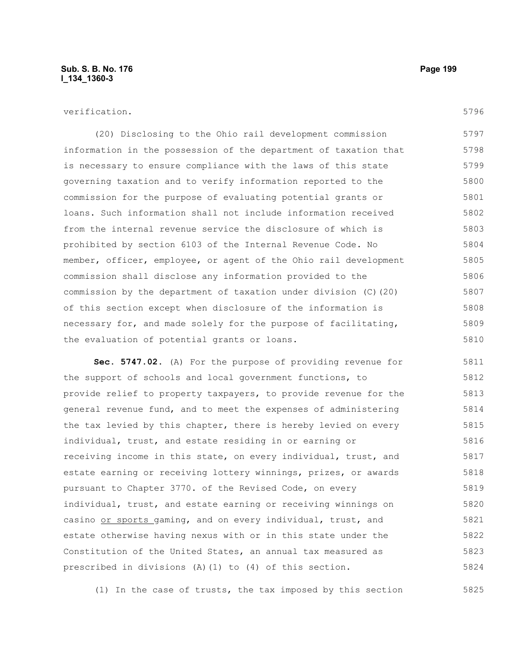#### verification.

(20) Disclosing to the Ohio rail development commission information in the possession of the department of taxation that is necessary to ensure compliance with the laws of this state governing taxation and to verify information reported to the commission for the purpose of evaluating potential grants or loans. Such information shall not include information received from the internal revenue service the disclosure of which is prohibited by section 6103 of the Internal Revenue Code. No member, officer, employee, or agent of the Ohio rail development commission shall disclose any information provided to the commission by the department of taxation under division (C)(20) of this section except when disclosure of the information is necessary for, and made solely for the purpose of facilitating, the evaluation of potential grants or loans. 5797 5798 5799 5800 5801 5802 5803 5804 5805 5806 5807 5808 5809 5810

**Sec. 5747.02.** (A) For the purpose of providing revenue for the support of schools and local government functions, to provide relief to property taxpayers, to provide revenue for the general revenue fund, and to meet the expenses of administering the tax levied by this chapter, there is hereby levied on every individual, trust, and estate residing in or earning or receiving income in this state, on every individual, trust, and estate earning or receiving lottery winnings, prizes, or awards pursuant to Chapter 3770. of the Revised Code, on every individual, trust, and estate earning or receiving winnings on casino or sports gaming, and on every individual, trust, and estate otherwise having nexus with or in this state under the Constitution of the United States, an annual tax measured as prescribed in divisions (A)(1) to (4) of this section. 5811 5812 5813 5814 5815 5816 5817 5818 5819 5820 5821 5822 5823 5824

(1) In the case of trusts, the tax imposed by this section

5796

5825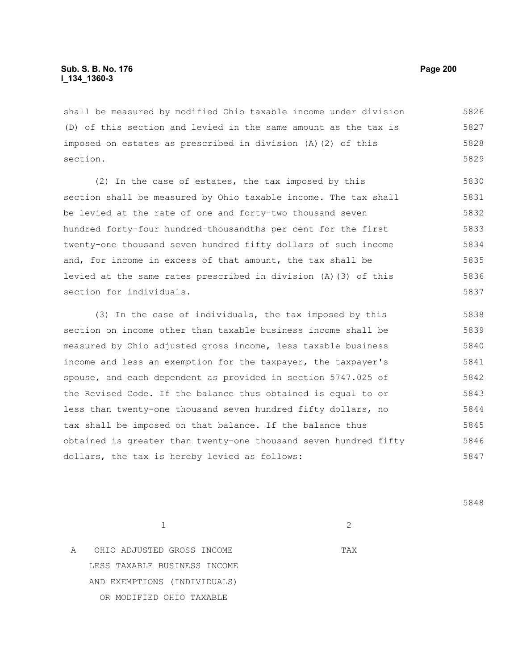shall be measured by modified Ohio taxable income under division (D) of this section and levied in the same amount as the tax is imposed on estates as prescribed in division (A)(2) of this section. 5826 5827 5828 5829

(2) In the case of estates, the tax imposed by this section shall be measured by Ohio taxable income. The tax shall be levied at the rate of one and forty-two thousand seven hundred forty-four hundred-thousandths per cent for the first twenty-one thousand seven hundred fifty dollars of such income and, for income in excess of that amount, the tax shall be levied at the same rates prescribed in division (A)(3) of this section for individuals. 5830 5831 5832 5833 5834 5835 5836 5837

(3) In the case of individuals, the tax imposed by this section on income other than taxable business income shall be measured by Ohio adjusted gross income, less taxable business income and less an exemption for the taxpayer, the taxpayer's spouse, and each dependent as provided in section 5747.025 of the Revised Code. If the balance thus obtained is equal to or less than twenty-one thousand seven hundred fifty dollars, no tax shall be imposed on that balance. If the balance thus obtained is greater than twenty-one thousand seven hundred fifty dollars, the tax is hereby levied as follows: 5838 5839 5840 5841 5842 5843 5844 5845 5846 5847

5848

1 2

TAX

A OHIO ADJUSTED GROSS INCOME LESS TAXABLE BUSINESS INCOME AND EXEMPTIONS (INDIVIDUALS) OR MODIFIED OHIO TAXABLE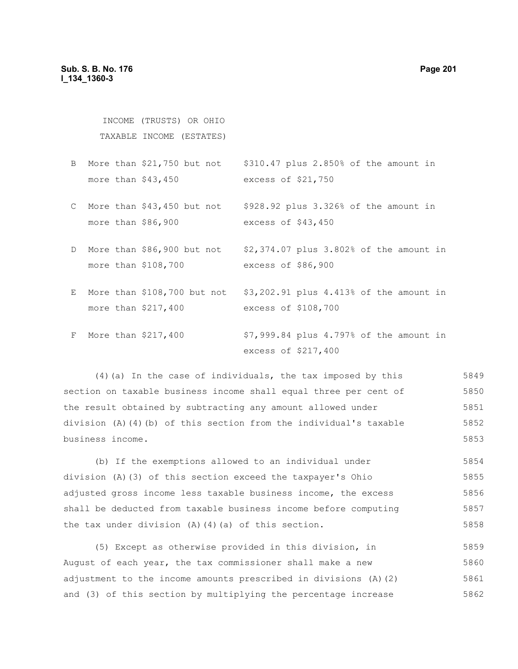INCOME (TRUSTS) OR OHIO TAXABLE INCOME (ESTATES)

- B More than \$21,750 but not \$310.47 plus 2.850% of the amount in more than \$43,450 excess of \$21,750
- C More than \$43,450 but not more than \$86,900 \$928.92 plus 3.326% of the amount in excess of \$43,450
- D More than \$86,900 but not more than \$108,700 \$2,374.07 plus 3.802% of the amount in excess of \$86,900
- E More than \$108,700 but not \$3,202.91 plus 4.413% of the amount in more than \$217,400 excess of \$108,700
- F More than \$217,400 \$7,999.84 plus 4.797% of the amount in excess of \$217,400

(4)(a) In the case of individuals, the tax imposed by this section on taxable business income shall equal three per cent of the result obtained by subtracting any amount allowed under division (A)(4)(b) of this section from the individual's taxable business income. 5849 5850 5851 5852 5853

(b) If the exemptions allowed to an individual under division (A)(3) of this section exceed the taxpayer's Ohio adjusted gross income less taxable business income, the excess shall be deducted from taxable business income before computing the tax under division  $(A)$   $(4)$   $(a)$  of this section. 5854 5855 5856 5857 5858

(5) Except as otherwise provided in this division, in August of each year, the tax commissioner shall make a new adjustment to the income amounts prescribed in divisions (A)(2) and (3) of this section by multiplying the percentage increase 5859 5860 5861 5862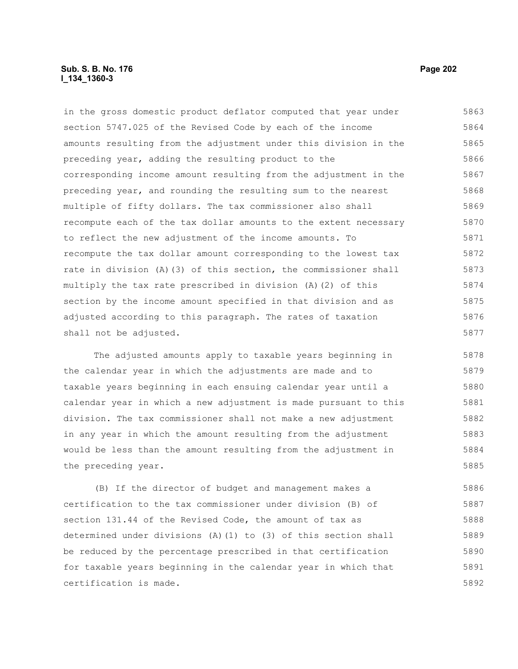in the gross domestic product deflator computed that year under section 5747.025 of the Revised Code by each of the income amounts resulting from the adjustment under this division in the preceding year, adding the resulting product to the corresponding income amount resulting from the adjustment in the preceding year, and rounding the resulting sum to the nearest multiple of fifty dollars. The tax commissioner also shall recompute each of the tax dollar amounts to the extent necessary to reflect the new adjustment of the income amounts. To recompute the tax dollar amount corresponding to the lowest tax rate in division (A)(3) of this section, the commissioner shall multiply the tax rate prescribed in division (A)(2) of this section by the income amount specified in that division and as adjusted according to this paragraph. The rates of taxation shall not be adjusted. 5863 5864 5865 5866 5867 5868 5869 5870 5871 5872 5873 5874 5875 5876 5877

The adjusted amounts apply to taxable years beginning in the calendar year in which the adjustments are made and to taxable years beginning in each ensuing calendar year until a calendar year in which a new adjustment is made pursuant to this division. The tax commissioner shall not make a new adjustment in any year in which the amount resulting from the adjustment would be less than the amount resulting from the adjustment in the preceding year. 5878 5879 5880 5881 5882 5883 5884 5885

(B) If the director of budget and management makes a certification to the tax commissioner under division (B) of section 131.44 of the Revised Code, the amount of tax as determined under divisions (A)(1) to (3) of this section shall be reduced by the percentage prescribed in that certification for taxable years beginning in the calendar year in which that certification is made. 5886 5887 5888 5889 5890 5891 5892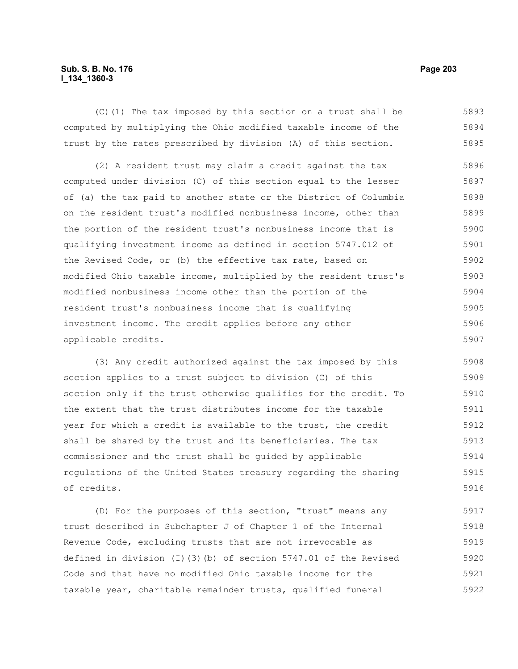# **Sub. S. B. No. 176 Page 203 l\_134\_1360-3**

(C)(1) The tax imposed by this section on a trust shall be computed by multiplying the Ohio modified taxable income of the trust by the rates prescribed by division (A) of this section. 5893 5894 5895

(2) A resident trust may claim a credit against the tax computed under division (C) of this section equal to the lesser of (a) the tax paid to another state or the District of Columbia on the resident trust's modified nonbusiness income, other than the portion of the resident trust's nonbusiness income that is qualifying investment income as defined in section 5747.012 of the Revised Code, or (b) the effective tax rate, based on modified Ohio taxable income, multiplied by the resident trust's modified nonbusiness income other than the portion of the resident trust's nonbusiness income that is qualifying investment income. The credit applies before any other applicable credits. 5896 5897 5898 5899 5900 5901 5902 5903 5904 5905 5906 5907

(3) Any credit authorized against the tax imposed by this section applies to a trust subject to division (C) of this section only if the trust otherwise qualifies for the credit. To the extent that the trust distributes income for the taxable year for which a credit is available to the trust, the credit shall be shared by the trust and its beneficiaries. The tax commissioner and the trust shall be guided by applicable regulations of the United States treasury regarding the sharing of credits. 5908 5909 5910 5911 5912 5913 5914 5915 5916

(D) For the purposes of this section, "trust" means any trust described in Subchapter J of Chapter 1 of the Internal Revenue Code, excluding trusts that are not irrevocable as defined in division (I)(3)(b) of section 5747.01 of the Revised Code and that have no modified Ohio taxable income for the taxable year, charitable remainder trusts, qualified funeral 5917 5918 5919 5920 5921 5922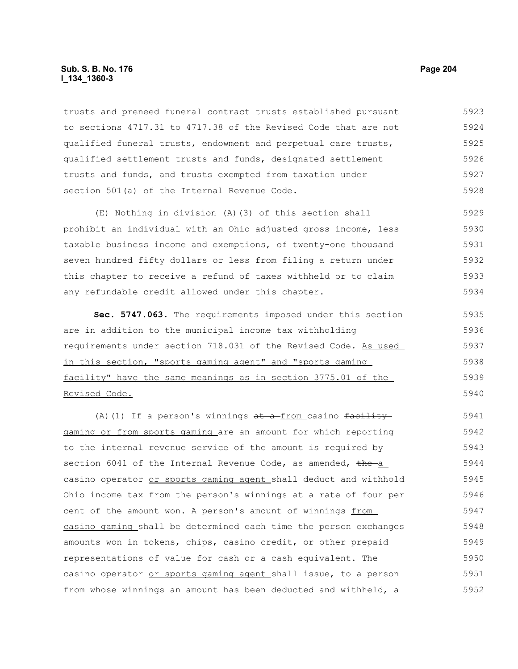## **Sub. S. B. No. 176 Page 204 l\_134\_1360-3**

trusts and preneed funeral contract trusts established pursuant to sections 4717.31 to 4717.38 of the Revised Code that are not qualified funeral trusts, endowment and perpetual care trusts, qualified settlement trusts and funds, designated settlement trusts and funds, and trusts exempted from taxation under section 501(a) of the Internal Revenue Code. 5923 5924 5925 5926 5927 5928

(E) Nothing in division (A)(3) of this section shall prohibit an individual with an Ohio adjusted gross income, less taxable business income and exemptions, of twenty-one thousand seven hundred fifty dollars or less from filing a return under this chapter to receive a refund of taxes withheld or to claim any refundable credit allowed under this chapter. 5929 5930 5931 5932 5933 5934

**Sec. 5747.063.** The requirements imposed under this section are in addition to the municipal income tax withholding requirements under section 718.031 of the Revised Code. As used in this section, "sports gaming agent" and "sports gaming facility" have the same meanings as in section 3775.01 of the Revised Code. 5935 5936 5937 5938 5939 5940

(A)(1) If a person's winnings  $at a$  from casino facility gaming or from sports gaming are an amount for which reporting to the internal revenue service of the amount is required by section 6041 of the Internal Revenue Code, as amended, the a casino operator or sports gaming agent shall deduct and withhold Ohio income tax from the person's winnings at a rate of four per cent of the amount won. A person's amount of winnings from casino gaming shall be determined each time the person exchanges amounts won in tokens, chips, casino credit, or other prepaid representations of value for cash or a cash equivalent. The casino operator or sports gaming agent shall issue, to a person from whose winnings an amount has been deducted and withheld, a 5941 5942 5943 5944 5945 5946 5947 5948 5949 5950 5951 5952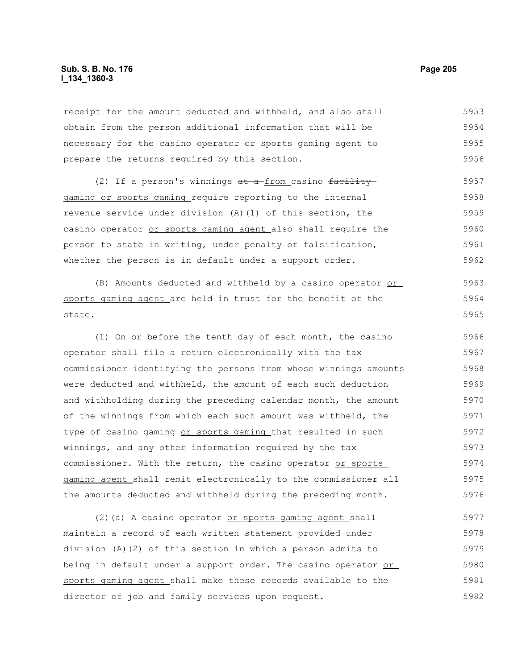receipt for the amount deducted and withheld, and also shall obtain from the person additional information that will be necessary for the casino operator or sports gaming agent to prepare the returns required by this section. 5953 5954 5955 5956

(2) If a person's winnings  $at a-form$  casino  $facility$ gaming or sports gaming require reporting to the internal revenue service under division (A)(1) of this section, the casino operator or sports gaming agent also shall require the person to state in writing, under penalty of falsification, whether the person is in default under a support order. 5957 5958 5959 5960 5961 5962

(B) Amounts deducted and withheld by a casino operator or sports gaming agent are held in trust for the benefit of the state. 5963 5964 5965

(1) On or before the tenth day of each month, the casino operator shall file a return electronically with the tax commissioner identifying the persons from whose winnings amounts were deducted and withheld, the amount of each such deduction and withholding during the preceding calendar month, the amount of the winnings from which each such amount was withheld, the type of casino gaming or sports gaming that resulted in such winnings, and any other information required by the tax commissioner. With the return, the casino operator or sports gaming agent shall remit electronically to the commissioner all the amounts deducted and withheld during the preceding month. 5966 5967 5968 5969 5970 5971 5972 5973 5974 5975 5976

(2)(a) A casino operator or sports gaming agent shall maintain a record of each written statement provided under division (A)(2) of this section in which a person admits to being in default under a support order. The casino operator or sports gaming agent shall make these records available to the director of job and family services upon request. 5977 5978 5979 5980 5981 5982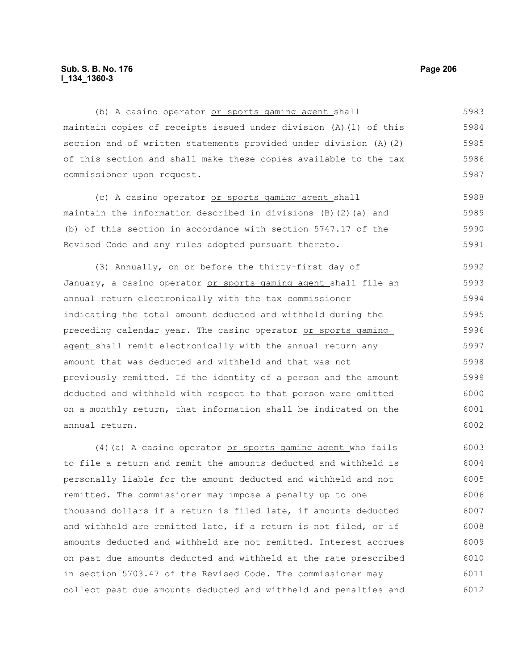(b) A casino operator or sports gaming agent shall maintain copies of receipts issued under division (A)(1) of this section and of written statements provided under division (A)(2) of this section and shall make these copies available to the tax commissioner upon request. 5983 5984 5985 5986 5987

(c) A casino operator or sports gaming agent shall maintain the information described in divisions (B)(2)(a) and (b) of this section in accordance with section 5747.17 of the Revised Code and any rules adopted pursuant thereto. 5988 5989 5990 5991

(3) Annually, on or before the thirty-first day of January, a casino operator or sports gaming agent shall file an annual return electronically with the tax commissioner indicating the total amount deducted and withheld during the preceding calendar year. The casino operator or sports gaming agent shall remit electronically with the annual return any amount that was deducted and withheld and that was not previously remitted. If the identity of a person and the amount deducted and withheld with respect to that person were omitted on a monthly return, that information shall be indicated on the annual return. 5992 5993 5994 5995 5996 5997 5998 5999 6000 6001 6002

 $(4)$  (a) A casino operator or sports gaming agent who fails to file a return and remit the amounts deducted and withheld is personally liable for the amount deducted and withheld and not remitted. The commissioner may impose a penalty up to one thousand dollars if a return is filed late, if amounts deducted and withheld are remitted late, if a return is not filed, or if amounts deducted and withheld are not remitted. Interest accrues on past due amounts deducted and withheld at the rate prescribed in section 5703.47 of the Revised Code. The commissioner may collect past due amounts deducted and withheld and penalties and 6003 6004 6005 6006 6007 6008 6009 6010 6011 6012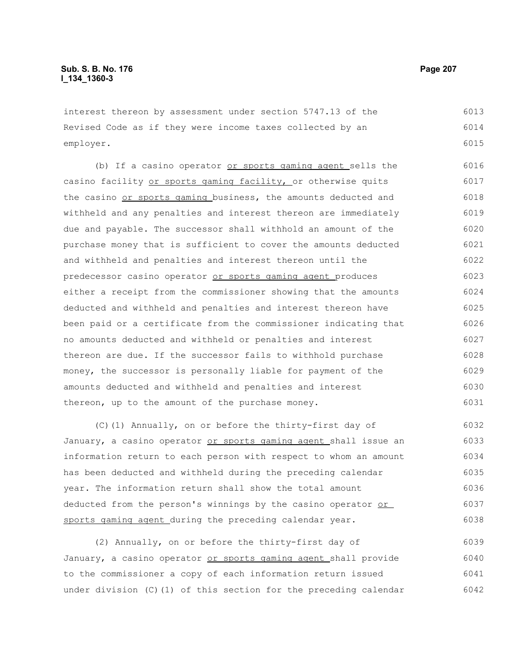interest thereon by assessment under section 5747.13 of the Revised Code as if they were income taxes collected by an employer. 6013 6014 6015

(b) If a casino operator  $or$  sports gaming agent sells the casino facility or sports gaming facility, or otherwise quits the casino or sports gaming business, the amounts deducted and withheld and any penalties and interest thereon are immediately due and payable. The successor shall withhold an amount of the purchase money that is sufficient to cover the amounts deducted and withheld and penalties and interest thereon until the predecessor casino operator or sports gaming agent produces either a receipt from the commissioner showing that the amounts deducted and withheld and penalties and interest thereon have been paid or a certificate from the commissioner indicating that no amounts deducted and withheld or penalties and interest thereon are due. If the successor fails to withhold purchase money, the successor is personally liable for payment of the amounts deducted and withheld and penalties and interest thereon, up to the amount of the purchase money. 6016 6017 6018 6019 6020 6021 6022 6023 6024 6025 6026 6027 6028 6029 6030 6031

(C)(1) Annually, on or before the thirty-first day of January, a casino operator or sports gaming agent shall issue an information return to each person with respect to whom an amount has been deducted and withheld during the preceding calendar year. The information return shall show the total amount deducted from the person's winnings by the casino operator or sports gaming agent during the preceding calendar year. 6032 6033 6034 6035 6036 6037 6038

(2) Annually, on or before the thirty-first day of January, a casino operator or sports gaming agent shall provide to the commissioner a copy of each information return issued under division (C)(1) of this section for the preceding calendar 6039 6040 6041 6042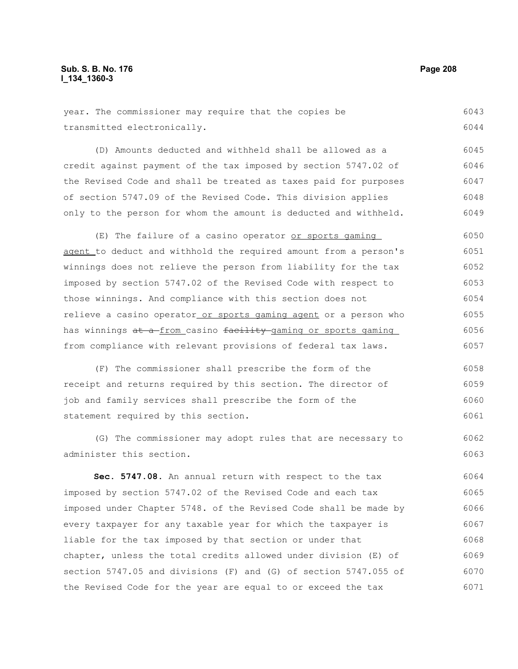year. The commissioner may require that the copies be transmitted electronically. 6043 6044

(D) Amounts deducted and withheld shall be allowed as a credit against payment of the tax imposed by section 5747.02 of the Revised Code and shall be treated as taxes paid for purposes of section 5747.09 of the Revised Code. This division applies only to the person for whom the amount is deducted and withheld. 6045 6046 6047 6048 6049

(E) The failure of a casino operator or sports gaming agent to deduct and withhold the required amount from a person's winnings does not relieve the person from liability for the tax imposed by section 5747.02 of the Revised Code with respect to those winnings. And compliance with this section does not relieve a casino operator or sports gaming agent or a person who has winnings at a from casino facility gaming or sports gaming from compliance with relevant provisions of federal tax laws. 6050 6051 6052 6053 6054 6055 6056 6057

(F) The commissioner shall prescribe the form of the receipt and returns required by this section. The director of job and family services shall prescribe the form of the statement required by this section. 6058 6059 6060 6061

(G) The commissioner may adopt rules that are necessary to administer this section. 6062 6063

**Sec. 5747.08.** An annual return with respect to the tax imposed by section 5747.02 of the Revised Code and each tax imposed under Chapter 5748. of the Revised Code shall be made by every taxpayer for any taxable year for which the taxpayer is liable for the tax imposed by that section or under that chapter, unless the total credits allowed under division (E) of section 5747.05 and divisions (F) and (G) of section 5747.055 of the Revised Code for the year are equal to or exceed the tax 6064 6065 6066 6067 6068 6069 6070 6071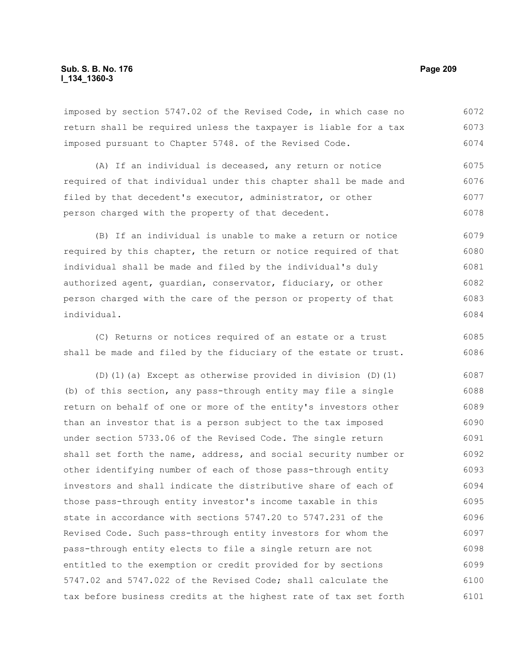# **Sub. S. B. No. 176 Page 209 l\_134\_1360-3**

imposed by section 5747.02 of the Revised Code, in which case no return shall be required unless the taxpayer is liable for a tax imposed pursuant to Chapter 5748. of the Revised Code. 6072 6073 6074

(A) If an individual is deceased, any return or notice required of that individual under this chapter shall be made and filed by that decedent's executor, administrator, or other person charged with the property of that decedent. 6075 6076 6077 6078

(B) If an individual is unable to make a return or notice required by this chapter, the return or notice required of that individual shall be made and filed by the individual's duly authorized agent, guardian, conservator, fiduciary, or other person charged with the care of the person or property of that individual. 6079 6080 6081 6082 6083 6084

(C) Returns or notices required of an estate or a trust shall be made and filed by the fiduciary of the estate or trust. 6085 6086

(D)(1)(a) Except as otherwise provided in division (D)(1) (b) of this section, any pass-through entity may file a single return on behalf of one or more of the entity's investors other than an investor that is a person subject to the tax imposed under section 5733.06 of the Revised Code. The single return shall set forth the name, address, and social security number or other identifying number of each of those pass-through entity investors and shall indicate the distributive share of each of those pass-through entity investor's income taxable in this state in accordance with sections 5747.20 to 5747.231 of the Revised Code. Such pass-through entity investors for whom the pass-through entity elects to file a single return are not entitled to the exemption or credit provided for by sections 5747.02 and 5747.022 of the Revised Code; shall calculate the tax before business credits at the highest rate of tax set forth 6087 6088 6089 6090 6091 6092 6093 6094 6095 6096 6097 6098 6099 6100 6101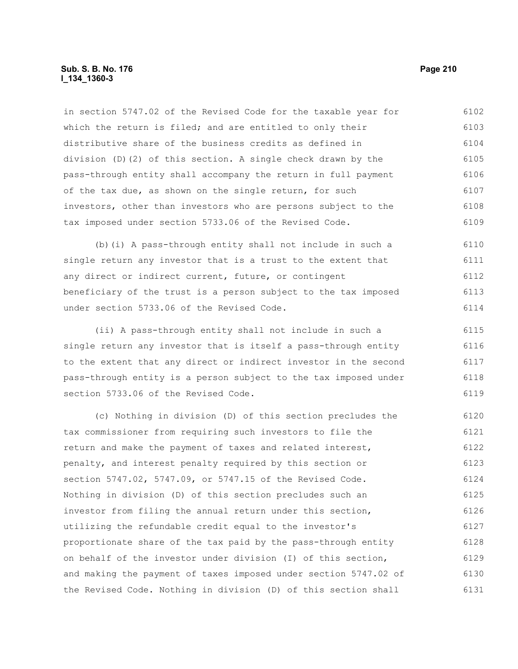# **Sub. S. B. No. 176 Page 210 l\_134\_1360-3**

in section 5747.02 of the Revised Code for the taxable year for which the return is filed; and are entitled to only their distributive share of the business credits as defined in division (D)(2) of this section. A single check drawn by the pass-through entity shall accompany the return in full payment of the tax due, as shown on the single return, for such investors, other than investors who are persons subject to the tax imposed under section 5733.06 of the Revised Code. 6102 6103 6104 6105 6106 6107 6108 6109

(b)(i) A pass-through entity shall not include in such a single return any investor that is a trust to the extent that any direct or indirect current, future, or contingent beneficiary of the trust is a person subject to the tax imposed under section 5733.06 of the Revised Code. 6110 6111 6112 6113 6114

(ii) A pass-through entity shall not include in such a single return any investor that is itself a pass-through entity to the extent that any direct or indirect investor in the second pass-through entity is a person subject to the tax imposed under section 5733.06 of the Revised Code. 6115 6116 6117 6118 6119

(c) Nothing in division (D) of this section precludes the tax commissioner from requiring such investors to file the return and make the payment of taxes and related interest, penalty, and interest penalty required by this section or section 5747.02, 5747.09, or 5747.15 of the Revised Code. Nothing in division (D) of this section precludes such an investor from filing the annual return under this section, utilizing the refundable credit equal to the investor's proportionate share of the tax paid by the pass-through entity on behalf of the investor under division (I) of this section, and making the payment of taxes imposed under section 5747.02 of the Revised Code. Nothing in division (D) of this section shall 6120 6121 6122 6123 6124 6125 6126 6127 6128 6129 6130 6131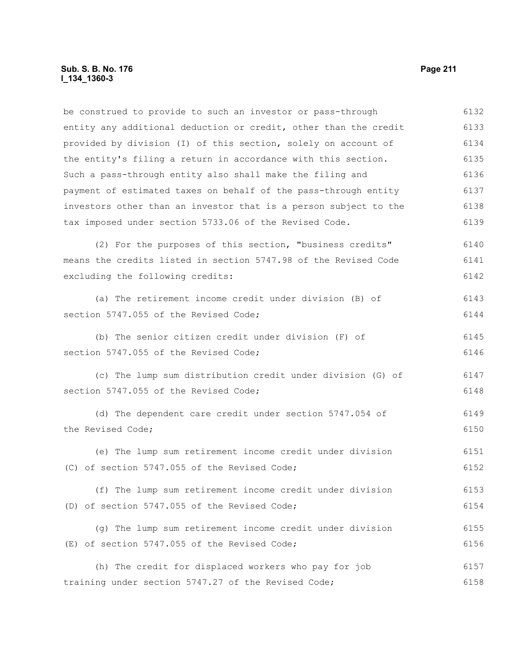be construed to provide to such an investor or pass-through entity any additional deduction or credit, other than the credit provided by division (I) of this section, solely on account of the entity's filing a return in accordance with this section. Such a pass-through entity also shall make the filing and payment of estimated taxes on behalf of the pass-through entity investors other than an investor that is a person subject to the tax imposed under section 5733.06 of the Revised Code. (2) For the purposes of this section, "business credits" means the credits listed in section 5747.98 of the Revised Code excluding the following credits: (a) The retirement income credit under division (B) of section 5747.055 of the Revised Code; (b) The senior citizen credit under division (F) of section 5747.055 of the Revised Code; (c) The lump sum distribution credit under division (G) of section 5747.055 of the Revised Code; (d) The dependent care credit under section 5747.054 of the Revised Code; (e) The lump sum retirement income credit under division (C) of section 5747.055 of the Revised Code; (f) The lump sum retirement income credit under division (D) of section 5747.055 of the Revised Code; (g) The lump sum retirement income credit under division (E) of section 5747.055 of the Revised Code; (h) The credit for displaced workers who pay for job training under section 5747.27 of the Revised Code; 6132 6133 6134 6135 6136 6137 6138 6139 6140 6141 6142 6143 6144 6145 6146 6147 6148 6149 6150 6151 6152 6153 6154 6155 6156 6157 6158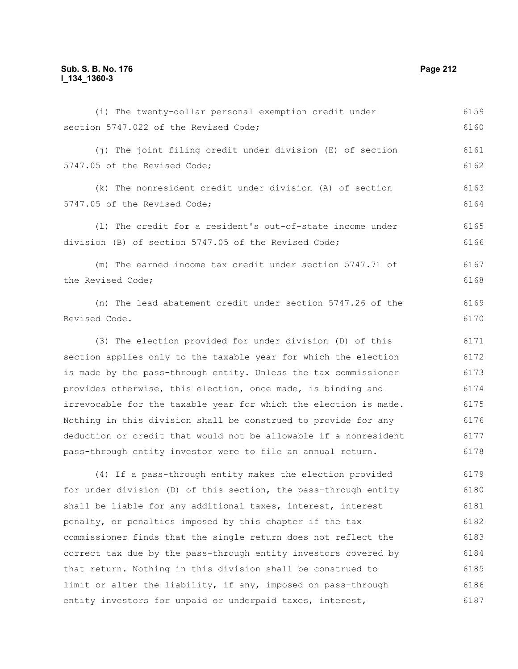(i) The twenty-dollar personal exemption credit under section 5747.022 of the Revised Code: (j) The joint filing credit under division (E) of section 5747.05 of the Revised Code;

(k) The nonresident credit under division (A) of section 5747.05 of the Revised Code; 6163 6164

(l) The credit for a resident's out-of-state income under division (B) of section 5747.05 of the Revised Code; 6165 6166

(m) The earned income tax credit under section 5747.71 of the Revised Code; 6167 6168

(n) The lead abatement credit under section 5747.26 of the Revised Code. 6169 6170

(3) The election provided for under division (D) of this section applies only to the taxable year for which the election is made by the pass-through entity. Unless the tax commissioner provides otherwise, this election, once made, is binding and irrevocable for the taxable year for which the election is made. Nothing in this division shall be construed to provide for any deduction or credit that would not be allowable if a nonresident pass-through entity investor were to file an annual return. 6171 6172 6173 6174 6175 6176 6177 6178

(4) If a pass-through entity makes the election provided for under division (D) of this section, the pass-through entity shall be liable for any additional taxes, interest, interest penalty, or penalties imposed by this chapter if the tax commissioner finds that the single return does not reflect the correct tax due by the pass-through entity investors covered by that return. Nothing in this division shall be construed to limit or alter the liability, if any, imposed on pass-through entity investors for unpaid or underpaid taxes, interest, 6179 6180 6181 6182 6183 6184 6185 6186 6187

6159 6160

6161 6162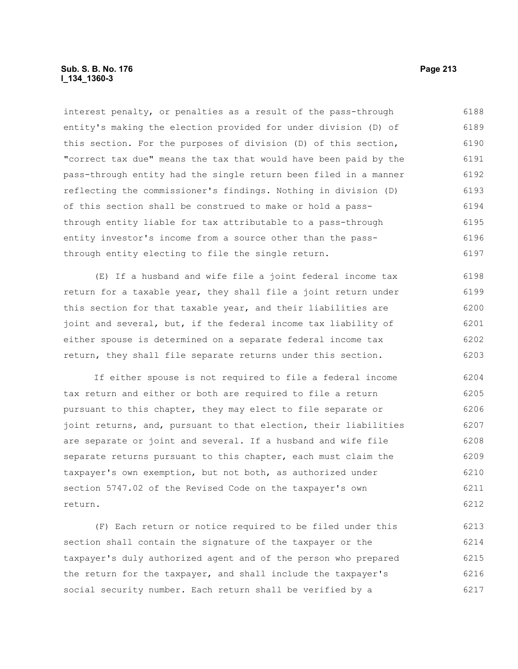# **Sub. S. B. No. 176 Page 213 l\_134\_1360-3**

interest penalty, or penalties as a result of the pass-through entity's making the election provided for under division (D) of this section. For the purposes of division (D) of this section, "correct tax due" means the tax that would have been paid by the pass-through entity had the single return been filed in a manner reflecting the commissioner's findings. Nothing in division (D) of this section shall be construed to make or hold a passthrough entity liable for tax attributable to a pass-through entity investor's income from a source other than the passthrough entity electing to file the single return. 6188 6189 6190 6191 6192 6193 6194 6195 6196 6197

(E) If a husband and wife file a joint federal income tax return for a taxable year, they shall file a joint return under this section for that taxable year, and their liabilities are joint and several, but, if the federal income tax liability of either spouse is determined on a separate federal income tax return, they shall file separate returns under this section. 6198 6199 6200 6201 6202 6203

If either spouse is not required to file a federal income tax return and either or both are required to file a return pursuant to this chapter, they may elect to file separate or joint returns, and, pursuant to that election, their liabilities are separate or joint and several. If a husband and wife file separate returns pursuant to this chapter, each must claim the taxpayer's own exemption, but not both, as authorized under section 5747.02 of the Revised Code on the taxpayer's own return. 6204 6205 6206 6207 6208 6209 6210 6211 6212

(F) Each return or notice required to be filed under this section shall contain the signature of the taxpayer or the taxpayer's duly authorized agent and of the person who prepared the return for the taxpayer, and shall include the taxpayer's social security number. Each return shall be verified by a 6213 6214 6215 6216 6217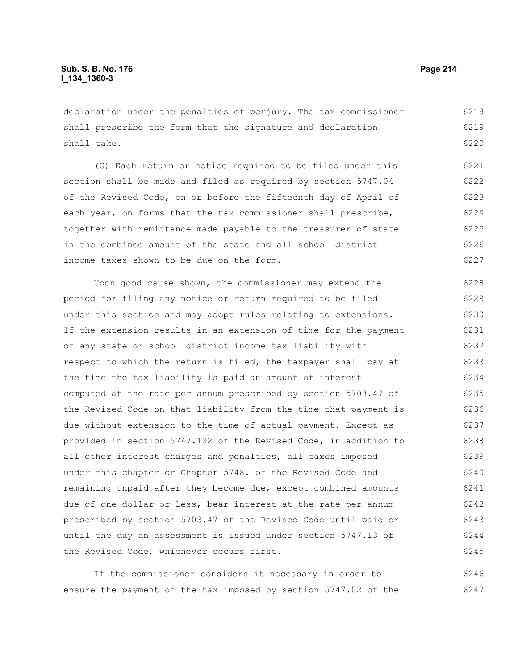declaration under the penalties of perjury. The tax commissioner shall prescribe the form that the signature and declaration shall take. 6218 6219 6220

(G) Each return or notice required to be filed under this section shall be made and filed as required by section 5747.04 of the Revised Code, on or before the fifteenth day of April of each year, on forms that the tax commissioner shall prescribe, together with remittance made payable to the treasurer of state in the combined amount of the state and all school district income taxes shown to be due on the form. 6221 6222 6223 6224 6225 6226 6227

Upon good cause shown, the commissioner may extend the period for filing any notice or return required to be filed under this section and may adopt rules relating to extensions. If the extension results in an extension of time for the payment of any state or school district income tax liability with respect to which the return is filed, the taxpayer shall pay at the time the tax liability is paid an amount of interest computed at the rate per annum prescribed by section 5703.47 of the Revised Code on that liability from the time that payment is due without extension to the time of actual payment. Except as provided in section 5747.132 of the Revised Code, in addition to all other interest charges and penalties, all taxes imposed under this chapter or Chapter 5748. of the Revised Code and remaining unpaid after they become due, except combined amounts due of one dollar or less, bear interest at the rate per annum prescribed by section 5703.47 of the Revised Code until paid or until the day an assessment is issued under section 5747.13 of the Revised Code, whichever occurs first. 6228 6229 6230 6231 6232 6233 6234 6235 6236 6237 6238 6239 6240 6241 6242 6243 6244 6245

If the commissioner considers it necessary in order to ensure the payment of the tax imposed by section 5747.02 of the 6246 6247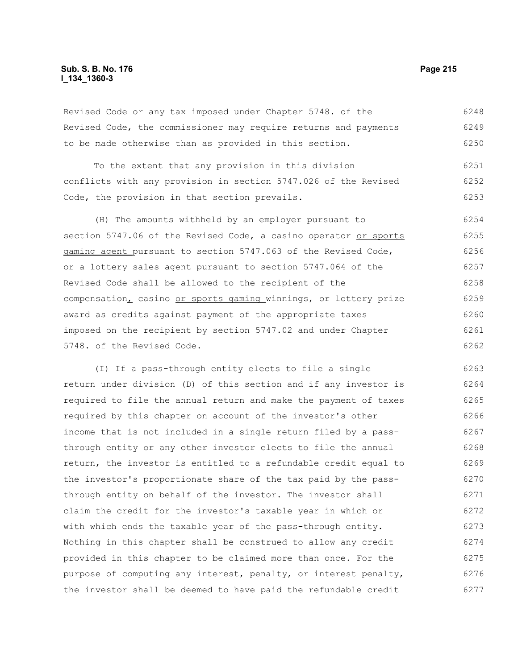# **Sub. S. B. No. 176 Page 215 l\_134\_1360-3**

Revised Code or any tax imposed under Chapter 5748. of the Revised Code, the commissioner may require returns and payments to be made otherwise than as provided in this section. 6248 6249 6250

| To the extent that any provision in this division               | 6251 |
|-----------------------------------------------------------------|------|
| conflicts with any provision in section 5747.026 of the Revised | 6252 |
| Code, the provision in that section prevails.                   | 6253 |

(H) The amounts withheld by an employer pursuant to section 5747.06 of the Revised Code, a casino operator or sports gaming agent pursuant to section 5747.063 of the Revised Code, or a lottery sales agent pursuant to section 5747.064 of the Revised Code shall be allowed to the recipient of the compensation, casino or sports gaming winnings, or lottery prize award as credits against payment of the appropriate taxes imposed on the recipient by section 5747.02 and under Chapter 5748. of the Revised Code. 6254 6255 6256 6257 6258 6259 6260 6261 6262

(I) If a pass-through entity elects to file a single return under division (D) of this section and if any investor is required to file the annual return and make the payment of taxes required by this chapter on account of the investor's other income that is not included in a single return filed by a passthrough entity or any other investor elects to file the annual return, the investor is entitled to a refundable credit equal to the investor's proportionate share of the tax paid by the passthrough entity on behalf of the investor. The investor shall claim the credit for the investor's taxable year in which or with which ends the taxable year of the pass-through entity. Nothing in this chapter shall be construed to allow any credit provided in this chapter to be claimed more than once. For the purpose of computing any interest, penalty, or interest penalty, the investor shall be deemed to have paid the refundable credit 6263 6264 6265 6266 6267 6268 6269 6270 6271 6272 6273 6274 6275 6276 6277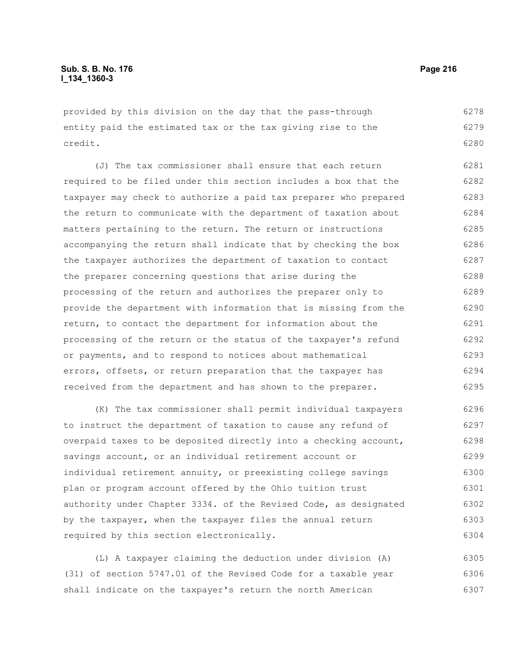provided by this division on the day that the pass-through entity paid the estimated tax or the tax giving rise to the credit. 6278 6279 6280

(J) The tax commissioner shall ensure that each return required to be filed under this section includes a box that the taxpayer may check to authorize a paid tax preparer who prepared the return to communicate with the department of taxation about matters pertaining to the return. The return or instructions accompanying the return shall indicate that by checking the box the taxpayer authorizes the department of taxation to contact the preparer concerning questions that arise during the processing of the return and authorizes the preparer only to provide the department with information that is missing from the return, to contact the department for information about the processing of the return or the status of the taxpayer's refund or payments, and to respond to notices about mathematical errors, offsets, or return preparation that the taxpayer has received from the department and has shown to the preparer. 6281 6282 6283 6284 6285 6286 6287 6288 6289 6290 6291 6292 6293 6294 6295

(K) The tax commissioner shall permit individual taxpayers to instruct the department of taxation to cause any refund of overpaid taxes to be deposited directly into a checking account, savings account, or an individual retirement account or individual retirement annuity, or preexisting college savings plan or program account offered by the Ohio tuition trust authority under Chapter 3334. of the Revised Code, as designated by the taxpayer, when the taxpayer files the annual return required by this section electronically. 6296 6297 6298 6299 6300 6301 6302 6303 6304

(L) A taxpayer claiming the deduction under division (A) (31) of section 5747.01 of the Revised Code for a taxable year shall indicate on the taxpayer's return the north American 6305 6306 6307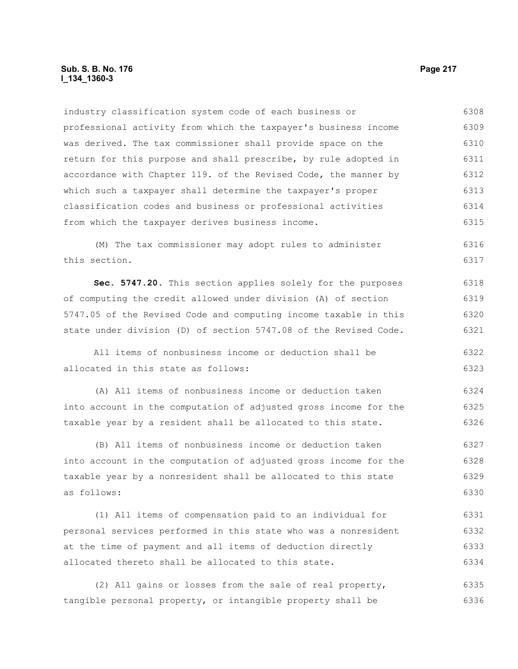#### **Sub. S. B. No. 176 Page 217 l\_134\_1360-3**

industry classification system code of each business or professional activity from which the taxpayer's business income was derived. The tax commissioner shall provide space on the return for this purpose and shall prescribe, by rule adopted in accordance with Chapter 119. of the Revised Code, the manner by which such a taxpayer shall determine the taxpayer's proper classification codes and business or professional activities from which the taxpayer derives business income. 6308 6309 6310 6311 6312 6313 6314 6315

(M) The tax commissioner may adopt rules to administer this section. 6316 6317

**Sec. 5747.20.** This section applies solely for the purposes of computing the credit allowed under division (A) of section 5747.05 of the Revised Code and computing income taxable in this state under division (D) of section 5747.08 of the Revised Code. 6318 6319 6320 6321

All items of nonbusiness income or deduction shall be allocated in this state as follows: 6322 6323

(A) All items of nonbusiness income or deduction taken into account in the computation of adjusted gross income for the taxable year by a resident shall be allocated to this state. 6324 6325 6326

(B) All items of nonbusiness income or deduction taken into account in the computation of adjusted gross income for the taxable year by a nonresident shall be allocated to this state as follows: 6327 6328 6329 6330

(1) All items of compensation paid to an individual for personal services performed in this state who was a nonresident at the time of payment and all items of deduction directly allocated thereto shall be allocated to this state. 6331 6332 6333 6334

(2) All gains or losses from the sale of real property, tangible personal property, or intangible property shall be 6335 6336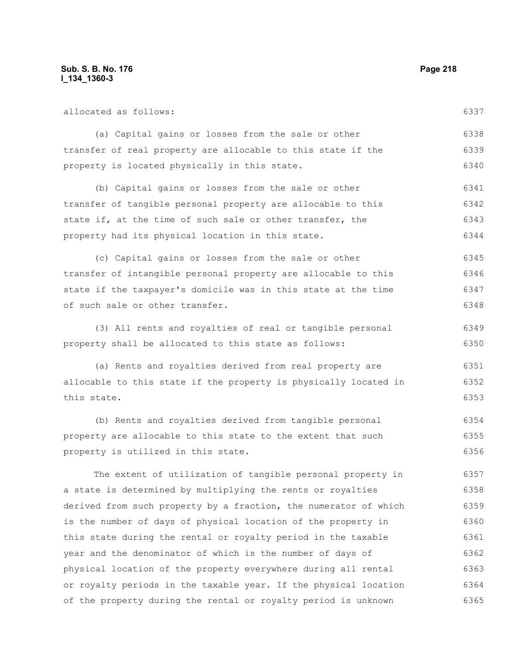| allocated as follows:                                            | 6337 |
|------------------------------------------------------------------|------|
| (a) Capital gains or losses from the sale or other               | 6338 |
| transfer of real property are allocable to this state if the     | 6339 |
| property is located physically in this state.                    | 6340 |
| (b) Capital gains or losses from the sale or other               | 6341 |
| transfer of tangible personal property are allocable to this     | 6342 |
| state if, at the time of such sale or other transfer, the        | 6343 |
| property had its physical location in this state.                | 6344 |
| (c) Capital gains or losses from the sale or other               | 6345 |
| transfer of intangible personal property are allocable to this   | 6346 |
| state if the taxpayer's domicile was in this state at the time   | 6347 |
| of such sale or other transfer.                                  | 6348 |
| (3) All rents and royalties of real or tangible personal         | 6349 |
| property shall be allocated to this state as follows:            | 6350 |
| (a) Rents and royalties derived from real property are           | 6351 |
| allocable to this state if the property is physically located in | 6352 |
| this state.                                                      | 6353 |
| (b) Rents and royalties derived from tangible personal           | 6354 |
| property are allocable to this state to the extent that such     | 6355 |
| property is utilized in this state.                              | 6356 |
| The extent of utilization of tangible personal property in       | 6357 |
| a state is determined by multiplying the rents or royalties      | 6358 |
| derived from such property by a fraction, the numerator of which | 6359 |
| is the number of days of physical location of the property in    | 6360 |
| this state during the rental or royalty period in the taxable    | 6361 |
| year and the denominator of which is the number of days of       | 6362 |
| physical location of the property everywhere during all rental   | 6363 |
| or royalty periods in the taxable year. If the physical location | 6364 |

of the property during the rental or royalty period is unknown 6365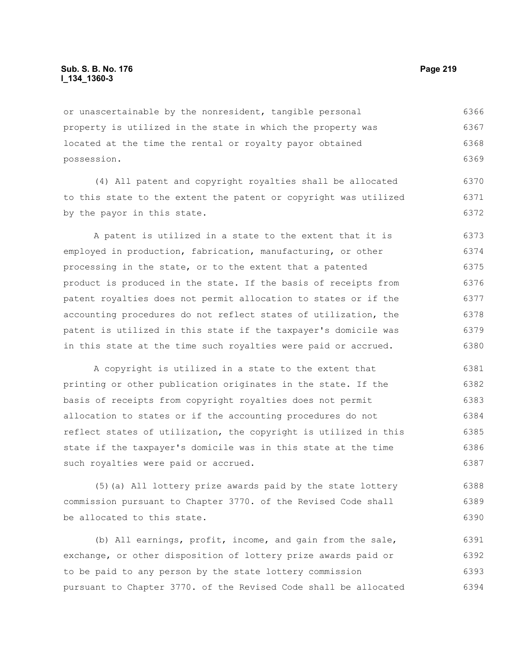or unascertainable by the nonresident, tangible personal property is utilized in the state in which the property was located at the time the rental or royalty payor obtained possession. 6366 6367 6368 6369

(4) All patent and copyright royalties shall be allocated to this state to the extent the patent or copyright was utilized by the payor in this state. 6370 6371 6372

A patent is utilized in a state to the extent that it is employed in production, fabrication, manufacturing, or other processing in the state, or to the extent that a patented product is produced in the state. If the basis of receipts from patent royalties does not permit allocation to states or if the accounting procedures do not reflect states of utilization, the patent is utilized in this state if the taxpayer's domicile was in this state at the time such royalties were paid or accrued. 6373 6374 6375 6376 6377 6378 6379 6380

A copyright is utilized in a state to the extent that printing or other publication originates in the state. If the basis of receipts from copyright royalties does not permit allocation to states or if the accounting procedures do not reflect states of utilization, the copyright is utilized in this state if the taxpayer's domicile was in this state at the time such royalties were paid or accrued. 6381 6382 6383 6384 6385 6386 6387

(5)(a) All lottery prize awards paid by the state lottery commission pursuant to Chapter 3770. of the Revised Code shall be allocated to this state. 6388 6389 6390

(b) All earnings, profit, income, and gain from the sale, exchange, or other disposition of lottery prize awards paid or to be paid to any person by the state lottery commission pursuant to Chapter 3770. of the Revised Code shall be allocated 6391 6392 6393 6394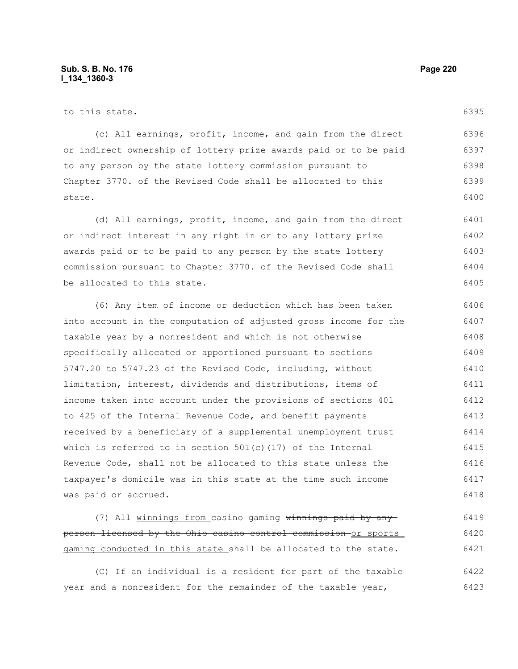to this state.

(c) All earnings, profit, income, and gain from the direct or indirect ownership of lottery prize awards paid or to be paid to any person by the state lottery commission pursuant to Chapter 3770. of the Revised Code shall be allocated to this state. 6397 6398 6399 6400

(d) All earnings, profit, income, and gain from the direct or indirect interest in any right in or to any lottery prize awards paid or to be paid to any person by the state lottery commission pursuant to Chapter 3770. of the Revised Code shall be allocated to this state. 6401 6402 6403 6404 6405

(6) Any item of income or deduction which has been taken into account in the computation of adjusted gross income for the taxable year by a nonresident and which is not otherwise specifically allocated or apportioned pursuant to sections 5747.20 to 5747.23 of the Revised Code, including, without limitation, interest, dividends and distributions, items of income taken into account under the provisions of sections 401 to 425 of the Internal Revenue Code, and benefit payments received by a beneficiary of a supplemental unemployment trust which is referred to in section  $501(c)(17)$  of the Internal Revenue Code, shall not be allocated to this state unless the taxpayer's domicile was in this state at the time such income was paid or accrued. 6406 6407 6408 6409 6410 6411 6412 6413 6414 6415 6416 6417 6418

(7) All winnings from casino gaming winnings paid by any person licensed by the Ohio casino control commission or sports gaming conducted in this state shall be allocated to the state. 6419 6420 6421

(C) If an individual is a resident for part of the taxable year and a nonresident for the remainder of the taxable year, 6422 6423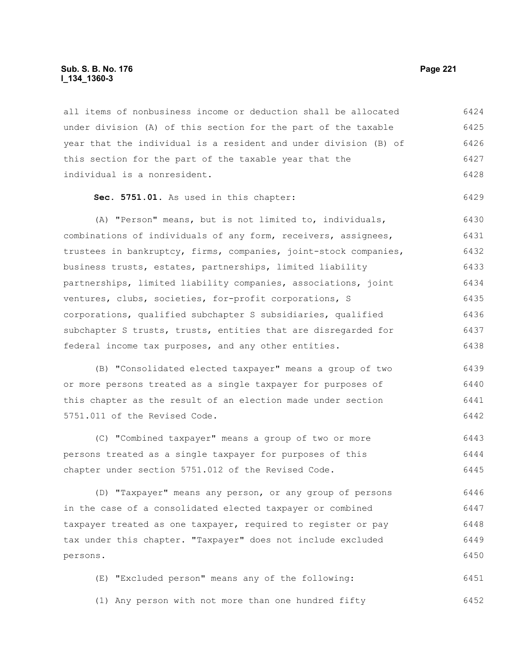### **Sub. S. B. No. 176 Page 221 l\_134\_1360-3**

all items of nonbusiness income or deduction shall be allocated under division (A) of this section for the part of the taxable year that the individual is a resident and under division (B) of this section for the part of the taxable year that the individual is a nonresident. 6424 6425 6426 6427 6428

# **Sec. 5751.01.** As used in this chapter:

(A) "Person" means, but is not limited to, individuals, combinations of individuals of any form, receivers, assignees, trustees in bankruptcy, firms, companies, joint-stock companies, business trusts, estates, partnerships, limited liability partnerships, limited liability companies, associations, joint ventures, clubs, societies, for-profit corporations, S corporations, qualified subchapter S subsidiaries, qualified subchapter S trusts, trusts, entities that are disregarded for federal income tax purposes, and any other entities. 6430 6431 6432 6433 6434 6435 6436 6437 6438

(B) "Consolidated elected taxpayer" means a group of two or more persons treated as a single taxpayer for purposes of this chapter as the result of an election made under section 5751.011 of the Revised Code. 6439 6440 6441 6442

(C) "Combined taxpayer" means a group of two or more persons treated as a single taxpayer for purposes of this chapter under section 5751.012 of the Revised Code. 6443 6444 6445

(D) "Taxpayer" means any person, or any group of persons in the case of a consolidated elected taxpayer or combined taxpayer treated as one taxpayer, required to register or pay tax under this chapter. "Taxpayer" does not include excluded persons. 6446 6447 6448 6449 6450

(E) "Excluded person" means any of the following: (1) Any person with not more than one hundred fifty 6451 6452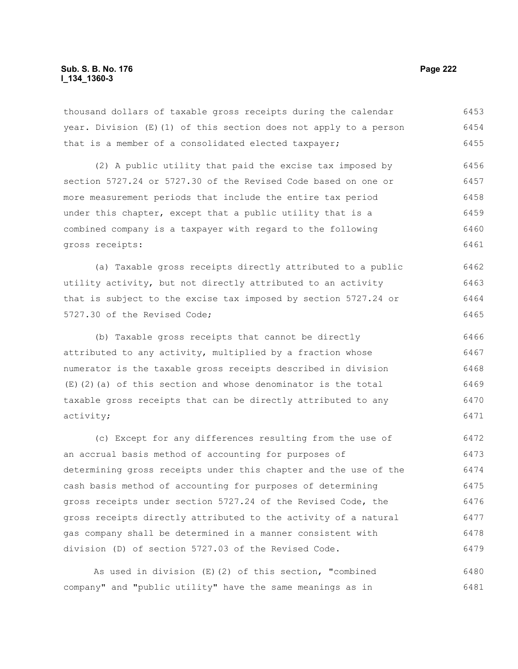# **Sub. S. B. No. 176 Page 222 l\_134\_1360-3**

| thousand dollars of taxable gross receipts during the calendar    | 6453 |
|-------------------------------------------------------------------|------|
| year. Division (E) (1) of this section does not apply to a person | 6454 |
| that is a member of a consolidated elected taxpayer;              | 6455 |
| (2) A public utility that paid the excise tax imposed by          | 6456 |
| section 5727.24 or 5727.30 of the Revised Code based on one or    | 6457 |
| more measurement periods that include the entire tax period       | 6458 |
| under this chapter, except that a public utility that is a        | 6459 |
| combined company is a taxpayer with regard to the following       | 6460 |
| gross receipts:                                                   | 6461 |
| (a) Taxable gross receipts directly attributed to a public        | 6462 |
| utility activity, but not directly attributed to an activity      | 6463 |
| that is subject to the excise tax imposed by section 5727.24 or   | 6464 |
| 5727.30 of the Revised Code;                                      | 6465 |
| (b) Taxable gross receipts that cannot be directly                | 6466 |
| attributed to any activity, multiplied by a fraction whose        | 6467 |
| numerator is the taxable gross receipts described in division     | 6468 |
| $(E)$ (2) (a) of this section and whose denominator is the total  | 6469 |
| taxable gross receipts that can be directly attributed to any     | 6470 |
| activity;                                                         | 6471 |
| (c) Except for any differences resulting from the use of          | 6472 |
| an accrual basis method of accounting for purposes of             | 6473 |
| determining gross receipts under this chapter and the use of the  | 6474 |
| cash basis method of accounting for purposes of determining       | 6475 |
| gross receipts under section 5727.24 of the Revised Code, the     | 6476 |
| gross receipts directly attributed to the activity of a natural   | 6477 |
| qas company shall be determined in a manner consistent with       | 6478 |
| division (D) of section 5727.03 of the Revised Code.              | 6479 |
|                                                                   |      |

As used in division (E)(2) of this section, "combined<br>null and "public utility" have the same meanings as in company" and "public utility" have the same meanings as in 6480 6481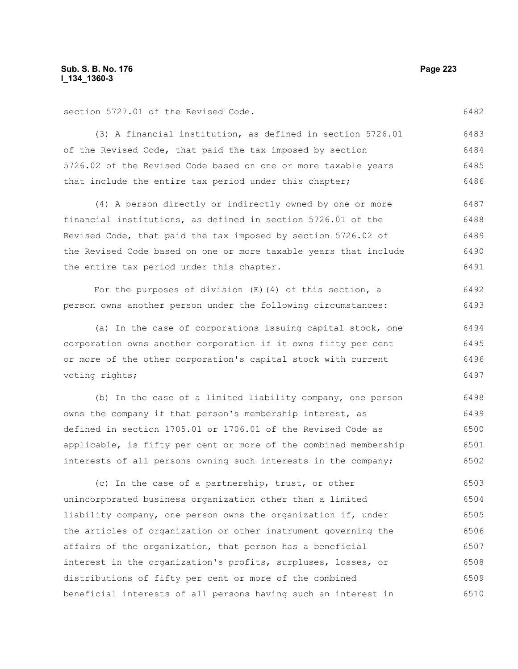section 5727.01 of the Revised Code.

(3) A financial institution, as defined in section 5726.01 of the Revised Code, that paid the tax imposed by section 5726.02 of the Revised Code based on one or more taxable years that include the entire tax period under this chapter; 6483 6484 6485 6486

(4) A person directly or indirectly owned by one or more financial institutions, as defined in section 5726.01 of the Revised Code, that paid the tax imposed by section 5726.02 of the Revised Code based on one or more taxable years that include the entire tax period under this chapter. 6487 6488 6489 6490 6491

For the purposes of division (E)(4) of this section, a person owns another person under the following circumstances: 6492 6493

(a) In the case of corporations issuing capital stock, one corporation owns another corporation if it owns fifty per cent or more of the other corporation's capital stock with current voting rights; 6494 6495 6496 6497

(b) In the case of a limited liability company, one person owns the company if that person's membership interest, as defined in section 1705.01 or 1706.01 of the Revised Code as applicable, is fifty per cent or more of the combined membership interests of all persons owning such interests in the company; 6498 6499 6500 6501 6502

(c) In the case of a partnership, trust, or other unincorporated business organization other than a limited liability company, one person owns the organization if, under the articles of organization or other instrument governing the affairs of the organization, that person has a beneficial interest in the organization's profits, surpluses, losses, or distributions of fifty per cent or more of the combined beneficial interests of all persons having such an interest in 6503 6504 6505 6506 6507 6508 6509 6510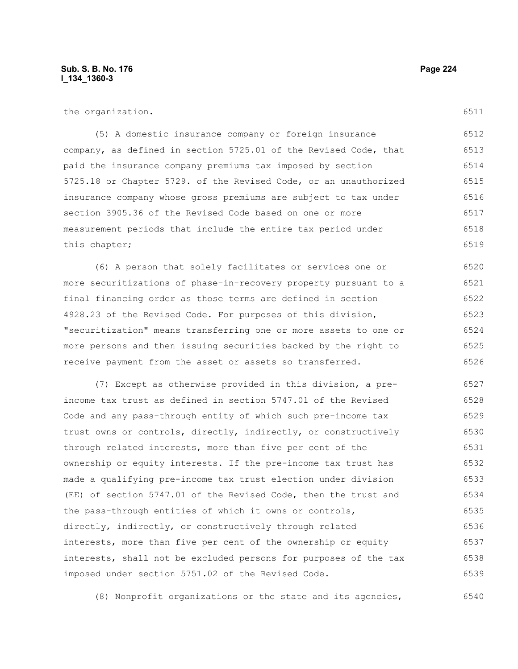the organization.

6511

(5) A domestic insurance company or foreign insurance company, as defined in section 5725.01 of the Revised Code, that paid the insurance company premiums tax imposed by section 5725.18 or Chapter 5729. of the Revised Code, or an unauthorized insurance company whose gross premiums are subject to tax under section 3905.36 of the Revised Code based on one or more measurement periods that include the entire tax period under this chapter; 6512 6513 6514 6515 6516 6517 6518 6519

(6) A person that solely facilitates or services one or more securitizations of phase-in-recovery property pursuant to a final financing order as those terms are defined in section 4928.23 of the Revised Code. For purposes of this division, "securitization" means transferring one or more assets to one or more persons and then issuing securities backed by the right to receive payment from the asset or assets so transferred. 6520 6521 6522 6523 6524 6525 6526

(7) Except as otherwise provided in this division, a preincome tax trust as defined in section 5747.01 of the Revised Code and any pass-through entity of which such pre-income tax trust owns or controls, directly, indirectly, or constructively through related interests, more than five per cent of the ownership or equity interests. If the pre-income tax trust has made a qualifying pre-income tax trust election under division (EE) of section 5747.01 of the Revised Code, then the trust and the pass-through entities of which it owns or controls, directly, indirectly, or constructively through related interests, more than five per cent of the ownership or equity interests, shall not be excluded persons for purposes of the tax imposed under section 5751.02 of the Revised Code. 6527 6528 6529 6530 6531 6532 6533 6534 6535 6536 6537 6538 6539

(8) Nonprofit organizations or the state and its agencies, 6540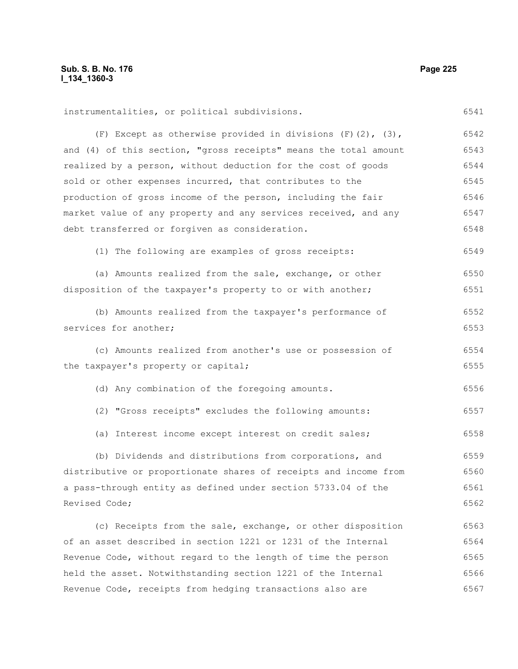| instrumentalities, or political subdivisions.                       | 6541 |
|---------------------------------------------------------------------|------|
| (F) Except as otherwise provided in divisions $(F)$ $(2)$ , $(3)$ , | 6542 |
| and (4) of this section, "gross receipts" means the total amount    | 6543 |
| realized by a person, without deduction for the cost of goods       | 6544 |
| sold or other expenses incurred, that contributes to the            | 6545 |
| production of gross income of the person, including the fair        | 6546 |
| market value of any property and any services received, and any     | 6547 |
| debt transferred or forgiven as consideration.                      | 6548 |
| (1) The following are examples of gross receipts:                   | 6549 |
| (a) Amounts realized from the sale, exchange, or other              | 6550 |
| disposition of the taxpayer's property to or with another;          | 6551 |
| (b) Amounts realized from the taxpayer's performance of             | 6552 |
| services for another;                                               | 6553 |
| (c) Amounts realized from another's use or possession of            | 6554 |
| the taxpayer's property or capital;                                 | 6555 |
| (d) Any combination of the foregoing amounts.                       | 6556 |
| (2) "Gross receipts" excludes the following amounts:                | 6557 |
| (a) Interest income except interest on credit sales;                | 6558 |
| (b) Dividends and distributions from corporations, and              | 6559 |
| distributive or proportionate shares of receipts and income from    | 6560 |
| a pass-through entity as defined under section 5733.04 of the       | 6561 |
| Revised Code;                                                       | 6562 |
| (c) Receipts from the sale, exchange, or other disposition          | 6563 |
| of an asset described in section 1221 or 1231 of the Internal       | 6564 |
| Revenue Code, without regard to the length of time the person       | 6565 |
| held the asset. Notwithstanding section 1221 of the Internal        | 6566 |
| Revenue Code, receipts from hedging transactions also are           | 6567 |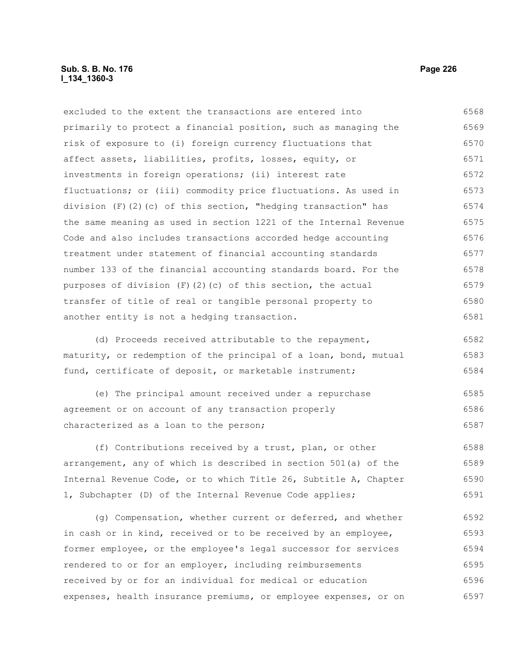excluded to the extent the transactions are entered into primarily to protect a financial position, such as managing the risk of exposure to (i) foreign currency fluctuations that affect assets, liabilities, profits, losses, equity, or investments in foreign operations; (ii) interest rate fluctuations; or (iii) commodity price fluctuations. As used in division  $(F)(2)(c)$  of this section, "hedging transaction" has the same meaning as used in section 1221 of the Internal Revenue Code and also includes transactions accorded hedge accounting treatment under statement of financial accounting standards number 133 of the financial accounting standards board. For the purposes of division (F)(2)(c) of this section, the actual transfer of title of real or tangible personal property to another entity is not a hedging transaction. 6568 6569 6570 6571 6572 6573 6574 6575 6576 6577 6578 6579 6580 6581

(d) Proceeds received attributable to the repayment, maturity, or redemption of the principal of a loan, bond, mutual fund, certificate of deposit, or marketable instrument; 6582 6583 6584

(e) The principal amount received under a repurchase agreement or on account of any transaction properly characterized as a loan to the person; 6585 6586 6587

(f) Contributions received by a trust, plan, or other arrangement, any of which is described in section 501(a) of the Internal Revenue Code, or to which Title 26, Subtitle A, Chapter 1, Subchapter (D) of the Internal Revenue Code applies; 6588 6589 6590 6591

(g) Compensation, whether current or deferred, and whether in cash or in kind, received or to be received by an employee, former employee, or the employee's legal successor for services rendered to or for an employer, including reimbursements received by or for an individual for medical or education expenses, health insurance premiums, or employee expenses, or on 6592 6593 6594 6595 6596 6597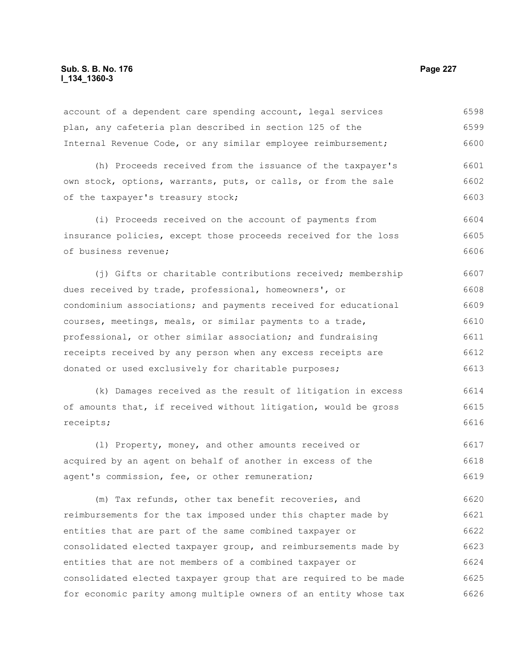account of a dependent care spending account, legal services plan, any cafeteria plan described in section 125 of the Internal Revenue Code, or any similar employee reimbursement; 6598 6599 6600

(h) Proceeds received from the issuance of the taxpayer's own stock, options, warrants, puts, or calls, or from the sale of the taxpayer's treasury stock; 6601 6602 6603

(i) Proceeds received on the account of payments from insurance policies, except those proceeds received for the loss of business revenue; 6604 6606

(j) Gifts or charitable contributions received; membership dues received by trade, professional, homeowners', or condominium associations; and payments received for educational courses, meetings, meals, or similar payments to a trade, professional, or other similar association; and fundraising receipts received by any person when any excess receipts are donated or used exclusively for charitable purposes; 6607 6608 6609 6610 6611 6612 6613

(k) Damages received as the result of litigation in excess of amounts that, if received without litigation, would be gross receipts; 6614 6615 6616

(l) Property, money, and other amounts received or acquired by an agent on behalf of another in excess of the agent's commission, fee, or other remuneration; 6617 6618 6619

(m) Tax refunds, other tax benefit recoveries, and reimbursements for the tax imposed under this chapter made by entities that are part of the same combined taxpayer or consolidated elected taxpayer group, and reimbursements made by entities that are not members of a combined taxpayer or consolidated elected taxpayer group that are required to be made for economic parity among multiple owners of an entity whose tax 6620 6621 6622 6623 6624 6625 6626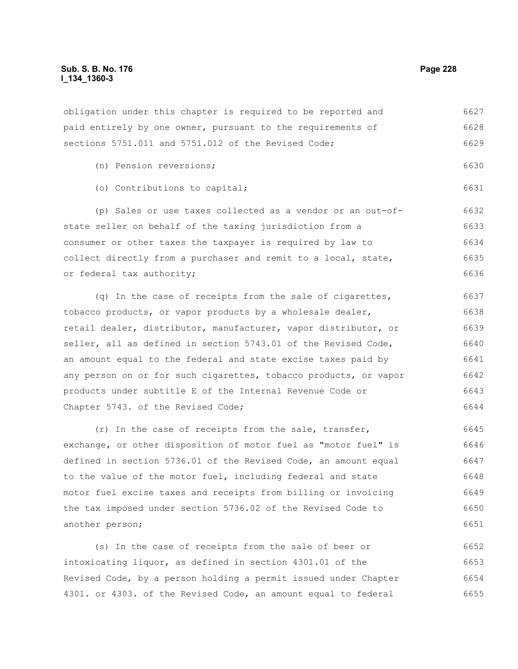## **Sub. S. B. No. 176 Page 228 l\_134\_1360-3**

obligation under this chapter is required to be reported and paid entirely by one owner, pursuant to the requirements of sections 5751.011 and 5751.012 of the Revised Code; 6627 6628 6629

- (n) Pension reversions;
- (o) Contributions to capital;

(p) Sales or use taxes collected as a vendor or an out-ofstate seller on behalf of the taxing jurisdiction from a consumer or other taxes the taxpayer is required by law to collect directly from a purchaser and remit to a local, state, or federal tax authority; 6632 6633 6634 6635 6636

(q) In the case of receipts from the sale of cigarettes, tobacco products, or vapor products by a wholesale dealer, retail dealer, distributor, manufacturer, vapor distributor, or seller, all as defined in section 5743.01 of the Revised Code, an amount equal to the federal and state excise taxes paid by any person on or for such cigarettes, tobacco products, or vapor products under subtitle E of the Internal Revenue Code or Chapter 5743. of the Revised Code; 6637 6638 6639 6640 6641 6642 6643 6644

(r) In the case of receipts from the sale, transfer, exchange, or other disposition of motor fuel as "motor fuel" is defined in section 5736.01 of the Revised Code, an amount equal to the value of the motor fuel, including federal and state motor fuel excise taxes and receipts from billing or invoicing the tax imposed under section 5736.02 of the Revised Code to another person; 6645 6646 6647 6648 6649 6650 6651

(s) In the case of receipts from the sale of beer or intoxicating liquor, as defined in section 4301.01 of the Revised Code, by a person holding a permit issued under Chapter 4301. or 4303. of the Revised Code, an amount equal to federal 6652 6653 6654 6655

6630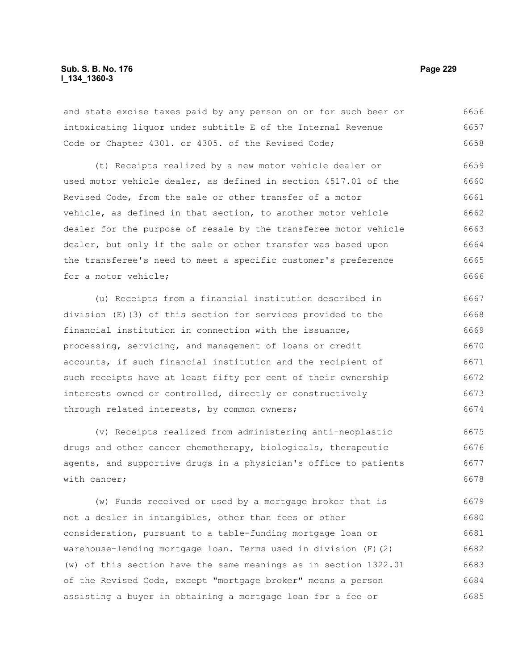# **Sub. S. B. No. 176 Page 229 l\_134\_1360-3**

and state excise taxes paid by any person on or for such beer or intoxicating liquor under subtitle E of the Internal Revenue Code or Chapter 4301. or 4305. of the Revised Code; 6656 6657 6658

(t) Receipts realized by a new motor vehicle dealer or used motor vehicle dealer, as defined in section 4517.01 of the Revised Code, from the sale or other transfer of a motor vehicle, as defined in that section, to another motor vehicle dealer for the purpose of resale by the transferee motor vehicle dealer, but only if the sale or other transfer was based upon the transferee's need to meet a specific customer's preference for a motor vehicle; 6659 6660 6661 6662 6663 6664 6665 6666

(u) Receipts from a financial institution described in division (E)(3) of this section for services provided to the financial institution in connection with the issuance, processing, servicing, and management of loans or credit accounts, if such financial institution and the recipient of such receipts have at least fifty per cent of their ownership interests owned or controlled, directly or constructively through related interests, by common owners; 6667 6668 6669 6670 6671 6672 6673 6674

(v) Receipts realized from administering anti-neoplastic drugs and other cancer chemotherapy, biologicals, therapeutic agents, and supportive drugs in a physician's office to patients with cancer; 6675 6676 6677 6678

(w) Funds received or used by a mortgage broker that is not a dealer in intangibles, other than fees or other consideration, pursuant to a table-funding mortgage loan or warehouse-lending mortgage loan. Terms used in division (F)(2) (w) of this section have the same meanings as in section 1322.01 of the Revised Code, except "mortgage broker" means a person assisting a buyer in obtaining a mortgage loan for a fee or 6679 6680 6681 6682 6683 6684 6685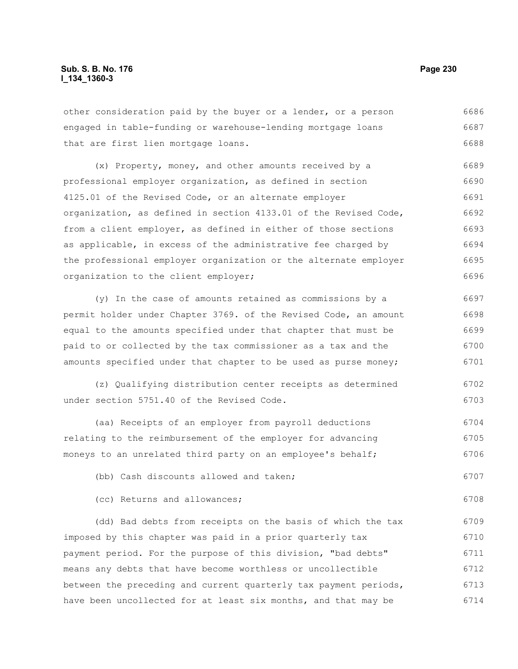other consideration paid by the buyer or a lender, or a person engaged in table-funding or warehouse-lending mortgage loans that are first lien mortgage loans. 6686 6687 6688

(x) Property, money, and other amounts received by a professional employer organization, as defined in section 4125.01 of the Revised Code, or an alternate employer organization, as defined in section 4133.01 of the Revised Code, from a client employer, as defined in either of those sections as applicable, in excess of the administrative fee charged by the professional employer organization or the alternate employer organization to the client employer; 6689 6690 6691 6692 6693 6694 6695 6696

(y) In the case of amounts retained as commissions by a permit holder under Chapter 3769. of the Revised Code, an amount equal to the amounts specified under that chapter that must be paid to or collected by the tax commissioner as a tax and the amounts specified under that chapter to be used as purse money; 6697 6698 6699 6700 6701

(z) Qualifying distribution center receipts as determined under section 5751.40 of the Revised Code. 6702 6703

(aa) Receipts of an employer from payroll deductions relating to the reimbursement of the employer for advancing moneys to an unrelated third party on an employee's behalf; 6704 6705 6706

(bb) Cash discounts allowed and taken;

(cc) Returns and allowances;

(dd) Bad debts from receipts on the basis of which the tax imposed by this chapter was paid in a prior quarterly tax payment period. For the purpose of this division, "bad debts" means any debts that have become worthless or uncollectible between the preceding and current quarterly tax payment periods, have been uncollected for at least six months, and that may be 6709 6710 6711 6712 6713 6714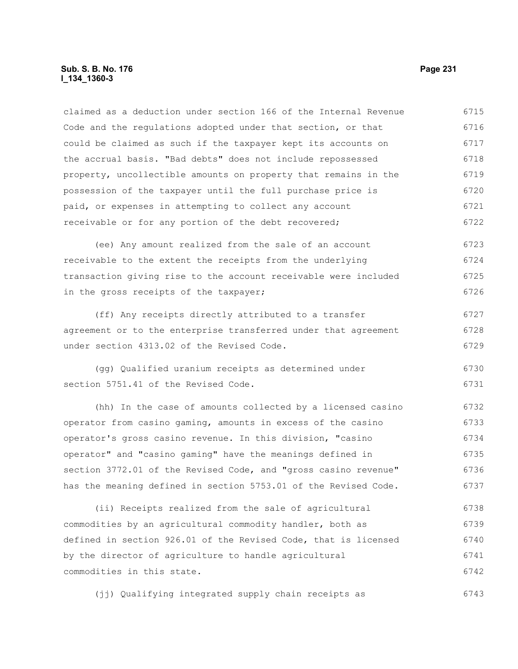### **Sub. S. B. No. 176 Page 231 l\_134\_1360-3**

claimed as a deduction under section 166 of the Internal Revenue Code and the regulations adopted under that section, or that could be claimed as such if the taxpayer kept its accounts on the accrual basis. "Bad debts" does not include repossessed property, uncollectible amounts on property that remains in the possession of the taxpayer until the full purchase price is paid, or expenses in attempting to collect any account receivable or for any portion of the debt recovered; 6715 6716 6717 6718 6719 6720 6721 6722

(ee) Any amount realized from the sale of an account receivable to the extent the receipts from the underlying transaction giving rise to the account receivable were included in the gross receipts of the taxpayer; 6723 6724 6725 6726

(ff) Any receipts directly attributed to a transfer agreement or to the enterprise transferred under that agreement under section 4313.02 of the Revised Code. 6727 6728 6729

(gg) Qualified uranium receipts as determined under section 5751.41 of the Revised Code. 6730 6731

(hh) In the case of amounts collected by a licensed casino operator from casino gaming, amounts in excess of the casino operator's gross casino revenue. In this division, "casino operator" and "casino gaming" have the meanings defined in section 3772.01 of the Revised Code, and "gross casino revenue" has the meaning defined in section 5753.01 of the Revised Code. 6732 6733 6734 6735 6736 6737

(ii) Receipts realized from the sale of agricultural commodities by an agricultural commodity handler, both as defined in section 926.01 of the Revised Code, that is licensed by the director of agriculture to handle agricultural commodities in this state. 6738 6739 6740 6741 6742

(jj) Qualifying integrated supply chain receipts as 6743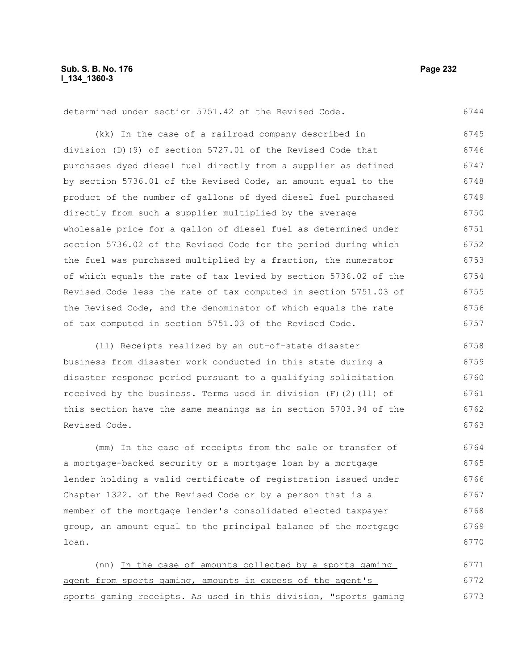determined under section 5751.42 of the Revised Code.

(kk) In the case of a railroad company described in division (D)(9) of section 5727.01 of the Revised Code that purchases dyed diesel fuel directly from a supplier as defined by section 5736.01 of the Revised Code, an amount equal to the product of the number of gallons of dyed diesel fuel purchased directly from such a supplier multiplied by the average wholesale price for a gallon of diesel fuel as determined under section 5736.02 of the Revised Code for the period during which the fuel was purchased multiplied by a fraction, the numerator of which equals the rate of tax levied by section 5736.02 of the Revised Code less the rate of tax computed in section 5751.03 of the Revised Code, and the denominator of which equals the rate of tax computed in section 5751.03 of the Revised Code. 6745 6746 6747 6748 6749 6750 6751 6752 6753 6754 6755 6756 6757

(ll) Receipts realized by an out-of-state disaster business from disaster work conducted in this state during a disaster response period pursuant to a qualifying solicitation received by the business. Terms used in division  $(F)(2)(11)$  of this section have the same meanings as in section 5703.94 of the Revised Code. 6758 6759 6760 6761 6762 6763

(mm) In the case of receipts from the sale or transfer of a mortgage-backed security or a mortgage loan by a mortgage lender holding a valid certificate of registration issued under Chapter 1322. of the Revised Code or by a person that is a member of the mortgage lender's consolidated elected taxpayer group, an amount equal to the principal balance of the mortgage loan. 6764 6765 6766 6767 6768 6769 6770

(nn) In the case of amounts collected by a sports gaming agent from sports gaming, amounts in excess of the agent's sports gaming receipts. As used in this division, "sports gaming 6771 6772 6773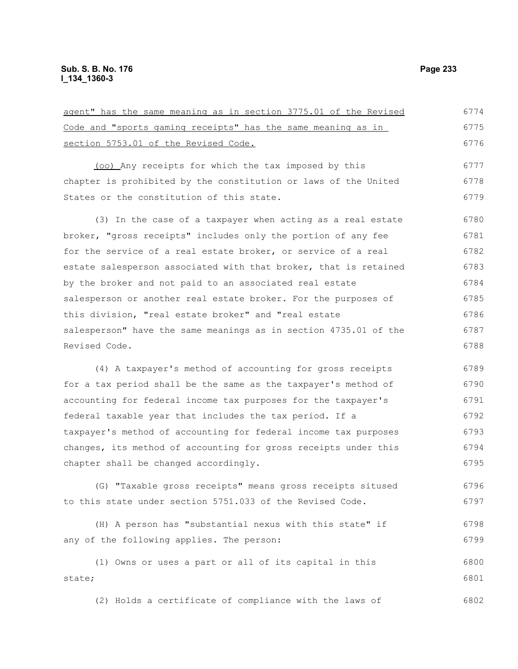| agent" has the same meaning as in section 3775.01 of the Revised | 6774 |
|------------------------------------------------------------------|------|
| Code and "sports gaming receipts" has the same meaning as in     | 6775 |
| section 5753.01 of the Revised Code.                             | 6776 |
| (oo) Any receipts for which the tax imposed by this              | 6777 |
| chapter is prohibited by the constitution or laws of the United  | 6778 |
| States or the constitution of this state.                        | 6779 |
| (3) In the case of a taxpayer when acting as a real estate       | 6780 |
| broker, "gross receipts" includes only the portion of any fee    | 6781 |
| for the service of a real estate broker, or service of a real    | 6782 |
| estate salesperson associated with that broker, that is retained | 6783 |
| by the broker and not paid to an associated real estate          | 6784 |
| salesperson or another real estate broker. For the purposes of   | 6785 |
| this division, "real estate broker" and "real estate             | 6786 |
| salesperson" have the same meanings as in section 4735.01 of the | 6787 |
| Revised Code.                                                    | 6788 |
| (4) A taxpayer's method of accounting for gross receipts         | 6789 |
| for a tax period shall be the same as the taxpayer's method of   | 6790 |
| accounting for federal income tax purposes for the taxpayer's    | 6791 |
| federal taxable year that includes the tax period. If a          | 6792 |
| taxpayer's method of accounting for federal income tax purposes  | 6793 |
| changes, its method of accounting for gross receipts under this  | 6794 |
| chapter shall be changed accordingly.                            | 6795 |
| (G) "Taxable gross receipts" means gross receipts sitused        | 6796 |
| to this state under section 5751.033 of the Revised Code.        | 6797 |
| (H) A person has "substantial nexus with this state" if          | 6798 |
| any of the following applies. The person:                        | 6799 |
| (1) Owns or uses a part or all of its capital in this            | 6800 |
| state;                                                           | 6801 |
| (2) Holds a certificate of compliance with the laws of           | 6802 |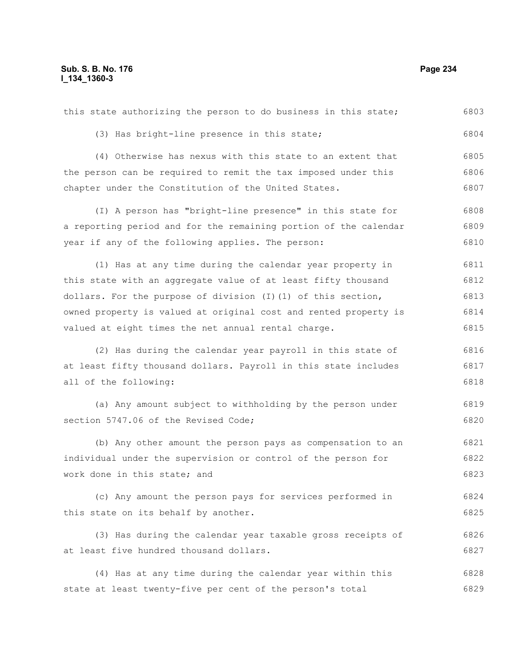this state authorizing the person to do business in this state; (3) Has bright-line presence in this state; (4) Otherwise has nexus with this state to an extent that the person can be required to remit the tax imposed under this chapter under the Constitution of the United States. (I) A person has "bright-line presence" in this state for a reporting period and for the remaining portion of the calendar year if any of the following applies. The person: (1) Has at any time during the calendar year property in this state with an aggregate value of at least fifty thousand dollars. For the purpose of division (I)(1) of this section, owned property is valued at original cost and rented property is valued at eight times the net annual rental charge. (2) Has during the calendar year payroll in this state of at least fifty thousand dollars. Payroll in this state includes all of the following: (a) Any amount subject to withholding by the person under section 5747.06 of the Revised Code: (b) Any other amount the person pays as compensation to an individual under the supervision or control of the person for work done in this state; and (c) Any amount the person pays for services performed in this state on its behalf by another. (3) Has during the calendar year taxable gross receipts of at least five hundred thousand dollars. (4) Has at any time during the calendar year within this state at least twenty-five per cent of the person's total 6803 6804 6805 6806 6807 6808 6809 6810 6811 6812 6813 6814 6815 6816 6817 6818 6819 6820 6821 6822 6823 6824 6825 6826 6827 6828 6829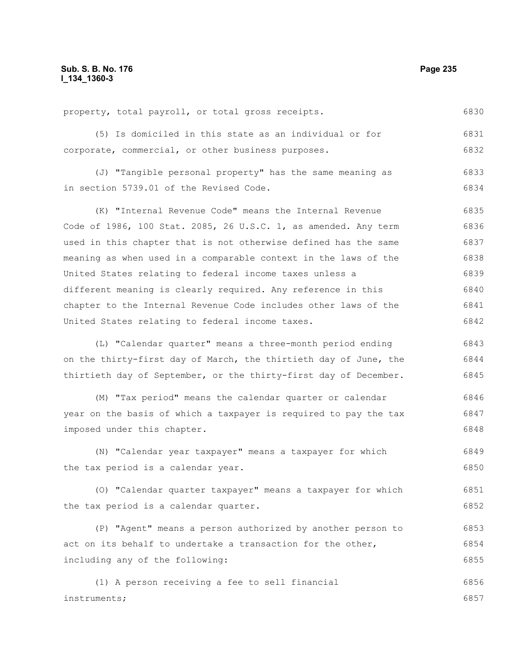#### property, total payroll, or total gross receipts. (5) Is domiciled in this state as an individual or for corporate, commercial, or other business purposes. (J) "Tangible personal property" has the same meaning as in section 5739.01 of the Revised Code. (K) "Internal Revenue Code" means the Internal Revenue Code of 1986, 100 Stat. 2085, 26 U.S.C. 1, as amended. Any term used in this chapter that is not otherwise defined has the same meaning as when used in a comparable context in the laws of the United States relating to federal income taxes unless a different meaning is clearly required. Any reference in this chapter to the Internal Revenue Code includes other laws of the United States relating to federal income taxes. (L) "Calendar quarter" means a three-month period ending on the thirty-first day of March, the thirtieth day of June, the thirtieth day of September, or the thirty-first day of December. (M) "Tax period" means the calendar quarter or calendar year on the basis of which a taxpayer is required to pay the tax imposed under this chapter. (N) "Calendar year taxpayer" means a taxpayer for which the tax period is a calendar year. (O) "Calendar quarter taxpayer" means a taxpayer for which the tax period is a calendar quarter. (P) "Agent" means a person authorized by another person to act on its behalf to undertake a transaction for the other, including any of the following: 6830 6831 6832 6833 6834 6835 6836 6837 6838 6839 6840 6841 6842 6843 6844 6845 6846 6847 6848 6849 6850 6851 6852 6853 6854 6855

(1) A person receiving a fee to sell financial instruments; 6856 6857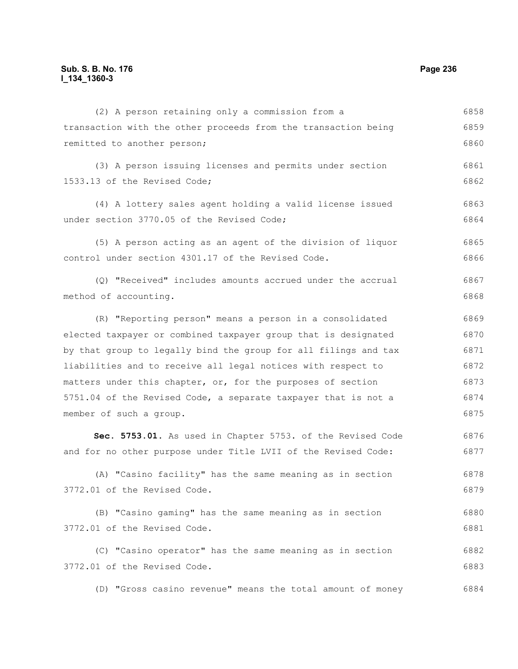(2) A person retaining only a commission from a transaction with the other proceeds from the transaction being remitted to another person; (3) A person issuing licenses and permits under section 1533.13 of the Revised Code; (4) A lottery sales agent holding a valid license issued under section 3770.05 of the Revised Code; (5) A person acting as an agent of the division of liquor control under section 4301.17 of the Revised Code. (Q) "Received" includes amounts accrued under the accrual method of accounting. (R) "Reporting person" means a person in a consolidated elected taxpayer or combined taxpayer group that is designated by that group to legally bind the group for all filings and tax liabilities and to receive all legal notices with respect to matters under this chapter, or, for the purposes of section 5751.04 of the Revised Code, a separate taxpayer that is not a member of such a group. **Sec. 5753.01.** As used in Chapter 5753. of the Revised Code and for no other purpose under Title LVII of the Revised Code: (A) "Casino facility" has the same meaning as in section 3772.01 of the Revised Code. 6858 6859 6860 6861 6862 6863 6864 6865 6866 6867 6868 6869 6870 6871 6872 6873 6874 6875 6876 6877 6878 6879

(B) "Casino gaming" has the same meaning as in section 3772.01 of the Revised Code. 6880 6881

(C) "Casino operator" has the same meaning as in section 3772.01 of the Revised Code. 6882 6883

(D) "Gross casino revenue" means the total amount of money 6884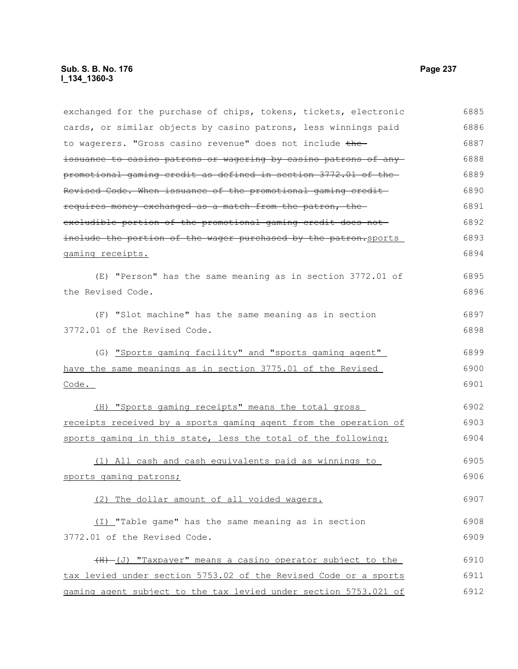exchanged for the purchase of chips, tokens, tickets, electronic cards, or similar objects by casino patrons, less winnings paid to wagerers. "Gross casino revenue" does not include the issuance to casino patrons or wagering by casino patrons of any promotional gaming credit as defined in section 3772.01 of the Revised Code. When issuance of the promotional gaming credit requires money exchanged as a match from the patron, the excludible portion of the promotional gaming credit does not include the portion of the wager purchased by the patron.sports gaming receipts. (E) "Person" has the same meaning as in section 3772.01 of the Revised Code. (F) "Slot machine" has the same meaning as in section 3772.01 of the Revised Code. (G) "Sports gaming facility" and "sports gaming agent" have the same meanings as in section 3775.01 of the Revised Code. (H) "Sports gaming receipts" means the total gross receipts received by a sports gaming agent from the operation of sports gaming in this state, less the total of the following: (1) All cash and cash equivalents paid as winnings to sports gaming patrons; (2) The dollar amount of all voided wagers. (I) "Table game" has the same meaning as in section 3772.01 of the Revised Code. (H) (J) "Taxpayer" means a casino operator subject to the tax levied under section 5753.02 of the Revised Code or a sports gaming agent subject to the tax levied under section 5753.021 of 6885 6886 6887 6888 6889 6890 6891 6892 6893 6894 6895 6896 6897 6898 6899 6900 6901 6902 6903 6904 6905 6906 6907 6908 6909 6910 6911 6912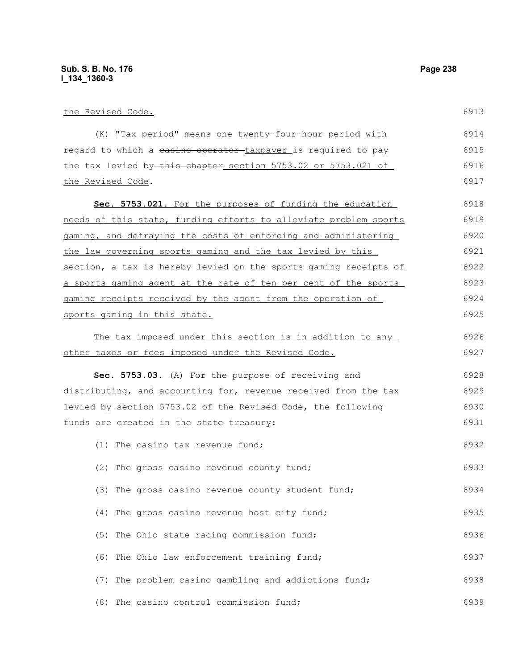the Revised Code. (K) "Tax period" means one twenty-four-hour period with regard to which a casino operator taxpayer is required to pay the tax levied by this chapter section 5753.02 or 5753.021 of the Revised Code. Sec. 5753.021. For the purposes of funding the education needs of this state, funding efforts to alleviate problem sports gaming, and defraying the costs of enforcing and administering the law governing sports gaming and the tax levied by this section, a tax is hereby levied on the sports gaming receipts of a sports gaming agent at the rate of ten per cent of the sports gaming receipts received by the agent from the operation of sports gaming in this state. The tax imposed under this section is in addition to any other taxes or fees imposed under the Revised Code. **Sec. 5753.03.** (A) For the purpose of receiving and distributing, and accounting for, revenue received from the tax levied by section 5753.02 of the Revised Code, the following funds are created in the state treasury: (1) The casino tax revenue fund; (2) The gross casino revenue county fund; (3) The gross casino revenue county student fund; (4) The gross casino revenue host city fund; (5) The Ohio state racing commission fund; (6) The Ohio law enforcement training fund; (7) The problem casino gambling and addictions fund; 6913 6914 6915 6916 6917 6918 6919 6920 6921 6922 6923 6924 6925 6926 6927 6928 6929 6930 6931 6932 6933 6934 6935 6936 6937 6938

(8) The casino control commission fund; 6939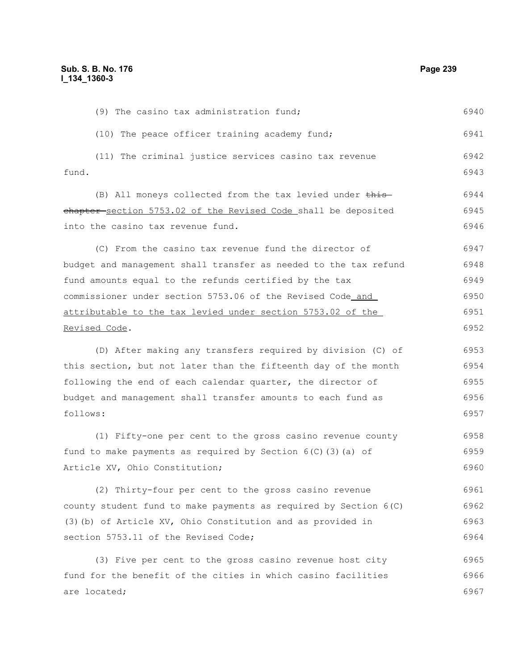(9) The casino tax administration fund; (10) The peace officer training academy fund; (11) The criminal justice services casino tax revenue fund. (B) All moneys collected from the tax levied under this chapter section 5753.02 of the Revised Code shall be deposited into the casino tax revenue fund. (C) From the casino tax revenue fund the director of budget and management shall transfer as needed to the tax refund fund amounts equal to the refunds certified by the tax commissioner under section 5753.06 of the Revised Code and attributable to the tax levied under section 5753.02 of the Revised Code. (D) After making any transfers required by division (C) of this section, but not later than the fifteenth day of the month following the end of each calendar quarter, the director of budget and management shall transfer amounts to each fund as follows: (1) Fifty-one per cent to the gross casino revenue county fund to make payments as required by Section  $6(C)(3)(a)$  of Article XV, Ohio Constitution; (2) Thirty-four per cent to the gross casino revenue county student fund to make payments as required by Section 6(C) (3)(b) of Article XV, Ohio Constitution and as provided in section 5753.11 of the Revised Code; (3) Five per cent to the gross casino revenue host city fund for the benefit of the cities in which casino facilities are located; 6940 6941 6942 6943 6944 6945 6946 6947 6948 6949 6950 6951 6952 6953 6954 6955 6956 6957 6958 6959 6960 6961 6962 6963 6964 6965 6966 6967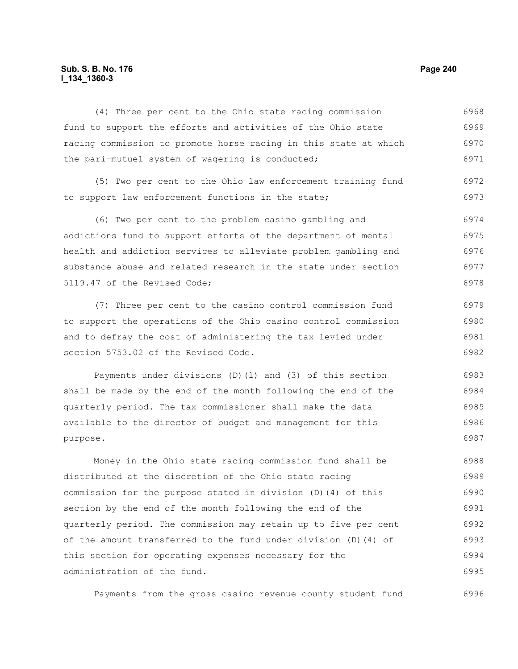## **Sub. S. B. No. 176 Page 240 l\_134\_1360-3**

(4) Three per cent to the Ohio state racing commission fund to support the efforts and activities of the Ohio state racing commission to promote horse racing in this state at which the pari-mutuel system of wagering is conducted; (5) Two per cent to the Ohio law enforcement training fund to support law enforcement functions in the state; (6) Two per cent to the problem casino gambling and addictions fund to support efforts of the department of mental health and addiction services to alleviate problem gambling and substance abuse and related research in the state under section 5119.47 of the Revised Code; (7) Three per cent to the casino control commission fund to support the operations of the Ohio casino control commission and to defray the cost of administering the tax levied under section 5753.02 of the Revised Code. Payments under divisions (D)(1) and (3) of this section shall be made by the end of the month following the end of the quarterly period. The tax commissioner shall make the data available to the director of budget and management for this purpose. Money in the Ohio state racing commission fund shall be 6968 6969 6970 6971 6972 6973 6974 6975 6976 6977 6978 6979 6980 6981 6982 6983 6984 6985 6986 6987 6988

distributed at the discretion of the Ohio state racing commission for the purpose stated in division (D)(4) of this section by the end of the month following the end of the quarterly period. The commission may retain up to five per cent of the amount transferred to the fund under division (D)(4) of this section for operating expenses necessary for the administration of the fund. 6989 6990 6991 6992 6993 6994 6995

Payments from the gross casino revenue county student fund 6996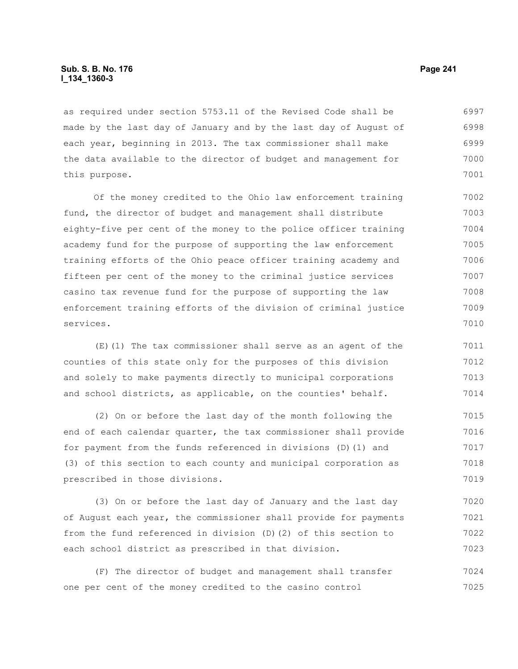### **Sub. S. B. No. 176 Page 241 l\_134\_1360-3**

as required under section 5753.11 of the Revised Code shall be made by the last day of January and by the last day of August of each year, beginning in 2013. The tax commissioner shall make the data available to the director of budget and management for this purpose. 6997 6998 6999 7000 7001

Of the money credited to the Ohio law enforcement training fund, the director of budget and management shall distribute eighty-five per cent of the money to the police officer training academy fund for the purpose of supporting the law enforcement training efforts of the Ohio peace officer training academy and fifteen per cent of the money to the criminal justice services casino tax revenue fund for the purpose of supporting the law enforcement training efforts of the division of criminal justice services. 7002 7003 7004 7005 7006 7007 7008 7009 7010

(E)(1) The tax commissioner shall serve as an agent of the counties of this state only for the purposes of this division and solely to make payments directly to municipal corporations and school districts, as applicable, on the counties' behalf. 7011 7012 7013 7014

(2) On or before the last day of the month following the end of each calendar quarter, the tax commissioner shall provide for payment from the funds referenced in divisions (D)(1) and (3) of this section to each county and municipal corporation as prescribed in those divisions. 7015 7016 7017 7018 7019

(3) On or before the last day of January and the last day of August each year, the commissioner shall provide for payments from the fund referenced in division (D)(2) of this section to each school district as prescribed in that division. 7020 7021 7022 7023

(F) The director of budget and management shall transfer one per cent of the money credited to the casino control 7024 7025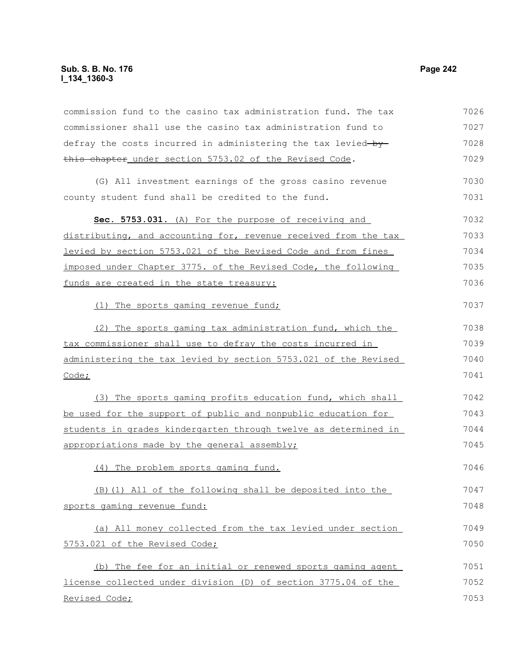# **Sub. S. B. No. 176 Page 242 l\_134\_1360-3**

commission fund to the casino tax administration fund. The tax commissioner shall use the casino tax administration fund to defray the costs incurred in administering the tax levied-bythis chapter under section 5753.02 of the Revised Code. (G) All investment earnings of the gross casino revenue county student fund shall be credited to the fund. **Sec. 5753.031.** (A) For the purpose of receiving and distributing, and accounting for, revenue received from the tax levied by section 5753.021 of the Revised Code and from fines imposed under Chapter 3775. of the Revised Code, the following funds are created in the state treasury: (1) The sports gaming revenue fund; (2) The sports gaming tax administration fund, which the tax commissioner shall use to defray the costs incurred in administering the tax levied by section 5753.021 of the Revised Code; (3) The sports gaming profits education fund, which shall be used for the support of public and nonpublic education for students in grades kindergarten through twelve as determined in appropriations made by the general assembly; (4) The problem sports gaming fund. (B)(1) All of the following shall be deposited into the sports gaming revenue fund: (a) All money collected from the tax levied under section 5753.021 of the Revised Code; (b) The fee for an initial or renewed sports gaming agent license collected under division (D) of section 3775.04 of the Revised Code; 7026 7027 7028 7029 7030 7031 7032 7033 7034 7035 7036 7037 7038 7039 7040 7041 7042 7043 7044 7045 7046 7047 7048 7049 7050 7051 7052 7053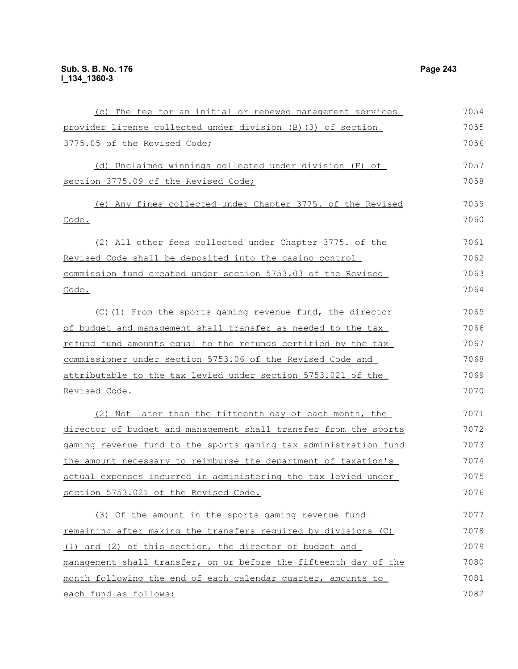(c) The fee for an initial or renewed management services provider license collected under division (B)(3) of section 3775.05 of the Revised Code; (d) Unclaimed winnings collected under division (F) of section 3775.09 of the Revised Code; (e) Any fines collected under Chapter 3775. of the Revised Code. (2) All other fees collected under Chapter 3775. of the Revised Code shall be deposited into the casino control commission fund created under section 5753.03 of the Revised Code. (C)(1) From the sports gaming revenue fund, the director of budget and management shall transfer as needed to the tax refund fund amounts equal to the refunds certified by the tax commissioner under section 5753.06 of the Revised Code and attributable to the tax levied under section 5753.021 of the Revised Code. (2) Not later than the fifteenth day of each month, the director of budget and management shall transfer from the sports gaming revenue fund to the sports gaming tax administration fund the amount necessary to reimburse the department of taxation's actual expenses incurred in administering the tax levied under section 5753.021 of the Revised Code. (3) Of the amount in the sports gaming revenue fund remaining after making the transfers required by divisions (C) (1) and (2) of this section, the director of budget and 7054 7055 7056 7057 7058 7059 7060 7061 7062 7063 7064 7065 7066 7067 7068 7069 7070 7071 7072 7073 7074 7075 7076 7077 7078 7079 7080

management shall transfer, on or before the fifteenth day of the month following the end of each calendar quarter, amounts to each fund as follows: 7081 7082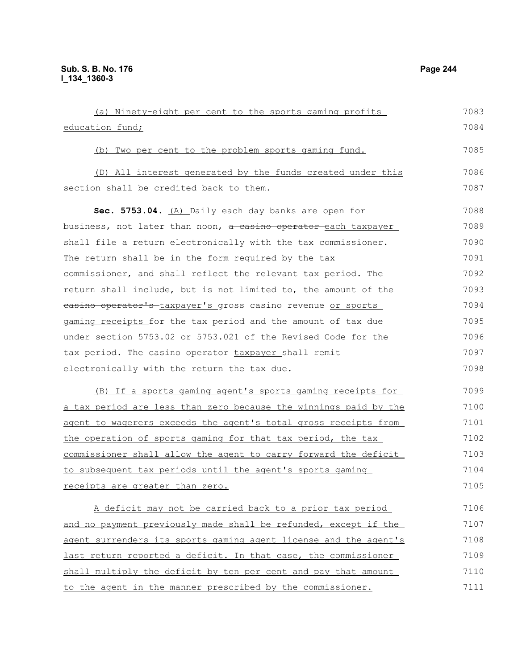| (a) Ninety-eight per cent to the sports gaming profits           | 7083 |
|------------------------------------------------------------------|------|
| education fund;                                                  | 7084 |
| (b) Two per cent to the problem sports gaming fund.              | 7085 |
| (D) All interest generated by the funds created under this       | 7086 |
| section shall be credited back to them.                          | 7087 |
| Sec. 5753.04. (A) Daily each day banks are open for              | 7088 |
| business, not later than noon, a casino operator each taxpayer   | 7089 |
| shall file a return electronically with the tax commissioner.    | 7090 |
| The return shall be in the form required by the tax              | 7091 |
| commissioner, and shall reflect the relevant tax period. The     | 7092 |
| return shall include, but is not limited to, the amount of the   | 7093 |
| easino operator's taxpayer's gross casino revenue or sports      | 7094 |
| gaming receipts for the tax period and the amount of tax due     | 7095 |
| under section 5753.02 or 5753.021 of the Revised Code for the    | 7096 |
| tax period. The easino operator taxpayer shall remit             | 7097 |
| electronically with the return the tax due.                      | 7098 |
| (B) If a sports gaming agent's sports gaming receipts for        | 7099 |
| a tax period are less than zero because the winnings paid by the | 7100 |
| agent to wagerers exceeds the agent's total gross receipts from  | 7101 |
| the operation of sports gaming for that tax period, the tax      | 7102 |
| commissioner shall allow the agent to carry forward the deficit  | 7103 |
| to subsequent tax periods until the agent's sports gaming        | 7104 |
| receipts are greater than zero.                                  | 7105 |
| A deficit may not be carried back to a prior tax period          | 7106 |
| and no payment previously made shall be refunded, except if the  | 7107 |
| agent surrenders its sports gaming agent license and the agent's | 7108 |
| last return reported a deficit. In that case, the commissioner   | 7109 |
| shall multiply the deficit by ten per cent and pay that amount   | 7110 |
| to the agent in the manner prescribed by the commissioner.       | 7111 |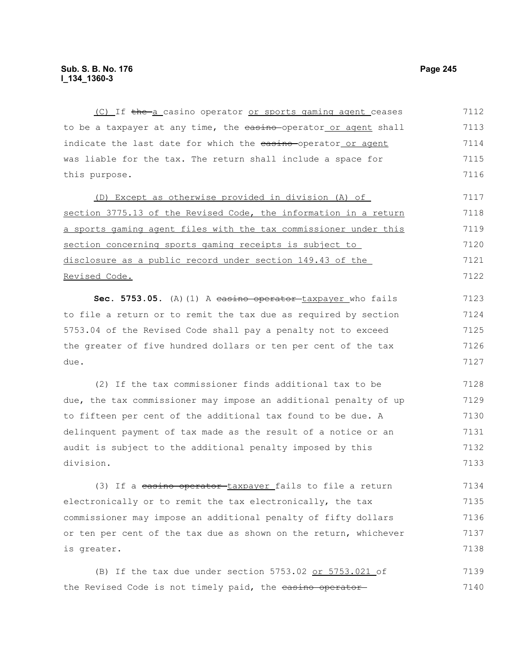(C) If the a casino operator or sports gaming agent ceases to be a taxpayer at any time, the easino-operator or agent shall indicate the last date for which the easino-operator or agent was liable for the tax. The return shall include a space for this purpose. 7112 7113 7114 7115 7116

(D) Except as otherwise provided in division (A) of section 3775.13 of the Revised Code, the information in a return a sports gaming agent files with the tax commissioner under this section concerning sports gaming receipts is subject to disclosure as a public record under section 149.43 of the Revised Code. 7117 7118 7119 7120 7121 7122

**Sec. 5753.05.** (A) (1) A casino operator taxpayer who fails to file a return or to remit the tax due as required by section 5753.04 of the Revised Code shall pay a penalty not to exceed the greater of five hundred dollars or ten per cent of the tax due. 7123 7124 7125 7126 7127

(2) If the tax commissioner finds additional tax to be due, the tax commissioner may impose an additional penalty of up to fifteen per cent of the additional tax found to be due. A delinquent payment of tax made as the result of a notice or an audit is subject to the additional penalty imposed by this division. 7128 7129 7130 7131 7132 7133

(3) If a casino operator-taxpayer fails to file a return electronically or to remit the tax electronically, the tax commissioner may impose an additional penalty of fifty dollars or ten per cent of the tax due as shown on the return, whichever is greater. 7134 7135 7136 7137 7138

(B) If the tax due under section 5753.02 or 5753.021 of the Revised Code is not timely paid, the easino operator 7139 7140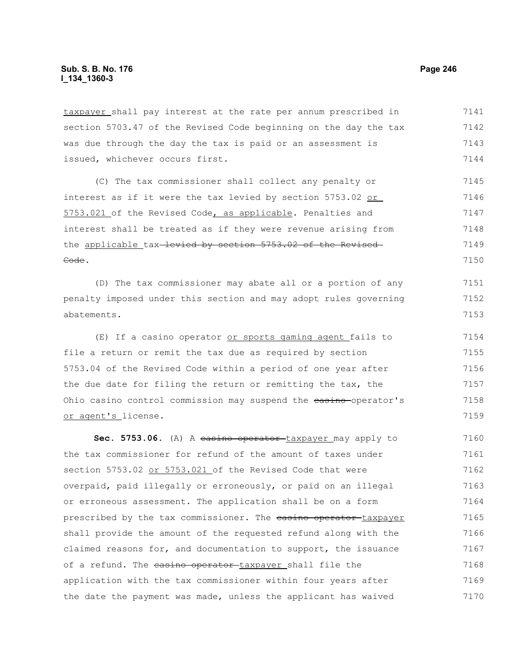#### **Sub. S. B. No. 176 Page 246 l\_134\_1360-3**

taxpayer shall pay interest at the rate per annum prescribed in section 5703.47 of the Revised Code beginning on the day the tax was due through the day the tax is paid or an assessment is issued, whichever occurs first. 7141 7142 7143 7144

(C) The tax commissioner shall collect any penalty or interest as if it were the tax levied by section 5753.02 or 5753.021 of the Revised Code, as applicable. Penalties and interest shall be treated as if they were revenue arising from the applicable tax-levied by section 5753.02 of the Revised Code. 7145 7146 7147 7148 7149 7150

(D) The tax commissioner may abate all or a portion of any penalty imposed under this section and may adopt rules governing abatements. 7151 7152 7153

(E) If a casino operator or sports gaming agent fails to file a return or remit the tax due as required by section 5753.04 of the Revised Code within a period of one year after the due date for filing the return or remitting the tax, the Ohio casino control commission may suspend the easino-operator's or agent's license. 7154 7155 7156 7157 7158 7159

Sec. 5753.06. (A) A casino operator taxpayer may apply to the tax commissioner for refund of the amount of taxes under section 5753.02 or 5753.021 of the Revised Code that were overpaid, paid illegally or erroneously, or paid on an illegal or erroneous assessment. The application shall be on a form prescribed by the tax commissioner. The easino operator-taxpayer shall provide the amount of the requested refund along with the claimed reasons for, and documentation to support, the issuance of a refund. The easino operator taxpayer shall file the application with the tax commissioner within four years after the date the payment was made, unless the applicant has waived 7160 7161 7162 7163 7164 7165 7166 7167 7168 7169 7170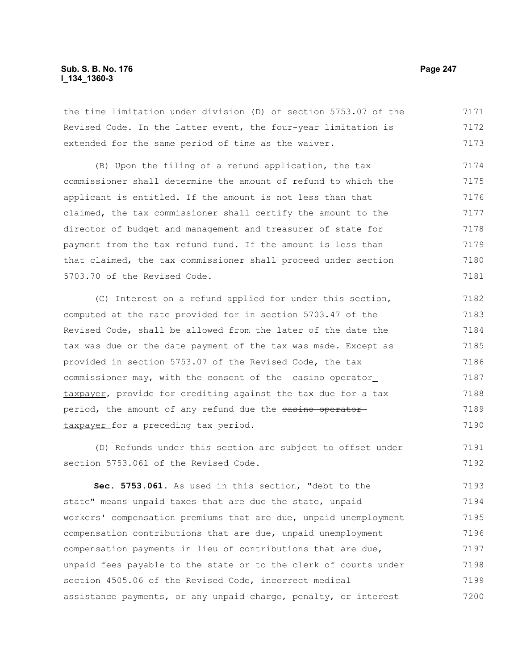## **Sub. S. B. No. 176 Page 247 l\_134\_1360-3**

the time limitation under division (D) of section 5753.07 of the Revised Code. In the latter event, the four-year limitation is extended for the same period of time as the waiver. 7171 7172 7173

(B) Upon the filing of a refund application, the tax commissioner shall determine the amount of refund to which the applicant is entitled. If the amount is not less than that claimed, the tax commissioner shall certify the amount to the director of budget and management and treasurer of state for payment from the tax refund fund. If the amount is less than that claimed, the tax commissioner shall proceed under section 5703.70 of the Revised Code. 7174 7175 7176 7177 7178 7179 7180 7181

(C) Interest on a refund applied for under this section, computed at the rate provided for in section 5703.47 of the Revised Code, shall be allowed from the later of the date the tax was due or the date payment of the tax was made. Except as provided in section 5753.07 of the Revised Code, the tax commissioner may, with the consent of the -casino operator taxpayer, provide for crediting against the tax due for a tax period, the amount of any refund due the casino operatortaxpayer for a preceding tax period. 7182 7183 7184 7185 7186 7187 7188 7189 7190

(D) Refunds under this section are subject to offset under section 5753.061 of the Revised Code. 7191 7192

**Sec. 5753.061.** As used in this section, "debt to the state" means unpaid taxes that are due the state, unpaid workers' compensation premiums that are due, unpaid unemployment compensation contributions that are due, unpaid unemployment compensation payments in lieu of contributions that are due, unpaid fees payable to the state or to the clerk of courts under section 4505.06 of the Revised Code, incorrect medical assistance payments, or any unpaid charge, penalty, or interest 7193 7194 7195 7196 7197 7198 7199 7200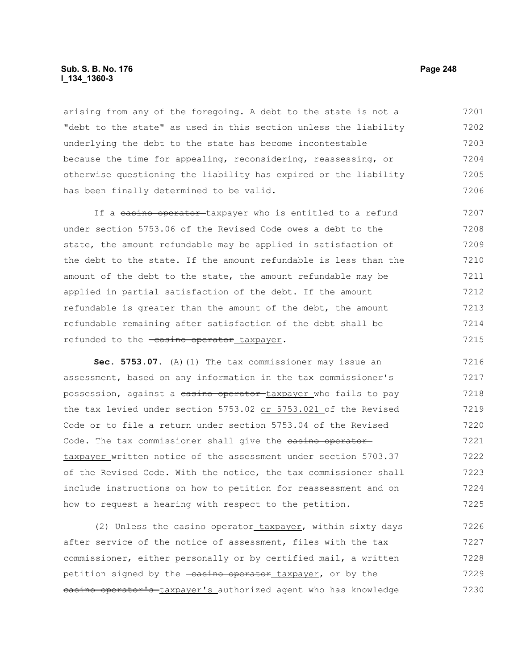### **Sub. S. B. No. 176 Page 248 l\_134\_1360-3**

arising from any of the foregoing. A debt to the state is not a "debt to the state" as used in this section unless the liability underlying the debt to the state has become incontestable because the time for appealing, reconsidering, reassessing, or otherwise questioning the liability has expired or the liability has been finally determined to be valid. 7201 7202 7203 7204 7205 7206

If a casino operator-taxpayer who is entitled to a refund under section 5753.06 of the Revised Code owes a debt to the state, the amount refundable may be applied in satisfaction of the debt to the state. If the amount refundable is less than the amount of the debt to the state, the amount refundable may be applied in partial satisfaction of the debt. If the amount refundable is greater than the amount of the debt, the amount refundable remaining after satisfaction of the debt shall be refunded to the -casino operator\_taxpayer. 7207 7208 7209 7210 7211 7212 7213 7214 7215

Sec. 5753.07. (A)(1) The tax commissioner may issue an assessment, based on any information in the tax commissioner's possession, against a casino operator taxpayer who fails to pay the tax levied under section 5753.02 or 5753.021 of the Revised Code or to file a return under section 5753.04 of the Revised Code. The tax commissioner shall give the easino operatortaxpayer written notice of the assessment under section 5703.37 of the Revised Code. With the notice, the tax commissioner shall include instructions on how to petition for reassessment and on how to request a hearing with respect to the petition. 7216 7217 7218 7219 7220 7221 7222 7223 7224 7225

(2) Unless the casino operator taxpayer, within sixty days after service of the notice of assessment, files with the tax commissioner, either personally or by certified mail, a written petition signed by the **casino operator** taxpayer, or by the easino operator's taxpayer's authorized agent who has knowledge 7226 7227 7228 7229 7230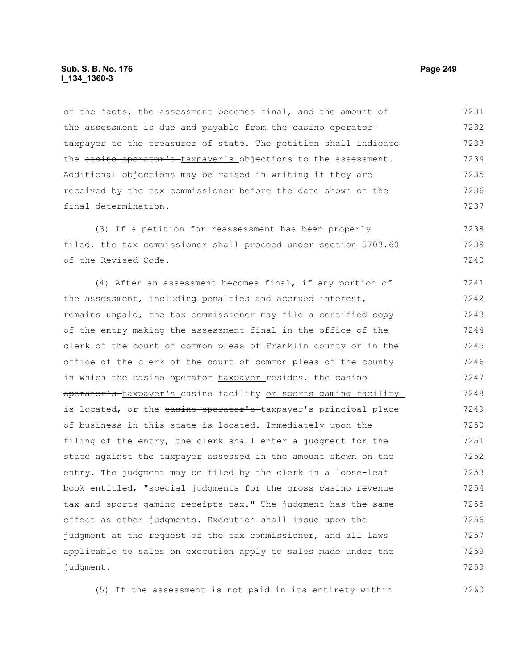## **Sub. S. B. No. 176 Page 249 l\_134\_1360-3**

of the facts, the assessment becomes final, and the amount of the assessment is due and payable from the easino operator taxpayer to the treasurer of state. The petition shall indicate the easino operator's taxpayer's objections to the assessment. Additional objections may be raised in writing if they are received by the tax commissioner before the date shown on the final determination. 7231 7232 7233 7234 7235 7236 7237

(3) If a petition for reassessment has been properly filed, the tax commissioner shall proceed under section 5703.60 of the Revised Code. 7238 7239 7240

(4) After an assessment becomes final, if any portion of the assessment, including penalties and accrued interest, remains unpaid, the tax commissioner may file a certified copy of the entry making the assessment final in the office of the clerk of the court of common pleas of Franklin county or in the office of the clerk of the court of common pleas of the county in which the casino operator-taxpayer resides, the casinooperator's taxpayer's casino facility or sports gaming facility is located, or the easino operator's taxpayer's principal place of business in this state is located. Immediately upon the filing of the entry, the clerk shall enter a judgment for the state against the taxpayer assessed in the amount shown on the entry. The judgment may be filed by the clerk in a loose-leaf book entitled, "special judgments for the gross casino revenue tax and sports gaming receipts tax." The judgment has the same effect as other judgments. Execution shall issue upon the judgment at the request of the tax commissioner, and all laws applicable to sales on execution apply to sales made under the judgment. 7241 7242 7243 7244 7245 7246 7247 7248 7249 7250 7251 7252 7253 7254 7255 7256 7257 7258 7259

(5) If the assessment is not paid in its entirety within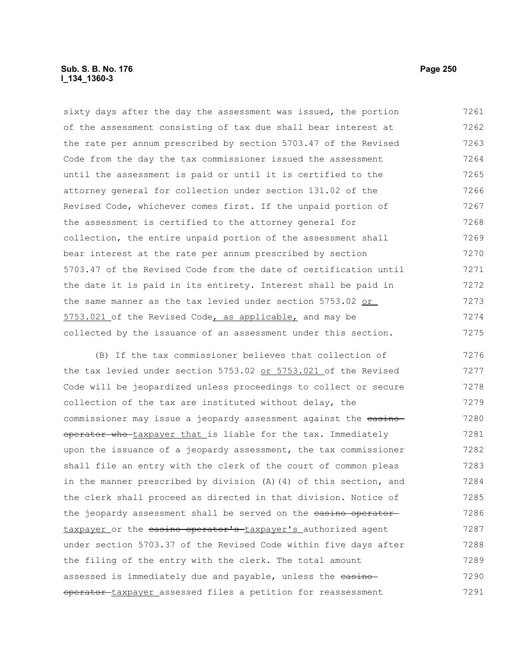### **Sub. S. B. No. 176 Page 250 l\_134\_1360-3**

sixty days after the day the assessment was issued, the portion of the assessment consisting of tax due shall bear interest at the rate per annum prescribed by section 5703.47 of the Revised Code from the day the tax commissioner issued the assessment until the assessment is paid or until it is certified to the attorney general for collection under section 131.02 of the Revised Code, whichever comes first. If the unpaid portion of the assessment is certified to the attorney general for collection, the entire unpaid portion of the assessment shall bear interest at the rate per annum prescribed by section 5703.47 of the Revised Code from the date of certification until the date it is paid in its entirety. Interest shall be paid in the same manner as the tax levied under section 5753.02 or 5753.021 of the Revised Code, as applicable, and may be collected by the issuance of an assessment under this section. 7261 7262 7263 7264 7265 7266 7267 7268 7269 7270 7271 7272 7273 7274 7275

(B) If the tax commissioner believes that collection of the tax levied under section 5753.02 or 5753.021 of the Revised Code will be jeopardized unless proceedings to collect or secure collection of the tax are instituted without delay, the commissioner may issue a jeopardy assessment against the easinooperator who taxpayer that is liable for the tax. Immediately upon the issuance of a jeopardy assessment, the tax commissioner shall file an entry with the clerk of the court of common pleas in the manner prescribed by division (A)(4) of this section, and the clerk shall proceed as directed in that division. Notice of the jeopardy assessment shall be served on the casino operatortaxpayer or the casino operator's taxpayer's authorized agent under section 5703.37 of the Revised Code within five days after the filing of the entry with the clerk. The total amount assessed is immediately due and payable, unless the easinooperator taxpayer assessed files a petition for reassessment 7276 7277 7278 7279 7280 7281 7282 7283 7284 7285 7286 7287 7288 7289 7290 7291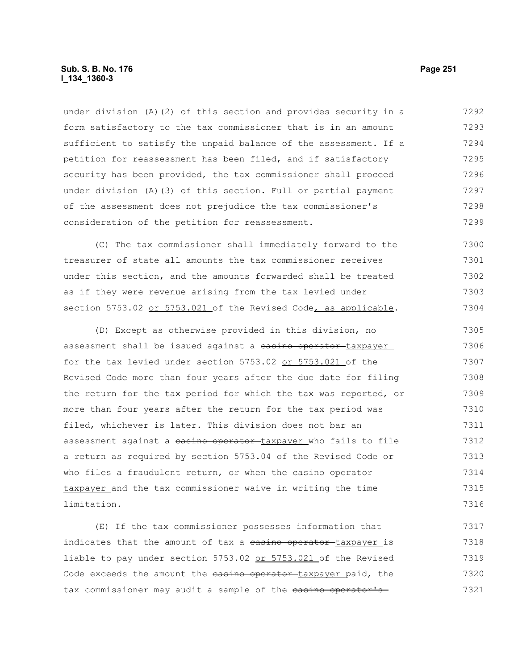under division (A)(2) of this section and provides security in a form satisfactory to the tax commissioner that is in an amount sufficient to satisfy the unpaid balance of the assessment. If a petition for reassessment has been filed, and if satisfactory security has been provided, the tax commissioner shall proceed under division (A)(3) of this section. Full or partial payment of the assessment does not prejudice the tax commissioner's consideration of the petition for reassessment. 7292 7293 7294 7295 7296 7297 7298 7299

(C) The tax commissioner shall immediately forward to the treasurer of state all amounts the tax commissioner receives under this section, and the amounts forwarded shall be treated as if they were revenue arising from the tax levied under section 5753.02 or 5753.021 of the Revised Code, as applicable. 7300 7301 7302 7303 7304

(D) Except as otherwise provided in this division, no assessment shall be issued against a easino operator taxpayer for the tax levied under section 5753.02 or 5753.021 of the Revised Code more than four years after the due date for filing the return for the tax period for which the tax was reported, or more than four years after the return for the tax period was filed, whichever is later. This division does not bar an assessment against a casino operator taxpayer who fails to file a return as required by section 5753.04 of the Revised Code or who files a fraudulent return, or when the easino operator taxpayer and the tax commissioner waive in writing the time limitation. 7305 7306 7307 7308 7309 7310 7311 7312 7313 7314 7315 7316

(E) If the tax commissioner possesses information that indicates that the amount of tax a casino operator taxpayer is liable to pay under section 5753.02 or 5753.021 of the Revised Code exceeds the amount the easino operator taxpayer paid, the tax commissioner may audit a sample of the easino operator's 7317 7318 7319 7320 7321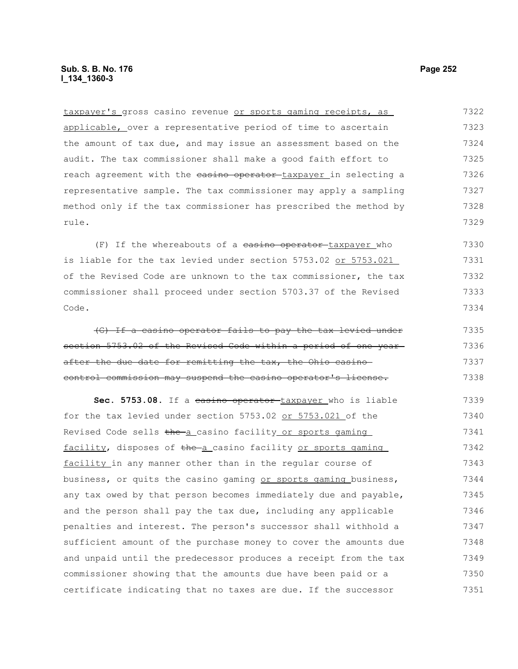### **Sub. S. B. No. 176 Page 252 l\_134\_1360-3**

taxpayer's gross casino revenue or sports gaming receipts, as applicable, over a representative period of time to ascertain the amount of tax due, and may issue an assessment based on the audit. The tax commissioner shall make a good faith effort to reach agreement with the easino operator taxpayer in selecting a representative sample. The tax commissioner may apply a sampling method only if the tax commissioner has prescribed the method by rule. 7322 7323 7324 7325 7326 7327 7328 7329

(F) If the whereabouts of a casino operator taxpayer who is liable for the tax levied under section 5753.02 or 5753.021 of the Revised Code are unknown to the tax commissioner, the tax commissioner shall proceed under section 5703.37 of the Revised Code.

(G) If a casino operator fails to pay the tax levied under section 5753.02 of the Revised Code within a period of one year after the due date for remitting the tax, the Ohio casinocontrol commission may suspend the casino operator's license. 7335 7336 7337 7338

Sec. 5753.08. If a casino operator taxpayer who is liable for the tax levied under section 5753.02 or 5753.021 of the Revised Code sells the a casino facility or sports gaming facility, disposes of the a casino facility or sports gaming facility in any manner other than in the regular course of business, or quits the casino gaming or sports gaming business, any tax owed by that person becomes immediately due and payable, and the person shall pay the tax due, including any applicable penalties and interest. The person's successor shall withhold a sufficient amount of the purchase money to cover the amounts due and unpaid until the predecessor produces a receipt from the tax commissioner showing that the amounts due have been paid or a certificate indicating that no taxes are due. If the successor 7339 7340 7341 7342 7343 7344 7345 7346 7347 7348 7349 7350 7351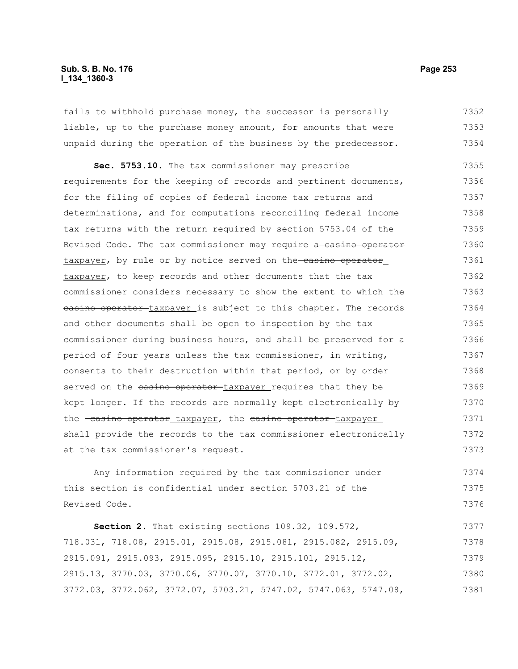## **Sub. S. B. No. 176 Page 253 l\_134\_1360-3**

fails to withhold purchase money, the successor is personally liable, up to the purchase money amount, for amounts that were unpaid during the operation of the business by the predecessor. 7352 7353 7354

**Sec. 5753.10.** The tax commissioner may prescribe requirements for the keeping of records and pertinent documents, for the filing of copies of federal income tax returns and determinations, and for computations reconciling federal income tax returns with the return required by section 5753.04 of the Revised Code. The tax commissioner may require a-casino operator taxpayer, by rule or by notice served on the casino operator taxpayer, to keep records and other documents that the tax commissioner considers necessary to show the extent to which the easino operator taxpayer is subject to this chapter. The records and other documents shall be open to inspection by the tax commissioner during business hours, and shall be preserved for a period of four years unless the tax commissioner, in writing, consents to their destruction within that period, or by order served on the easino operator taxpayer requires that they be kept longer. If the records are normally kept electronically by the -casino operator taxpayer, the casino operator-taxpayer shall provide the records to the tax commissioner electronically at the tax commissioner's request. 7355 7356 7357 7358 7359 7360 7361 7362 7363 7364 7365 7366 7367 7368 7369 7370 7371 7372 7373

Any information required by the tax commissioner under this section is confidential under section 5703.21 of the Revised Code. 7374 7375 7376

**Section 2.** That existing sections 109.32, 109.572, 718.031, 718.08, 2915.01, 2915.08, 2915.081, 2915.082, 2915.09, 2915.091, 2915.093, 2915.095, 2915.10, 2915.101, 2915.12, 2915.13, 3770.03, 3770.06, 3770.07, 3770.10, 3772.01, 3772.02, 3772.03, 3772.062, 3772.07, 5703.21, 5747.02, 5747.063, 5747.08, 7377 7378 7379 7380 7381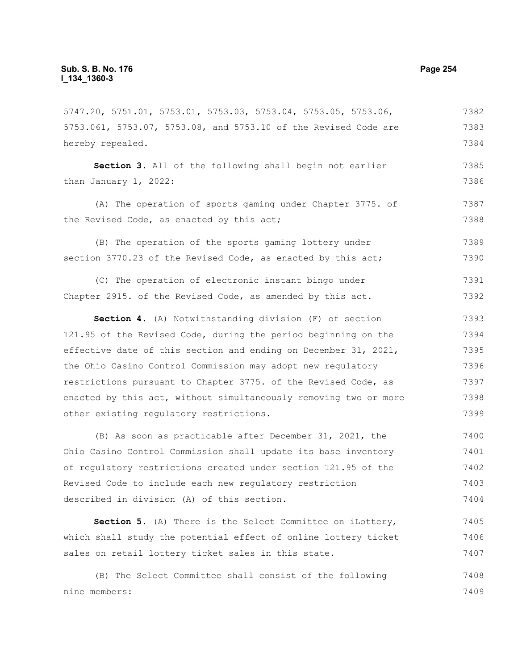5747.20, 5751.01, 5753.01, 5753.03, 5753.04, 5753.05, 5753.06, 5753.061, 5753.07, 5753.08, and 5753.10 of the Revised Code are hereby repealed. 7382 7383 7384

**Section 3.** All of the following shall begin not earlier than January 1, 2022: 7385 7386

(A) The operation of sports gaming under Chapter 3775. of the Revised Code, as enacted by this act; 7387 7388

(B) The operation of the sports gaming lottery under section 3770.23 of the Revised Code, as enacted by this act; 7389 7390

(C) The operation of electronic instant bingo under Chapter 2915. of the Revised Code, as amended by this act. 7391 7392

**Section 4.** (A) Notwithstanding division (F) of section 121.95 of the Revised Code, during the period beginning on the effective date of this section and ending on December 31, 2021, the Ohio Casino Control Commission may adopt new regulatory restrictions pursuant to Chapter 3775. of the Revised Code, as enacted by this act, without simultaneously removing two or more other existing regulatory restrictions. 7393 7394 7395 7396 7397 7398 7399

(B) As soon as practicable after December 31, 2021, the Ohio Casino Control Commission shall update its base inventory of regulatory restrictions created under section 121.95 of the Revised Code to include each new regulatory restriction described in division (A) of this section. 7400 7401 7402 7403 7404

Section 5. (A) There is the Select Committee on iLottery, which shall study the potential effect of online lottery ticket sales on retail lottery ticket sales in this state. 7405 7406 7407

(B) The Select Committee shall consist of the following nine members: 7408 7409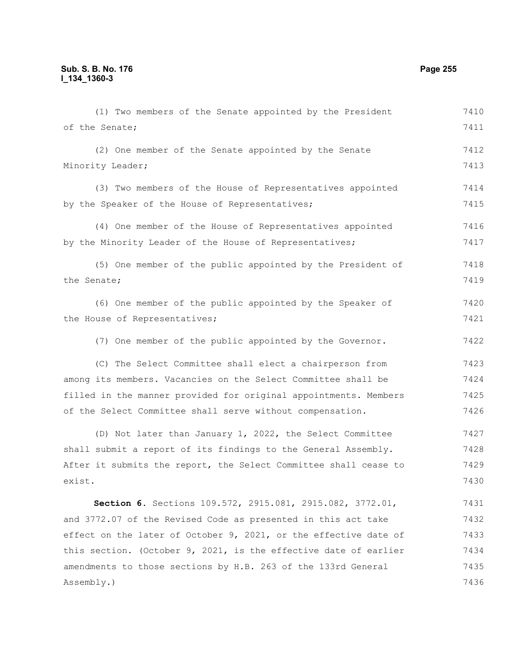| (1) Two members of the Senate appointed by the President         | 7410 |
|------------------------------------------------------------------|------|
| of the Senate;                                                   | 7411 |
| (2) One member of the Senate appointed by the Senate             | 7412 |
| Minority Leader;                                                 | 7413 |
| (3) Two members of the House of Representatives appointed        | 7414 |
| by the Speaker of the House of Representatives;                  | 7415 |
| (4) One member of the House of Representatives appointed         | 7416 |
| by the Minority Leader of the House of Representatives;          | 7417 |
| (5) One member of the public appointed by the President of       | 7418 |
| the Senate;                                                      | 7419 |
| (6) One member of the public appointed by the Speaker of         | 7420 |
| the House of Representatives;                                    | 7421 |
| (7) One member of the public appointed by the Governor.          | 7422 |
| (C) The Select Committee shall elect a chairperson from          | 7423 |
| among its members. Vacancies on the Select Committee shall be    | 7424 |
| filled in the manner provided for original appointments. Members | 7425 |
| of the Select Committee shall serve without compensation.        | 7426 |
| (D) Not later than January 1, 2022, the Select Committee         | 7427 |
| shall submit a report of its findings to the General Assembly.   | 7428 |
| After it submits the report, the Select Committee shall cease to | 7429 |
| exist.                                                           | 7430 |
| Section 6. Sections 109.572, 2915.081, 2915.082, 3772.01,        | 7431 |
| and 3772.07 of the Revised Code as presented in this act take    | 7432 |
| effect on the later of October 9, 2021, or the effective date of | 7433 |
| this section. (October 9, 2021, is the effective date of earlier | 7434 |
| amendments to those sections by H.B. 263 of the 133rd General    | 7435 |
| Assembly.)                                                       | 7436 |